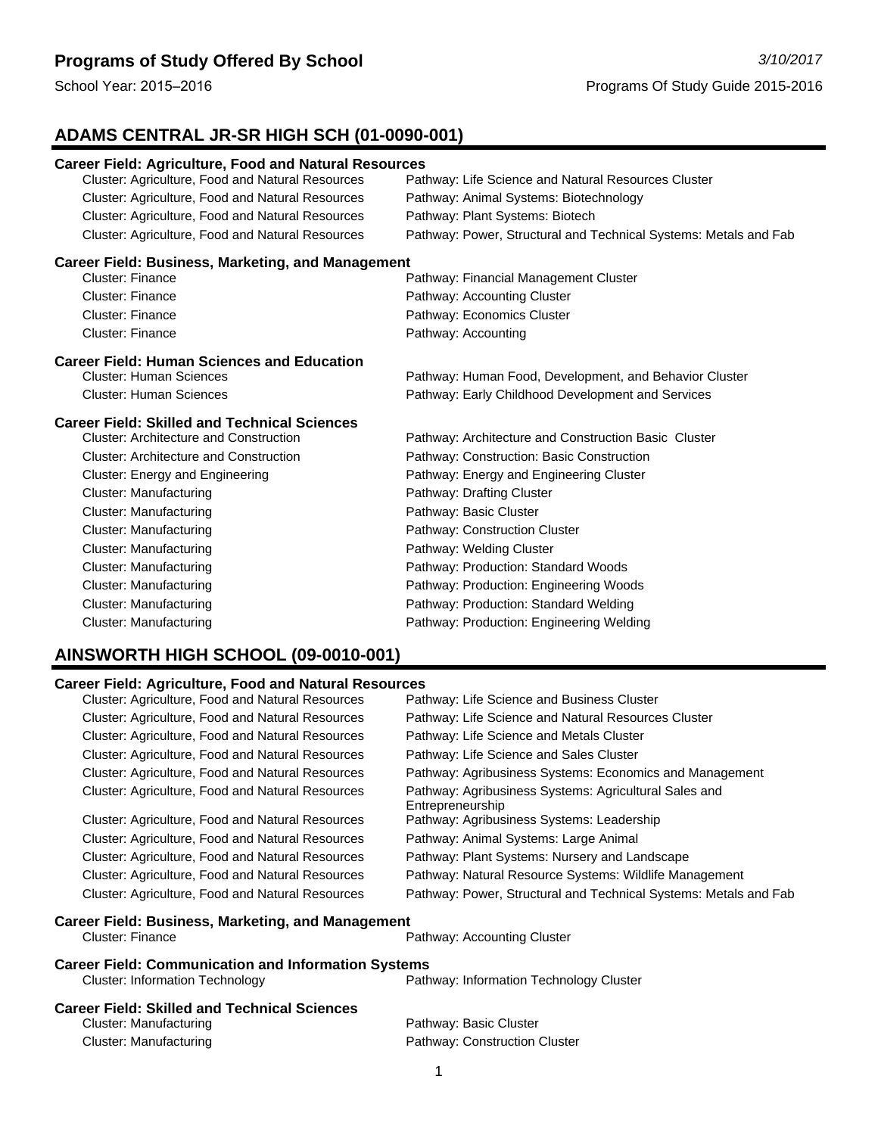# **ADAMS CENTRAL JR-SR HIGH SCH (01-0090-001)**

| <b>Career Field: Agriculture, Food and Natural Resources</b> |                                                                  |
|--------------------------------------------------------------|------------------------------------------------------------------|
| Cluster: Agriculture, Food and Natural Resources             | Pathway: Life Science and Natural Resources Cluster              |
| Cluster: Agriculture, Food and Natural Resources             | Pathway: Animal Systems: Biotechnology                           |
| Cluster: Agriculture, Food and Natural Resources             | Pathway: Plant Systems: Biotech                                  |
| Cluster: Agriculture, Food and Natural Resources             | Pathway: Power, Structural and Technical Systems: Metals and Fab |
| <b>Career Field: Business, Marketing, and Management</b>     |                                                                  |
| <b>Cluster: Finance</b>                                      | Pathway: Financial Management Cluster                            |
| <b>Cluster: Finance</b>                                      | Pathway: Accounting Cluster                                      |
| <b>Cluster: Finance</b>                                      | Pathway: Economics Cluster                                       |
| <b>Cluster: Finance</b>                                      | Pathway: Accounting                                              |
| <b>Career Field: Human Sciences and Education</b>            |                                                                  |
| <b>Cluster: Human Sciences</b>                               | Pathway: Human Food, Development, and Behavior Cluster           |
| <b>Cluster: Human Sciences</b>                               | Pathway: Early Childhood Development and Services                |
| <b>Career Field: Skilled and Technical Sciences</b>          |                                                                  |
| <b>Cluster: Architecture and Construction</b>                | Pathway: Architecture and Construction Basic Cluster             |
| <b>Cluster: Architecture and Construction</b>                | Pathway: Construction: Basic Construction                        |
| <b>Cluster: Energy and Engineering</b>                       | Pathway: Energy and Engineering Cluster                          |
| <b>Cluster: Manufacturing</b>                                | Pathway: Drafting Cluster                                        |
| <b>Cluster: Manufacturing</b>                                | Pathway: Basic Cluster                                           |
| <b>Cluster: Manufacturing</b>                                | Pathway: Construction Cluster                                    |
| <b>Cluster: Manufacturing</b>                                | Pathway: Welding Cluster                                         |
| <b>Cluster: Manufacturing</b>                                | Pathway: Production: Standard Woods                              |
| <b>Cluster: Manufacturing</b>                                | Pathway: Production: Engineering Woods                           |
| <b>Cluster: Manufacturing</b>                                | Pathway: Production: Standard Welding                            |
| <b>Cluster: Manufacturing</b>                                | Pathway: Production: Engineering Welding                         |
|                                                              |                                                                  |

# **AINSWORTH HIGH SCHOOL (09-0010-001)**

#### **Career Field: Agriculture, Food and Natural Resources**

| Cluster: Agriculture, Food and Natural Resources           | Pathway: Life Science and Business Cluster                                |
|------------------------------------------------------------|---------------------------------------------------------------------------|
| Cluster: Agriculture, Food and Natural Resources           | Pathway: Life Science and Natural Resources Cluster                       |
| Cluster: Agriculture, Food and Natural Resources           | Pathway: Life Science and Metals Cluster                                  |
| Cluster: Agriculture, Food and Natural Resources           | Pathway: Life Science and Sales Cluster                                   |
| Cluster: Agriculture, Food and Natural Resources           | Pathway: Agribusiness Systems: Economics and Management                   |
| Cluster: Agriculture, Food and Natural Resources           | Pathway: Agribusiness Systems: Agricultural Sales and<br>Entrepreneurship |
| Cluster: Agriculture, Food and Natural Resources           | Pathway: Agribusiness Systems: Leadership                                 |
| Cluster: Agriculture, Food and Natural Resources           | Pathway: Animal Systems: Large Animal                                     |
| Cluster: Agriculture, Food and Natural Resources           | Pathway: Plant Systems: Nursery and Landscape                             |
| Cluster: Agriculture, Food and Natural Resources           | Pathway: Natural Resource Systems: Wildlife Management                    |
| Cluster: Agriculture, Food and Natural Resources           | Pathway: Power, Structural and Technical Systems: Metals and Fab          |
| Career Field: Business, Marketing, and Management          |                                                                           |
| <b>Cluster: Finance</b>                                    | Pathway: Accounting Cluster                                               |
| <b>Career Field: Communication and Information Systems</b> |                                                                           |
| <b>Cluster: Information Technology</b>                     | Pathway: Information Technology Cluster                                   |
| <b>Career Field: Skilled and Technical Sciences</b>        |                                                                           |
| Cluster: Manufacturing                                     | Pathway: Basic Cluster                                                    |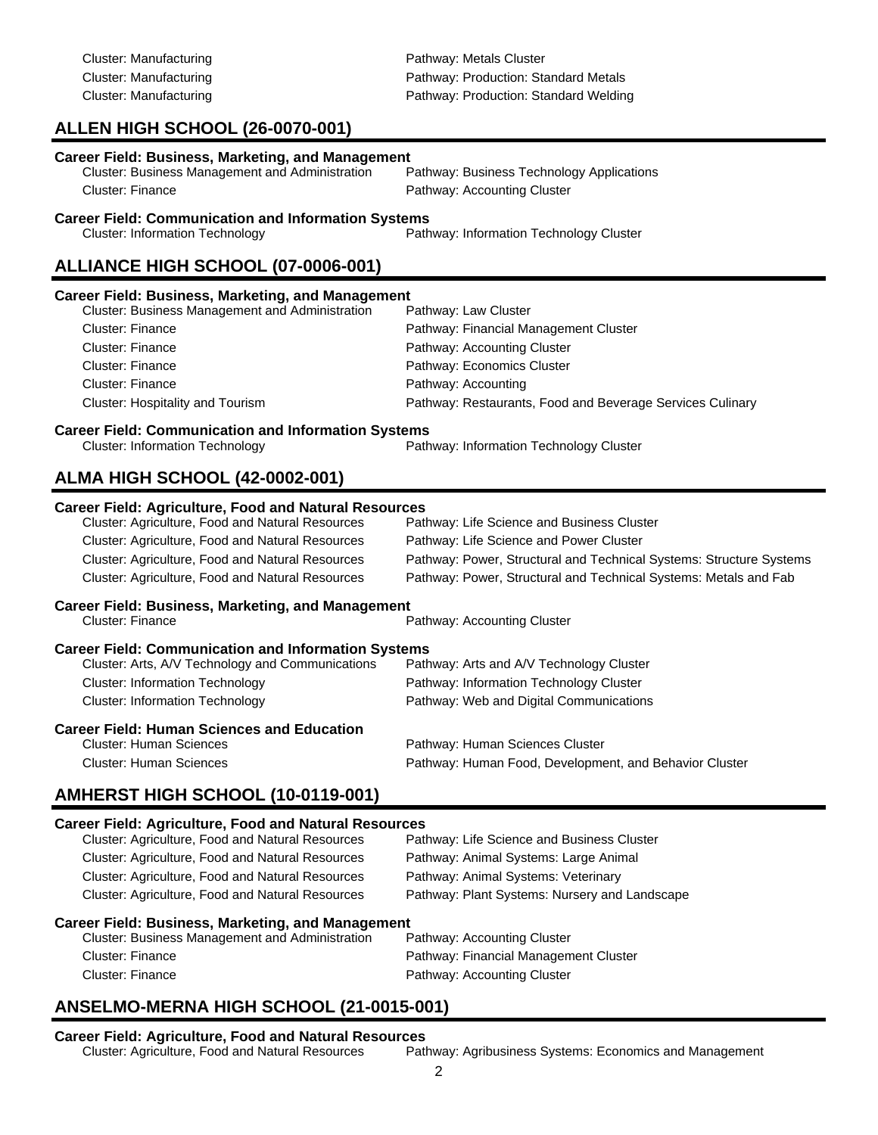| <b>Cluster: Manufacturing</b>                                                                        | Pathway: Production: Standard Metals                                |
|------------------------------------------------------------------------------------------------------|---------------------------------------------------------------------|
| <b>Cluster: Manufacturing</b>                                                                        | Pathway: Production: Standard Welding                               |
| ALLEN HIGH SCHOOL (26-0070-001)                                                                      |                                                                     |
| <b>Career Field: Business, Marketing, and Management</b>                                             |                                                                     |
| Cluster: Business Management and Administration                                                      | Pathway: Business Technology Applications                           |
| <b>Cluster: Finance</b>                                                                              | Pathway: Accounting Cluster                                         |
| <b>Career Field: Communication and Information Systems</b>                                           |                                                                     |
| <b>Cluster: Information Technology</b>                                                               | Pathway: Information Technology Cluster                             |
| ALLIANCE HIGH SCHOOL (07-0006-001)                                                                   |                                                                     |
| <b>Career Field: Business, Marketing, and Management</b>                                             |                                                                     |
| Cluster: Business Management and Administration                                                      | Pathway: Law Cluster                                                |
| <b>Cluster: Finance</b>                                                                              | Pathway: Financial Management Cluster                               |
| <b>Cluster: Finance</b>                                                                              | Pathway: Accounting Cluster                                         |
| <b>Cluster: Finance</b><br><b>Cluster: Finance</b>                                                   | Pathway: Economics Cluster<br>Pathway: Accounting                   |
| Cluster: Hospitality and Tourism                                                                     | Pathway: Restaurants, Food and Beverage Services Culinary           |
|                                                                                                      |                                                                     |
| <b>Career Field: Communication and Information Systems</b><br><b>Cluster: Information Technology</b> | Pathway: Information Technology Cluster                             |
|                                                                                                      |                                                                     |
| <b>ALMA HIGH SCHOOL (42-0002-001)</b>                                                                |                                                                     |
| <b>Career Field: Agriculture, Food and Natural Resources</b>                                         |                                                                     |
| Cluster: Agriculture, Food and Natural Resources                                                     | Pathway: Life Science and Business Cluster                          |
| Cluster: Agriculture, Food and Natural Resources                                                     | Pathway: Life Science and Power Cluster                             |
| Cluster: Agriculture, Food and Natural Resources                                                     | Pathway: Power, Structural and Technical Systems: Structure Systems |
| Cluster: Agriculture, Food and Natural Resources                                                     | Pathway: Power, Structural and Technical Systems: Metals and Fab    |
| <b>Career Field: Business, Marketing, and Management</b>                                             |                                                                     |
| <b>Cluster: Finance</b>                                                                              | Pathway: Accounting Cluster                                         |
| <b>Career Field: Communication and Information Systems</b>                                           |                                                                     |
| Cluster: Arts, A/V Technology and Communications                                                     | Pathway: Arts and A/V Technology Cluster                            |
| <b>Cluster: Information Technology</b>                                                               | Pathway: Information Technology Cluster                             |
| <b>Cluster: Information Technology</b>                                                               | Pathway: Web and Digital Communications                             |
| <b>Career Field: Human Sciences and Education</b>                                                    |                                                                     |
| <b>Cluster: Human Sciences</b>                                                                       | Pathway: Human Sciences Cluster                                     |
| <b>Cluster: Human Sciences</b>                                                                       | Pathway: Human Food, Development, and Behavior Cluster              |
| AMHERST HIGH SCHOOL (10-0119-001)                                                                    |                                                                     |
| <b>Career Field: Agriculture, Food and Natural Resources</b>                                         |                                                                     |
| Cluster: Agriculture, Food and Natural Resources                                                     | Pathway: Life Science and Business Cluster                          |
| Cluster: Agriculture, Food and Natural Resources                                                     | Pathway: Animal Systems: Large Animal                               |
| Cluster: Agriculture, Food and Natural Resources                                                     | Pathway: Animal Systems: Veterinary                                 |
| Cluster: Agriculture, Food and Natural Resources                                                     | Pathway: Plant Systems: Nursery and Landscape                       |
| <b>Ducingon Marketing and Managament</b>                                                             |                                                                     |

Cluster: Manufacturing **Pathway: Metals Cluster** Pathway: Metals Cluster

#### **Career Field: Business, Marketing, and Management**

| Cluster: Business Management and Administration | Pathway: Accounting Cluster           |
|-------------------------------------------------|---------------------------------------|
| Cluster: Finance                                | Pathway: Financial Management Cluster |
| Cluster: Finance                                | Pathway: Accounting Cluster           |

# **ANSELMO-MERNA HIGH SCHOOL (21-0015-001)**

**Career Field: Agriculture, Food and Natural Resources** Pathway: Agribusiness Systems: Economics and Management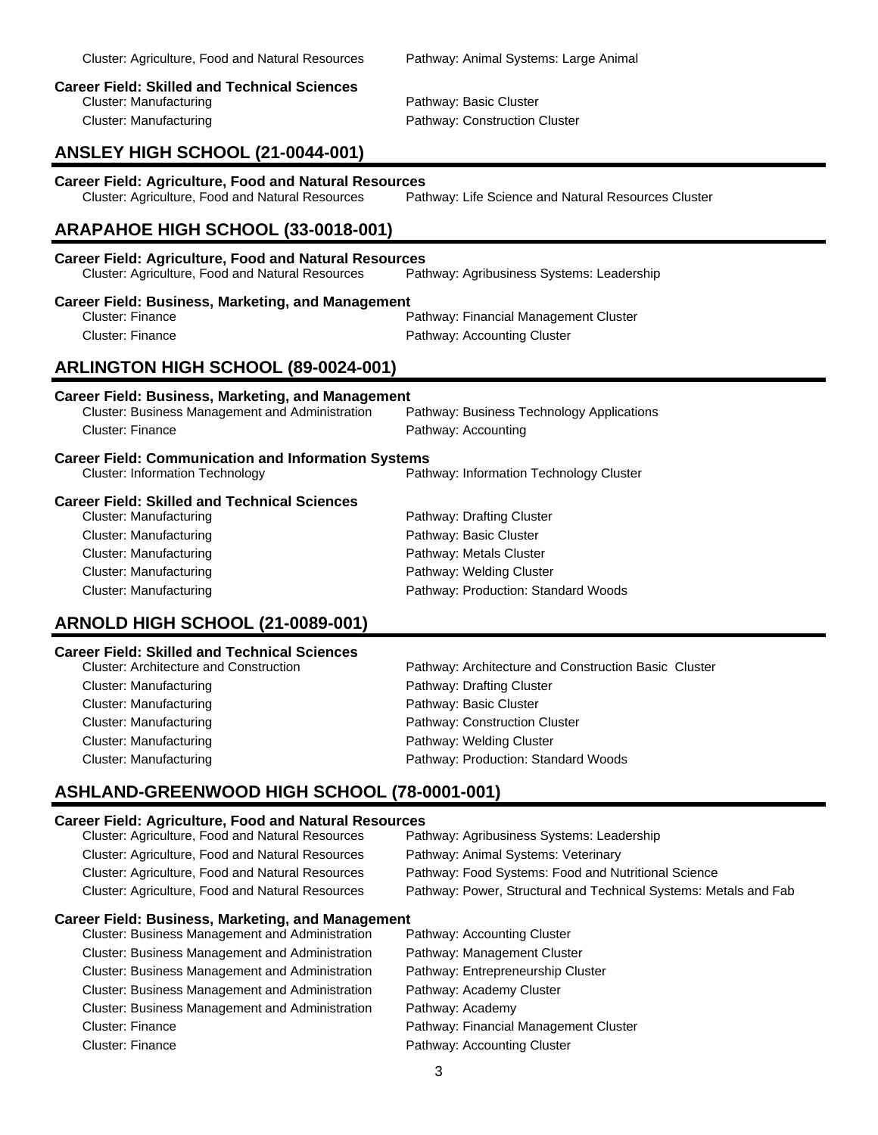| <b>Career Field: Agriculture, Food and Natural Resources</b><br>Cluster: Agriculture, Food and Natural Resources                                                                                                                                                                                                        | Pathway: Life Science and Natural Resources Cluster                                                                                                                                                             |
|-------------------------------------------------------------------------------------------------------------------------------------------------------------------------------------------------------------------------------------------------------------------------------------------------------------------------|-----------------------------------------------------------------------------------------------------------------------------------------------------------------------------------------------------------------|
| ARAPAHOE HIGH SCHOOL (33-0018-001)                                                                                                                                                                                                                                                                                      |                                                                                                                                                                                                                 |
| <b>Career Field: Agriculture, Food and Natural Resources</b><br>Cluster: Agriculture, Food and Natural Resources                                                                                                                                                                                                        | Pathway: Agribusiness Systems: Leadership                                                                                                                                                                       |
| <b>Career Field: Business, Marketing, and Management</b><br><b>Cluster: Finance</b><br>Cluster: Finance                                                                                                                                                                                                                 | Pathway: Financial Management Cluster<br>Pathway: Accounting Cluster                                                                                                                                            |
| <b>ARLINGTON HIGH SCHOOL (89-0024-001)</b>                                                                                                                                                                                                                                                                              |                                                                                                                                                                                                                 |
| <b>Career Field: Business, Marketing, and Management</b><br>Cluster: Business Management and Administration<br><b>Cluster: Finance</b>                                                                                                                                                                                  | Pathway: Business Technology Applications<br>Pathway: Accounting                                                                                                                                                |
| <b>Career Field: Communication and Information Systems</b><br><b>Cluster: Information Technology</b>                                                                                                                                                                                                                    | Pathway: Information Technology Cluster                                                                                                                                                                         |
| <b>Career Field: Skilled and Technical Sciences</b><br><b>Cluster: Manufacturing</b><br><b>Cluster: Manufacturing</b><br><b>Cluster: Manufacturing</b><br><b>Cluster: Manufacturing</b><br><b>Cluster: Manufacturing</b>                                                                                                | Pathway: Drafting Cluster<br>Pathway: Basic Cluster<br>Pathway: Metals Cluster<br>Pathway: Welding Cluster<br>Pathway: Production: Standard Woods                                                               |
| ARNOLD HIGH SCHOOL (21-0089-001)                                                                                                                                                                                                                                                                                        |                                                                                                                                                                                                                 |
| <b>Career Field: Skilled and Technical Sciences</b><br><b>Cluster: Architecture and Construction</b><br><b>Cluster: Manufacturing</b><br><b>Cluster: Manufacturing</b><br><b>Cluster: Manufacturing</b><br><b>Cluster: Manufacturing</b><br><b>Cluster: Manufacturing</b>                                               | Pathway: Architecture and Construction Basic Cluster<br>Pathway: Drafting Cluster<br>Pathway: Basic Cluster<br>Pathway: Construction Cluster<br>Pathway: Welding Cluster<br>Pathway: Production: Standard Woods |
| ASHLAND-GREENWOOD HIGH SCHOOL (78-0001-001)                                                                                                                                                                                                                                                                             |                                                                                                                                                                                                                 |
| <b>Career Field: Agriculture, Food and Natural Resources</b><br>Cluster: Agriculture, Food and Natural Resources<br>Cluster: Agriculture, Food and Natural Resources<br>Cluster: Agriculture, Food and Natural Resources<br>Cluster: Agriculture, Food and Natural Resources                                            | Pathway: Agribusiness Systems: Leadership<br>Pathway: Animal Systems: Veterinary<br>Pathway: Food Systems: Food and Nutritional Science<br>Pathway: Power, Structural and Technical Systems: Metals and Fab     |
| <b>Career Field: Business, Marketing, and Management</b><br>Cluster: Business Management and Administration<br>Cluster: Business Management and Administration<br>Cluster: Business Management and Administration<br>Cluster: Business Management and Administration<br>Cluster: Business Management and Administration | Pathway: Accounting Cluster<br>Pathway: Management Cluster<br>Pathway: Entrepreneurship Cluster<br>Pathway: Academy Cluster<br>Pathway: Academy                                                                 |

# **Career Field: Skilled and Technical Sciences**

Pathway: Basic Cluster Cluster: Manufacturing extending Pathway: Construction Cluster

# **ANSLEY HIGH SCHOOL (21-0044-001)**

**Career Field: Agriculture, Food and Natural Resources**

|  |  | <b>Career Field: Business, Marketing, and Management</b> |  |
|--|--|----------------------------------------------------------|--|
|  |  |                                                          |  |

| Cluster: Business Management and Administration        | Pathway: Accounting Cluster           |
|--------------------------------------------------------|---------------------------------------|
| <b>Cluster: Business Management and Administration</b> | Pathway: Management Cluster           |
| Cluster: Business Management and Administration        | Pathway: Entrepreneurship Cluster     |
| <b>Cluster: Business Management and Administration</b> | Pathway: Academy Cluster              |
| <b>Cluster: Business Management and Administration</b> | Pathway: Academy                      |
| Cluster: Finance                                       | Pathway: Financial Management Cluster |
| <b>Cluster: Finance</b>                                | Pathway: Accounting Cluster           |

#### Cluster: Agriculture, Food and Natural Resources Pathway: Animal Systems: Large Animal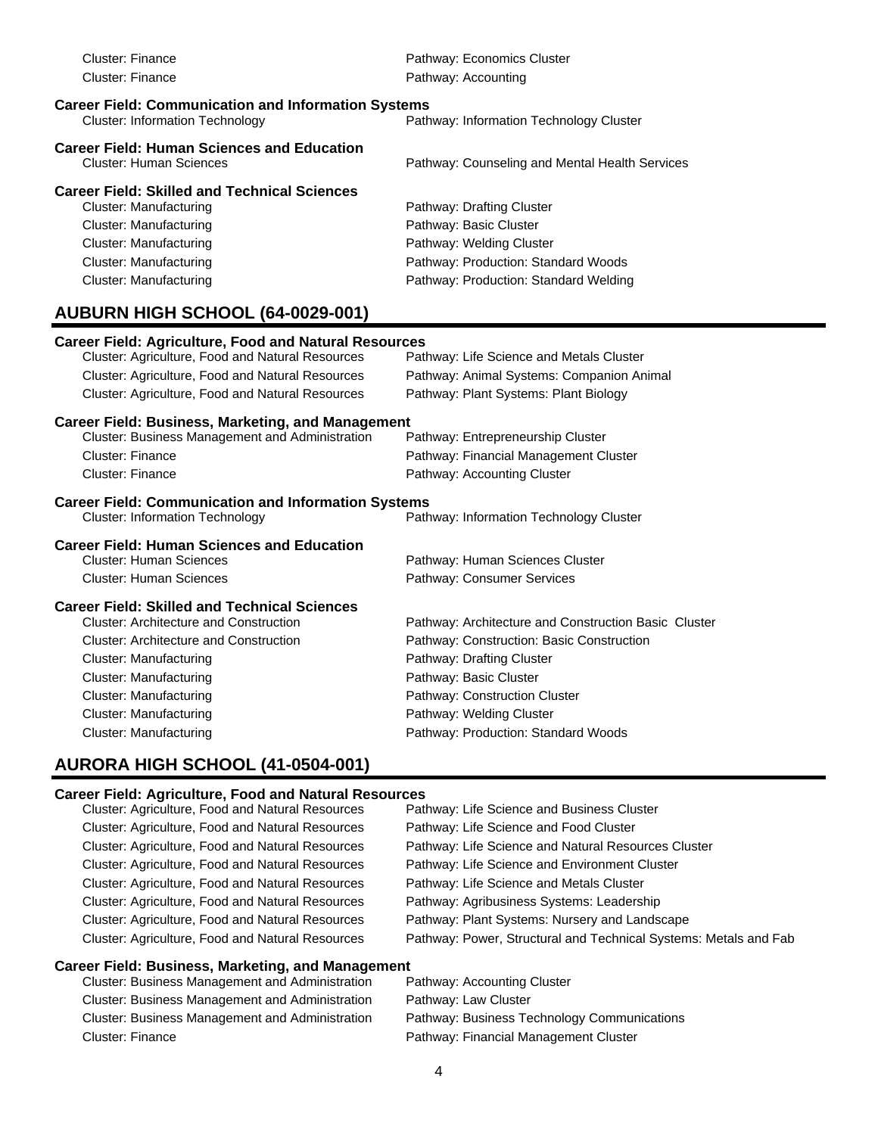| <b>Cluster: Finance</b>                                                                                                                         | Pathway: Economics Cluster                           |  |  |
|-------------------------------------------------------------------------------------------------------------------------------------------------|------------------------------------------------------|--|--|
| <b>Cluster: Finance</b>                                                                                                                         | Pathway: Accounting                                  |  |  |
|                                                                                                                                                 |                                                      |  |  |
| <b>Career Field: Communication and Information Systems</b><br><b>Cluster: Information Technology</b><br>Pathway: Information Technology Cluster |                                                      |  |  |
|                                                                                                                                                 |                                                      |  |  |
| <b>Career Field: Human Sciences and Education</b>                                                                                               |                                                      |  |  |
| <b>Cluster: Human Sciences</b>                                                                                                                  | Pathway: Counseling and Mental Health Services       |  |  |
| <b>Career Field: Skilled and Technical Sciences</b>                                                                                             |                                                      |  |  |
| <b>Cluster: Manufacturing</b>                                                                                                                   | Pathway: Drafting Cluster                            |  |  |
| <b>Cluster: Manufacturing</b>                                                                                                                   | Pathway: Basic Cluster                               |  |  |
| <b>Cluster: Manufacturing</b>                                                                                                                   | Pathway: Welding Cluster                             |  |  |
| <b>Cluster: Manufacturing</b>                                                                                                                   | Pathway: Production: Standard Woods                  |  |  |
| <b>Cluster: Manufacturing</b>                                                                                                                   | Pathway: Production: Standard Welding                |  |  |
|                                                                                                                                                 |                                                      |  |  |
| AUBURN HIGH SCHOOL (64-0029-001)                                                                                                                |                                                      |  |  |
| <b>Career Field: Agriculture, Food and Natural Resources</b>                                                                                    |                                                      |  |  |
| Cluster: Agriculture, Food and Natural Resources                                                                                                | Pathway: Life Science and Metals Cluster             |  |  |
| Cluster: Agriculture, Food and Natural Resources                                                                                                | Pathway: Animal Systems: Companion Animal            |  |  |
| Cluster: Agriculture, Food and Natural Resources                                                                                                | Pathway: Plant Systems: Plant Biology                |  |  |
| <b>Career Field: Business, Marketing, and Management</b>                                                                                        |                                                      |  |  |
| Cluster: Business Management and Administration                                                                                                 | Pathway: Entrepreneurship Cluster                    |  |  |
| <b>Cluster: Finance</b>                                                                                                                         | Pathway: Financial Management Cluster                |  |  |
| <b>Cluster: Finance</b>                                                                                                                         | Pathway: Accounting Cluster                          |  |  |
| <b>Career Field: Communication and Information Systems</b>                                                                                      |                                                      |  |  |
| <b>Cluster: Information Technology</b>                                                                                                          | Pathway: Information Technology Cluster              |  |  |
|                                                                                                                                                 |                                                      |  |  |
| <b>Career Field: Human Sciences and Education</b>                                                                                               |                                                      |  |  |
| <b>Cluster: Human Sciences</b>                                                                                                                  | Pathway: Human Sciences Cluster                      |  |  |
| <b>Cluster: Human Sciences</b>                                                                                                                  | Pathway: Consumer Services                           |  |  |
| <b>Career Field: Skilled and Technical Sciences</b>                                                                                             |                                                      |  |  |
| <b>Cluster: Architecture and Construction</b>                                                                                                   | Pathway: Architecture and Construction Basic Cluster |  |  |
| Cluster: Architecture and Construction                                                                                                          | Pathway: Construction: Basic Construction            |  |  |
| <b>Cluster: Manufacturing</b>                                                                                                                   | Pathway: Drafting Cluster                            |  |  |
| <b>Cluster: Manufacturing</b>                                                                                                                   | Pathway: Basic Cluster                               |  |  |
| <b>Cluster: Manufacturing</b>                                                                                                                   | Pathway: Construction Cluster                        |  |  |
| <b>Cluster: Manufacturing</b>                                                                                                                   | Pathway: Welding Cluster                             |  |  |
| <b>Cluster: Manufacturing</b>                                                                                                                   | Pathway: Production: Standard Woods                  |  |  |
|                                                                                                                                                 |                                                      |  |  |
| AURORA HIGH SCHOOL (41-0504-001)                                                                                                                |                                                      |  |  |

# **Career Field: Agriculture, Food and Natural Resources**

| Cluster: Agriculture, Food and Natural Resources | Pathway: Life Science and Business Cluster                       |
|--------------------------------------------------|------------------------------------------------------------------|
| Cluster: Agriculture, Food and Natural Resources | Pathway: Life Science and Food Cluster                           |
| Cluster: Agriculture, Food and Natural Resources | Pathway: Life Science and Natural Resources Cluster              |
| Cluster: Agriculture, Food and Natural Resources | Pathway: Life Science and Environment Cluster                    |
| Cluster: Agriculture, Food and Natural Resources | Pathway: Life Science and Metals Cluster                         |
| Cluster: Agriculture, Food and Natural Resources | Pathway: Agribusiness Systems: Leadership                        |
| Cluster: Agriculture, Food and Natural Resources | Pathway: Plant Systems: Nursery and Landscape                    |
| Cluster: Agriculture, Food and Natural Resources | Pathway: Power, Structural and Technical Systems: Metals and Fab |
|                                                  |                                                                  |

| Cluster: Business Management and Administration        | Pathway: Accounting Cluster                 |
|--------------------------------------------------------|---------------------------------------------|
| Cluster: Business Management and Administration        | Pathway: Law Cluster                        |
| <b>Cluster: Business Management and Administration</b> | Pathway: Business Technology Communications |
| Cluster: Finance                                       | Pathway: Financial Management Cluster       |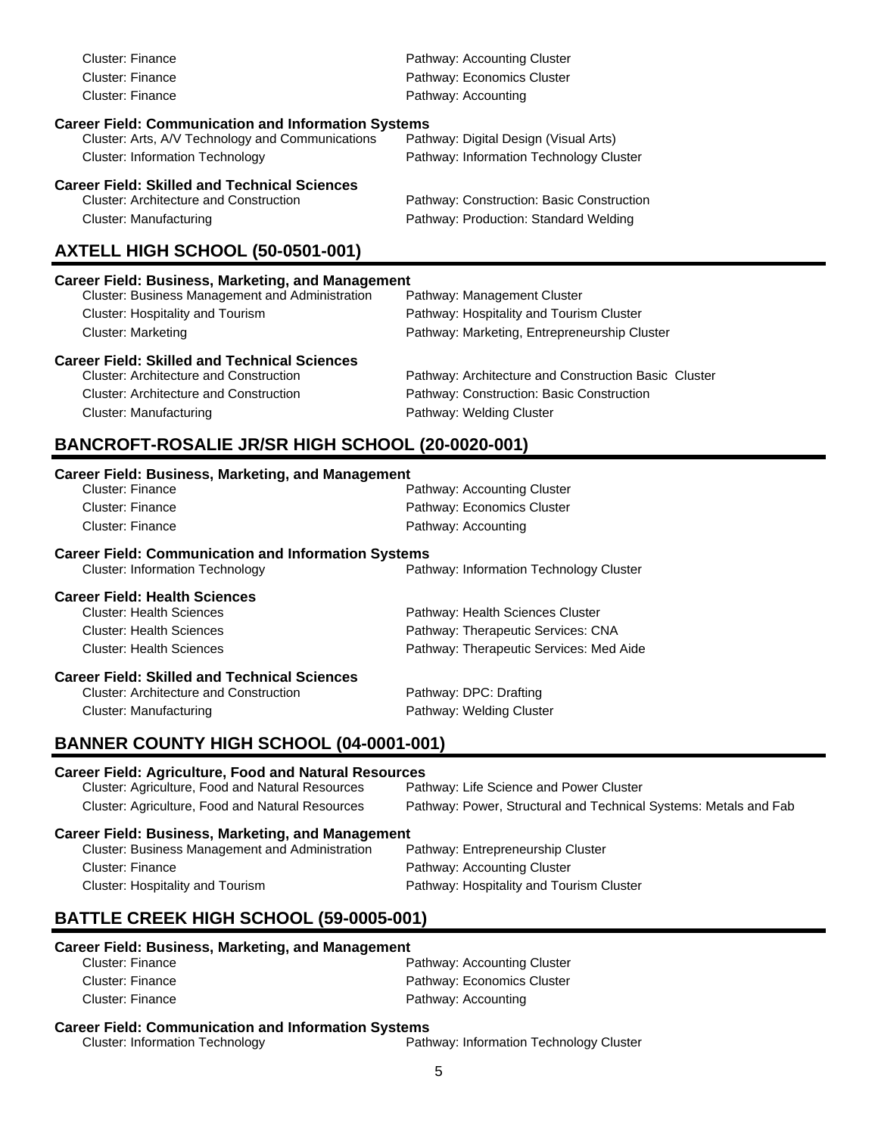| Cluster: Finance                                           | Pathway: Accounting Cluster                  |
|------------------------------------------------------------|----------------------------------------------|
| Cluster: Finance                                           | Pathway: Economics Cluster                   |
| Cluster: Finance                                           | Pathway: Accounting                          |
| <b>Career Field: Communication and Information Systems</b> |                                              |
| Cluster: Arts, A/V Technology and Communications           | Pathway: Digital Design (Visual Arts)        |
| <b>Cluster: Information Technology</b>                     | Pathway: Information Technology Cluster      |
| <b>Career Field: Skilled and Technical Sciences</b>        |                                              |
| <b>Cluster: Architecture and Construction</b>              | Pathway: Construction: Basic Construction    |
| Cluster: Manufacturing                                     | Pathway: Production: Standard Welding        |
| AXTELL HIGH SCHOOL (50-0501-001)                           |                                              |
| <b>Career Field: Business, Marketing, and Management</b>   |                                              |
| <b>Cluster: Business Management and Administration</b>     | Pathway: Management Cluster                  |
| <b>Cluster: Hospitality and Tourism</b>                    | Pathway: Hospitality and Tourism Cluster     |
| Cluster: Marketing                                         | Pathway: Marketing, Entrepreneurship Cluster |

# **Career Field: Skilled and Technical Sciences**

Pathway: Architecture and Construction Basic Cluster Cluster: Architecture and Construction Pathway: Construction: Basic Construction Cluster: Manufacturing example and the Pathway: Welding Cluster

#### **BANCROFT-ROSALIE JR/SR HIGH SCHOOL (20-0020-001)**

| <b>Career Field: Business, Marketing, and Management</b>   |                                         |
|------------------------------------------------------------|-----------------------------------------|
| <b>Cluster: Finance</b>                                    | Pathway: Accounting Cluster             |
| Cluster: Finance                                           | Pathway: Economics Cluster              |
| Cluster: Finance                                           | Pathway: Accounting                     |
| <b>Career Field: Communication and Information Systems</b> |                                         |
| <b>Cluster: Information Technology</b>                     | Pathway: Information Technology Cluster |
| <b>Career Field: Health Sciences</b>                       |                                         |
| <b>Cluster: Health Sciences</b>                            | Pathway: Health Sciences Cluster        |
| <b>Cluster: Health Sciences</b>                            | Pathway: Therapeutic Services: CNA      |
| <b>Cluster: Health Sciences</b>                            | Pathway: Therapeutic Services: Med Aide |
| <b>Career Field: Skilled and Technical Sciences</b>        |                                         |
| <b>Cluster: Architecture and Construction</b>              | Pathway: DPC: Drafting                  |
| Cluster: Manufacturing                                     | Pathway: Welding Cluster                |

### **BANNER COUNTY HIGH SCHOOL (04-0001-001)**

#### **Career Field: Agriculture, Food and Natural Resources**

| Cluster: Agriculture, Food and Natural Resources | Pathway: Life Science and Power Cluster                          |
|--------------------------------------------------|------------------------------------------------------------------|
| Cluster: Agriculture, Food and Natural Resources | Pathway: Power, Structural and Technical Systems: Metals and Fab |

#### **Career Field: Business, Marketing, and Management**

| Cluster: Business Management and Administration | Pathway: Entrepreneurship Cluster        |
|-------------------------------------------------|------------------------------------------|
| Cluster: Finance                                | Pathway: Accounting Cluster              |
| Cluster: Hospitality and Tourism                | Pathway: Hospitality and Tourism Cluster |

### **BATTLE CREEK HIGH SCHOOL (59-0005-001)**

#### **Career Field: Business, Marketing, and Management**

| Cluster: Finance | Pathway: Accounting Cluster |
|------------------|-----------------------------|
| Cluster: Finance | Pathway: Economics Cluster  |
| Cluster: Finance | Pathway: Accounting         |

# **Career Field: Communication and Information Systems**<br>Path Cluster: Information Technology

Pathway: Information Technology Cluster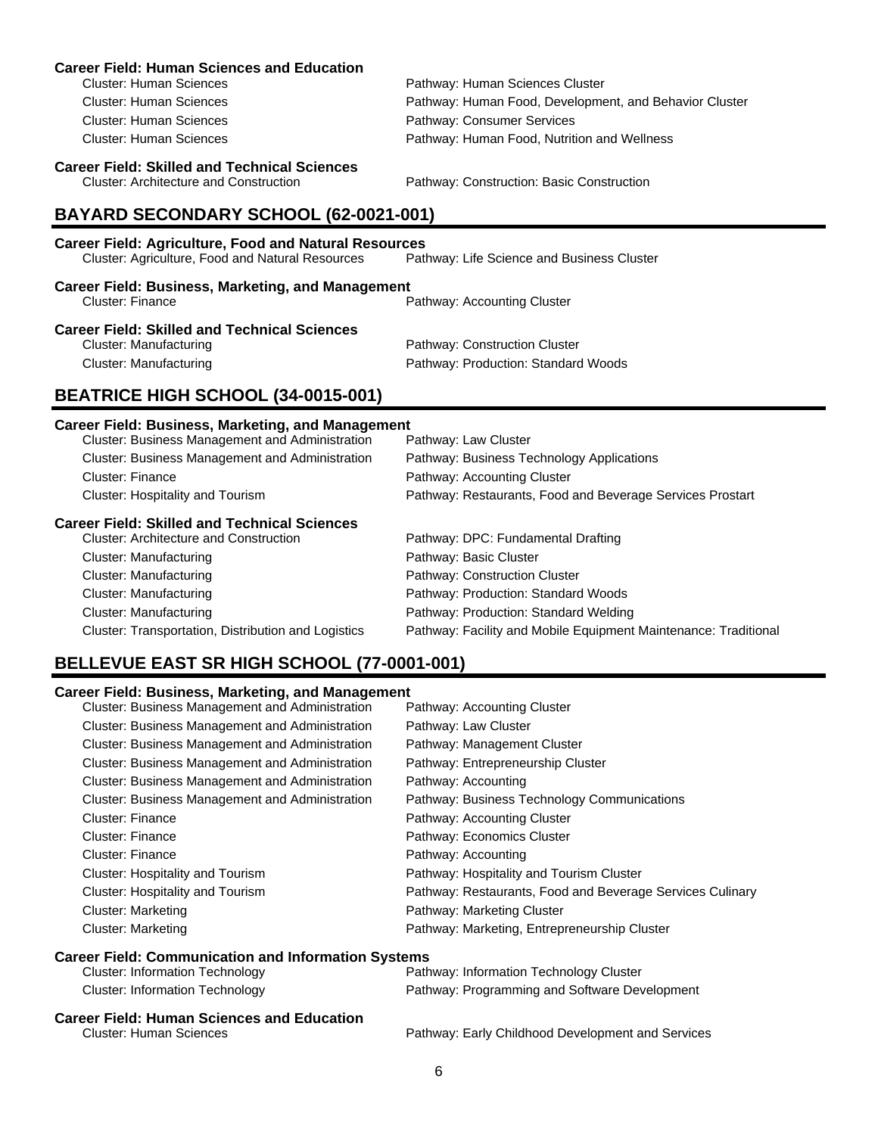| <b>Career Field: Human Sciences and Education</b>                                    |                                                           |
|--------------------------------------------------------------------------------------|-----------------------------------------------------------|
| <b>Cluster: Human Sciences</b>                                                       | Pathway: Human Sciences Cluster                           |
| <b>Cluster: Human Sciences</b>                                                       | Pathway: Human Food, Development, and Behavior Cluster    |
| <b>Cluster: Human Sciences</b>                                                       | Pathway: Consumer Services                                |
| <b>Cluster: Human Sciences</b>                                                       | Pathway: Human Food, Nutrition and Wellness               |
| <b>Career Field: Skilled and Technical Sciences</b>                                  |                                                           |
| <b>Cluster: Architecture and Construction</b>                                        | Pathway: Construction: Basic Construction                 |
| BAYARD SECONDARY SCHOOL (62-0021-001)                                                |                                                           |
| <b>Career Field: Agriculture, Food and Natural Resources</b>                         |                                                           |
| Cluster: Agriculture, Food and Natural Resources                                     | Pathway: Life Science and Business Cluster                |
| <b>Career Field: Business, Marketing, and Management</b><br>Cluster: Finance         | Pathway: Accounting Cluster                               |
|                                                                                      |                                                           |
| <b>Career Field: Skilled and Technical Sciences</b><br><b>Cluster: Manufacturing</b> | Pathway: Construction Cluster                             |
| <b>Cluster: Manufacturing</b>                                                        | Pathway: Production: Standard Woods                       |
|                                                                                      |                                                           |
| BEATRICE HIGH SCHOOL (34-0015-001)                                                   |                                                           |
| <b>Career Field: Business, Marketing, and Management</b>                             |                                                           |
| Cluster: Business Management and Administration                                      | Pathway: Law Cluster                                      |
| <b>Cluster: Business Management and Administration</b>                               | Pathway: Business Technology Applications                 |
| <b>Cluster: Finance</b>                                                              | Pathway: Accounting Cluster                               |
| Cluster: Hospitality and Tourism                                                     | Pathway: Restaurants, Food and Beverage Services Prostart |
| <b>Career Field: Skilled and Technical Sciences</b>                                  |                                                           |
| <b>Cluster: Architecture and Construction</b>                                        | Pathway: DPC: Fundamental Drafting                        |
| Cluster: Monufacturing                                                               | Dothway: Dooio Cluetor                                    |

| <b>Cluster: Architecture and Construction</b>       | Pathway: DPC: Fundamental Drafting                              |
|-----------------------------------------------------|-----------------------------------------------------------------|
| Cluster: Manufacturing                              | Pathway: Basic Cluster                                          |
| Cluster: Manufacturing                              | Pathway: Construction Cluster                                   |
| <b>Cluster: Manufacturing</b>                       | Pathway: Production: Standard Woods                             |
| <b>Cluster: Manufacturing</b>                       | Pathway: Production: Standard Welding                           |
| Cluster: Transportation, Distribution and Logistics | Pathway: Facility and Mobile Equipment Maintenance: Traditional |

# **BELLEVUE EAST SR HIGH SCHOOL (77-0001-001)**

| <b>Cluster: Business Management and Administration</b>     | Pathway: Accounting Cluster                               |
|------------------------------------------------------------|-----------------------------------------------------------|
| Cluster: Business Management and Administration            | Pathway: Law Cluster                                      |
| Cluster: Business Management and Administration            | Pathway: Management Cluster                               |
| Cluster: Business Management and Administration            | Pathway: Entrepreneurship Cluster                         |
| Cluster: Business Management and Administration            | Pathway: Accounting                                       |
| Cluster: Business Management and Administration            | Pathway: Business Technology Communications               |
| <b>Cluster: Finance</b>                                    | Pathway: Accounting Cluster                               |
| Cluster: Finance                                           | Pathway: Economics Cluster                                |
| Cluster: Finance                                           | Pathway: Accounting                                       |
| Cluster: Hospitality and Tourism                           | Pathway: Hospitality and Tourism Cluster                  |
| Cluster: Hospitality and Tourism                           | Pathway: Restaurants, Food and Beverage Services Culinary |
| <b>Cluster: Marketing</b>                                  | Pathway: Marketing Cluster                                |
| <b>Cluster: Marketing</b>                                  | Pathway: Marketing, Entrepreneurship Cluster              |
| <b>Career Field: Communication and Information Systems</b> |                                                           |
| <b>Cluster: Information Technology</b>                     | Pathway: Information Technology Cluster                   |
| <b>Cluster: Information Technology</b>                     | Pathway: Programming and Software Development             |
| <b>Career Field: Human Sciences and Education</b>          |                                                           |
| <b>Cluster: Human Sciences</b>                             | Pathway: Early Childhood Development and Services         |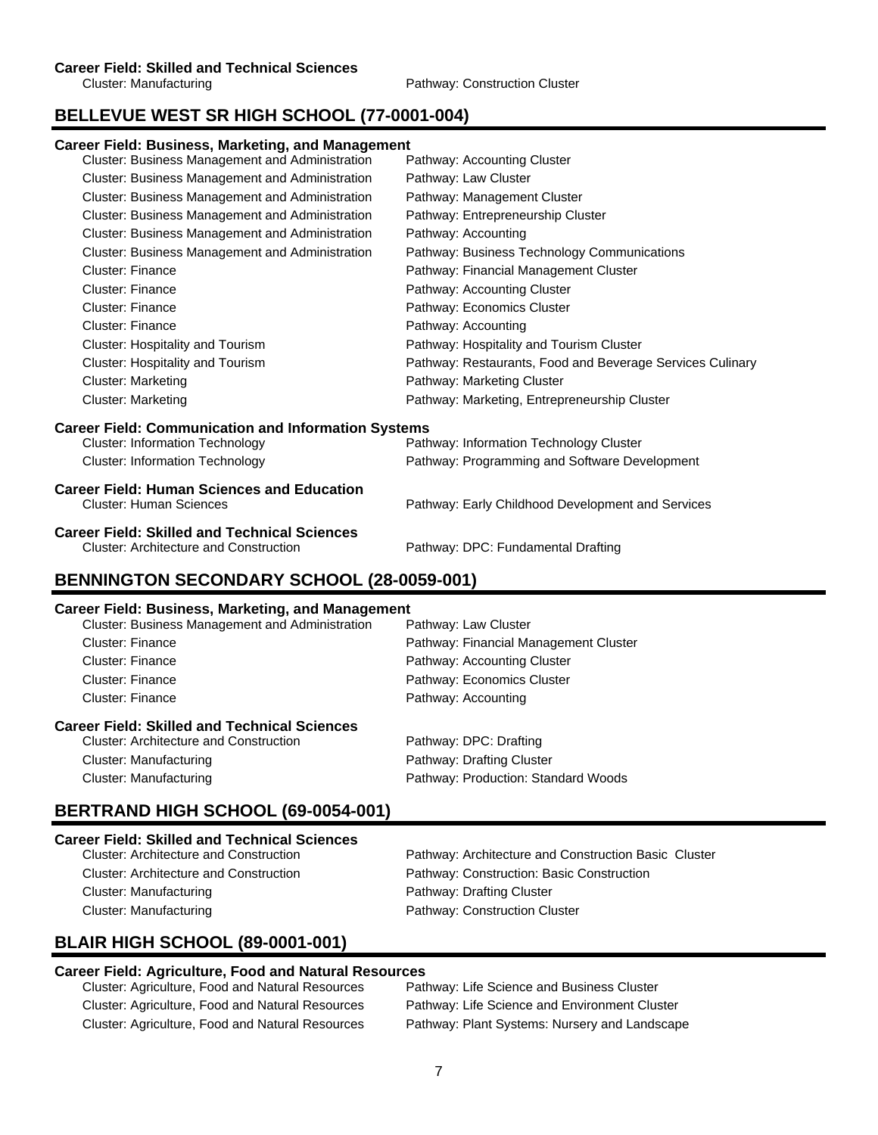# **BELLEVUE WEST SR HIGH SCHOOL (77-0001-004)**

#### **Career Field: Business, Marketing, and Management**

| Cluster: Business Management and Administration            | Pathway: Accounting Cluster                               |
|------------------------------------------------------------|-----------------------------------------------------------|
| Cluster: Business Management and Administration            | Pathway: Law Cluster                                      |
| Cluster: Business Management and Administration            | Pathway: Management Cluster                               |
| Cluster: Business Management and Administration            | Pathway: Entrepreneurship Cluster                         |
| Cluster: Business Management and Administration            | Pathway: Accounting                                       |
| Cluster: Business Management and Administration            | Pathway: Business Technology Communications               |
| <b>Cluster: Finance</b>                                    | Pathway: Financial Management Cluster                     |
| <b>Cluster: Finance</b>                                    | Pathway: Accounting Cluster                               |
| <b>Cluster: Finance</b>                                    | Pathway: Economics Cluster                                |
| <b>Cluster: Finance</b>                                    | Pathway: Accounting                                       |
| Cluster: Hospitality and Tourism                           | Pathway: Hospitality and Tourism Cluster                  |
| Cluster: Hospitality and Tourism                           | Pathway: Restaurants, Food and Beverage Services Culinary |
| <b>Cluster: Marketing</b>                                  | Pathway: Marketing Cluster                                |
| <b>Cluster: Marketing</b>                                  | Pathway: Marketing, Entrepreneurship Cluster              |
| <b>Career Field: Communication and Information Systems</b> |                                                           |
| <b>Cluster: Information Technology</b>                     | Pathway: Information Technology Cluster                   |
| <b>Cluster: Information Technology</b>                     | Pathway: Programming and Software Development             |
| <b>Career Field: Human Sciences and Education</b>          |                                                           |
| <b>Cluster: Human Sciences</b>                             | Pathway: Early Childhood Development and Services         |
| <b>Career Field: Skilled and Technical Sciences</b>        |                                                           |
| Cluster: Architecture and Construction                     | Pathway: DPC: Fundamental Drafting                        |
|                                                            |                                                           |

## **BENNINGTON SECONDARY SCHOOL (28-0059-001)**

#### **Career Field: Business, Marketing, and Management**

| Cluster: Business Management and Administration     | Pathway: Law Cluster                  |
|-----------------------------------------------------|---------------------------------------|
| <b>Cluster: Finance</b>                             | Pathway: Financial Management Cluster |
| Cluster: Finance                                    | Pathway: Accounting Cluster           |
| Cluster: Finance                                    | Pathway: Economics Cluster            |
| Cluster: Finance                                    | Pathway: Accounting                   |
| <b>Career Field: Skilled and Technical Sciences</b> |                                       |
| <b>Cluster: Architecture and Construction</b>       | Pathway: DPC: Drafting                |
| Cluster: Manufacturing                              | Pathway: Drafting Cluster             |
| Cluster: Manufacturing                              | Pathway: Production: Standard Woods   |

# **BERTRAND HIGH SCHOOL (69-0054-001)**

| <b>Career Field: Skilled and Technical Sciences</b> |                                                      |
|-----------------------------------------------------|------------------------------------------------------|
| Cluster: Architecture and Construction              | Pathway: Architecture and Construction Basic Cluster |
| <b>Cluster: Architecture and Construction</b>       | Pathway: Construction: Basic Construction            |
| Cluster: Manufacturing                              | Pathway: Drafting Cluster                            |
| Cluster: Manufacturing                              | Pathway: Construction Cluster                        |

# **BLAIR HIGH SCHOOL (89-0001-001)**

# **Career Field: Agriculture, Food and Natural Resources**

Cluster: Agriculture, Food and Natural Resources Cluster: Agriculture, Food and Natural Resources Pathway: Life Science and Environment Cluster Cluster: Agriculture, Food and Natural Resources Pathway: Plant Systems: Nursery and Landscape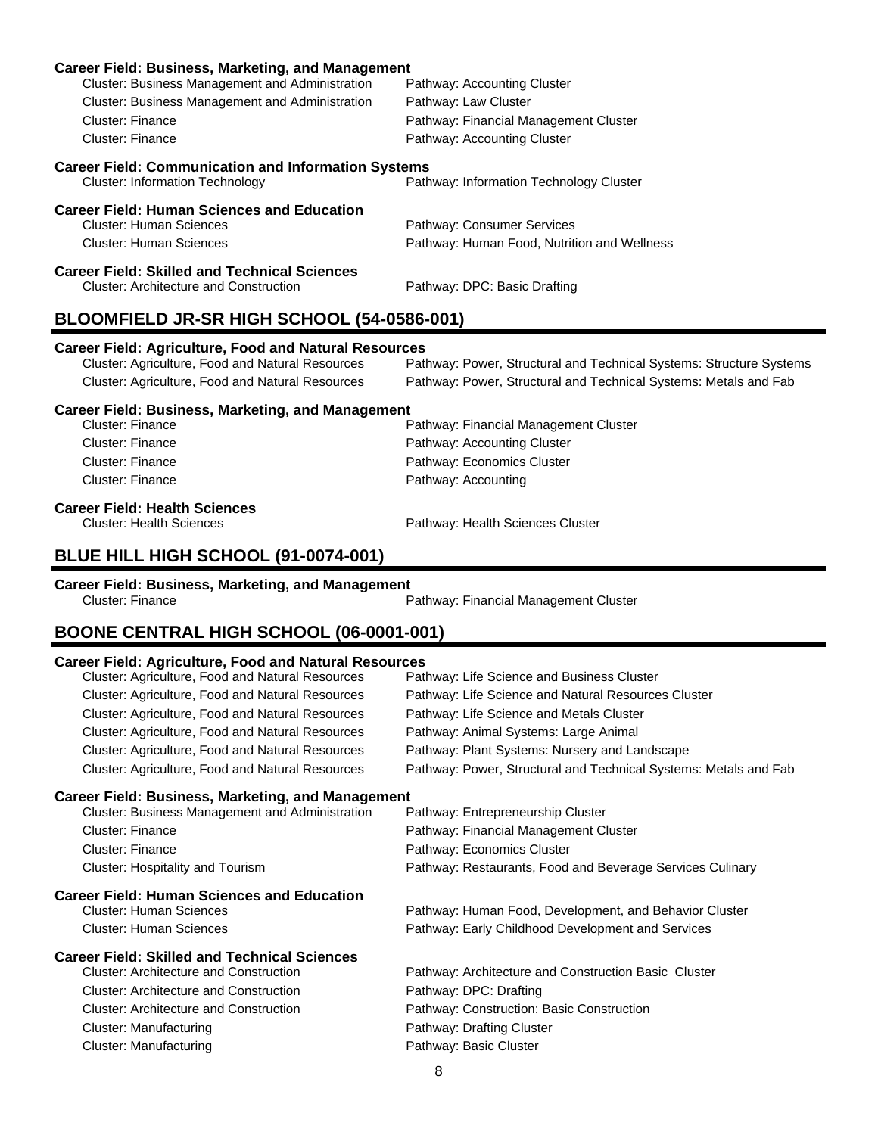| <b>Career Field: Business, Marketing, and Management</b>   |                                             |  |
|------------------------------------------------------------|---------------------------------------------|--|
| Cluster: Business Management and Administration            | Pathway: Accounting Cluster                 |  |
| Cluster: Business Management and Administration            | Pathway: Law Cluster                        |  |
| Cluster: Finance                                           | Pathway: Financial Management Cluster       |  |
| Cluster: Finance                                           | Pathway: Accounting Cluster                 |  |
| <b>Career Field: Communication and Information Systems</b> |                                             |  |
| <b>Cluster: Information Technology</b>                     | Pathway: Information Technology Cluster     |  |
| <b>Career Field: Human Sciences and Education</b>          |                                             |  |
| Cluster: Human Sciences                                    | Pathway: Consumer Services                  |  |
| Cluster: Human Sciences                                    | Pathway: Human Food, Nutrition and Wellness |  |
| <b>Career Field: Skilled and Technical Sciences</b>        |                                             |  |
| Cluster: Architecture and Construction                     | Pathway: DPC: Basic Drafting                |  |
| BLOOMFIELD JR-SR HIGH SCHOOL (54-0586-001)                 |                                             |  |

# **Career Field: Agriculture, Food and Natural Resources**

Pathway: Power, Structural and Technical Systems: Structure Systems Cluster: Agriculture, Food and Natural Resources Pathway: Power, Structural and Technical Systems: Metals and Fab

#### **Career Field: Business, Marketing, and Management**

| Cluster: Finance | Pathway: Financial Management Cluster |
|------------------|---------------------------------------|
| Cluster: Finance | Pathway: Accounting Cluster           |
| Cluster: Finance | Pathway: Economics Cluster            |
| Cluster: Finance | Pathway: Accounting                   |
|                  |                                       |

# **Career Field: Health Sciences**

Pathway: Health Sciences Cluster

# **BLUE HILL HIGH SCHOOL (91-0074-001)**

# **Career Field: Business, Marketing, and Management**

Pathway: Financial Management Cluster

### **BOONE CENTRAL HIGH SCHOOL (06-0001-001)**

#### **Career Field: Agriculture, Food and Natural Resources**

| Cluster: Agriculture, Food and Natural Resources         | Pathway: Life Science and Business Cluster                       |
|----------------------------------------------------------|------------------------------------------------------------------|
| Cluster: Agriculture, Food and Natural Resources         | Pathway: Life Science and Natural Resources Cluster              |
| Cluster: Agriculture, Food and Natural Resources         | Pathway: Life Science and Metals Cluster                         |
| Cluster: Agriculture, Food and Natural Resources         | Pathway: Animal Systems: Large Animal                            |
| Cluster: Agriculture, Food and Natural Resources         | Pathway: Plant Systems: Nursery and Landscape                    |
| Cluster: Agriculture, Food and Natural Resources         | Pathway: Power, Structural and Technical Systems: Metals and Fab |
| <b>Career Field: Business, Marketing, and Management</b> |                                                                  |
| Cluster: Business Management and Administration          | Pathway: Entrepreneurship Cluster                                |
| <b>Cluster: Finance</b>                                  | Pathway: Financial Management Cluster                            |
| <b>Cluster: Finance</b>                                  | Pathway: Economics Cluster                                       |
| Cluster: Hospitality and Tourism                         | Pathway: Restaurants, Food and Beverage Services Culinary        |
| <b>Career Field: Human Sciences and Education</b>        |                                                                  |
| <b>Cluster: Human Sciences</b>                           | Pathway: Human Food, Development, and Behavior Cluster           |
| <b>Cluster: Human Sciences</b>                           | Pathway: Early Childhood Development and Services                |
| <b>Career Field: Skilled and Technical Sciences</b>      |                                                                  |
| <b>Cluster: Architecture and Construction</b>            | Pathway: Architecture and Construction Basic Cluster             |
| <b>Cluster: Architecture and Construction</b>            | Pathway: DPC: Drafting                                           |
| <b>Cluster: Architecture and Construction</b>            | Pathway: Construction: Basic Construction                        |
| Cluster: Manufacturing                                   | Pathway: Drafting Cluster                                        |
| Cluster: Manufacturing                                   | Pathway: Basic Cluster                                           |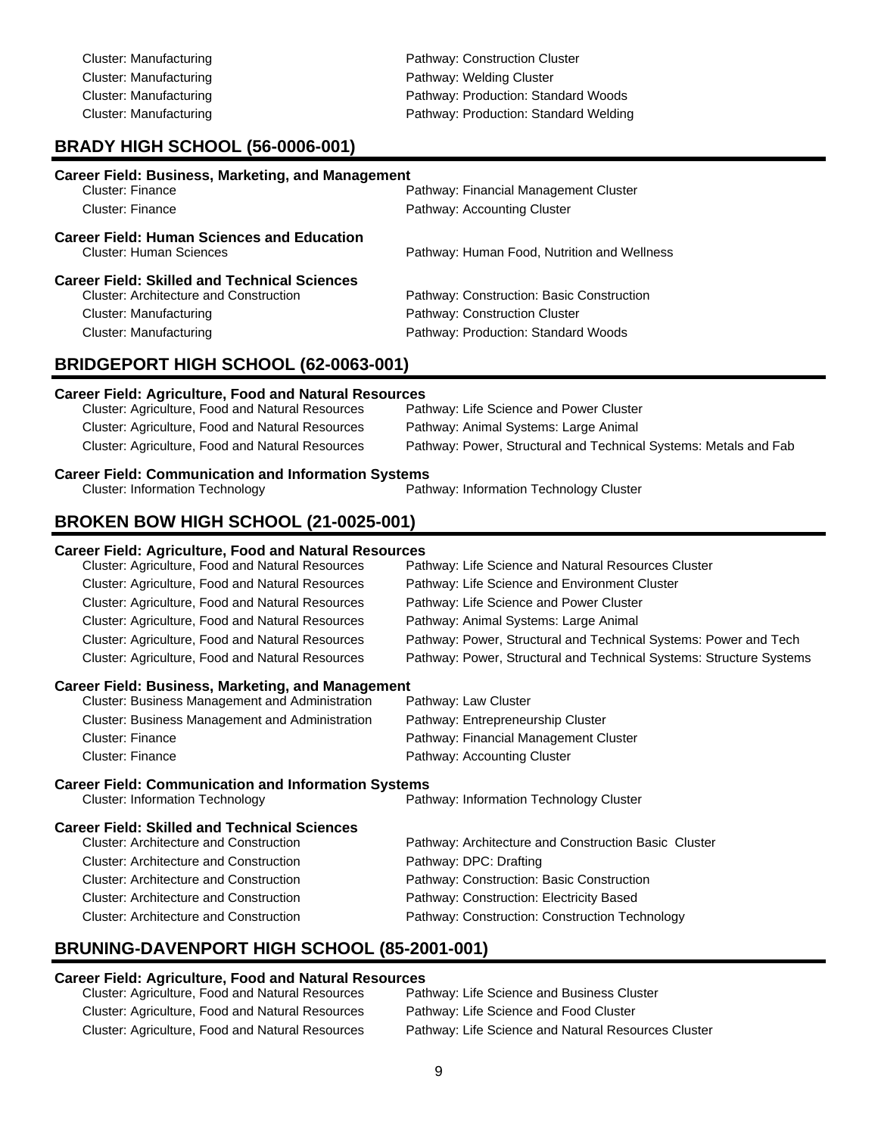Cluster: Manufacturing example and pathway: Construction Cluster Cluster: Manufacturing example and the Pathway: Welding Cluster Cluster: Manufacturing extending Pathway: Production: Standard Woods Cluster: Manufacturing Pathway: Production: Standard Welding

## **BRADY HIGH SCHOOL (56-0006-001)**

| <b>Career Field: Business, Marketing, and Management</b> |                                             |
|----------------------------------------------------------|---------------------------------------------|
| Cluster: Finance                                         | Pathway: Financial Management Cluster       |
| Cluster: Finance                                         | Pathway: Accounting Cluster                 |
| <b>Career Field: Human Sciences and Education</b>        |                                             |
| Cluster: Human Sciences                                  | Pathway: Human Food, Nutrition and Wellness |
| <b>Career Field: Skilled and Technical Sciences</b>      |                                             |
| <b>Cluster: Architecture and Construction</b>            | Pathway: Construction: Basic Construction   |
| Cluster: Manufacturing                                   | Pathway: Construction Cluster               |
| Cluster: Manufacturing                                   | Pathway: Production: Standard Woods         |
| BRIDGEPORT HIGH SCHOOL (62-0063-001)                     |                                             |

#### **Career Field: Agriculture, Food and Natural Resources**

| Cluster: Agriculture, Food and Natural Resources | Pathway: Life Science and Power Cluster                          |
|--------------------------------------------------|------------------------------------------------------------------|
| Cluster: Agriculture, Food and Natural Resources | Pathway: Animal Systems: Large Animal                            |
| Cluster: Agriculture, Food and Natural Resources | Pathway: Power, Structural and Technical Systems: Metals and Fab |

# **Career Field: Communication and Information Systems**<br>Path Cluster: Information Technology

Pathway: Information Technology Cluster

### **BROKEN BOW HIGH SCHOOL (21-0025-001)**

#### **Career Field: Agriculture, Food and Natural Resources**

| Cluster: Agriculture, Food and Natural Resources | Pathway: Life Science and Natural Resources Cluster                 |
|--------------------------------------------------|---------------------------------------------------------------------|
| Cluster: Agriculture, Food and Natural Resources | Pathway: Life Science and Environment Cluster                       |
| Cluster: Agriculture, Food and Natural Resources | Pathway: Life Science and Power Cluster                             |
| Cluster: Agriculture, Food and Natural Resources | Pathway: Animal Systems: Large Animal                               |
| Cluster: Agriculture, Food and Natural Resources | Pathway: Power, Structural and Technical Systems: Power and Tech    |
| Cluster: Agriculture, Food and Natural Resources | Pathway: Power, Structural and Technical Systems: Structure Systems |
|                                                  |                                                                     |

#### **Career Field: Business, Marketing, and Management**

| Cluster: Business Management and Administration | Pathway: Law Cluster                  |
|-------------------------------------------------|---------------------------------------|
| Cluster: Business Management and Administration | Pathway: Entrepreneurship Cluster     |
| Cluster: Finance                                | Pathway: Financial Management Cluster |
| Cluster: Finance                                | Pathway: Accounting Cluster           |

# **Career Field: Communication and Information Systems**<br>Path Cluster: Information Technology

Pathway: Information Technology Cluster

#### **Career Field: Skilled and Technical Sciences**

| <b>Cluster: Architecture and Construction</b> | Pathway: Architecture and Construction Basic Cluster |
|-----------------------------------------------|------------------------------------------------------|
| <b>Cluster: Architecture and Construction</b> | Pathway: DPC: Drafting                               |
| <b>Cluster: Architecture and Construction</b> | Pathway: Construction: Basic Construction            |
| <b>Cluster: Architecture and Construction</b> | Pathway: Construction: Electricity Based             |
| Cluster: Architecture and Construction        | Pathway: Construction: Construction Technology       |

## **BRUNING-DAVENPORT HIGH SCHOOL (85-2001-001)**

#### **Career Field: Agriculture, Food and Natural Resources**

| Cluster: Agriculture, Food and Natural Resources | Pathway: Life Science and Business Cluster          |
|--------------------------------------------------|-----------------------------------------------------|
| Cluster: Agriculture, Food and Natural Resources | Pathway: Life Science and Food Cluster              |
| Cluster: Agriculture, Food and Natural Resources | Pathway: Life Science and Natural Resources Cluster |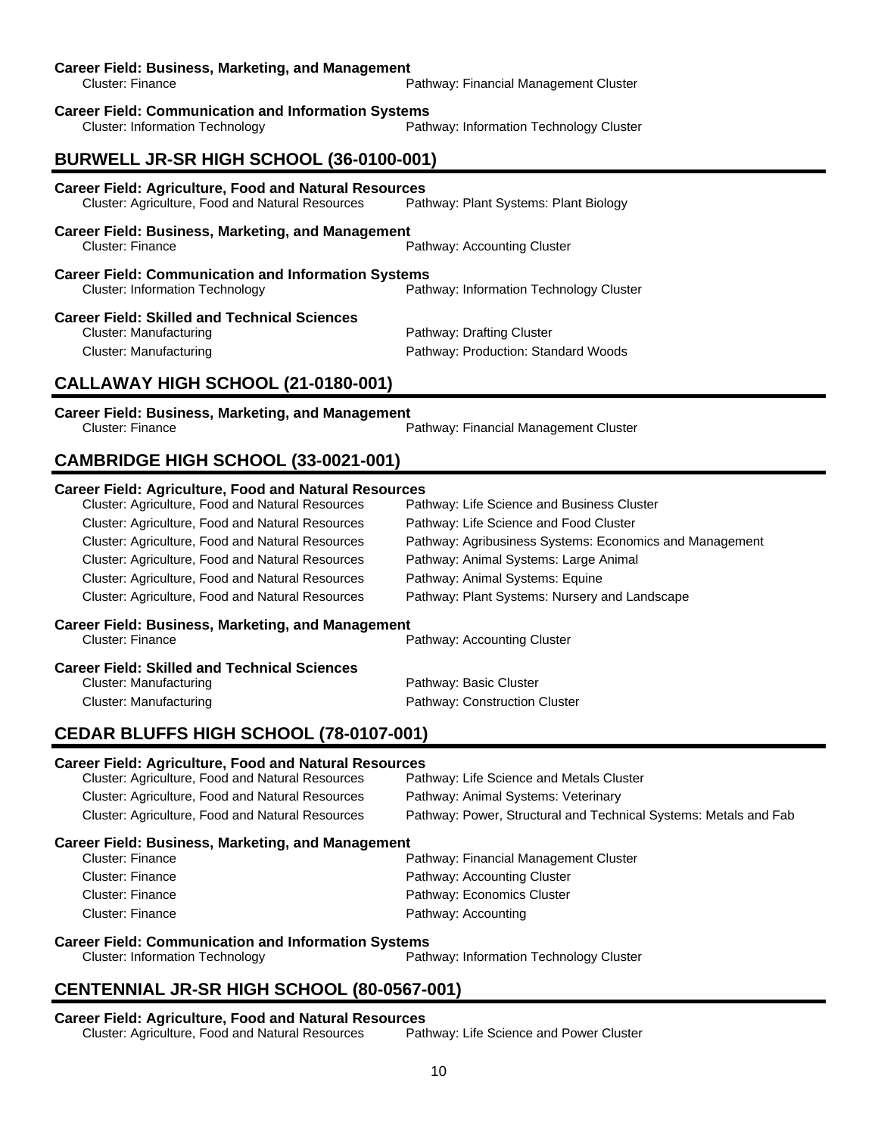| <b>Career Field: Business, Marketing, and Management</b><br><b>Cluster: Finance</b>                                                                                                                                                                                                                                                                                                                                                              | Pathway: Financial Management Cluster                                                                                                                                                                                                                                        |  |
|--------------------------------------------------------------------------------------------------------------------------------------------------------------------------------------------------------------------------------------------------------------------------------------------------------------------------------------------------------------------------------------------------------------------------------------------------|------------------------------------------------------------------------------------------------------------------------------------------------------------------------------------------------------------------------------------------------------------------------------|--|
| <b>Career Field: Communication and Information Systems</b><br><b>Cluster: Information Technology</b>                                                                                                                                                                                                                                                                                                                                             | Pathway: Information Technology Cluster                                                                                                                                                                                                                                      |  |
| BURWELL JR-SR HIGH SCHOOL (36-0100-001)                                                                                                                                                                                                                                                                                                                                                                                                          |                                                                                                                                                                                                                                                                              |  |
| <b>Career Field: Agriculture, Food and Natural Resources</b><br>Cluster: Agriculture, Food and Natural Resources                                                                                                                                                                                                                                                                                                                                 | Pathway: Plant Systems: Plant Biology                                                                                                                                                                                                                                        |  |
| <b>Career Field: Business, Marketing, and Management</b><br><b>Cluster: Finance</b>                                                                                                                                                                                                                                                                                                                                                              | Pathway: Accounting Cluster                                                                                                                                                                                                                                                  |  |
| <b>Career Field: Communication and Information Systems</b><br><b>Cluster: Information Technology</b>                                                                                                                                                                                                                                                                                                                                             | Pathway: Information Technology Cluster                                                                                                                                                                                                                                      |  |
| <b>Career Field: Skilled and Technical Sciences</b><br><b>Cluster: Manufacturing</b><br><b>Cluster: Manufacturing</b><br>CALLAWAY HIGH SCHOOL (21-0180-001)                                                                                                                                                                                                                                                                                      | Pathway: Drafting Cluster<br>Pathway: Production: Standard Woods                                                                                                                                                                                                             |  |
|                                                                                                                                                                                                                                                                                                                                                                                                                                                  |                                                                                                                                                                                                                                                                              |  |
| <b>Career Field: Business, Marketing, and Management</b><br>Cluster: Finance                                                                                                                                                                                                                                                                                                                                                                     | Pathway: Financial Management Cluster                                                                                                                                                                                                                                        |  |
| CAMBRIDGE HIGH SCHOOL (33-0021-001)                                                                                                                                                                                                                                                                                                                                                                                                              |                                                                                                                                                                                                                                                                              |  |
| <b>Career Field: Agriculture, Food and Natural Resources</b><br>Cluster: Agriculture, Food and Natural Resources<br>Cluster: Agriculture, Food and Natural Resources<br>Cluster: Agriculture, Food and Natural Resources<br>Cluster: Agriculture, Food and Natural Resources<br>Cluster: Agriculture, Food and Natural Resources<br>Cluster: Agriculture, Food and Natural Resources<br><b>Career Field: Business, Marketing, and Management</b> | Pathway: Life Science and Business Cluster<br>Pathway: Life Science and Food Cluster<br>Pathway: Agribusiness Systems: Economics and Management<br>Pathway: Animal Systems: Large Animal<br>Pathway: Animal Systems: Equine<br>Pathway: Plant Systems: Nursery and Landscape |  |
| Cluster: Finance<br><b>Career Field: Skilled and Technical Sciences</b><br><b>Cluster: Manufacturing</b><br><b>Cluster: Manufacturing</b>                                                                                                                                                                                                                                                                                                        | Pathway: Accounting Cluster<br>Pathway: Basic Cluster<br>Pathway: Construction Cluster                                                                                                                                                                                       |  |
| CEDAR BLUFFS HIGH SCHOOL (78-0107-001)                                                                                                                                                                                                                                                                                                                                                                                                           |                                                                                                                                                                                                                                                                              |  |
| <b>Career Field: Agriculture, Food and Natural Resources</b><br>Cluster: Agriculture, Food and Natural Resources<br>Cluster: Agriculture, Food and Natural Resources<br>Cluster: Agriculture, Food and Natural Resources                                                                                                                                                                                                                         | Pathway: Life Science and Metals Cluster<br>Pathway: Animal Systems: Veterinary<br>Pathway: Power, Structural and Technical Systems: Metals and Fab                                                                                                                          |  |
| <b>Career Field: Business, Marketing, and Management</b><br><b>Cluster: Finance</b><br><b>Cluster: Finance</b><br><b>Cluster: Finance</b><br><b>Cluster: Finance</b><br><b>Career Field: Communication and Information Systems</b>                                                                                                                                                                                                               | Pathway: Financial Management Cluster<br>Pathway: Accounting Cluster<br>Pathway: Economics Cluster<br>Pathway: Accounting                                                                                                                                                    |  |
| <b>Cluster: Information Technology</b>                                                                                                                                                                                                                                                                                                                                                                                                           | Pathway: Information Technology Cluster                                                                                                                                                                                                                                      |  |
| CENTENNIAL JR-SR HIGH SCHOOL (80-0567-001)                                                                                                                                                                                                                                                                                                                                                                                                       |                                                                                                                                                                                                                                                                              |  |

#### **Career Field: Agriculture, Food and Natural Resources**

Cluster: Agriculture, Food and Natural Resources Pathway: Life Science and Power Cluster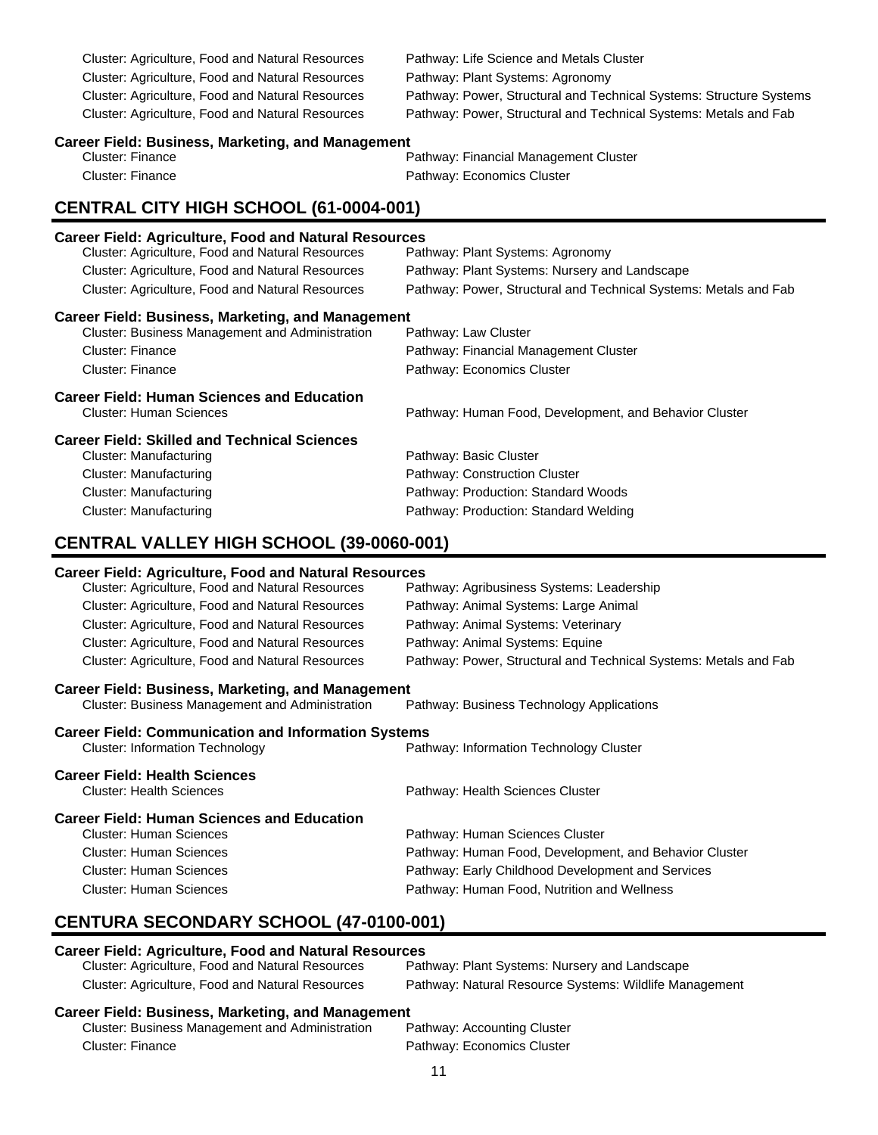Cluster: Agriculture, Food and Natural Resources Pathway: Life Science and Metals Cluster Cluster: Agriculture, Food and Natural Resources Pathway: Plant Systems: Agronomy Cluster: Agriculture, Food and Natural Resources Pathway: Power, Structural and Technical Systems: Structure Systems Cluster: Agriculture, Food and Natural Resources Pathway: Power, Structural and Technical Systems: Metals and Fab **Career Field: Business, Marketing, and Management** Cluster: Finance Pathway: Financial Management Cluster Cluster: Finance **Pathway: Economics Cluster CENTRAL CITY HIGH SCHOOL (61-0004-001) Career Field: Agriculture, Food and Natural Resources** Cluster: Agriculture, Food and Natural Resources Pathway: Plant Systems: Agronomy Cluster: Agriculture, Food and Natural Resources Pathway: Plant Systems: Nursery and Landscape Cluster: Agriculture, Food and Natural Resources Pathway: Power, Structural and Technical Systems: Metals and Fab **Career Field: Business, Marketing, and Management** Cluster: Business Management and Administration Cluster: Finance Pathway: Financial Management Cluster Cluster: Finance **Pathway: Economics Cluster Career Field: Human Sciences and Education** Cluster: Human Sciences Pathway: Human Food, Development, and Behavior Cluster **Career Field: Skilled and Technical Sciences** Pathway: Basic Cluster Cluster: Manufacturing example and pathway: Construction Cluster Cluster: Manufacturing Pathway: Production: Standard Woods Cluster: Manufacturing Pathway: Production: Standard Welding **CENTRAL VALLEY HIGH SCHOOL (39-0060-001) Career Field: Agriculture, Food and Natural Resources** Cluster: Agriculture, Food and Natural Resources Pathway: Agribusiness Systems: Leadership Cluster: Agriculture, Food and Natural Resources Pathway: Animal Systems: Large Animal Cluster: Agriculture, Food and Natural Resources Pathway: Animal Systems: Veterinary Cluster: Agriculture, Food and Natural Resources Pathway: Animal Systems: Equine Cluster: Agriculture, Food and Natural Resources Pathway: Power, Structural and Technical Systems: Metals and Fab

#### **Career Field: Business, Marketing, and Management**

Cluster: Business Management and Administration Pathway: Business Technology Applications

#### **Career Field: Communication and Information Systems** Cluster: Information Technology Pathway: Information Technology Cluster

**Career Field: Health Sciences** Cluster: Health Sciences Pathway: Health Sciences Cluster **Career Field: Human Sciences and Education** Pathway: Human Sciences Cluster Cluster: Human Sciences Pathway: Human Food, Development, and Behavior Cluster Cluster: Human Sciences Pathway: Early Childhood Development and Services Cluster: Human Sciences **Pathway: Human Food, Nutrition and Wellness** 

# **CENTURA SECONDARY SCHOOL (47-0100-001)**

### **Career Field: Agriculture, Food and Natural Resources**

| Cluster: Agriculture, Food and Natural Resources | Pathway: Plant Systems: Nursery and Landscape          |
|--------------------------------------------------|--------------------------------------------------------|
| Cluster: Agriculture, Food and Natural Resources | Pathway: Natural Resource Systems: Wildlife Management |

| Cluster: Business Management and Administration | Pathway: Accounting Cluster |
|-------------------------------------------------|-----------------------------|
| Cluster: Finance                                | Pathway: Economics Cluster  |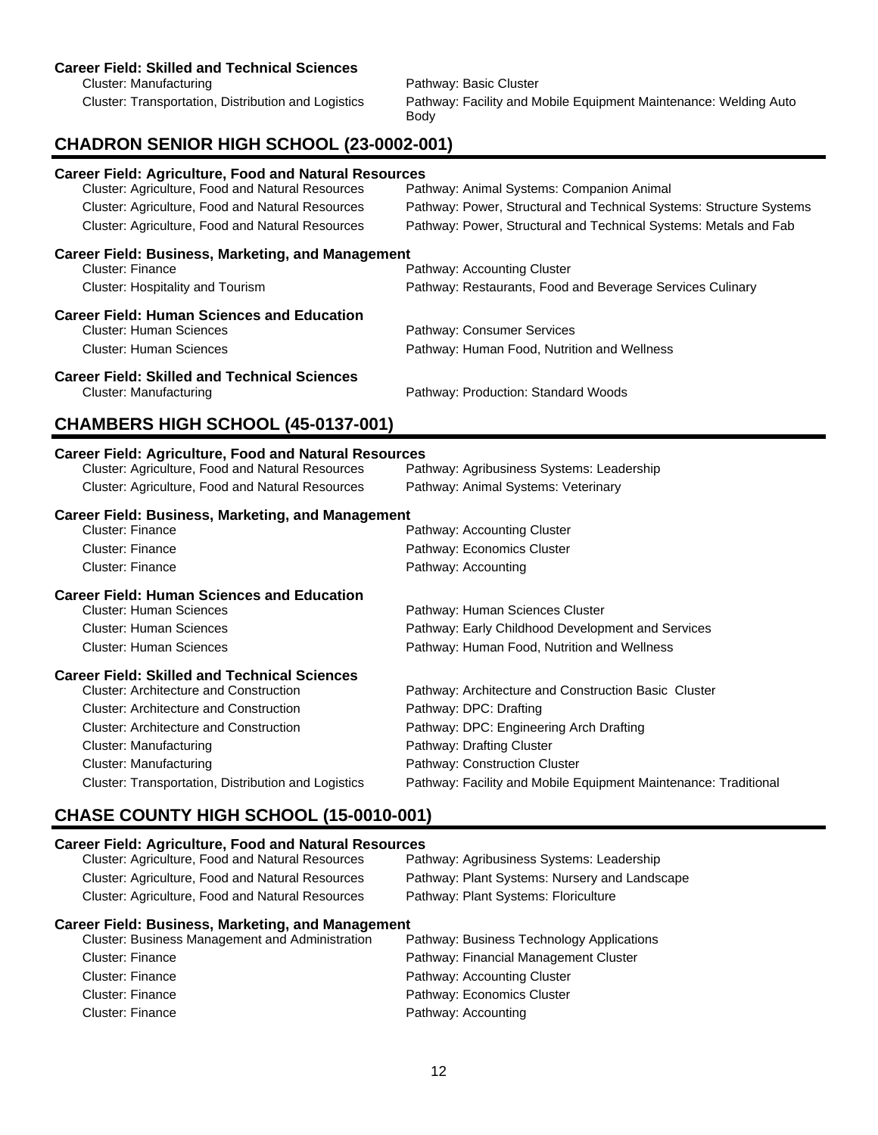#### **Career Field: Skilled and Technical Sciences**

Cluster: Manufacturing **Pathway: Basic Cluster** Pathway: Basic Cluster

Cluster: Transportation, Distribution and Logistics Pathway: Facility and Mobile Equipment Maintenance: Welding Auto Body

## **CHADRON SENIOR HIGH SCHOOL (23-0002-001)**

| <b>Career Field: Agriculture, Food and Natural Resources</b><br>Cluster: Agriculture, Food and Natural Resources<br>Cluster: Agriculture, Food and Natural Resources<br>Cluster: Agriculture, Food and Natural Resources                                                                                                        | Pathway: Animal Systems: Companion Animal<br>Pathway: Power, Structural and Technical Systems: Structure Systems<br>Pathway: Power, Structural and Technical Systems: Metals and Fab                                                                       |
|---------------------------------------------------------------------------------------------------------------------------------------------------------------------------------------------------------------------------------------------------------------------------------------------------------------------------------|------------------------------------------------------------------------------------------------------------------------------------------------------------------------------------------------------------------------------------------------------------|
| <b>Career Field: Business, Marketing, and Management</b><br><b>Cluster: Finance</b><br>Cluster: Hospitality and Tourism                                                                                                                                                                                                         | Pathway: Accounting Cluster<br>Pathway: Restaurants, Food and Beverage Services Culinary                                                                                                                                                                   |
| <b>Career Field: Human Sciences and Education</b><br><b>Cluster: Human Sciences</b><br><b>Cluster: Human Sciences</b>                                                                                                                                                                                                           | Pathway: Consumer Services<br>Pathway: Human Food, Nutrition and Wellness                                                                                                                                                                                  |
| <b>Career Field: Skilled and Technical Sciences</b><br><b>Cluster: Manufacturing</b>                                                                                                                                                                                                                                            | Pathway: Production: Standard Woods                                                                                                                                                                                                                        |
| CHAMBERS HIGH SCHOOL (45-0137-001)                                                                                                                                                                                                                                                                                              |                                                                                                                                                                                                                                                            |
| <b>Career Field: Agriculture, Food and Natural Resources</b><br>Cluster: Agriculture, Food and Natural Resources<br>Cluster: Agriculture, Food and Natural Resources                                                                                                                                                            | Pathway: Agribusiness Systems: Leadership<br>Pathway: Animal Systems: Veterinary                                                                                                                                                                           |
| <b>Career Field: Business, Marketing, and Management</b><br>Cluster: Finance<br><b>Cluster: Finance</b><br>Cluster: Finance                                                                                                                                                                                                     | Pathway: Accounting Cluster<br>Pathway: Economics Cluster<br>Pathway: Accounting                                                                                                                                                                           |
| <b>Career Field: Human Sciences and Education</b><br><b>Cluster: Human Sciences</b><br><b>Cluster: Human Sciences</b><br><b>Cluster: Human Sciences</b>                                                                                                                                                                         | Pathway: Human Sciences Cluster<br>Pathway: Early Childhood Development and Services<br>Pathway: Human Food, Nutrition and Wellness                                                                                                                        |
| <b>Career Field: Skilled and Technical Sciences</b><br><b>Cluster: Architecture and Construction</b><br><b>Cluster: Architecture and Construction</b><br><b>Cluster: Architecture and Construction</b><br><b>Cluster: Manufacturing</b><br><b>Cluster: Manufacturing</b><br>Cluster: Transportation, Distribution and Logistics | Pathway: Architecture and Construction Basic Cluster<br>Pathway: DPC: Drafting<br>Pathway: DPC: Engineering Arch Drafting<br>Pathway: Drafting Cluster<br>Pathway: Construction Cluster<br>Pathway: Facility and Mobile Equipment Maintenance: Traditional |

# **CHASE COUNTY HIGH SCHOOL (15-0010-001)**

#### **Career Field: Agriculture, Food and Natural Resources**

| Cluster: Agriculture, Food and Natural Resources         | Pathway: Agribusiness Systems: Leadership     |
|----------------------------------------------------------|-----------------------------------------------|
| Cluster: Agriculture, Food and Natural Resources         | Pathway: Plant Systems: Nursery and Landscape |
| Cluster: Agriculture, Food and Natural Resources         | Pathway: Plant Systems: Floriculture          |
| <b>Career Field: Business, Marketing, and Management</b> |                                               |
| Cluster: Business Management and Administration          | Pathway: Business Technology Applications     |
| <b>Cluster: Finance</b>                                  | Pathway: Financial Management Cluster         |
| <b>Cluster: Finance</b>                                  | Pathway: Accounting Cluster                   |
| <b>Cluster: Finance</b>                                  | Pathway: Economics Cluster                    |
|                                                          |                                               |

Cluster: Finance **Pathway: Accounting**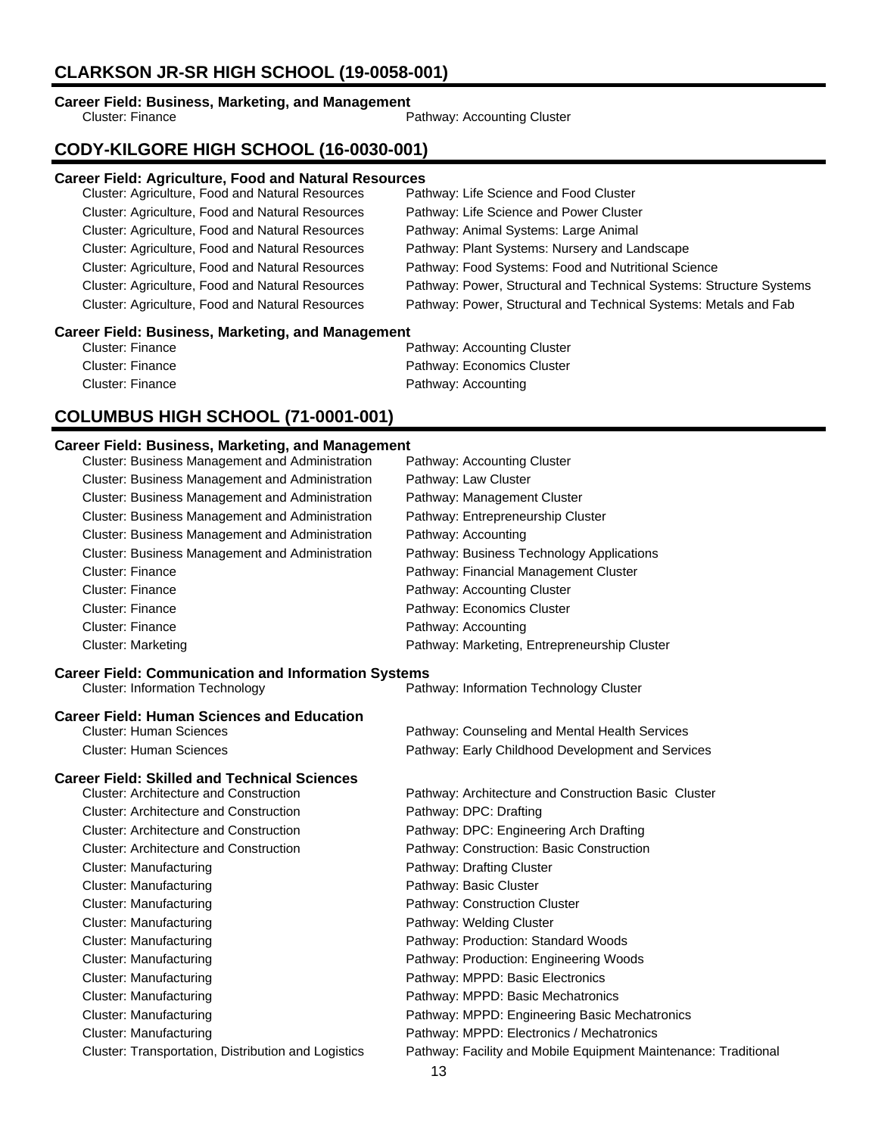# **CLARKSON JR-SR HIGH SCHOOL (19-0058-001)**

# **Career Field: Business, Marketing, and Management**<br>Cluster: Finance

Pathway: Accounting Cluster

# **CODY-KILGORE HIGH SCHOOL (16-0030-001)**

## **Career Field: Agriculture, Food and Natural Resources**

| Cluster: Agriculture, Food and Natural Resources  | Pathway: Life Science and Food Cluster                              |
|---------------------------------------------------|---------------------------------------------------------------------|
| Cluster: Agriculture, Food and Natural Resources  | Pathway: Life Science and Power Cluster                             |
| Cluster: Agriculture, Food and Natural Resources  | Pathway: Animal Systems: Large Animal                               |
| Cluster: Agriculture, Food and Natural Resources  | Pathway: Plant Systems: Nursery and Landscape                       |
| Cluster: Agriculture, Food and Natural Resources  | Pathway: Food Systems: Food and Nutritional Science                 |
| Cluster: Agriculture, Food and Natural Resources  | Pathway: Power, Structural and Technical Systems: Structure Systems |
| Cluster: Agriculture, Food and Natural Resources  | Pathway: Power, Structural and Technical Systems: Metals and Fab    |
| asaas Fiald, Duaineae, Maskating, and Managangust |                                                                     |

### **Career Field: Business, Marketing, and Management**

| Cluster: Finance | Pathway: Accounting Cluster |
|------------------|-----------------------------|
| Cluster: Finance | Pathway: Economics Cluster  |
| Cluster: Finance | Pathway: Accounting         |

# **COLUMBUS HIGH SCHOOL (71-0001-001)**

| Cluster: Business Management and Administration            | Pathway: Accounting Cluster                                     |
|------------------------------------------------------------|-----------------------------------------------------------------|
| <b>Cluster: Business Management and Administration</b>     | Pathway: Law Cluster                                            |
| Cluster: Business Management and Administration            | Pathway: Management Cluster                                     |
| Cluster: Business Management and Administration            | Pathway: Entrepreneurship Cluster                               |
| Cluster: Business Management and Administration            | Pathway: Accounting                                             |
| Cluster: Business Management and Administration            | Pathway: Business Technology Applications                       |
| <b>Cluster: Finance</b>                                    | Pathway: Financial Management Cluster                           |
| <b>Cluster: Finance</b>                                    | Pathway: Accounting Cluster                                     |
| <b>Cluster: Finance</b>                                    | Pathway: Economics Cluster                                      |
| <b>Cluster: Finance</b>                                    | Pathway: Accounting                                             |
| <b>Cluster: Marketing</b>                                  | Pathway: Marketing, Entrepreneurship Cluster                    |
| <b>Career Field: Communication and Information Systems</b> |                                                                 |
| <b>Cluster: Information Technology</b>                     | Pathway: Information Technology Cluster                         |
| <b>Career Field: Human Sciences and Education</b>          |                                                                 |
| <b>Cluster: Human Sciences</b>                             | Pathway: Counseling and Mental Health Services                  |
| <b>Cluster: Human Sciences</b>                             | Pathway: Early Childhood Development and Services               |
| <b>Career Field: Skilled and Technical Sciences</b>        |                                                                 |
| <b>Cluster: Architecture and Construction</b>              | Pathway: Architecture and Construction Basic Cluster            |
| <b>Cluster: Architecture and Construction</b>              | Pathway: DPC: Drafting                                          |
| <b>Cluster: Architecture and Construction</b>              | Pathway: DPC: Engineering Arch Drafting                         |
| <b>Cluster: Architecture and Construction</b>              | Pathway: Construction: Basic Construction                       |
| <b>Cluster: Manufacturing</b>                              | Pathway: Drafting Cluster                                       |
| <b>Cluster: Manufacturing</b>                              | Pathway: Basic Cluster                                          |
| <b>Cluster: Manufacturing</b>                              | Pathway: Construction Cluster                                   |
| <b>Cluster: Manufacturing</b>                              | Pathway: Welding Cluster                                        |
| <b>Cluster: Manufacturing</b>                              | Pathway: Production: Standard Woods                             |
| <b>Cluster: Manufacturing</b>                              | Pathway: Production: Engineering Woods                          |
| <b>Cluster: Manufacturing</b>                              | Pathway: MPPD: Basic Electronics                                |
| <b>Cluster: Manufacturing</b>                              | Pathway: MPPD: Basic Mechatronics                               |
| <b>Cluster: Manufacturing</b>                              | Pathway: MPPD: Engineering Basic Mechatronics                   |
| <b>Cluster: Manufacturing</b>                              | Pathway: MPPD: Electronics / Mechatronics                       |
| Cluster: Transportation, Distribution and Logistics        | Pathway: Facility and Mobile Equipment Maintenance: Traditional |
|                                                            |                                                                 |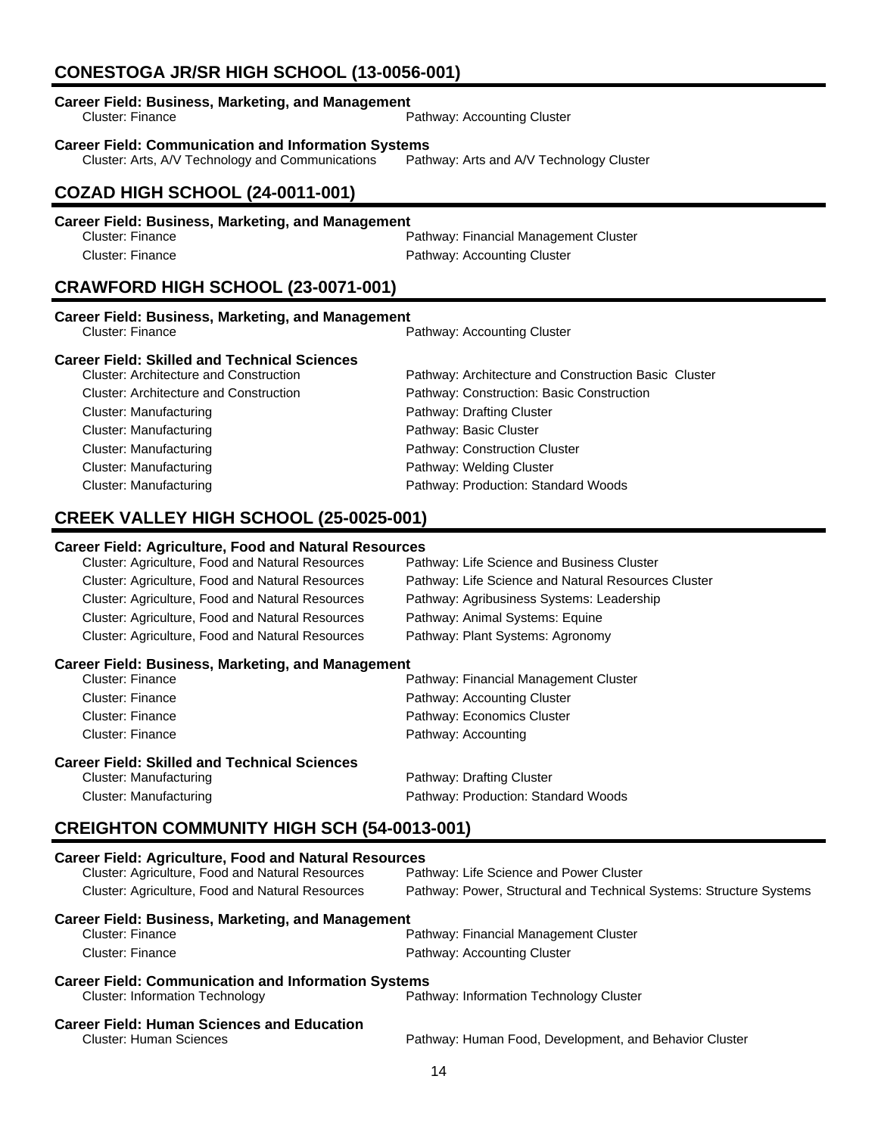# **CONESTOGA JR/SR HIGH SCHOOL (13-0056-001)**

| <b>Career Field: Business, Marketing, and Management</b><br>Cluster: Finance                                   | Pathway: Accounting Cluster                          |
|----------------------------------------------------------------------------------------------------------------|------------------------------------------------------|
| <b>Career Field: Communication and Information Systems</b><br>Cluster: Arts, A/V Technology and Communications | Pathway: Arts and A/V Technology Cluster             |
| <b>COZAD HIGH SCHOOL (24-0011-001)</b>                                                                         |                                                      |
| <b>Career Field: Business, Marketing, and Management</b>                                                       |                                                      |
| <b>Cluster: Finance</b>                                                                                        | Pathway: Financial Management Cluster                |
| <b>Cluster: Finance</b>                                                                                        | Pathway: Accounting Cluster                          |
| CRAWFORD HIGH SCHOOL (23-0071-001)                                                                             |                                                      |
| <b>Career Field: Business, Marketing, and Management</b>                                                       |                                                      |
| <b>Cluster: Finance</b>                                                                                        | Pathway: Accounting Cluster                          |
| <b>Career Field: Skilled and Technical Sciences</b>                                                            |                                                      |
| <b>Cluster: Architecture and Construction</b>                                                                  | Pathway: Architecture and Construction Basic Cluster |
| <b>Cluster: Architecture and Construction</b>                                                                  | Pathway: Construction: Basic Construction            |
| <b>Cluster: Manufacturing</b>                                                                                  | Pathway: Drafting Cluster                            |
| <b>Cluster: Manufacturing</b>                                                                                  | Pathway: Basic Cluster                               |
| <b>Cluster: Manufacturing</b>                                                                                  | Pathway: Construction Cluster                        |
| <b>Cluster: Manufacturing</b>                                                                                  | Pathway: Welding Cluster                             |
| <b>Cluster: Manufacturing</b>                                                                                  | Pathway: Production: Standard Woods                  |
|                                                                                                                |                                                      |
| CREEK VALLEY HIGH SCHOOL (25-0025-001)                                                                         |                                                      |
| <b>Career Field: Agriculture, Food and Natural Resources</b>                                                   |                                                      |
|                                                                                                                |                                                      |
| Cluster: Agriculture, Food and Natural Resources                                                               | Pathway: Life Science and Business Cluster           |

| Cluster: Agriculture, Food and Natural Resources        | Pathway: Life Science and Natural Resources Cluster |
|---------------------------------------------------------|-----------------------------------------------------|
| Cluster: Agriculture, Food and Natural Resources        | Pathway: Agribusiness Systems: Leadership           |
| <b>Cluster: Agriculture, Food and Natural Resources</b> | Pathway: Animal Systems: Equine                     |
| <b>Cluster: Agriculture, Food and Natural Resources</b> | Pathway: Plant Systems: Agronomy                    |
|                                                         |                                                     |

### **Career Field: Business, Marketing, and Management**

| Cluster: Finance                               | Pathway: Financial Management Cluster |
|------------------------------------------------|---------------------------------------|
| Cluster: Finance                               | Pathway: Accounting Cluster           |
| Cluster: Finance                               | Pathway: Economics Cluster            |
| Cluster: Finance                               | Pathway: Accounting                   |
| saas Eistel: Oldilaal amal Taaloniaal Osiamaaa |                                       |

# **Career Field: Skilled and Technical Sciences**

Pathway: Drafting Cluster Cluster: Manufacturing extending Pathway: Production: Standard Woods

# **CREIGHTON COMMUNITY HIGH SCH (54-0013-001)**

| <b>Career Field: Agriculture, Food and Natural Resources</b>                        |                                                                     |  |
|-------------------------------------------------------------------------------------|---------------------------------------------------------------------|--|
| Cluster: Agriculture, Food and Natural Resources                                    | Pathway: Life Science and Power Cluster                             |  |
| Cluster: Agriculture, Food and Natural Resources                                    | Pathway: Power, Structural and Technical Systems: Structure Systems |  |
| <b>Career Field: Business, Marketing, and Management</b>                            |                                                                     |  |
| Cluster: Finance                                                                    | Pathway: Financial Management Cluster                               |  |
| Cluster: Finance                                                                    | Pathway: Accounting Cluster                                         |  |
| <b>Career Field: Communication and Information Systems</b>                          |                                                                     |  |
| <b>Cluster: Information Technology</b>                                              | Pathway: Information Technology Cluster                             |  |
| <b>Career Field: Human Sciences and Education</b><br><b>Cluster: Human Sciences</b> | Pathway: Human Food, Development, and Behavior Cluster              |  |
|                                                                                     |                                                                     |  |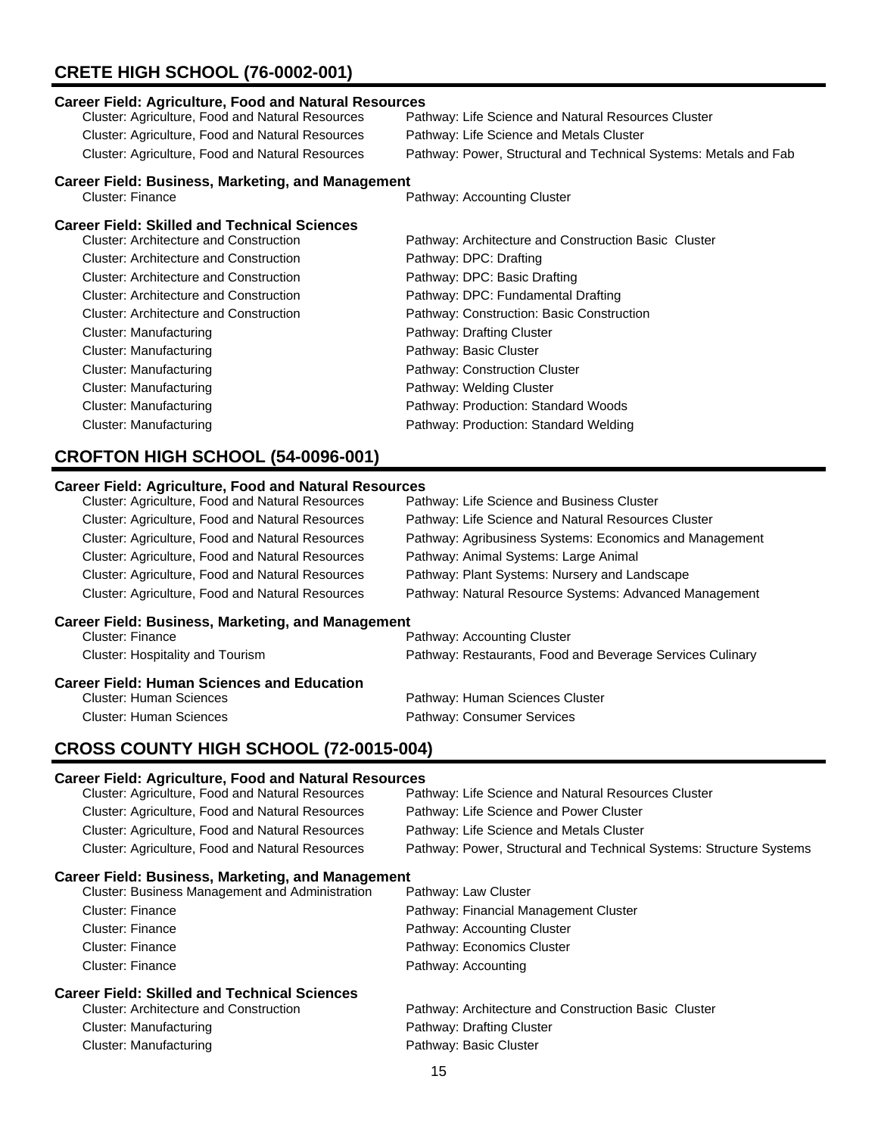# **CRETE HIGH SCHOOL (76-0002-001)**

## **Career Field: Agriculture, Food and Natural Resources** Pathway: Life Science and Natural Resources Cluster Cluster: Agriculture, Food and Natural Resources Pathway: Life Science and Metals Cluster Cluster: Agriculture, Food and Natural Resources Pathway: Power, Structural and Technical Systems: Metals and Fab **Career Field: Business, Marketing, and Management**<br>Cluster: Finance Pathway: Accounting Cluster

| <b>Career Field: Skilled and Technical Sciences</b> |  |
|-----------------------------------------------------|--|
|-----------------------------------------------------|--|

| <b>Cluster: Architecture and Construction</b> | Pathway: Architecture and Construction Basic Cluster |
|-----------------------------------------------|------------------------------------------------------|
| <b>Cluster: Architecture and Construction</b> | Pathway: DPC: Drafting                               |
| Cluster: Architecture and Construction        | Pathway: DPC: Basic Drafting                         |
| <b>Cluster: Architecture and Construction</b> | Pathway: DPC: Fundamental Drafting                   |
| <b>Cluster: Architecture and Construction</b> | Pathway: Construction: Basic Construction            |
| Cluster: Manufacturing                        | Pathway: Drafting Cluster                            |
| Cluster: Manufacturing                        | Pathway: Basic Cluster                               |
| Cluster: Manufacturing                        | Pathway: Construction Cluster                        |
| Cluster: Manufacturing                        | Pathway: Welding Cluster                             |
| Cluster: Manufacturing                        | Pathway: Production: Standard Woods                  |
| Cluster: Manufacturing                        | Pathway: Production: Standard Welding                |
|                                               |                                                      |

## **CROFTON HIGH SCHOOL (54-0096-001)**

#### **Career Field: Agriculture, Food and Natural Resources**

| Cluster: Agriculture, Food and Natural Resources         | Pathway: Life Science and Business Cluster                |
|----------------------------------------------------------|-----------------------------------------------------------|
| Cluster: Agriculture, Food and Natural Resources         | Pathway: Life Science and Natural Resources Cluster       |
| Cluster: Agriculture, Food and Natural Resources         | Pathway: Agribusiness Systems: Economics and Management   |
| Cluster: Agriculture, Food and Natural Resources         | Pathway: Animal Systems: Large Animal                     |
| <b>Cluster: Agriculture, Food and Natural Resources</b>  | Pathway: Plant Systems: Nursery and Landscape             |
| <b>Cluster: Agriculture, Food and Natural Resources</b>  | Pathway: Natural Resource Systems: Advanced Management    |
| <b>Career Field: Business, Marketing, and Management</b> |                                                           |
| <b>Cluster: Finance</b>                                  | Pathway: Accounting Cluster                               |
| <b>Cluster: Hospitality and Tourism</b>                  | Pathway: Restaurants, Food and Beverage Services Culinary |
| <b>Career Field: Human Sciences and Education</b>        |                                                           |
| Cluster: Human Sciences                                  | Pathway: Human Sciences Cluster                           |
| Cluster: Human Sciences                                  | Pathway: Consumer Services                                |

# **CROSS COUNTY HIGH SCHOOL (72-0015-004)**

| <b>Career Field: Agriculture, Food and Natural Resources</b> |                                                                     |
|--------------------------------------------------------------|---------------------------------------------------------------------|
| Cluster: Agriculture, Food and Natural Resources             | Pathway: Life Science and Natural Resources Cluster                 |
| Cluster: Agriculture, Food and Natural Resources             | Pathway: Life Science and Power Cluster                             |
| Cluster: Agriculture, Food and Natural Resources             | Pathway: Life Science and Metals Cluster                            |
| <b>Cluster: Agriculture, Food and Natural Resources</b>      | Pathway: Power, Structural and Technical Systems: Structure Systems |
| <b>Career Field: Business, Marketing, and Management</b>     |                                                                     |
| <b>Cluster: Business Management and Administration</b>       | Pathway: Law Cluster                                                |
| Cluster: Finance                                             | Pathway: Financial Management Cluster                               |
| Cluster: Finance                                             | Pathway: Accounting Cluster                                         |
| Cluster: Finance                                             | Pathway: Economics Cluster                                          |
| Cluster: Finance                                             | Pathway: Accounting                                                 |
| <b>Career Field: Skilled and Technical Sciences</b>          |                                                                     |
| Cluster: Architecture and Construction                       | Pathway: Architecture and Construction Basic Cluster                |
| Cluster: Manufacturing                                       | Pathway: Drafting Cluster                                           |
| <b>Cluster: Manufacturing</b>                                | Pathway: Basic Cluster                                              |
|                                                              | 15.                                                                 |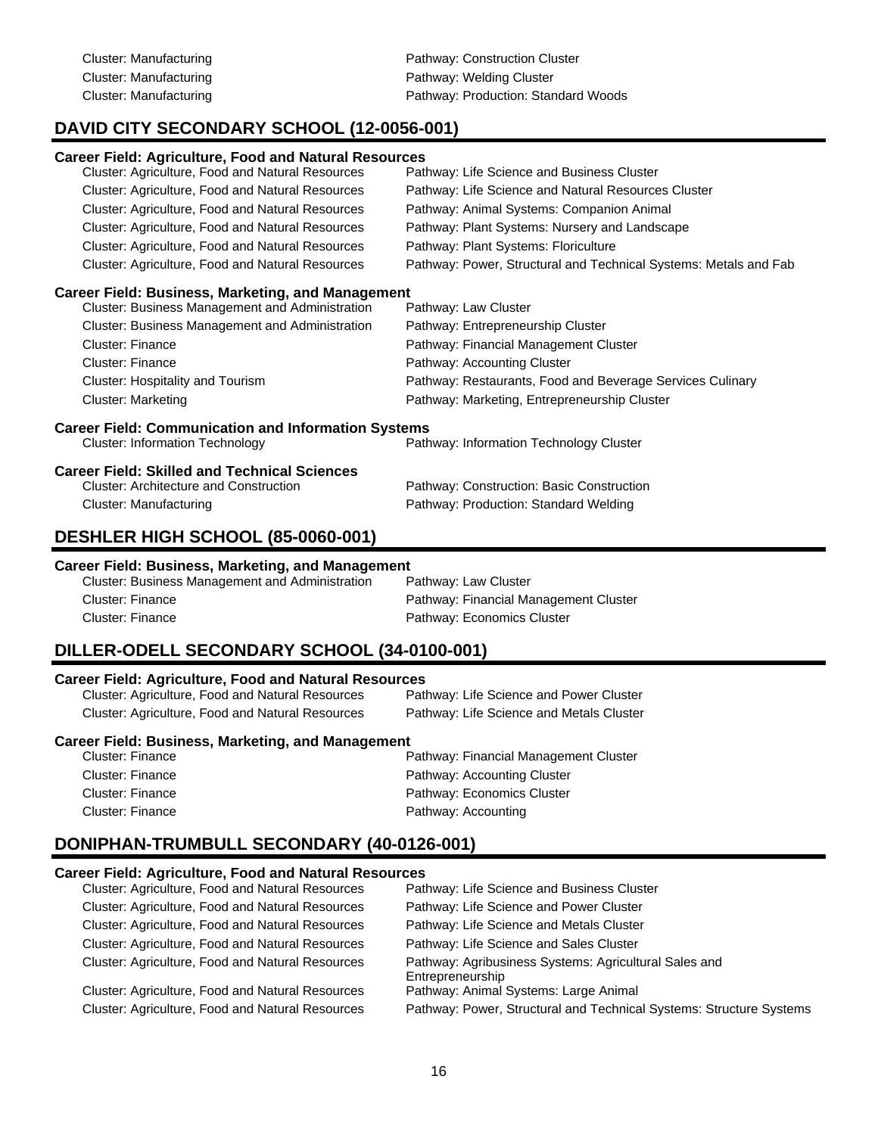Cluster: Manufacturing **Pathway: Construction Cluster** Pathway: Construction Cluster Cluster: Manufacturing example and pathway: Welding Cluster Cluster: Manufacturing example and pathway: Production: Standard Woods

# **DAVID CITY SECONDARY SCHOOL (12-0056-001)**

| <b>Career Field: Agriculture, Food and Natural Resources</b> |                                                                  |
|--------------------------------------------------------------|------------------------------------------------------------------|
| Cluster: Agriculture, Food and Natural Resources             | Pathway: Life Science and Business Cluster                       |
| Cluster: Agriculture, Food and Natural Resources             | Pathway: Life Science and Natural Resources Cluster              |
| Cluster: Agriculture, Food and Natural Resources             | Pathway: Animal Systems: Companion Animal                        |
| Cluster: Agriculture, Food and Natural Resources             | Pathway: Plant Systems: Nursery and Landscape                    |
| Cluster: Agriculture, Food and Natural Resources             | Pathway: Plant Systems: Floriculture                             |
| Cluster: Agriculture, Food and Natural Resources             | Pathway: Power, Structural and Technical Systems: Metals and Fab |
| <b>Career Field: Business, Marketing, and Management</b>     |                                                                  |
| Cluster: Business Management and Administration              | Pathway: Law Cluster                                             |
| Cluster: Business Management and Administration              | Pathway: Entrepreneurship Cluster                                |
| Cluster: Finance                                             | Pathway: Financial Management Cluster                            |
| Cluster: Finance                                             | Pathway: Accounting Cluster                                      |
| <b>Cluster: Hospitality and Tourism</b>                      | Pathway: Restaurants, Food and Beverage Services Culinary        |
| <b>Cluster: Marketing</b>                                    | Pathway: Marketing, Entrepreneurship Cluster                     |
| <b>Career Field: Communication and Information Systems</b>   |                                                                  |
| <b>Cluster: Information Technology</b>                       | Pathway: Information Technology Cluster                          |
| <b>Career Field: Skilled and Technical Sciences</b>          |                                                                  |
| <b>Cluster: Architecture and Construction</b>                | Pathway: Construction: Basic Construction                        |
| Cluster: Manufacturing                                       | Pathway: Production: Standard Welding                            |
| DESHLER HIGH SCHOOL (85-0060-001)                            |                                                                  |

#### **Career Field: Business, Marketing, and Management**

| Cluster: Business Management and Administration | Pathway: Law Cluster                  |
|-------------------------------------------------|---------------------------------------|
| Cluster: Finance                                | Pathway: Financial Management Cluster |
| Cluster: Finance                                | Pathway: Economics Cluster            |

# **DILLER-ODELL SECONDARY SCHOOL (34-0100-001)**

#### **Career Field: Agriculture, Food and Natural Resources**

| Cluster: Agriculture, Food and Natural Resources | Pathway: Life Science and Power Cluster  |
|--------------------------------------------------|------------------------------------------|
| Cluster: Agriculture, Food and Natural Resources | Pathway: Life Science and Metals Cluster |

#### **Career Field: Business, Marketing, and Management**

| Cluster: Finance | Pathway: Financial Management Cluster |
|------------------|---------------------------------------|
| Cluster: Finance | Pathway: Accounting Cluster           |
| Cluster: Finance | Pathway: Economics Cluster            |
| Cluster: Finance | Pathway: Accounting                   |
|                  |                                       |

### **DONIPHAN-TRUMBULL SECONDARY (40-0126-001)**

#### **Career Field: Agriculture, Food and Natural Resources**

| Cluster: Agriculture, Food and Natural Resources | Pathway: Life Science and Business Cluster                                |
|--------------------------------------------------|---------------------------------------------------------------------------|
| Cluster: Agriculture, Food and Natural Resources | Pathway: Life Science and Power Cluster                                   |
| Cluster: Agriculture, Food and Natural Resources | Pathway: Life Science and Metals Cluster                                  |
| Cluster: Agriculture, Food and Natural Resources | Pathway: Life Science and Sales Cluster                                   |
| Cluster: Agriculture, Food and Natural Resources | Pathway: Agribusiness Systems: Agricultural Sales and<br>Entrepreneurship |
| Cluster: Agriculture, Food and Natural Resources | Pathway: Animal Systems: Large Animal                                     |
| Cluster: Agriculture, Food and Natural Resources | Pathway: Power, Structural and Technical Systems: Structure Systems       |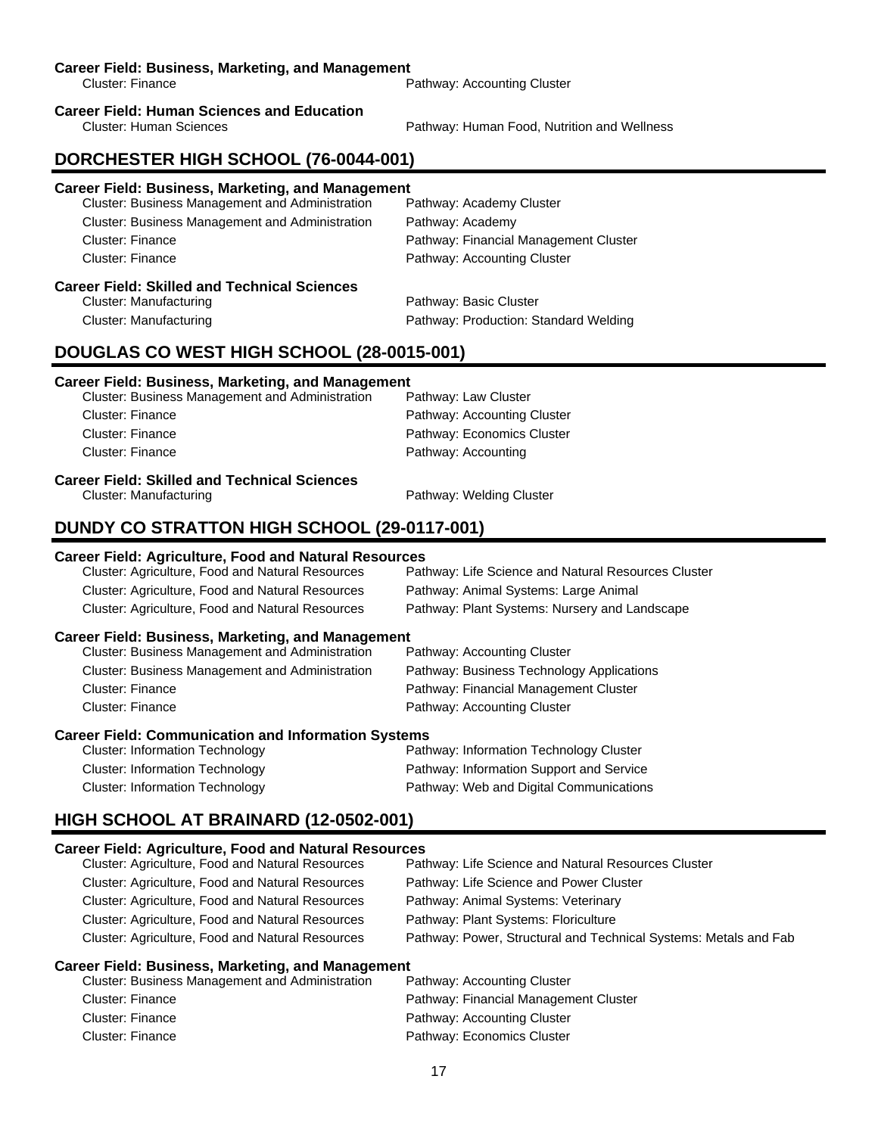#### **Career Field: Business, Marketing, and Management**

Cluster: Finance **Pathway: Accounting Cluster** Pathway: Accounting Cluster

# **Career Field: Human Sciences and Education**

Pathway: Human Food, Nutrition and Wellness

### **DORCHESTER HIGH SCHOOL (76-0044-001)**

#### **Career Field: Business, Marketing, and Management**

| <b>Cluster: Business Management and Administration</b> | Pathway: Academy Cluster              |
|--------------------------------------------------------|---------------------------------------|
| <b>Cluster: Business Management and Administration</b> | Pathway: Academy                      |
| Cluster: Finance                                       | Pathway: Financial Management Cluster |
| Cluster: Finance                                       | Pathway: Accounting Cluster           |
| <b>Career Field: Skilled and Technical Sciences</b>    |                                       |
| Cluster: Manufacturing                                 | Pathway: Basic Cluster                |
| Cluster: Manufacturing                                 | Pathway: Production: Standard Welding |

#### **DOUGLAS CO WEST HIGH SCHOOL (28-0015-001)**

#### **Career Field: Business, Marketing, and Management**

| Career Field: Skilled and Technical Sciences           |                             |
|--------------------------------------------------------|-----------------------------|
| <b>Cluster: Finance</b>                                | Pathway: Accounting         |
| Cluster: Finance                                       | Pathway: Economics Cluster  |
| Cluster: Finance                                       | Pathway: Accounting Cluster |
| <b>Cluster: Business Management and Administration</b> | Pathway: Law Cluster        |

#### Cluster: Manufacturing Pathway: Welding Cluster

### **DUNDY CO STRATTON HIGH SCHOOL (29-0117-001)**

#### **Career Field: Agriculture, Food and Natural Resources**

| Cluster: Agriculture, Food and Natural Resources | Pathway: Life Science and Natural Resources Cluster |
|--------------------------------------------------|-----------------------------------------------------|
| Cluster: Agriculture, Food and Natural Resources | Pathway: Animal Systems: Large Animal               |
| Cluster: Agriculture, Food and Natural Resources | Pathway: Plant Systems: Nursery and Landscape       |

#### **Career Field: Business, Marketing, and Management**

| <b>Cluster: Business Management and Administration</b> | Pathway: Accounting Cluster               |
|--------------------------------------------------------|-------------------------------------------|
| <b>Cluster: Business Management and Administration</b> | Pathway: Business Technology Applications |
| Cluster: Finance                                       | Pathway: Financial Management Cluster     |
| Cluster: Finance                                       | Pathway: Accounting Cluster               |
|                                                        |                                           |

#### **Career Field: Communication and Information Systems**

| <b>Cluster: Information Technology</b> | Pathway: Information Technology Cluster  |
|----------------------------------------|------------------------------------------|
| Cluster: Information Technology        | Pathway: Information Support and Service |
| Cluster: Information Technology        | Pathway: Web and Digital Communications  |

## **HIGH SCHOOL AT BRAINARD (12-0502-001)**

#### **Career Field: Agriculture, Food and Natural Resources**

| Cluster: Agriculture, Food and Natural Resources | Pathway: Life Science and Natural Resources Cluster              |
|--------------------------------------------------|------------------------------------------------------------------|
| Cluster: Agriculture, Food and Natural Resources | Pathway: Life Science and Power Cluster                          |
| Cluster: Agriculture, Food and Natural Resources | Pathway: Animal Systems: Veterinary                              |
| Cluster: Agriculture, Food and Natural Resources | Pathway: Plant Systems: Floriculture                             |
| Cluster: Agriculture, Food and Natural Resources | Pathway: Power, Structural and Technical Systems: Metals and Fab |
|                                                  |                                                                  |

| <b>Cluster: Business Management and Administration</b> | Pathway: Accounting Cluster           |
|--------------------------------------------------------|---------------------------------------|
| Cluster: Finance                                       | Pathway: Financial Management Cluster |
| Cluster: Finance                                       | Pathway: Accounting Cluster           |
| Cluster: Finance                                       | Pathway: Economics Cluster            |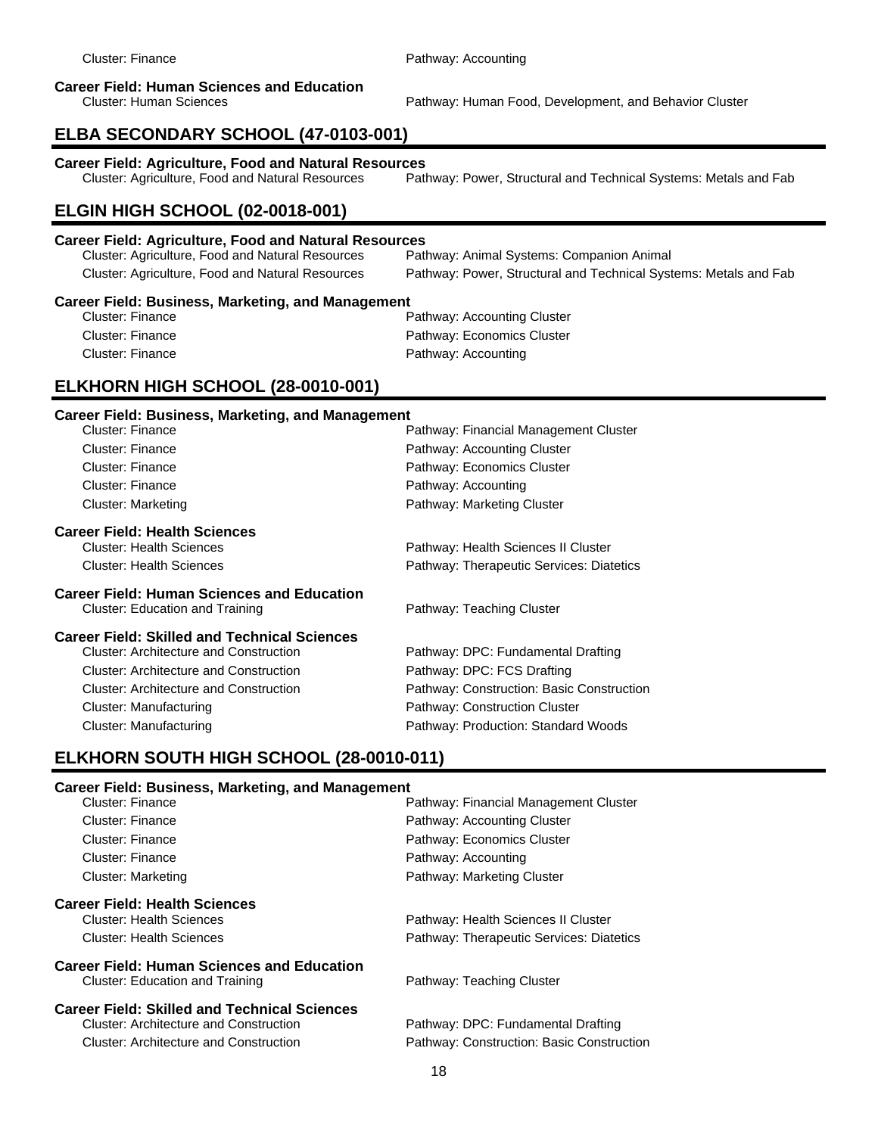# **Career Field: Human Sciences and Education**

Pathway: Human Food, Development, and Behavior Cluster

# **ELBA SECONDARY SCHOOL (47-0103-001)**

**Career Field: Agriculture, Food and Natural Resources**

Pathway: Power, Structural and Technical Systems: Metals and Fab

# **ELGIN HIGH SCHOOL (02-0018-001)**

#### **Career Field: Agriculture, Food and Natural Resources**

| Cluster: Agriculture, Food and Natural Resources | Pathway: Animal Systems: Companion Animal                        |
|--------------------------------------------------|------------------------------------------------------------------|
| Cluster: Agriculture, Food and Natural Resources | Pathway: Power, Structural and Technical Systems: Metals and Fab |

#### **Career Field: Business, Marketing, and Management**

| Cluster: Finance | Pathway: Accounting Cluster |
|------------------|-----------------------------|
| Cluster: Finance | Pathway: Economics Cluster  |
| Cluster: Finance | Pathway: Accounting         |

## **ELKHORN HIGH SCHOOL (28-0010-001)**

#### **Career Field: Business, Marketing, and Management**

| <b>Cluster: Finance</b>                           | Pathway: Financial Management Cluster     |
|---------------------------------------------------|-------------------------------------------|
| Cluster: Finance                                  | Pathway: Accounting Cluster               |
| Cluster: Finance                                  | Pathway: Economics Cluster                |
| Cluster: Finance                                  | Pathway: Accounting                       |
| <b>Cluster: Marketing</b>                         | Pathway: Marketing Cluster                |
| <b>Career Field: Health Sciences</b>              |                                           |
| <b>Cluster: Health Sciences</b>                   | Pathway: Health Sciences II Cluster       |
| <b>Cluster: Health Sciences</b>                   | Pathway: Therapeutic Services: Diatetics  |
| <b>Career Field: Human Sciences and Education</b> |                                           |
| Cluster: Education and Training                   | Pathway: Teaching Cluster                 |
| Career Field: Skilled and Technical Sciences      |                                           |
| Cluster: Architecture and Construction            | Pathway: DPC: Fundamental Drafting        |
| Cluster: Architecture and Construction            | Pathway: DPC: FCS Drafting                |
| Cluster: Architecture and Construction            | Pathway: Construction: Basic Construction |
| Cluster: Manufacturing                            | Pathway: Construction Cluster             |
| Cluster: Manufacturing                            | Pathway: Production: Standard Woods       |

## **ELKHORN SOUTH HIGH SCHOOL (28-0010-011)**

| Cluster: Finance                                    | Pathway: Financial Management Cluster     |
|-----------------------------------------------------|-------------------------------------------|
| Cluster: Finance                                    | Pathway: Accounting Cluster               |
| Cluster: Finance                                    | Pathway: Economics Cluster                |
| Cluster: Finance                                    | Pathway: Accounting                       |
| Cluster: Marketing                                  | Pathway: Marketing Cluster                |
| <b>Career Field: Health Sciences</b>                |                                           |
| <b>Cluster: Health Sciences</b>                     | Pathway: Health Sciences II Cluster       |
| <b>Cluster: Health Sciences</b>                     | Pathway: Therapeutic Services: Diatetics  |
| <b>Career Field: Human Sciences and Education</b>   |                                           |
| <b>Cluster: Education and Training</b>              | Pathway: Teaching Cluster                 |
| <b>Career Field: Skilled and Technical Sciences</b> |                                           |
| Cluster: Architecture and Construction              | Pathway: DPC: Fundamental Drafting        |
| Cluster: Architecture and Construction              | Pathway: Construction: Basic Construction |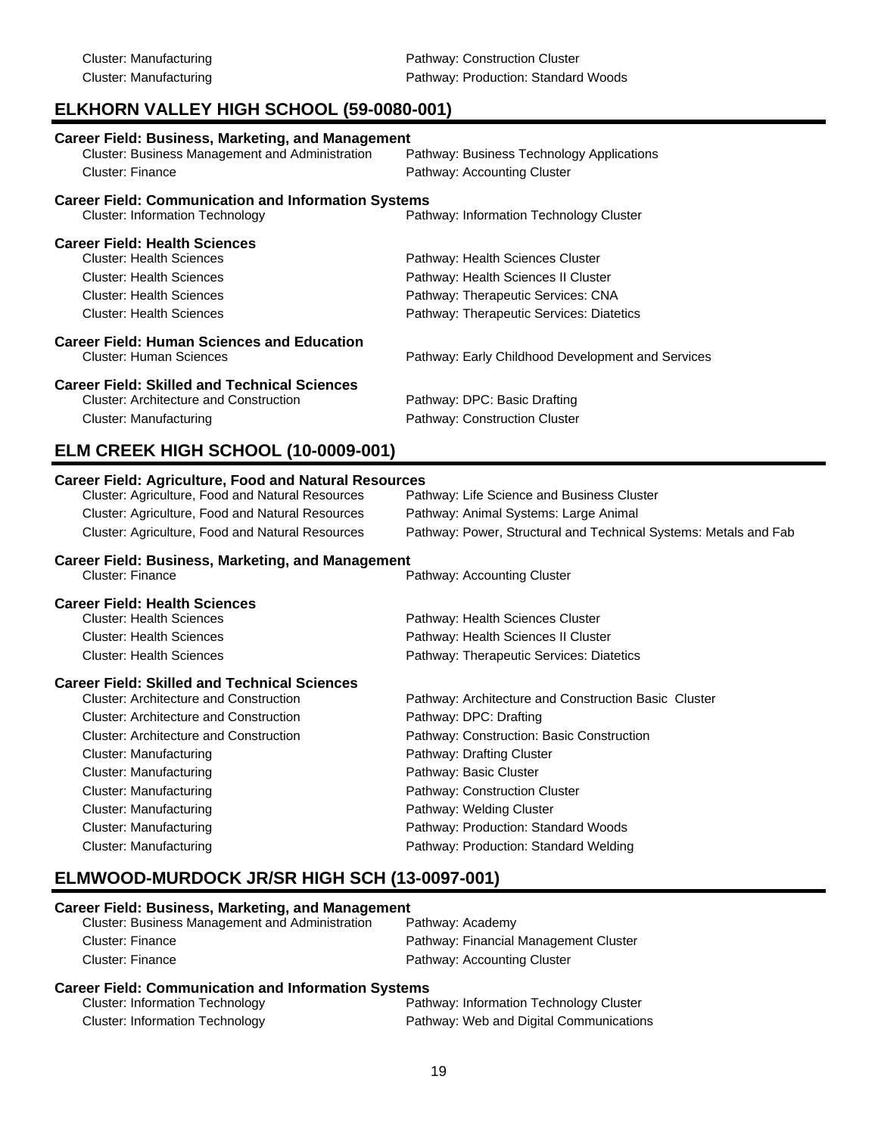# **ELKHORN VALLEY HIGH SCHOOL (59-0080-001)**

| <b>Career Field: Business, Marketing, and Management</b><br>Cluster: Business Management and Administration<br><b>Cluster: Finance</b>                                                                                   | Pathway: Business Technology Applications<br>Pathway: Accounting Cluster                                                                                  |
|--------------------------------------------------------------------------------------------------------------------------------------------------------------------------------------------------------------------------|-----------------------------------------------------------------------------------------------------------------------------------------------------------|
| <b>Career Field: Communication and Information Systems</b><br><b>Cluster: Information Technology</b>                                                                                                                     | Pathway: Information Technology Cluster                                                                                                                   |
| <b>Career Field: Health Sciences</b><br><b>Cluster: Health Sciences</b><br><b>Cluster: Health Sciences</b><br><b>Cluster: Health Sciences</b><br><b>Cluster: Health Sciences</b>                                         | Pathway: Health Sciences Cluster<br>Pathway: Health Sciences II Cluster<br>Pathway: Therapeutic Services: CNA<br>Pathway: Therapeutic Services: Diatetics |
| <b>Career Field: Human Sciences and Education</b><br><b>Cluster: Human Sciences</b>                                                                                                                                      | Pathway: Early Childhood Development and Services                                                                                                         |
| <b>Career Field: Skilled and Technical Sciences</b><br><b>Cluster: Architecture and Construction</b><br><b>Cluster: Manufacturing</b>                                                                                    | Pathway: DPC: Basic Drafting<br>Pathway: Construction Cluster                                                                                             |
| ELM CREEK HIGH SCHOOL (10-0009-001)                                                                                                                                                                                      |                                                                                                                                                           |
| <b>Career Field: Agriculture, Food and Natural Resources</b><br>Cluster: Agriculture, Food and Natural Resources<br>Cluster: Agriculture, Food and Natural Resources<br>Cluster: Agriculture, Food and Natural Resources | Pathway: Life Science and Business Cluster<br>Pathway: Animal Systems: Large Animal<br>Pathway: Power, Structural and Technical Systems: Metals and Fab   |
| <b>Career Field: Business, Marketing, and Management</b><br><b>Cluster: Finance</b>                                                                                                                                      | Pathway: Accounting Cluster                                                                                                                               |
| <b>Career Field: Health Sciences</b><br><b>Cluster: Health Sciences</b><br><b>Cluster: Health Sciences</b>                                                                                                               | Pathway: Health Sciences Cluster<br>Pathway: Health Sciences II Cluster                                                                                   |

## Cluster: Health Sciences Pathway: Therapeutic Services: Diatetics **Career Field: Skilled and Technical Sciences** Pathway: Architecture and Construction Basic Cluster Cluster: Architecture and Construction Pathway: DPC: Drafting Cluster: Architecture and Construction Pathway: Construction: Basic Construction Cluster: Manufacturing **Pathway: Drafting Cluster** Pathway: Drafting Cluster Cluster: Manufacturing **Pathway: Basic Cluster** Pathway: Basic Cluster Cluster: Manufacturing example and pathway: Construction Cluster Cluster: Manufacturing Pathway: Welding Cluster Cluster: Manufacturing example and pathway: Production: Standard Woods

Cluster: Manufacturing Pathway: Production: Standard Welding

# **ELMWOOD-MURDOCK JR/SR HIGH SCH (13-0097-001)**

| Career Field: Business, Marketing, and Management      |                                       |  |
|--------------------------------------------------------|---------------------------------------|--|
| <b>Cluster: Business Management and Administration</b> | Pathway: Academy                      |  |
| Cluster: Finance                                       | Pathway: Financial Management Cluster |  |
| Cluster: Finance                                       | Pathway: Accounting Cluster           |  |

#### **Career Field: Communication and Information Systems**

| <b>Cluster: Information Technology</b> | Pathway: Information Technology Cluster |
|----------------------------------------|-----------------------------------------|
| <b>Cluster: Information Technology</b> | Pathway: Web and Digital Communications |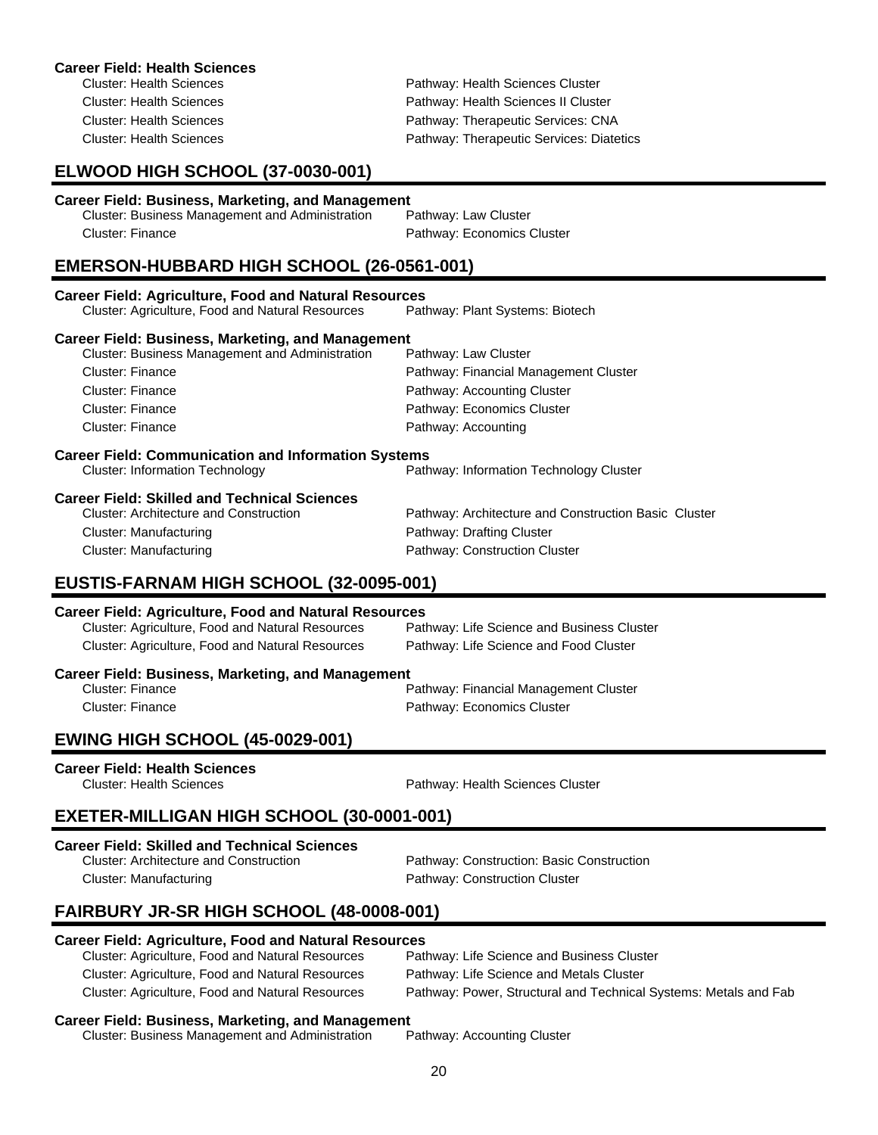| <b>Career Field: Health Sciences</b><br><b>Cluster: Health Sciences</b><br><b>Cluster: Health Sciences</b><br><b>Cluster: Health Sciences</b><br><b>Cluster: Health Sciences</b>                                                                                                                                                                                                                                                                                                                                                                     | Pathway: Health Sciences Cluster<br>Pathway: Health Sciences II Cluster<br>Pathway: Therapeutic Services: CNA<br>Pathway: Therapeutic Services: Diatetics                                                                                                                                                          |  |
|------------------------------------------------------------------------------------------------------------------------------------------------------------------------------------------------------------------------------------------------------------------------------------------------------------------------------------------------------------------------------------------------------------------------------------------------------------------------------------------------------------------------------------------------------|--------------------------------------------------------------------------------------------------------------------------------------------------------------------------------------------------------------------------------------------------------------------------------------------------------------------|--|
| ELWOOD HIGH SCHOOL (37-0030-001)                                                                                                                                                                                                                                                                                                                                                                                                                                                                                                                     |                                                                                                                                                                                                                                                                                                                    |  |
| <b>Career Field: Business, Marketing, and Management</b><br>Cluster: Business Management and Administration<br><b>Cluster: Finance</b>                                                                                                                                                                                                                                                                                                                                                                                                               | Pathway: Law Cluster<br>Pathway: Economics Cluster                                                                                                                                                                                                                                                                 |  |
| EMERSON-HUBBARD HIGH SCHOOL (26-0561-001)                                                                                                                                                                                                                                                                                                                                                                                                                                                                                                            |                                                                                                                                                                                                                                                                                                                    |  |
| <b>Career Field: Agriculture, Food and Natural Resources</b><br>Cluster: Agriculture, Food and Natural Resources                                                                                                                                                                                                                                                                                                                                                                                                                                     | Pathway: Plant Systems: Biotech                                                                                                                                                                                                                                                                                    |  |
| <b>Career Field: Business, Marketing, and Management</b><br>Cluster: Business Management and Administration<br><b>Cluster: Finance</b><br><b>Cluster: Finance</b><br><b>Cluster: Finance</b><br><b>Cluster: Finance</b><br><b>Career Field: Communication and Information Systems</b><br><b>Cluster: Information Technology</b><br><b>Career Field: Skilled and Technical Sciences</b><br><b>Cluster: Architecture and Construction</b><br><b>Cluster: Manufacturing</b><br><b>Cluster: Manufacturing</b><br>EUSTIS-FARNAM HIGH SCHOOL (32-0095-001) | Pathway: Law Cluster<br>Pathway: Financial Management Cluster<br>Pathway: Accounting Cluster<br>Pathway: Economics Cluster<br>Pathway: Accounting<br>Pathway: Information Technology Cluster<br>Pathway: Architecture and Construction Basic Cluster<br>Pathway: Drafting Cluster<br>Pathway: Construction Cluster |  |
| <b>Career Field: Agriculture, Food and Natural Resources</b><br>Cluster: Agriculture, Food and Natural Resources<br>Pathway: Life Science and Business Cluster<br>Cluster: Agriculture, Food and Natural Resources<br>Pathway: Life Science and Food Cluster                                                                                                                                                                                                                                                                                         |                                                                                                                                                                                                                                                                                                                    |  |
| <b>Career Field: Business, Marketing, and Management</b><br><b>Cluster: Finance</b><br><b>Cluster: Finance</b>                                                                                                                                                                                                                                                                                                                                                                                                                                       | Pathway: Financial Management Cluster<br>Pathway: Economics Cluster                                                                                                                                                                                                                                                |  |
| FUILLO LUCLLOCHOOL <i>ist</i> anno anal                                                                                                                                                                                                                                                                                                                                                                                                                                                                                                              |                                                                                                                                                                                                                                                                                                                    |  |

### **EWING HIGH SCHOOL (45-0029-001)**

**Career Field: Health Sciences**

Pathway: Health Sciences Cluster

# **EXETER-MILLIGAN HIGH SCHOOL (30-0001-001)**

#### **Career Field: Skilled and Technical Sciences**

| Cluster: Architecture and Construction | Pathway: Construction: Basic Construction |
|----------------------------------------|-------------------------------------------|
| Cluster: Manufacturing                 | Pathway: Construction Cluster             |

# **FAIRBURY JR-SR HIGH SCHOOL (48-0008-001)**

# **Career Field: Agriculture, Food and Natural Resources**

| Cluster: Agriculture, Food and Natural Resources | Pathway: Life Science and Business Cluster                       |
|--------------------------------------------------|------------------------------------------------------------------|
| Cluster: Agriculture, Food and Natural Resources | Pathway: Life Science and Metals Cluster                         |
| Cluster: Agriculture, Food and Natural Resources | Pathway: Power, Structural and Technical Systems: Metals and Fab |

| Cluster: Business Management and Administration |  | Pathway: Accounting Cluster |
|-------------------------------------------------|--|-----------------------------|
|                                                 |  |                             |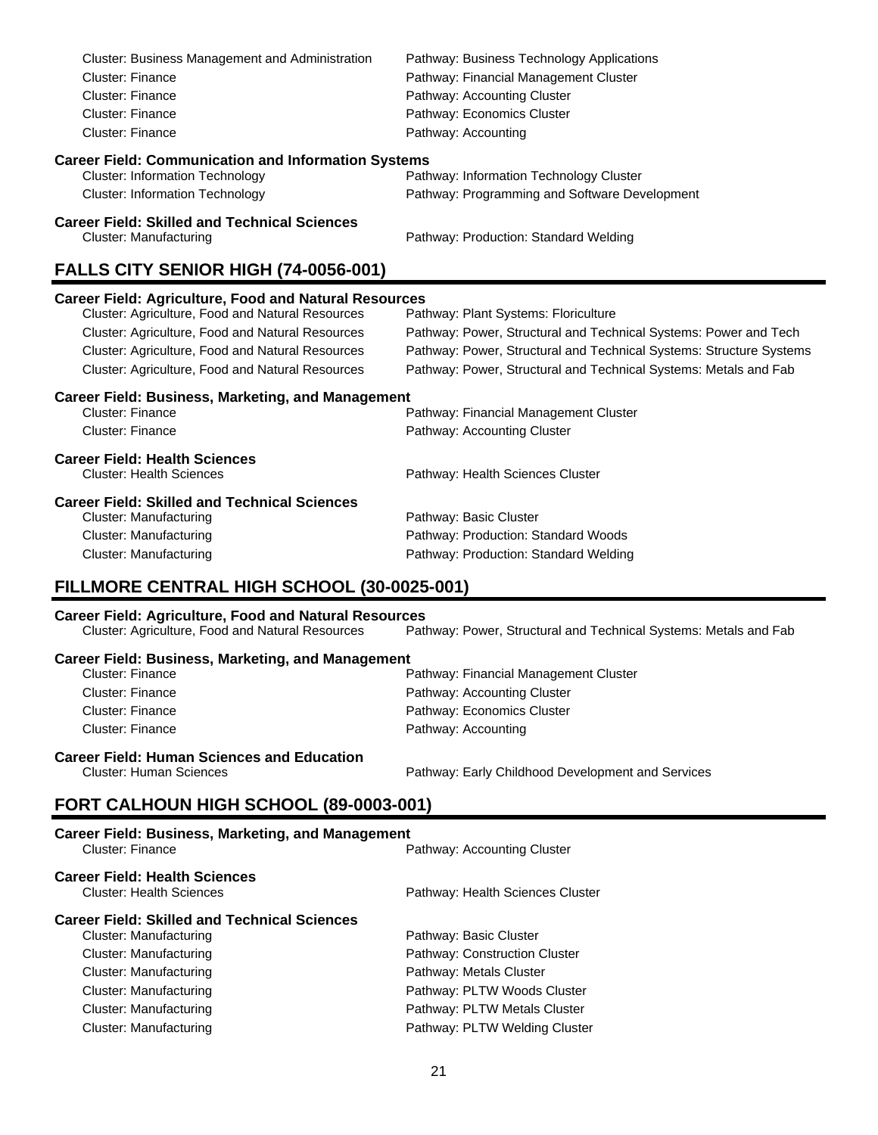| Cluster: Business Management and Administration                                      | Pathway: Business Technology Applications                           |  |  |
|--------------------------------------------------------------------------------------|---------------------------------------------------------------------|--|--|
| <b>Cluster: Finance</b>                                                              | Pathway: Financial Management Cluster                               |  |  |
| <b>Cluster: Finance</b>                                                              | Pathway: Accounting Cluster                                         |  |  |
| <b>Cluster: Finance</b>                                                              | Pathway: Economics Cluster                                          |  |  |
| Cluster: Finance                                                                     | Pathway: Accounting                                                 |  |  |
| <b>Career Field: Communication and Information Systems</b>                           |                                                                     |  |  |
| <b>Cluster: Information Technology</b>                                               | Pathway: Information Technology Cluster                             |  |  |
| <b>Cluster: Information Technology</b>                                               | Pathway: Programming and Software Development                       |  |  |
| <b>Career Field: Skilled and Technical Sciences</b><br><b>Cluster: Manufacturing</b> | Pathway: Production: Standard Welding                               |  |  |
| FALLS CITY SENIOR HIGH (74-0056-001)                                                 |                                                                     |  |  |
| <b>Career Field: Agriculture, Food and Natural Resources</b>                         |                                                                     |  |  |
| Cluster: Agriculture, Food and Natural Resources                                     | Pathway: Plant Systems: Floriculture                                |  |  |
| Cluster: Agriculture, Food and Natural Resources                                     | Pathway: Power, Structural and Technical Systems: Power and Tech    |  |  |
| Cluster: Agriculture, Food and Natural Resources                                     | Pathway: Power, Structural and Technical Systems: Structure Systems |  |  |
| Cluster: Agriculture, Food and Natural Resources                                     | Pathway: Power, Structural and Technical Systems: Metals and Fab    |  |  |
| <b>Career Field: Business, Marketing, and Management</b>                             |                                                                     |  |  |
| <b>Cluster: Finance</b>                                                              | Pathway: Financial Management Cluster                               |  |  |
| <b>Cluster: Finance</b>                                                              | Pathway: Accounting Cluster                                         |  |  |
| <b>Career Field: Health Sciences</b>                                                 |                                                                     |  |  |
| <b>Cluster: Health Sciences</b>                                                      | Pathway: Health Sciences Cluster                                    |  |  |
| <b>Career Field: Skilled and Technical Sciences</b>                                  |                                                                     |  |  |
| <b>Cluster: Manufacturing</b>                                                        | Pathway: Basic Cluster                                              |  |  |
| <b>Cluster: Manufacturing</b>                                                        | Pathway: Production: Standard Woods                                 |  |  |
| <b>Cluster: Manufacturing</b>                                                        | Pathway: Production: Standard Welding                               |  |  |
| FILLMORE CENTRAL HIGH SCHOOL (30-0025-001)                                           |                                                                     |  |  |
| <b>Career Field: Agriculture, Food and Natural Resources</b>                         |                                                                     |  |  |
| Cluster: Agriculture, Food and Natural Resources                                     | Pathway: Power, Structural and Technical Systems: Metals and Fab    |  |  |
| <b>Career Field: Business, Marketing, and Management</b>                             |                                                                     |  |  |
| <b>Cluster: Finance</b>                                                              | Pathway: Financial Management Cluster                               |  |  |
| <b>Cluster: Finance</b>                                                              | Pathway: Accounting Cluster                                         |  |  |
| Cluster: Finance                                                                     | Pathway: Economics Cluster                                          |  |  |
| <b>Cluster: Finance</b>                                                              | Pathway: Accounting                                                 |  |  |

# **Career Field: Human Sciences and Education**

Pathway: Early Childhood Development and Services

# **FORT CALHOUN HIGH SCHOOL (89-0003-001)**

| <b>Career Field: Business, Marketing, and Management</b><br>Cluster: Finance | Pathway: Accounting Cluster      |  |  |
|------------------------------------------------------------------------------|----------------------------------|--|--|
| <b>Career Field: Health Sciences</b><br><b>Cluster: Health Sciences</b>      | Pathway: Health Sciences Cluster |  |  |
| <b>Career Field: Skilled and Technical Sciences</b>                          |                                  |  |  |
| Cluster: Manufacturing                                                       | Pathway: Basic Cluster           |  |  |
| Cluster: Manufacturing                                                       | Pathway: Construction Cluster    |  |  |
| Cluster: Manufacturing                                                       | Pathway: Metals Cluster          |  |  |
| Cluster: Manufacturing                                                       | Pathway: PLTW Woods Cluster      |  |  |
| Cluster: Manufacturing                                                       | Pathway: PLTW Metals Cluster     |  |  |
| Cluster: Manufacturing                                                       | Pathway: PLTW Welding Cluster    |  |  |
|                                                                              |                                  |  |  |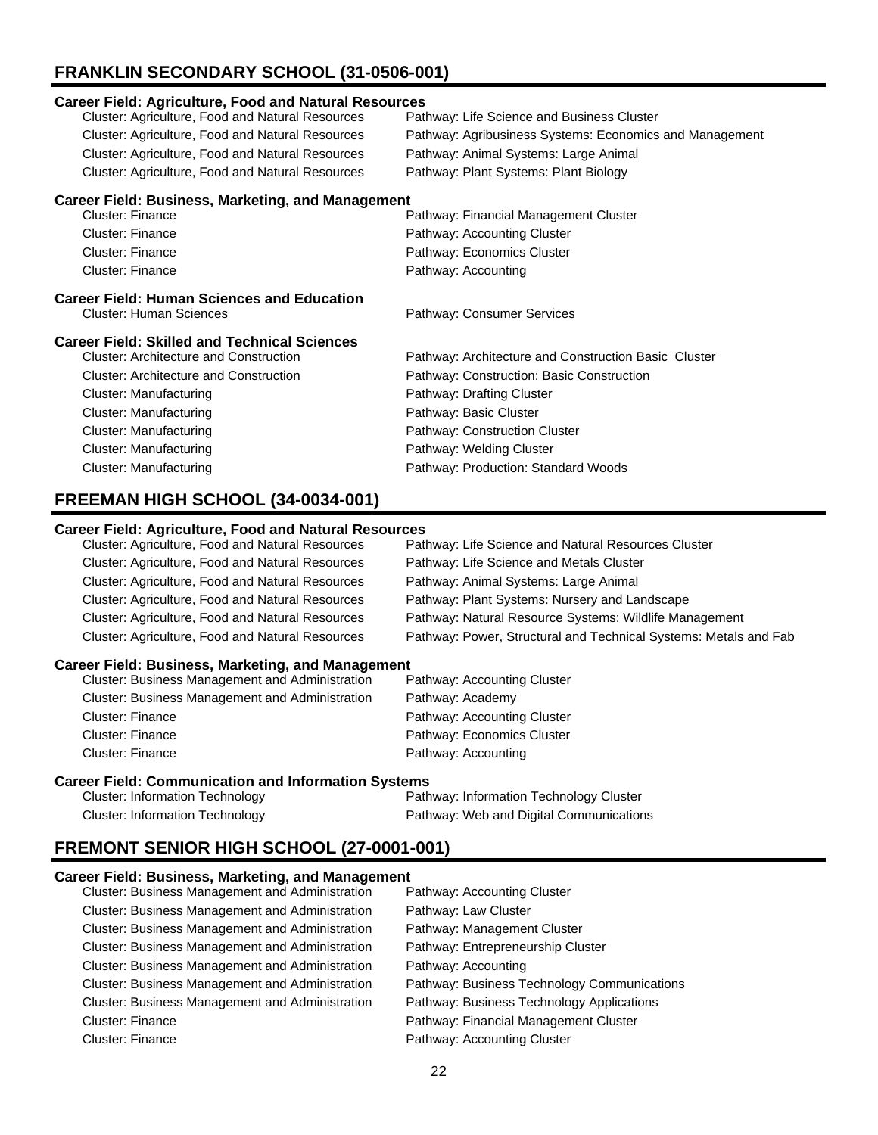# **FRANKLIN SECONDARY SCHOOL (31-0506-001)**

| <b>Career Field: Agriculture, Food and Natural Resources</b> |                                                         |  |  |  |
|--------------------------------------------------------------|---------------------------------------------------------|--|--|--|
| Cluster: Agriculture, Food and Natural Resources             | Pathway: Life Science and Business Cluster              |  |  |  |
| Cluster: Agriculture, Food and Natural Resources             | Pathway: Agribusiness Systems: Economics and Management |  |  |  |
| Cluster: Agriculture, Food and Natural Resources             | Pathway: Animal Systems: Large Animal                   |  |  |  |
| <b>Cluster: Agriculture, Food and Natural Resources</b>      | Pathway: Plant Systems: Plant Biology                   |  |  |  |
| <b>Career Field: Business, Marketing, and Management</b>     |                                                         |  |  |  |
| Cluster: Finance                                             | Pathway: Financial Management Cluster                   |  |  |  |
| Cluster: Finance                                             | Pathway: Accounting Cluster                             |  |  |  |
| Cluster: Finance                                             | Pathway: Economics Cluster                              |  |  |  |
| Cluster: Finance                                             | Pathway: Accounting                                     |  |  |  |
| <b>Career Field: Human Sciences and Education</b>            |                                                         |  |  |  |
| Cluster: Human Sciences                                      | Pathway: Consumer Services                              |  |  |  |
| <b>Career Field: Skilled and Technical Sciences</b>          |                                                         |  |  |  |
| Cluster: Architecture and Construction                       | Pathway: Architecture and Construction Basic Cluster    |  |  |  |
| <b>Cluster: Architecture and Construction</b>                | Pathway: Construction: Basic Construction               |  |  |  |
| Cluster: Manufacturing                                       | Pathway: Drafting Cluster                               |  |  |  |
| <b>Cluster: Manufacturing</b>                                | Pathway: Basic Cluster                                  |  |  |  |
| Cluster: Manufacturing                                       | Pathway: Construction Cluster                           |  |  |  |
| Cluster: Manufacturing                                       | Pathway: Welding Cluster                                |  |  |  |
| Cluster: Manufacturing                                       | Pathway: Production: Standard Woods                     |  |  |  |

# **FREEMAN HIGH SCHOOL (34-0034-001)**

### **Career Field: Agriculture, Food and Natural Resources**

| Cluster: Agriculture, Food and Natural Resources | Pathway: Life Science and Natural Resources Cluster              |
|--------------------------------------------------|------------------------------------------------------------------|
| Cluster: Agriculture, Food and Natural Resources | Pathway: Life Science and Metals Cluster                         |
| Cluster: Agriculture, Food and Natural Resources | Pathway: Animal Systems: Large Animal                            |
| Cluster: Agriculture, Food and Natural Resources | Pathway: Plant Systems: Nursery and Landscape                    |
| Cluster: Agriculture, Food and Natural Resources | Pathway: Natural Resource Systems: Wildlife Management           |
| Cluster: Agriculture, Food and Natural Resources | Pathway: Power, Structural and Technical Systems: Metals and Fab |

#### **Career Field: Business, Marketing, and Management**

| <b>Cluster: Business Management and Administration</b> | Pathway: Accounting Cluster |
|--------------------------------------------------------|-----------------------------|
| <b>Cluster: Business Management and Administration</b> | Pathway: Academy            |
| Cluster: Finance                                       | Pathway: Accounting Cluster |
| Cluster: Finance                                       | Pathway: Economics Cluster  |
| Cluster: Finance                                       | Pathway: Accounting         |

#### **Career Field: Communication and Information Systems**

| <b>Cluster: Information Technology</b> | Pathway: Information Technology Cluster |
|----------------------------------------|-----------------------------------------|
| <b>Cluster: Information Technology</b> | Pathway: Web and Digital Communications |

# **FREMONT SENIOR HIGH SCHOOL (27-0001-001)**

| Cluster: Business Management and Administration        | Pathway: Accounting Cluster                 |
|--------------------------------------------------------|---------------------------------------------|
| <b>Cluster: Business Management and Administration</b> | Pathway: Law Cluster                        |
| <b>Cluster: Business Management and Administration</b> | Pathway: Management Cluster                 |
| Cluster: Business Management and Administration        | Pathway: Entrepreneurship Cluster           |
| <b>Cluster: Business Management and Administration</b> | Pathway: Accounting                         |
| <b>Cluster: Business Management and Administration</b> | Pathway: Business Technology Communications |
| Cluster: Business Management and Administration        | Pathway: Business Technology Applications   |
| <b>Cluster: Finance</b>                                | Pathway: Financial Management Cluster       |
| <b>Cluster: Finance</b>                                | Pathway: Accounting Cluster                 |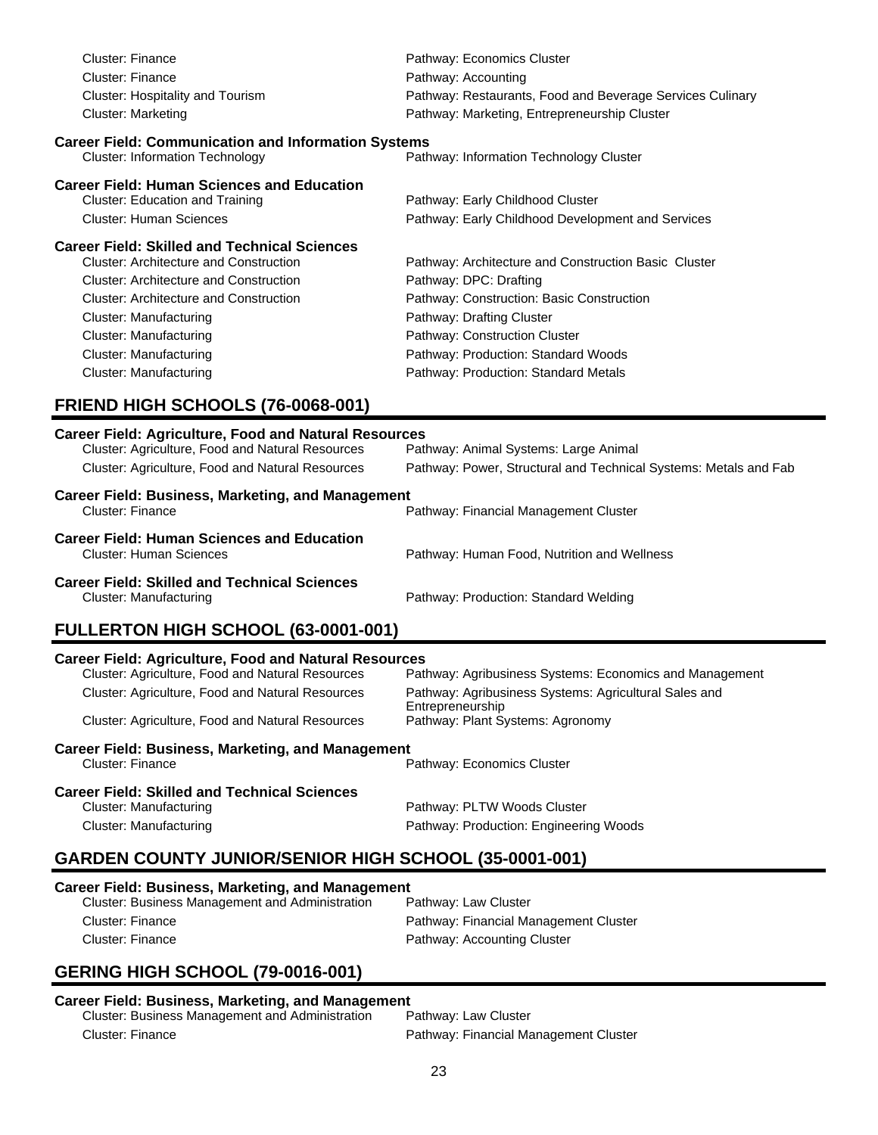| <b>Cluster: Finance</b><br><b>Cluster: Finance</b><br>Cluster: Hospitality and Tourism<br><b>Cluster: Marketing</b>                                                                                                                                                                                                                        | Pathway: Economics Cluster<br>Pathway: Accounting<br>Pathway: Restaurants, Food and Beverage Services Culinary<br>Pathway: Marketing, Entrepreneurship Cluster                                                                                                           |
|--------------------------------------------------------------------------------------------------------------------------------------------------------------------------------------------------------------------------------------------------------------------------------------------------------------------------------------------|--------------------------------------------------------------------------------------------------------------------------------------------------------------------------------------------------------------------------------------------------------------------------|
| <b>Career Field: Communication and Information Systems</b><br><b>Cluster: Information Technology</b>                                                                                                                                                                                                                                       | Pathway: Information Technology Cluster                                                                                                                                                                                                                                  |
| <b>Career Field: Human Sciences and Education</b><br><b>Cluster: Education and Training</b><br><b>Cluster: Human Sciences</b>                                                                                                                                                                                                              | Pathway: Early Childhood Cluster<br>Pathway: Early Childhood Development and Services                                                                                                                                                                                    |
| <b>Career Field: Skilled and Technical Sciences</b><br><b>Cluster: Architecture and Construction</b><br><b>Cluster: Architecture and Construction</b><br><b>Cluster: Architecture and Construction</b><br><b>Cluster: Manufacturing</b><br><b>Cluster: Manufacturing</b><br><b>Cluster: Manufacturing</b><br><b>Cluster: Manufacturing</b> | Pathway: Architecture and Construction Basic Cluster<br>Pathway: DPC: Drafting<br>Pathway: Construction: Basic Construction<br>Pathway: Drafting Cluster<br>Pathway: Construction Cluster<br>Pathway: Production: Standard Woods<br>Pathway: Production: Standard Metals |
| FRIEND HIGH SCHOOLS (76-0068-001)                                                                                                                                                                                                                                                                                                          |                                                                                                                                                                                                                                                                          |
| <b>Career Field: Agriculture, Food and Natural Resources</b><br>Cluster: Agriculture, Food and Natural Resources<br>Cluster: Agriculture, Food and Natural Resources<br><b>Career Field: Business, Marketing, and Management</b>                                                                                                           | Pathway: Animal Systems: Large Animal<br>Pathway: Power, Structural and Technical Systems: Metals and Fab                                                                                                                                                                |
| Cluster: Finance                                                                                                                                                                                                                                                                                                                           | Pathway: Financial Management Cluster                                                                                                                                                                                                                                    |
| <b>Career Field: Human Sciences and Education</b><br><b>Cluster: Human Sciences</b>                                                                                                                                                                                                                                                        | Pathway: Human Food, Nutrition and Wellness                                                                                                                                                                                                                              |
| <b>Career Field: Skilled and Technical Sciences</b><br><b>Cluster: Manufacturing</b>                                                                                                                                                                                                                                                       | Pathway: Production: Standard Welding                                                                                                                                                                                                                                    |
| FULLERTON HIGH SCHOOL (63-0001-001)                                                                                                                                                                                                                                                                                                        |                                                                                                                                                                                                                                                                          |
| <b>Career Field: Agriculture, Food and Natural Resources</b><br>Cluster: Agriculture, Food and Natural Resources                                                                                                                                                                                                                           | Pathway: Agribusiness Systems: Economics and Management                                                                                                                                                                                                                  |

| Cluster: Agriculture, Food and Natural Resources                              | Pathway: Agribusiness Systems: Agricultural Sales and<br>Entrepreneurship |
|-------------------------------------------------------------------------------|---------------------------------------------------------------------------|
| Cluster: Agriculture, Food and Natural Resources                              | Pathway: Plant Systems: Agronomy                                          |
| Career Field: Business, Marketing, and Management<br>Cluster: Finance         | Pathway: Economics Cluster                                                |
| <b>Career Field: Skilled and Technical Sciences</b><br>Cluster: Manufacturing | Pathway: PLTW Woods Cluster                                               |

# **GARDEN COUNTY JUNIOR/SENIOR HIGH SCHOOL (35-0001-001)**

## **Career Field: Business, Marketing, and Management**

| Cluster: Business Management and Administration | Pathway: Law Cluster                  |
|-------------------------------------------------|---------------------------------------|
| Cluster: Finance                                | Pathway: Financial Management Cluster |
| Cluster: Finance                                | Pathway: Accounting Cluster           |

Cluster: Manufacturing **Pathway: Production: Engineering Woods** 

# **GERING HIGH SCHOOL (79-0016-001)**

#### **Career Field: Business, Marketing, and Management** agement and Administration

| Cluster: Business Mana |  |
|------------------------|--|
| Cluster: Finance       |  |

Pathway: Financial Management Cluster

Pathway: PLTW Woods Cluster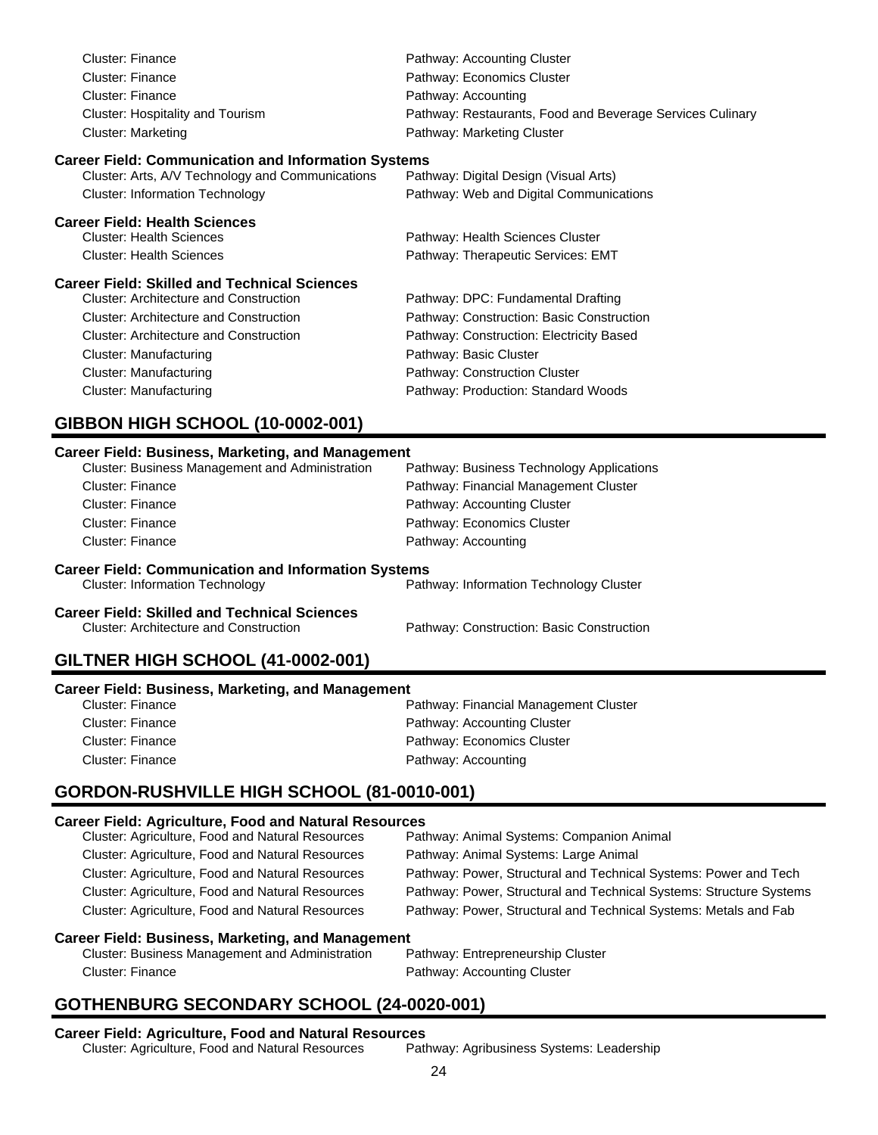| <b>Cluster: Finance</b>                                                                                        | Pathway: Accounting Cluster                               |
|----------------------------------------------------------------------------------------------------------------|-----------------------------------------------------------|
| Cluster: Finance                                                                                               | Pathway: Economics Cluster                                |
| Cluster: Finance                                                                                               | Pathway: Accounting                                       |
| Cluster: Hospitality and Tourism                                                                               | Pathway: Restaurants, Food and Beverage Services Culinary |
| Cluster: Marketing                                                                                             | Pathway: Marketing Cluster                                |
| <b>Career Field: Communication and Information Systems</b><br>Cluster: Arts, A/V Technology and Communications | Pathway: Digital Design (Visual Arts)                     |
| <b>Cluster: Information Technology</b>                                                                         | Pathway: Web and Digital Communications                   |
| <b>Career Field: Health Sciences</b>                                                                           |                                                           |
| <b>Cluster: Health Sciences</b>                                                                                | Pathway: Health Sciences Cluster                          |
| <b>Cluster: Health Sciences</b>                                                                                | Pathway: Therapeutic Services: EMT                        |

#### **Career Field: Skilled and Technical Sciences**

| <b>Cluster: Architecture and Construction</b> | Pathway: DPC: Fundamental Drafting        |
|-----------------------------------------------|-------------------------------------------|
| <b>Cluster: Architecture and Construction</b> | Pathway: Construction: Basic Construction |
| <b>Cluster: Architecture and Construction</b> | Pathway: Construction: Electricity Based  |
| Cluster: Manufacturing                        | Pathway: Basic Cluster                    |
| Cluster: Manufacturing                        | Pathway: Construction Cluster             |
| <b>Cluster: Manufacturing</b>                 | Pathway: Production: Standard Woods       |
|                                               |                                           |

# **GIBBON HIGH SCHOOL (10-0002-001)**

#### **Career Field: Business, Marketing, and Management**

| <b>Cluster: Business Management and Administration</b> | Pathway: Business Technology Applications |
|--------------------------------------------------------|-------------------------------------------|
| Cluster: Finance                                       | Pathway: Financial Management Cluster     |
| Cluster: Finance                                       | Pathway: Accounting Cluster               |
| Cluster: Finance                                       | Pathway: Economics Cluster                |
| Cluster: Finance                                       | Pathway: Accounting                       |
|                                                        |                                           |

#### **Career Field: Communication and Information Systems**

| Cluster: Information Technology               | Pathway: Information Technology Cluster   |
|-----------------------------------------------|-------------------------------------------|
| Career Field: Skilled and Technical Sciences  |                                           |
| <b>Cluster: Architecture and Construction</b> | Pathway: Construction: Basic Construction |

# **GILTNER HIGH SCHOOL (41-0002-001)**

| Career Field: Business, Marketing, and Management |                                       |
|---------------------------------------------------|---------------------------------------|
| Cluster: Finance                                  | Pathway: Financial Management Cluster |
| Cluster: Finance                                  | Pathway: Accounting Cluster           |
| Cluster: Finance                                  | Pathway: Economics Cluster            |
| Cluster: Finance                                  | Pathway: Accounting                   |

## **GORDON-RUSHVILLE HIGH SCHOOL (81-0010-001)**

## **Career Field: Agriculture, Food and Natural Resources**

| Cluster: Agriculture, Food and Natural Resources         | Pathway: Animal Systems: Companion Animal                           |
|----------------------------------------------------------|---------------------------------------------------------------------|
| Cluster: Agriculture, Food and Natural Resources         | Pathway: Animal Systems: Large Animal                               |
| Cluster: Agriculture, Food and Natural Resources         | Pathway: Power, Structural and Technical Systems: Power and Tech    |
| Cluster: Agriculture, Food and Natural Resources         | Pathway: Power, Structural and Technical Systems: Structure Systems |
| Cluster: Agriculture, Food and Natural Resources         | Pathway: Power, Structural and Technical Systems: Metals and Fab    |
| <b>Career Field: Business, Marketing, and Management</b> |                                                                     |

Cluster: Business Management and Administration Pathway: Entrepreneurship Cluster Cluster: Finance **Pathway: Accounting Cluster** 

# **GOTHENBURG SECONDARY SCHOOL (24-0020-001)**

**Career Field: Agriculture, Food and Natural Resources** Cluster: Agriculture, Food and Natural Resources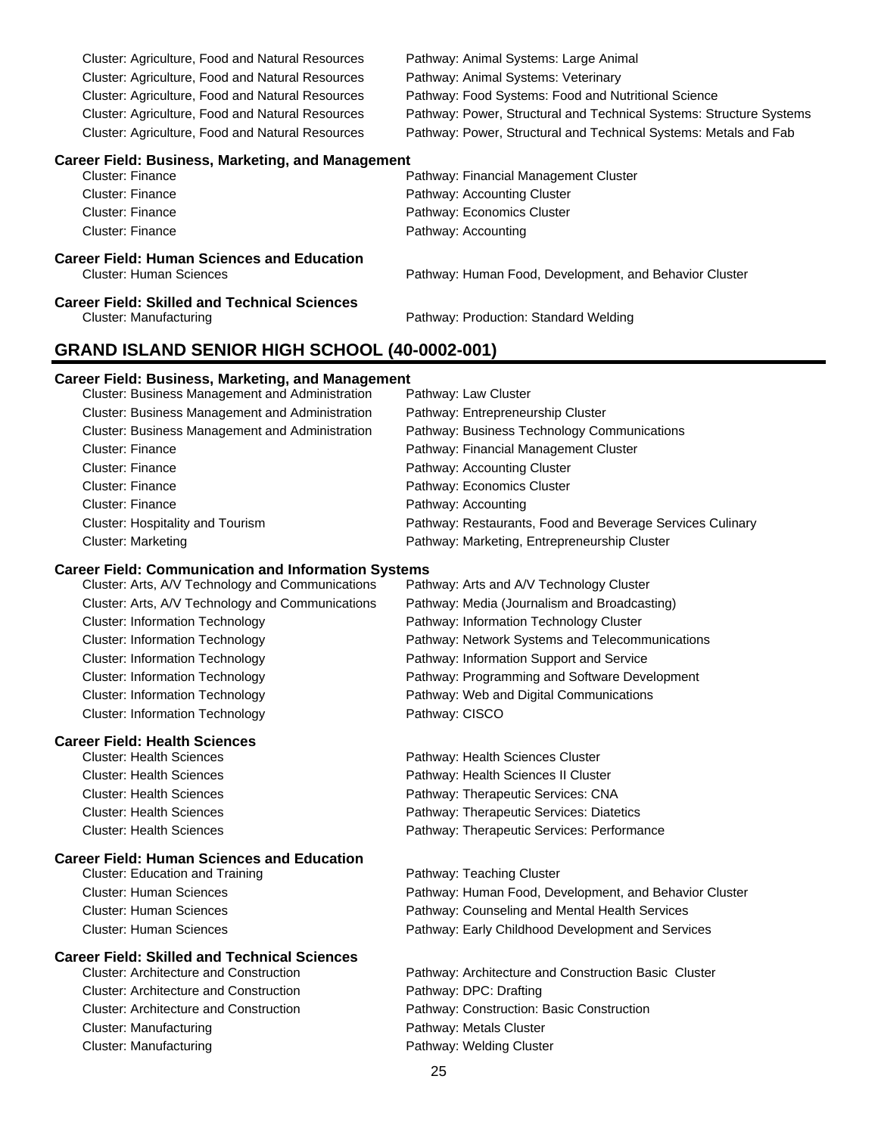| Cluster: Agriculture, Food and Natural Resources | Pathway: Animal Systems: Large Animal                               |
|--------------------------------------------------|---------------------------------------------------------------------|
| Cluster: Agriculture, Food and Natural Resources | Pathway: Animal Systems: Veterinary                                 |
| Cluster: Agriculture, Food and Natural Resources | Pathway: Food Systems: Food and Nutritional Science                 |
| Cluster: Agriculture, Food and Natural Resources | Pathway: Power, Structural and Technical Systems: Structure Systems |
| Cluster: Agriculture, Food and Natural Resources | Pathway: Power, Structural and Technical Systems: Metals and Fab    |
|                                                  |                                                                     |

#### **Career Field: Business, Marketing, and Management**

| Cluster: Finance                           | Pathway: Financial Management Cluster                  |
|--------------------------------------------|--------------------------------------------------------|
| Cluster: Finance                           | Pathway: Accounting Cluster                            |
| Cluster: Finance                           | Pathway: Economics Cluster                             |
| Cluster: Finance                           | Pathway: Accounting                                    |
| Career Field: Human Sciences and Education |                                                        |
| <b>Cluster: Human Sciences</b>             | Pathway: Human Food, Development, and Behavior Cluster |

#### **Career Field: Skilled and Technical Sciences** Cluster: Manufacturing Pathway: Production: Standard Welding

Pathway: Health Sciences Cluster Pathway: Health Sciences II Cluster Pathway: Therapeutic Services: CNA Pathway: Therapeutic Services: Diatetics Pathway: Therapeutic Services: Performance

### **GRAND ISLAND SENIOR HIGH SCHOOL (40-0002-001)**

#### **Career Field: Business, Marketing, and Management**

| <b>Cluster: Business Management and Administration</b> | Pathway: Law Cluster                                      |
|--------------------------------------------------------|-----------------------------------------------------------|
| Cluster: Business Management and Administration        | Pathway: Entrepreneurship Cluster                         |
| Cluster: Business Management and Administration        | Pathway: Business Technology Communications               |
| <b>Cluster: Finance</b>                                | Pathway: Financial Management Cluster                     |
| <b>Cluster: Finance</b>                                | Pathway: Accounting Cluster                               |
| <b>Cluster: Finance</b>                                | Pathway: Economics Cluster                                |
| <b>Cluster: Finance</b>                                | Pathway: Accounting                                       |
| <b>Cluster: Hospitality and Tourism</b>                | Pathway: Restaurants, Food and Beverage Services Culinary |
| <b>Cluster: Marketing</b>                              | Pathway: Marketing, Entrepreneurship Cluster              |
|                                                        |                                                           |

#### **Career Field: Communication and Information Systems**

| Cluster: Arts, A/V Technology and Communications | Pathway: Arts and A/V Technology Cluster        |
|--------------------------------------------------|-------------------------------------------------|
| Cluster: Arts, A/V Technology and Communications | Pathway: Media (Journalism and Broadcasting)    |
| <b>Cluster: Information Technology</b>           | Pathway: Information Technology Cluster         |
| <b>Cluster: Information Technology</b>           | Pathway: Network Systems and Telecommunications |
| <b>Cluster: Information Technology</b>           | Pathway: Information Support and Service        |
| <b>Cluster: Information Technology</b>           | Pathway: Programming and Software Development   |
| <b>Cluster: Information Technology</b>           | Pathway: Web and Digital Communications         |
| <b>Cluster: Information Technology</b>           | Pathway: CISCO                                  |
|                                                  |                                                 |

# **Career Field: Health Sciences**

| Giustel. Health Sciences        |  |
|---------------------------------|--|
| <b>Cluster: Health Sciences</b> |  |
| <b>Cluster: Health Sciences</b> |  |
| <b>Cluster: Health Sciences</b> |  |
| <b>Cluster: Health Sciences</b> |  |

#### **Career Field: Human Sciences and Education**

Cluster: Education and Training **Pathway: Teaching Cluster** Pathway: Teaching Cluster Cluster: Human Sciences Pathway: Human Food, Development, and Behavior Cluster Cluster: Human Sciences Pathway: Counseling and Mental Health Services Cluster: Human Sciences Pathway: Early Childhood Development and Services

#### **Career Field: Skilled and Technical Sciences**

Cluster: Architecture and Construction Pathway: Architecture and Construction Basic Cluster Cluster: Architecture and Construction Pathway: DPC: Drafting Cluster: Architecture and Construction Pathway: Construction: Basic Construction Cluster: Manufacturing example and the Pathway: Metals Cluster Cluster: Manufacturing example and the Pathway: Welding Cluster

25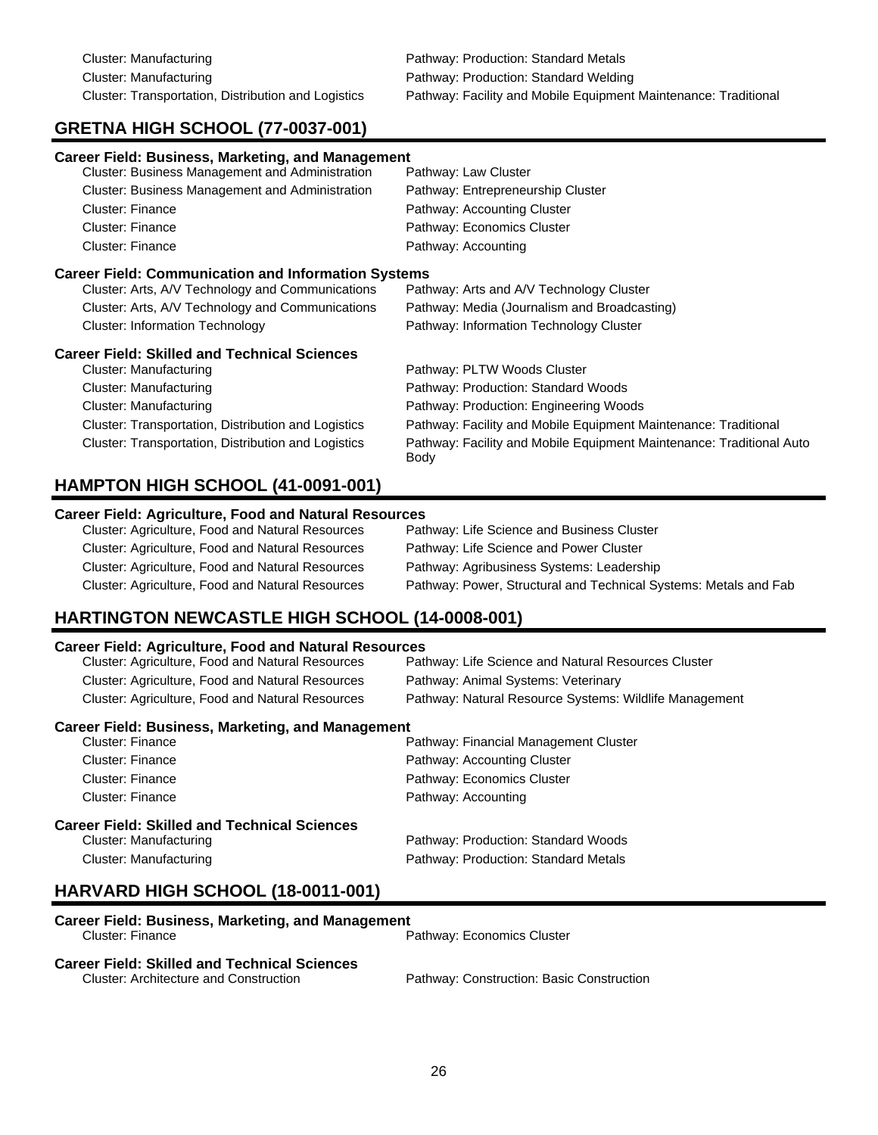# **GRETNA HIGH SCHOOL (77-0037-001)**

| <b>Career Field: Business, Marketing, and Management</b>   |                                                                              |
|------------------------------------------------------------|------------------------------------------------------------------------------|
| Cluster: Business Management and Administration            | Pathway: Law Cluster                                                         |
| Cluster: Business Management and Administration            | Pathway: Entrepreneurship Cluster                                            |
| Cluster: Finance                                           | Pathway: Accounting Cluster                                                  |
| Cluster: Finance                                           | Pathway: Economics Cluster                                                   |
| <b>Cluster: Finance</b>                                    | Pathway: Accounting                                                          |
| <b>Career Field: Communication and Information Systems</b> |                                                                              |
| Cluster: Arts, A/V Technology and Communications           | Pathway: Arts and A/V Technology Cluster                                     |
| Cluster: Arts, A/V Technology and Communications           | Pathway: Media (Journalism and Broadcasting)                                 |
| <b>Cluster: Information Technology</b>                     | Pathway: Information Technology Cluster                                      |
| <b>Career Field: Skilled and Technical Sciences</b>        |                                                                              |
| Cluster: Manufacturing                                     | Pathway: PLTW Woods Cluster                                                  |
| Cluster: Manufacturing                                     | Pathway: Production: Standard Woods                                          |
| Cluster: Manufacturing                                     | Pathway: Production: Engineering Woods                                       |
| Cluster: Transportation, Distribution and Logistics        | Pathway: Facility and Mobile Equipment Maintenance: Traditional              |
| Cluster: Transportation, Distribution and Logistics        | Pathway: Facility and Mobile Equipment Maintenance: Traditional Auto<br>Body |

## **HAMPTON HIGH SCHOOL (41-0091-001) Career Field: Agriculture, Food and Natural Resources**

| Career Field. Agriculture, Food and Natural Resources |                                                                  |
|-------------------------------------------------------|------------------------------------------------------------------|
| Cluster: Agriculture, Food and Natural Resources      | Pathway: Life Science and Business Cluster                       |
| Cluster: Agriculture, Food and Natural Resources      | Pathway: Life Science and Power Cluster                          |
| Cluster: Agriculture, Food and Natural Resources      | Pathway: Agribusiness Systems: Leadership                        |
| Cluster: Agriculture, Food and Natural Resources      | Pathway: Power, Structural and Technical Systems: Metals and Fab |

# **HARTINGTON NEWCASTLE HIGH SCHOOL (14-0008-001)**

#### **Career Field: Agriculture, Food and Natural Resources**

| Cluster: Agriculture, Food and Natural Resources         | Pathway: Life Science and Natural Resources Cluster    |
|----------------------------------------------------------|--------------------------------------------------------|
| Cluster: Agriculture, Food and Natural Resources         | Pathway: Animal Systems: Veterinary                    |
| Cluster: Agriculture, Food and Natural Resources         | Pathway: Natural Resource Systems: Wildlife Management |
| <b>Career Field: Business, Marketing, and Management</b> |                                                        |
| Cluster: Finance                                         | Pathway: Financial Management Cluster                  |
| Cluster: Finance                                         | Pathway: Accounting Cluster                            |
| Cluster: Finance                                         | Pathway: Economics Cluster                             |
| Cluster: Finance                                         | Pathway: Accounting                                    |
| <b>Career Field: Skilled and Technical Sciences</b>      |                                                        |
| Cluster: Manufacturing                                   | Pathway: Production: Standard Woods                    |
| Cluster: Manufacturing                                   | Pathway: Production: Standard Metals                   |

# **HARVARD HIGH SCHOOL (18-0011-001)**

| Career Field: Business, Marketing, and Management   |                                           |
|-----------------------------------------------------|-------------------------------------------|
| Cluster: Finance                                    | Pathway: Economics Cluster                |
| <b>Career Field: Skilled and Technical Sciences</b> |                                           |
| <b>Cluster: Architecture and Construction</b>       | Pathway: Construction: Basic Construction |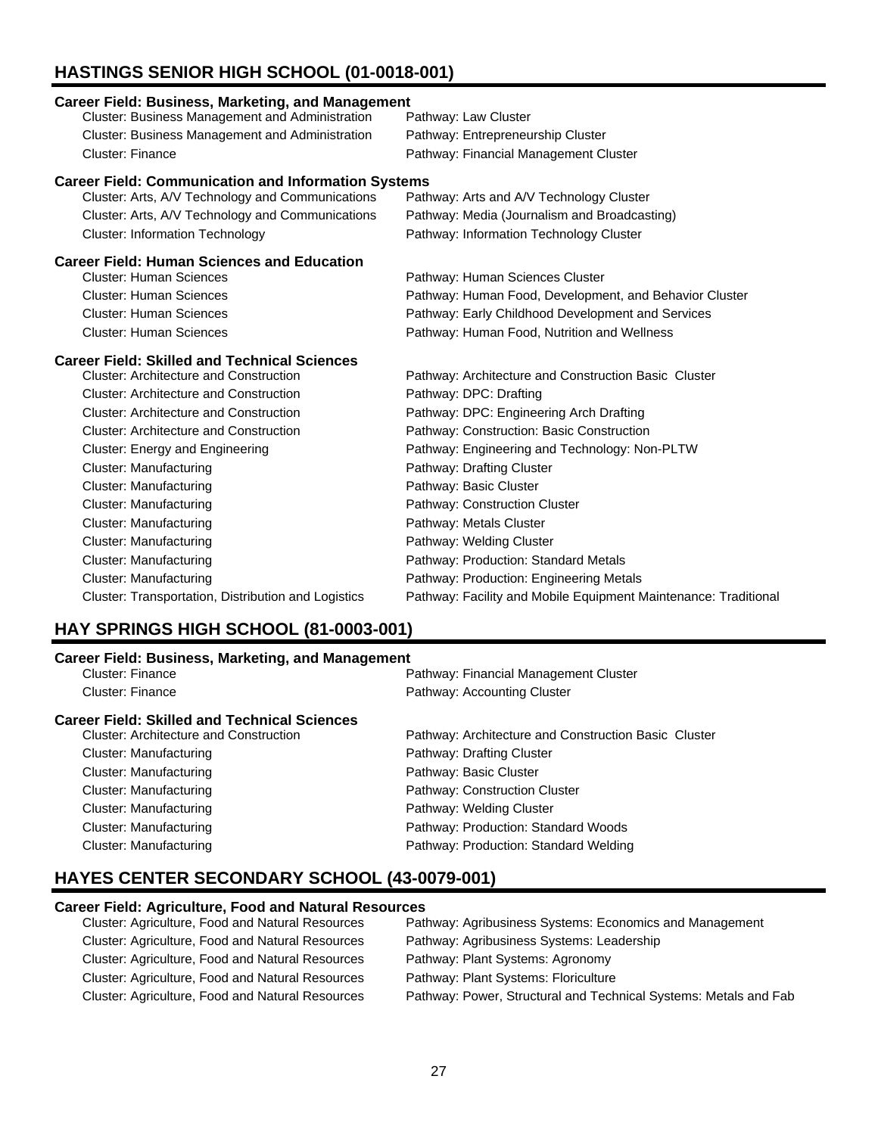# **HASTINGS SENIOR HIGH SCHOOL (01-0018-001)**

| <b>Career Field: Business, Marketing, and Management</b>   |                                                                 |
|------------------------------------------------------------|-----------------------------------------------------------------|
| <b>Cluster: Business Management and Administration</b>     | Pathway: Law Cluster                                            |
| Cluster: Business Management and Administration            | Pathway: Entrepreneurship Cluster                               |
| <b>Cluster: Finance</b>                                    | Pathway: Financial Management Cluster                           |
| <b>Career Field: Communication and Information Systems</b> |                                                                 |
| Cluster: Arts, A/V Technology and Communications           | Pathway: Arts and A/V Technology Cluster                        |
| Cluster: Arts, A/V Technology and Communications           | Pathway: Media (Journalism and Broadcasting)                    |
| <b>Cluster: Information Technology</b>                     | Pathway: Information Technology Cluster                         |
| <b>Career Field: Human Sciences and Education</b>          |                                                                 |
| <b>Cluster: Human Sciences</b>                             | Pathway: Human Sciences Cluster                                 |
| <b>Cluster: Human Sciences</b>                             | Pathway: Human Food, Development, and Behavior Cluster          |
| <b>Cluster: Human Sciences</b>                             | Pathway: Early Childhood Development and Services               |
| <b>Cluster: Human Sciences</b>                             | Pathway: Human Food, Nutrition and Wellness                     |
| <b>Career Field: Skilled and Technical Sciences</b>        |                                                                 |
| <b>Cluster: Architecture and Construction</b>              | Pathway: Architecture and Construction Basic Cluster            |
| <b>Cluster: Architecture and Construction</b>              | Pathway: DPC: Drafting                                          |
| <b>Cluster: Architecture and Construction</b>              | Pathway: DPC: Engineering Arch Drafting                         |
| <b>Cluster: Architecture and Construction</b>              | Pathway: Construction: Basic Construction                       |
| Cluster: Energy and Engineering                            | Pathway: Engineering and Technology: Non-PLTW                   |
| Cluster: Manufacturing                                     | Pathway: Drafting Cluster                                       |
| Cluster: Manufacturing                                     | Pathway: Basic Cluster                                          |
| <b>Cluster: Manufacturing</b>                              | Pathway: Construction Cluster                                   |
| <b>Cluster: Manufacturing</b>                              | Pathway: Metals Cluster                                         |
| <b>Cluster: Manufacturing</b>                              | Pathway: Welding Cluster                                        |
| <b>Cluster: Manufacturing</b>                              | Pathway: Production: Standard Metals                            |
| <b>Cluster: Manufacturing</b>                              | Pathway: Production: Engineering Metals                         |
| Cluster: Transportation, Distribution and Logistics        | Pathway: Facility and Mobile Equipment Maintenance: Traditional |

# **HAY SPRINGS HIGH SCHOOL (81-0003-001)**

### **Career Field: Business, Marketing, and Management**

| <u>oaroon nora. Basinossi manoomia, ana managomono</u> |                                                      |
|--------------------------------------------------------|------------------------------------------------------|
| Cluster: Finance                                       | Pathway: Financial Management Cluster                |
| Cluster: Finance                                       | Pathway: Accounting Cluster                          |
| <b>Career Field: Skilled and Technical Sciences</b>    |                                                      |
| Cluster: Architecture and Construction                 | Pathway: Architecture and Construction Basic Cluster |
| Cluster: Manufacturing                                 | Pathway: Drafting Cluster                            |
| Cluster: Manufacturing                                 | Pathway: Basic Cluster                               |
| Cluster: Manufacturing                                 | Pathway: Construction Cluster                        |
| Cluster: Manufacturing                                 | Pathway: Welding Cluster                             |
| Cluster: Manufacturing                                 | Pathway: Production: Standard Woods                  |
| Cluster: Manufacturing                                 | Pathway: Production: Standard Welding                |
|                                                        |                                                      |

# **HAYES CENTER SECONDARY SCHOOL (43-0079-001)**

### **Career Field: Agriculture, Food and Natural Resources**

| Cluster: Agriculture, Food and Natural Resources | Pathway: Agribusiness Systems: Economics and Management          |
|--------------------------------------------------|------------------------------------------------------------------|
| Cluster: Agriculture, Food and Natural Resources | Pathway: Agribusiness Systems: Leadership                        |
| Cluster: Agriculture, Food and Natural Resources | Pathway: Plant Systems: Agronomy                                 |
| Cluster: Agriculture, Food and Natural Resources | Pathway: Plant Systems: Floriculture                             |
| Cluster: Agriculture, Food and Natural Resources | Pathway: Power, Structural and Technical Systems: Metals and Fab |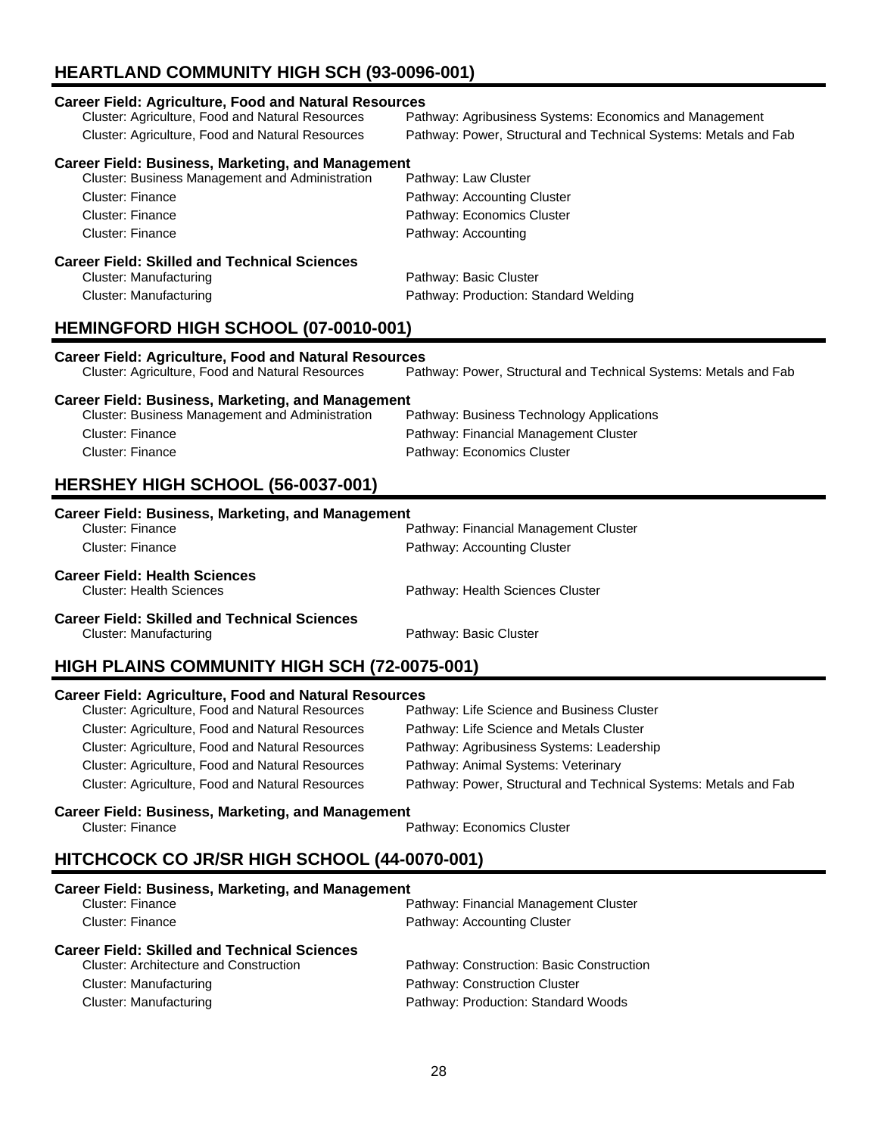# **HEARTLAND COMMUNITY HIGH SCH (93-0096-001)**

# **Career Field: Agriculture, Food and Natural Resources**

Pathway: Agribusiness Systems: Economics and Management Cluster: Agriculture, Food and Natural Resources Pathway: Power, Structural and Technical Systems: Metals and Fab

### **Career Field: Business, Marketing, and Management**

| <b>Cluster: Business Management and Administration</b> | Pathway: Law Cluster        |
|--------------------------------------------------------|-----------------------------|
| Cluster: Finance                                       | Pathway: Accounting Cluster |
| Cluster: Finance                                       | Pathway: Economics Cluster  |
| Cluster: Finance                                       | Pathway: Accounting         |
| Career Field: Skilled and Technical Sciences           |                             |
| Cluster: Manufacturing                                 | Pathway: Basic Cluster      |

## Cluster: Manufacturing Pathway: Production: Standard Welding

### **HEMINGFORD HIGH SCHOOL (07-0010-001)**

**Career Field: Agriculture, Food and Natural Resources** Pathway: Power, Structural and Technical Systems: Metals and Fab

#### **Career Field: Business, Marketing, and Management**

| Cluster: Business Management and Administration | Pathway: Business Technology Applications |
|-------------------------------------------------|-------------------------------------------|
| Cluster: Finance                                | Pathway: Financial Management Cluster     |
| Cluster: Finance                                | Pathway: Economics Cluster                |

## **HERSHEY HIGH SCHOOL (56-0037-001)**

## **Career Field: Business, Marketing, and Management** Pathway: Financial Management Cluster Cluster: Finance **Pathway: Accounting Cluster Career Field: Health Sciences** Pathway: Health Sciences Cluster **Career Field: Skilled and Technical Sciences** Cluster: Manufacturing **Pathway: Basic Cluster** Pathway: Basic Cluster

# **HIGH PLAINS COMMUNITY HIGH SCH (72-0075-001)**

#### **Career Field: Agriculture, Food and Natural Resources**

| Cluster: Agriculture, Food and Natural Resources | Pathway: Life Science and Business Cluster                       |
|--------------------------------------------------|------------------------------------------------------------------|
| Cluster: Agriculture, Food and Natural Resources | Pathway: Life Science and Metals Cluster                         |
| Cluster: Agriculture, Food and Natural Resources | Pathway: Agribusiness Systems: Leadership                        |
| Cluster: Agriculture, Food and Natural Resources | Pathway: Animal Systems: Veterinary                              |
| Cluster: Agriculture, Food and Natural Resources | Pathway: Power, Structural and Technical Systems: Metals and Fab |

### **Career Field: Business, Marketing, and Management**

| Cluster: Financ |  |
|-----------------|--|
|-----------------|--|

Cluster: Finance Pathway: Economics Cluster:

# **HITCHCOCK CO JR/SR HIGH SCHOOL (44-0070-001)**

| <b>Cluster: Finance</b>                       | Pathway: Financial Management Cluster     |
|-----------------------------------------------|-------------------------------------------|
| Cluster: Finance                              | Pathway: Accounting Cluster               |
| Career Field: Skilled and Technical Sciences  |                                           |
| <b>Cluster: Architecture and Construction</b> | Pathway: Construction: Basic Construction |
| Cluster: Manufacturing                        | Pathway: Construction Cluster             |
| Cluster: Manufacturing                        | Pathway: Production: Standard Woods       |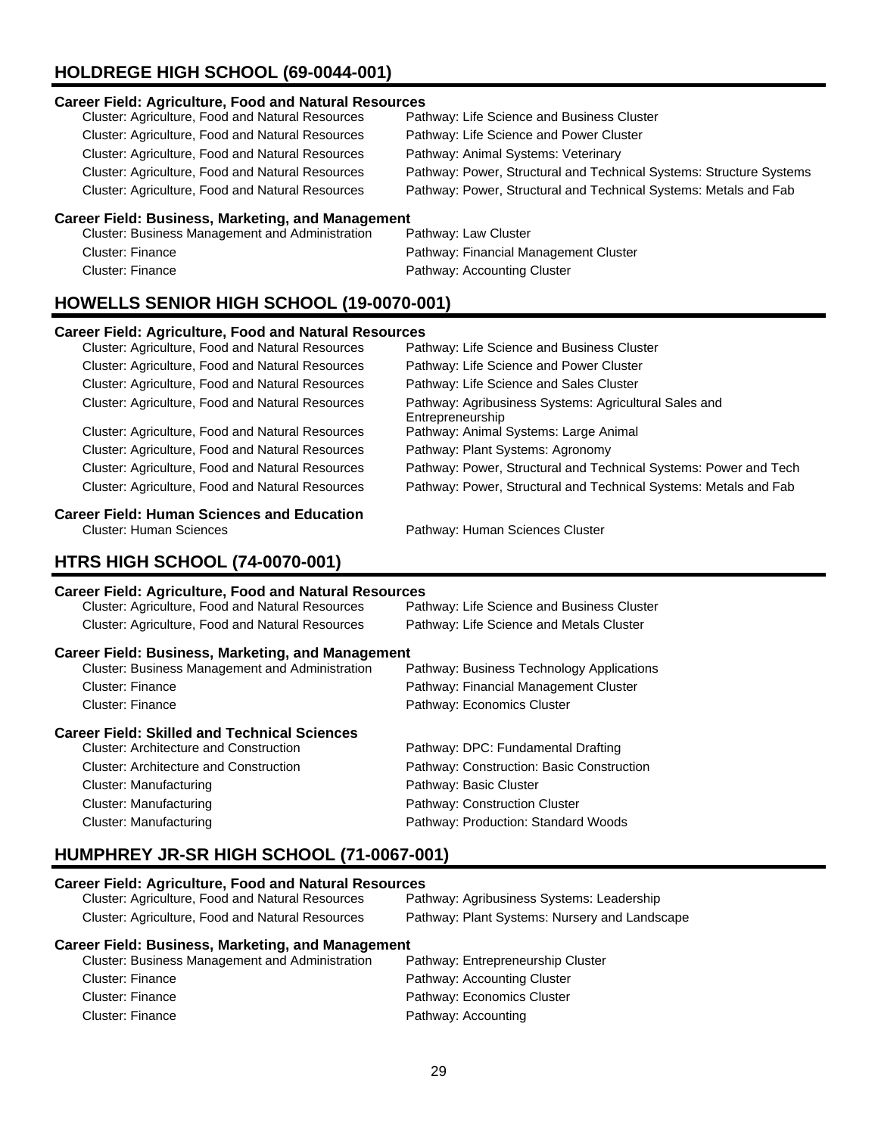# **HOLDREGE HIGH SCHOOL (69-0044-001)**

#### **Career Field: Agriculture, Food and Natural Resources**

| Cluster: Agriculture, Food and Natural Resources | Pathway: Life Science and Business Cluster                          |
|--------------------------------------------------|---------------------------------------------------------------------|
| Cluster: Agriculture, Food and Natural Resources | Pathway: Life Science and Power Cluster                             |
| Cluster: Agriculture, Food and Natural Resources | Pathway: Animal Systems: Veterinary                                 |
| Cluster: Agriculture, Food and Natural Resources | Pathway: Power, Structural and Technical Systems: Structure Systems |
| Cluster: Agriculture, Food and Natural Resources | Pathway: Power, Structural and Technical Systems: Metals and Fab    |
|                                                  |                                                                     |

#### **Career Field: Business, Marketing, and Management**

| Cluster: Business Management and Administration |  |
|-------------------------------------------------|--|
| Cluster: Finance                                |  |
| Cluster: Finance                                |  |

Pathway: Law Cluster Pathway: Financial Management Cluster Pathway: Accounting Cluster

## **HOWELLS SENIOR HIGH SCHOOL (19-0070-001)**

#### **Career Field: Agriculture, Food and Natural Resources**

| Cluster: Agriculture, Food and Natural Resources        | Pathway: Life Science and Business Cluster                                |
|---------------------------------------------------------|---------------------------------------------------------------------------|
| Cluster: Agriculture, Food and Natural Resources        | Pathway: Life Science and Power Cluster                                   |
| Cluster: Agriculture, Food and Natural Resources        | Pathway: Life Science and Sales Cluster                                   |
| Cluster: Agriculture, Food and Natural Resources        | Pathway: Agribusiness Systems: Agricultural Sales and<br>Entrepreneurship |
| Cluster: Agriculture, Food and Natural Resources        | Pathway: Animal Systems: Large Animal                                     |
| <b>Cluster: Agriculture, Food and Natural Resources</b> | Pathway: Plant Systems: Agronomy                                          |
| Cluster: Agriculture, Food and Natural Resources        | Pathway: Power, Structural and Technical Systems: Power and Tech          |
| Cluster: Agriculture, Food and Natural Resources        | Pathway: Power, Structural and Technical Systems: Metals and Fab          |

# **Career Field: Human Sciences and Education**

Pathway: Human Sciences Cluster

# **HTRS HIGH SCHOOL (74-0070-001)**

#### **Career Field: Agriculture, Food and Natural Resources**

| Pathway: Life Science and Business Cluster               |
|----------------------------------------------------------|
| Pathway: Life Science and Metals Cluster                 |
| <b>Career Field: Business, Marketing, and Management</b> |
| Pathway: Business Technology Applications                |
| Pathway: Financial Management Cluster                    |
| Pathway: Economics Cluster                               |
|                                                          |
| Pathway: DPC: Fundamental Drafting                       |
| Pathway: Construction: Basic Construction                |
| Pathway: Basic Cluster                                   |
| Pathway: Construction Cluster                            |
| Pathway: Production: Standard Woods                      |
|                                                          |

# **HUMPHREY JR-SR HIGH SCHOOL (71-0067-001)**

#### **Career Field: Agriculture, Food and Natural Resources**

| Cluster: Agriculture, Food and Natural Resources | Pathway: Agribusiness Systems: Leadership     |
|--------------------------------------------------|-----------------------------------------------|
| Cluster: Agriculture, Food and Natural Resources | Pathway: Plant Systems: Nursery and Landscape |

| <b>Cluster: Business Management and Administration</b> | Pathway: Entrepreneurship Cluster |
|--------------------------------------------------------|-----------------------------------|
| Cluster: Finance                                       | Pathway: Accounting Cluster       |
| Cluster: Finance                                       | Pathway: Economics Cluster        |
| Cluster: Finance                                       | Pathway: Accounting               |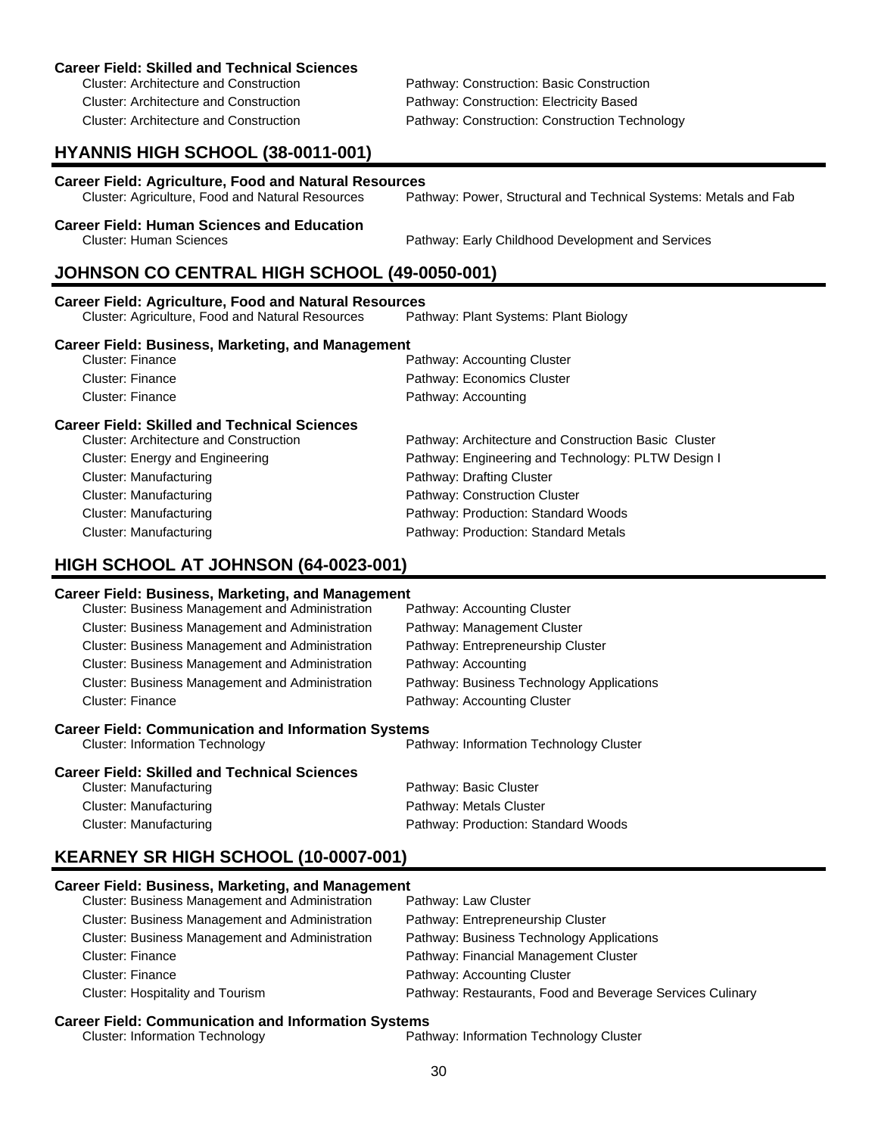| Career Field: Skilled and Technical Sciences |  |
|----------------------------------------------|--|
| Cluster: Architecture and Construction       |  |

Pathway: Construction: Basic Construction Cluster: Architecture and Construction Pathway: Construction: Electricity Based Cluster: Architecture and Construction Pathway: Construction: Construction Technology

# **HYANNIS HIGH SCHOOL (38-0011-001)**

| <b>Career Field: Agriculture, Food and Natural Resources</b> |                                                                  |
|--------------------------------------------------------------|------------------------------------------------------------------|
| Cluster: Agriculture, Food and Natural Resources             | Pathway: Power, Structural and Technical Systems: Metals and Fab |

# **Career Field: Human Sciences and Education**

Cluster: Human Sciences Pathway: Early Childhood Development and Services

# **JOHNSON CO CENTRAL HIGH SCHOOL (49-0050-001)**

Cluster: Finance **Pathway: Accounting** 

| <b>Career Field: Agriculture, Food and Natural Resources</b> |                                       |  |
|--------------------------------------------------------------|---------------------------------------|--|
| <b>Cluster: Agriculture, Food and Natural Resources</b>      | Pathway: Plant Systems: Plant Biology |  |
| <b>Career Field: Business, Marketing, and Management</b>     |                                       |  |
| Cluster: Finance                                             | Pathway: Accounting Cluster           |  |
| Cluster: Finance                                             | Pathway: Economics Cluster            |  |

#### **Career Field: Skilled and Technical Sciences**

| <b>Cluster: Architecture and Construction</b> | Pathway: Architecture and Construction Basic Cluster |
|-----------------------------------------------|------------------------------------------------------|
| Cluster: Energy and Engineering               | Pathway: Engineering and Technology: PLTW Design I   |
| Cluster: Manufacturing                        | Pathway: Drafting Cluster                            |
| Cluster: Manufacturing                        | Pathway: Construction Cluster                        |
| Cluster: Manufacturing                        | Pathway: Production: Standard Woods                  |
| <b>Cluster: Manufacturing</b>                 | Pathway: Production: Standard Metals                 |

## **HIGH SCHOOL AT JOHNSON (64-0023-001)**

#### **Career Field: Business, Marketing, and Management**

| Cluster: Business Management and Administration            | Pathway: Accounting Cluster               |  |
|------------------------------------------------------------|-------------------------------------------|--|
| <b>Cluster: Business Management and Administration</b>     | Pathway: Management Cluster               |  |
| <b>Cluster: Business Management and Administration</b>     | Pathway: Entrepreneurship Cluster         |  |
| <b>Cluster: Business Management and Administration</b>     | Pathway: Accounting                       |  |
| <b>Cluster: Business Management and Administration</b>     | Pathway: Business Technology Applications |  |
| <b>Cluster: Finance</b>                                    | Pathway: Accounting Cluster               |  |
| <b>Career Field: Communication and Information Systems</b> |                                           |  |
| <b>Cluster: Information Technology</b>                     | Pathway: Information Technology Cluster   |  |

#### **Career Field: Skilled and Technical Sciences**

| Cluster: Manufacturing | Pathway: Basic Cluster              |
|------------------------|-------------------------------------|
| Cluster: Manufacturing | Pathway: Metals Cluster             |
| Cluster: Manufacturing | Pathway: Production: Standard Woods |

# **KEARNEY SR HIGH SCHOOL (10-0007-001)**

#### **Career Field: Business, Marketing, and Management**

**Career Field: Communication and Information Systems**<br>Cluster: Information Technology Pathway: Information Technology Cluster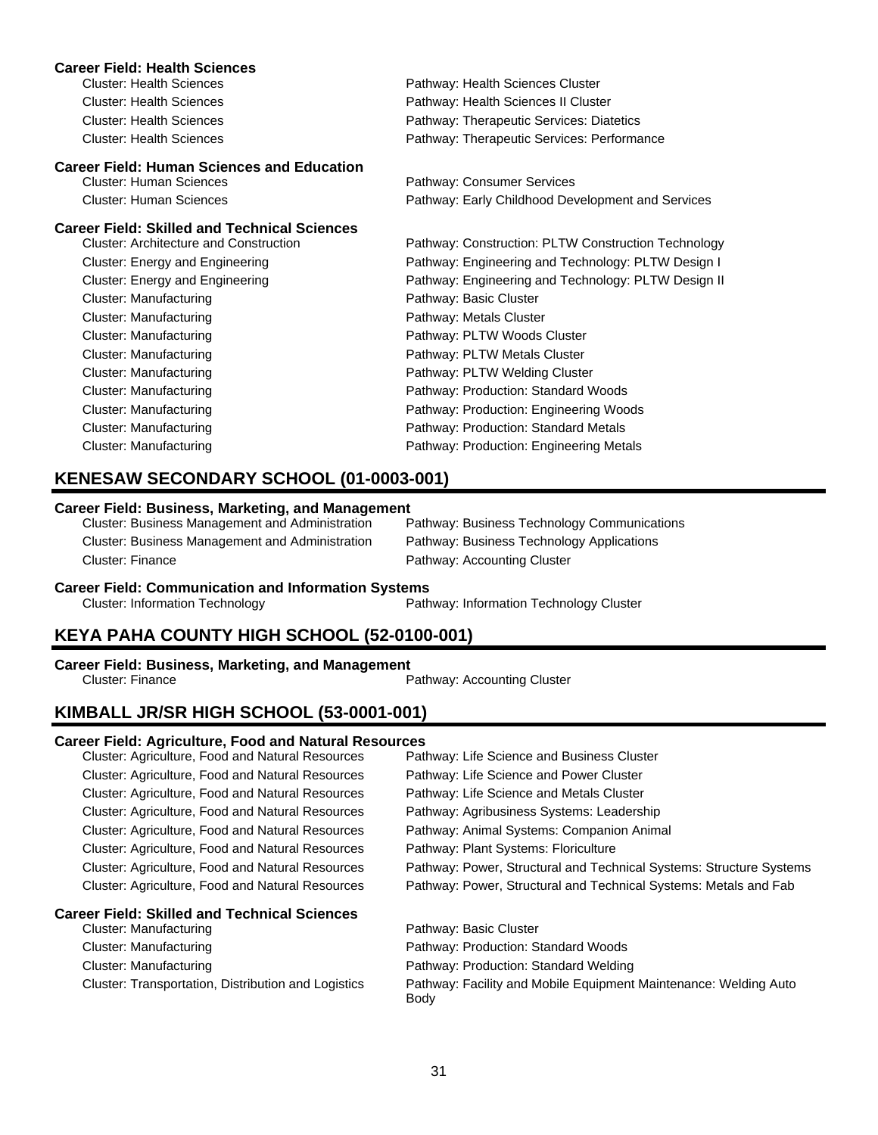| <b>Career Field: Health Sciences</b>                                                |                                                     |
|-------------------------------------------------------------------------------------|-----------------------------------------------------|
| <b>Cluster: Health Sciences</b>                                                     | Pathway: Health Sciences Cluster                    |
| <b>Cluster: Health Sciences</b>                                                     | Pathway: Health Sciences II Cluster                 |
| <b>Cluster: Health Sciences</b>                                                     | Pathway: Therapeutic Services: Diatetics            |
| <b>Cluster: Health Sciences</b>                                                     | Pathway: Therapeutic Services: Performance          |
| <b>Career Field: Human Sciences and Education</b><br><b>Cluster: Human Sciences</b> | Pathway: Consumer Services                          |
| <b>Cluster: Human Sciences</b>                                                      | Pathway: Early Childhood Development and Services   |
| <b>Career Field: Skilled and Technical Sciences</b>                                 |                                                     |
| <b>Cluster: Architecture and Construction</b>                                       | Pathway: Construction: PLTW Construction Technology |
| Cluster: Energy and Engineering                                                     | Pathway: Engineering and Technology: PLTW Design I  |
| Cluster: Energy and Engineering                                                     | Pathway: Engineering and Technology: PLTW Design II |
| Cluster: Manufacturing                                                              | Pathway: Basic Cluster                              |
| Cluster: Manufacturing                                                              | Pathway: Metals Cluster                             |
| Cluster: Manufacturing                                                              | Pathway: PLTW Woods Cluster                         |
| Cluster: Manufacturing                                                              | Pathway: PLTW Metals Cluster                        |
| Cluster: Manufacturing                                                              | Pathway: PLTW Welding Cluster                       |
| Cluster: Manufacturing                                                              | Pathway: Production: Standard Woods                 |
| Cluster: Manufacturing                                                              | Pathway: Production: Engineering Woods              |
| Cluster: Manufacturing                                                              | Pathway: Production: Standard Metals                |
| Cluster: Manufacturing                                                              | Pathway: Production: Engineering Metals             |
|                                                                                     |                                                     |

## **KENESAW SECONDARY SCHOOL (01-0003-001)**

#### **Career Field: Business, Marketing, and Management**

| Cluster: Business Management and Administration | Pathway: Business Technology Communications |
|-------------------------------------------------|---------------------------------------------|
| Cluster: Business Management and Administration | Pathway: Business Technology Applications   |
| Cluster: Finance                                | Pathway: Accounting Cluster                 |

# **Career Field: Communication and Information Systems**<br>Path Cluster: Information Technology

Pathway: Information Technology Cluster

# **KEYA PAHA COUNTY HIGH SCHOOL (52-0100-001)**

# **Career Field: Business, Marketing, and Management**

Pathway: Accounting Cluster

# **KIMBALL JR/SR HIGH SCHOOL (53-0001-001)**

#### **Career Field: Agriculture, Food and Natural Resources**

| Cluster: Agriculture, Food and Natural Resources        | Pathway: Life Science and Business Cluster                               |
|---------------------------------------------------------|--------------------------------------------------------------------------|
| Cluster: Agriculture, Food and Natural Resources        | Pathway: Life Science and Power Cluster                                  |
| <b>Cluster: Agriculture, Food and Natural Resources</b> | Pathway: Life Science and Metals Cluster                                 |
| Cluster: Agriculture, Food and Natural Resources        | Pathway: Agribusiness Systems: Leadership                                |
| Cluster: Agriculture, Food and Natural Resources        | Pathway: Animal Systems: Companion Animal                                |
| <b>Cluster: Agriculture, Food and Natural Resources</b> | Pathway: Plant Systems: Floriculture                                     |
| <b>Cluster: Agriculture, Food and Natural Resources</b> | Pathway: Power, Structural and Technical Systems: Structure Systems      |
| <b>Cluster: Agriculture, Food and Natural Resources</b> | Pathway: Power, Structural and Technical Systems: Metals and Fab         |
| <b>Career Field: Skilled and Technical Sciences</b>     |                                                                          |
| Cluster: Manufacturing                                  | Pathway: Basic Cluster                                                   |
| Cluster: Manufacturing                                  | Pathway: Production: Standard Woods                                      |
| Cluster: Manufacturing                                  | Pathway: Production: Standard Welding                                    |
| Cluster: Transportation, Distribution and Logistics     | Pathway: Facility and Mobile Equipment Maintenance: Welding Auto<br>Body |
|                                                         |                                                                          |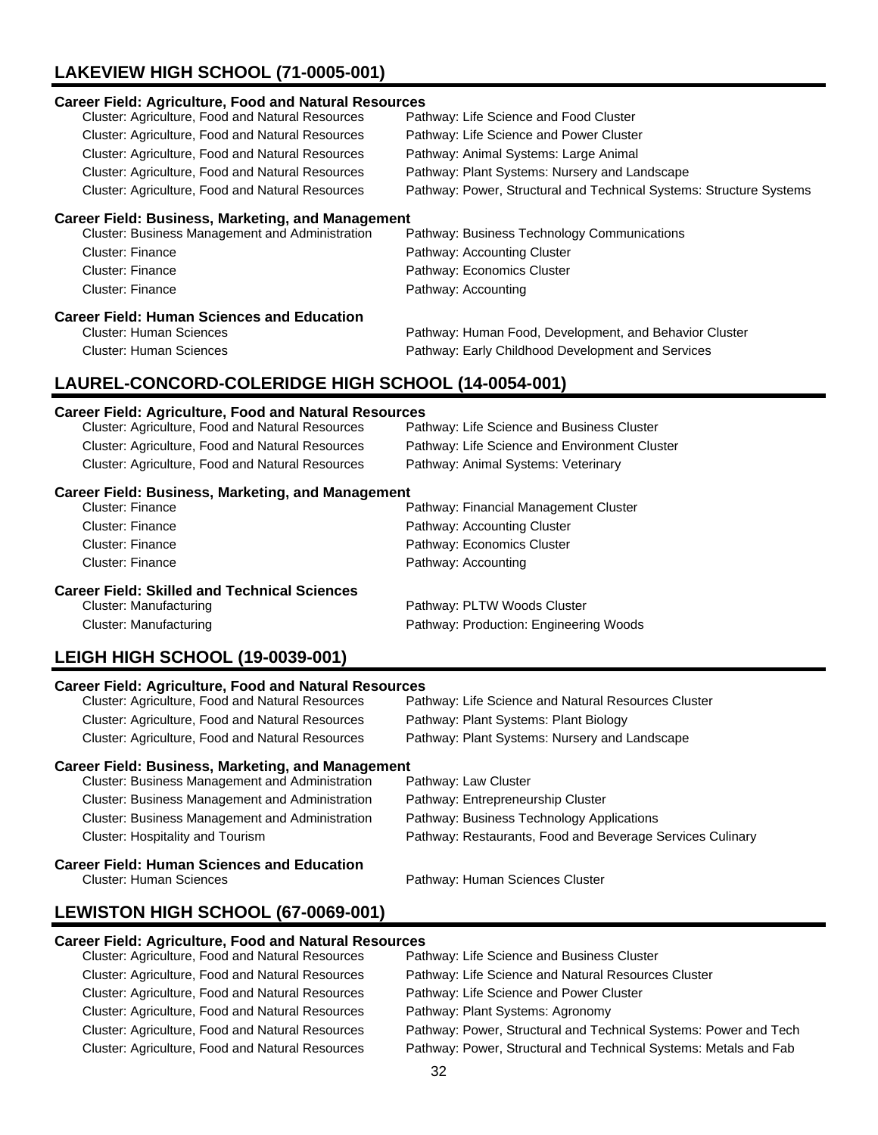# **LAKEVIEW HIGH SCHOOL (71-0005-001)**

| <b>Career Field: Agriculture, Food and Natural Resources</b><br>Cluster: Agriculture, Food and Natural Resources<br>Cluster: Agriculture, Food and Natural Resources<br>Cluster: Agriculture, Food and Natural Resources<br>Cluster: Agriculture, Food and Natural Resources<br>Cluster: Agriculture, Food and Natural Resources | Pathway: Life Science and Food Cluster<br>Pathway: Life Science and Power Cluster<br>Pathway: Animal Systems: Large Animal<br>Pathway: Plant Systems: Nursery and Landscape<br>Pathway: Power, Structural and Technical Systems: Structure Systems |
|----------------------------------------------------------------------------------------------------------------------------------------------------------------------------------------------------------------------------------------------------------------------------------------------------------------------------------|----------------------------------------------------------------------------------------------------------------------------------------------------------------------------------------------------------------------------------------------------|
| <b>Career Field: Business, Marketing, and Management</b><br>Cluster: Business Management and Administration<br><b>Cluster: Finance</b><br>Cluster: Finance<br><b>Cluster: Finance</b>                                                                                                                                            | Pathway: Business Technology Communications<br>Pathway: Accounting Cluster<br>Pathway: Economics Cluster<br>Pathway: Accounting                                                                                                                    |
| <b>Career Field: Human Sciences and Education</b><br><b>Cluster: Human Sciences</b><br><b>Cluster: Human Sciences</b><br>LAUREL-CONCORD-COLERIDGE HIGH SCHOOL (14-0054-001)                                                                                                                                                      | Pathway: Human Food, Development, and Behavior Cluster<br>Pathway: Early Childhood Development and Services                                                                                                                                        |
| <b>Career Field: Agriculture, Food and Natural Resources</b><br>Cluster: Agriculture, Food and Natural Resources<br>Cluster: Agriculture, Food and Natural Resources<br>Cluster: Agriculture, Food and Natural Resources                                                                                                         | Pathway: Life Science and Business Cluster<br>Pathway: Life Science and Environment Cluster<br>Pathway: Animal Systems: Veterinary                                                                                                                 |
| <b>Career Field: Business, Marketing, and Management</b><br>Cluster: Finance<br><b>Cluster: Finance</b><br><b>Cluster: Finance</b><br><b>Cluster: Finance</b>                                                                                                                                                                    | Pathway: Financial Management Cluster<br>Pathway: Accounting Cluster<br>Pathway: Economics Cluster<br>Pathway: Accounting                                                                                                                          |
| <b>Career Field: Skilled and Technical Sciences</b><br><b>Cluster: Manufacturing</b><br>Cluster: Manufacturing                                                                                                                                                                                                                   | Pathway: PLTW Woods Cluster<br>Pathway: Production: Engineering Woods                                                                                                                                                                              |

# **LEIGH HIGH SCHOOL (19-0039-001)**

#### **Career Field: Agriculture, Food and Natural Resources**

| Cluster: Agriculture, Food and Natural Resources | Pathway: Life Science and Natural Resources Cluster |
|--------------------------------------------------|-----------------------------------------------------|
| Cluster: Agriculture, Food and Natural Resources | Pathway: Plant Systems: Plant Biology               |
| Cluster: Agriculture, Food and Natural Resources | Pathway: Plant Systems: Nursery and Landscape       |

#### **Career Field: Business, Marketing, and Management**

| ana an Eistel Hitting an Astama an an ait Estreamhair |                                                           |
|-------------------------------------------------------|-----------------------------------------------------------|
| Cluster: Hospitality and Tourism                      | Pathway: Restaurants, Food and Beverage Services Culinary |
| Cluster: Business Management and Administration       | Pathway: Business Technology Applications                 |
| Cluster: Business Management and Administration       | Pathway: Entrepreneurship Cluster                         |
| Cluster: Business Management and Administration       | Pathway: Law Cluster                                      |

# **Career Field: Human Sciences and Education**

Pathway: Human Sciences Cluster

## **LEWISTON HIGH SCHOOL (67-0069-001)**

# **Career Field: Agriculture, Food and Natural Resources**

| Cluster: Agriculture, Food and Natural Resources | Pathway: Life Science and Business Cluster                       |
|--------------------------------------------------|------------------------------------------------------------------|
| Cluster: Agriculture, Food and Natural Resources | Pathway: Life Science and Natural Resources Cluster              |
| Cluster: Agriculture, Food and Natural Resources | Pathway: Life Science and Power Cluster                          |
| Cluster: Agriculture, Food and Natural Resources | Pathway: Plant Systems: Agronomy                                 |
| Cluster: Agriculture, Food and Natural Resources | Pathway: Power, Structural and Technical Systems: Power and Tech |
| Cluster: Agriculture, Food and Natural Resources | Pathway: Power, Structural and Technical Systems: Metals and Fab |
|                                                  |                                                                  |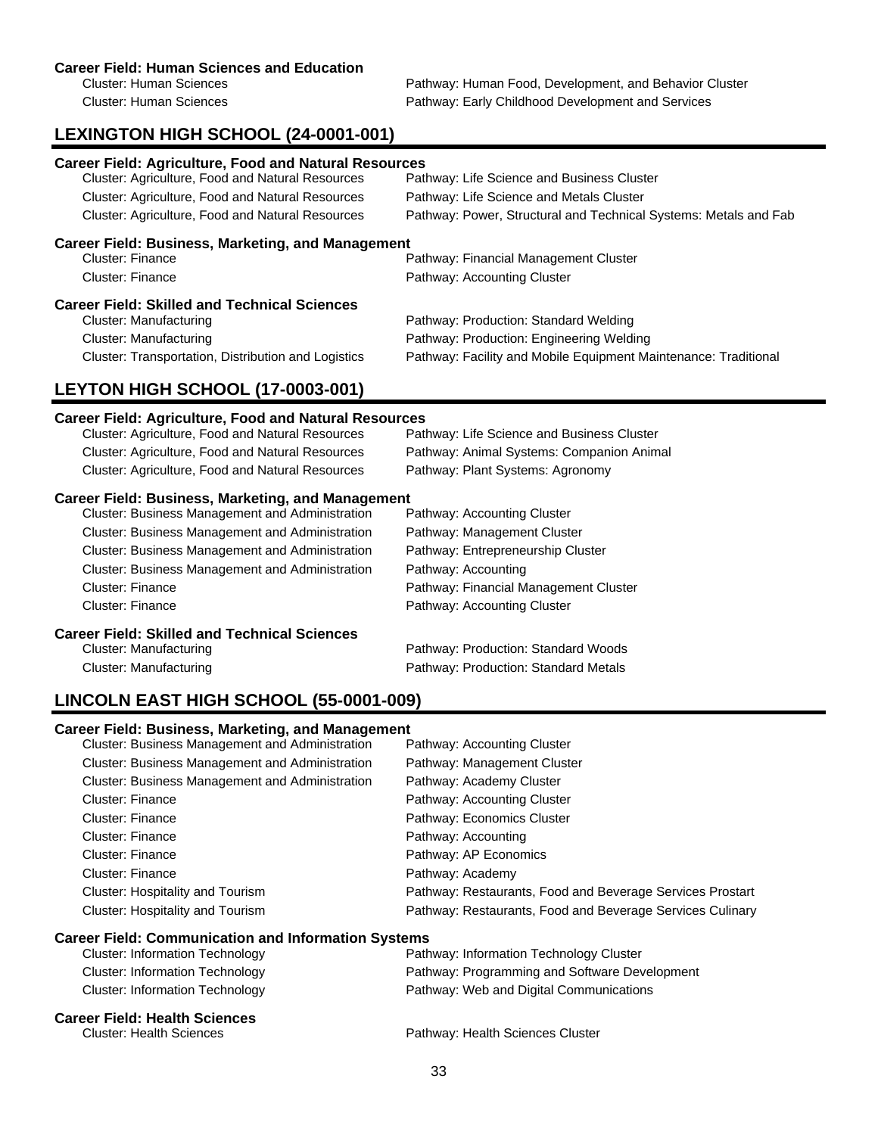#### **Career Field: Human Sciences and Education**

Cluster: Human Sciences **Pathway: Human Food, Development, and Behavior Cluster** Pathway: Human Food, Development, and Behavior Cluster Cluster: Human Sciences Pathway: Early Childhood Development and Services

# **LEXINGTON HIGH SCHOOL (24-0001-001)**

| <b>Career Field: Agriculture, Food and Natural Resources</b> |                                                                  |
|--------------------------------------------------------------|------------------------------------------------------------------|
| Cluster: Agriculture, Food and Natural Resources             | Pathway: Life Science and Business Cluster                       |
| Cluster: Agriculture, Food and Natural Resources             | Pathway: Life Science and Metals Cluster                         |
| Cluster: Agriculture, Food and Natural Resources             | Pathway: Power, Structural and Technical Systems: Metals and Fab |
| <b>Career Field: Business, Marketing, and Management</b>     |                                                                  |
| <b>Cluster: Finance</b>                                      | Pathway: Financial Management Cluster                            |
| Cluster: Finance                                             | Pathway: Accounting Cluster                                      |
| <b>Career Field: Skilled and Technical Sciences</b>          |                                                                  |
| Cluster: Manufacturing                                       | Pathway: Production: Standard Welding                            |
| Cluster: Manufacturing                                       | Pathway: Production: Engineering Welding                         |
| Cluster: Transportation, Distribution and Logistics          | Pathway: Facility and Mobile Equipment Maintenance: Traditional  |

# **LEYTON HIGH SCHOOL (17-0003-001)**

## **Career Field: Agriculture, Food and Natural Resources**

| Cluster: Agriculture, Food and Natural Resources         | Pathway: Life Science and Business Cluster |
|----------------------------------------------------------|--------------------------------------------|
| Cluster: Agriculture, Food and Natural Resources         | Pathway: Animal Systems: Companion Animal  |
| <b>Cluster: Agriculture, Food and Natural Resources</b>  | Pathway: Plant Systems: Agronomy           |
| <b>Career Field: Business, Marketing, and Management</b> |                                            |
| <b>Cluster: Business Management and Administration</b>   | Pathway: Accounting Cluster                |
| Cluster: Business Management and Administration          | Pathway: Management Cluster                |
| Cluster: Business Management and Administration          | Pathway: Entrepreneurship Cluster          |
| <b>Cluster: Business Management and Administration</b>   | Pathway: Accounting                        |
| Cluster: Finance                                         | Pathway: Financial Management Cluster      |
| Cluster: Finance                                         | Pathway: Accounting Cluster                |
| <b>Career Field: Skilled and Technical Sciences</b>      |                                            |
| Cluster: Manufacturing                                   | Pathway: Production: Standard Woods        |
| Cluster: Manufacturing                                   | Pathway: Production: Standard Metals       |

# **LINCOLN EAST HIGH SCHOOL (55-0001-009)**

#### **Career Field: Business, Marketing, and Management**

| <b>Cluster: Business Management and Administration</b> | Pathway: Accounting Cluster                               |
|--------------------------------------------------------|-----------------------------------------------------------|
| <b>Cluster: Business Management and Administration</b> | Pathway: Management Cluster                               |
| <b>Cluster: Business Management and Administration</b> | Pathway: Academy Cluster                                  |
| Cluster: Finance                                       | Pathway: Accounting Cluster                               |
| Cluster: Finance                                       | Pathway: Economics Cluster                                |
| Cluster: Finance                                       | Pathway: Accounting                                       |
| <b>Cluster: Finance</b>                                | Pathway: AP Economics                                     |
| Cluster: Finance                                       | Pathway: Academy                                          |
| Cluster: Hospitality and Tourism                       | Pathway: Restaurants, Food and Beverage Services Prostart |
| Cluster: Hospitality and Tourism                       | Pathway: Restaurants, Food and Beverage Services Culinary |

#### **Career Field: Communication and Information Systems**

| <b>Career Field: Health Sciences</b> |                                               |
|--------------------------------------|-----------------------------------------------|
| Cluster: Information Technology      | Pathway: Web and Digital Communications       |
| Cluster: Information Technology      | Pathway: Programming and Software Development |
| Cluster: Information Technology      | Pathway: Information Technology Cluster       |

Cluster: Health Sciences Pathway: Health Sciences Cluster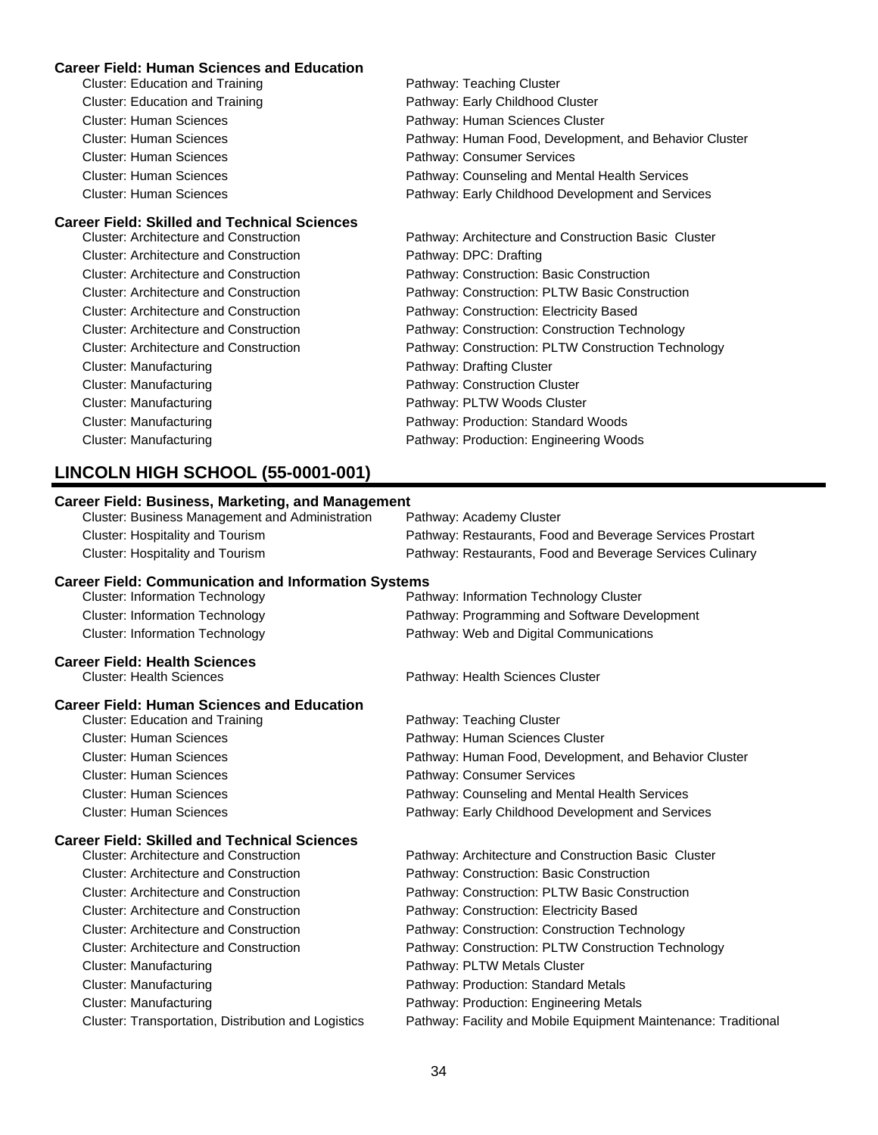#### **Career Field: Human Sciences and Education**

| Cluster: Education and Training               | Pathway: Teaching Cluster                              |
|-----------------------------------------------|--------------------------------------------------------|
| Cluster: Education and Training               | Pathway: Early Childhood Cluster                       |
| Cluster: Human Sciences                       | Pathway: Human Sciences Cluster                        |
| Cluster: Human Sciences                       | Pathway: Human Food, Development, and Behavior Cluster |
| <b>Cluster: Human Sciences</b>                | Pathway: Consumer Services                             |
| Cluster: Human Sciences                       | Pathway: Counseling and Mental Health Services         |
| <b>Cluster: Human Sciences</b>                | Pathway: Early Childhood Development and Services      |
| Career Field: Skilled and Technical Sciences  |                                                        |
| Cluster: Architecture and Construction        | Pathway: Architecture and Construction Basic Cluster   |
| <b>Cluster: Architecture and Construction</b> | Pathway: DPC: Drafting                                 |
| Cluster: Architecture and Construction        | Pathway: Construction: Basic Construction              |
| Cluster: Architecture and Construction        | Pathway: Construction: PLTW Basic Construction         |
| <b>Cluster: Architecture and Construction</b> | Pathway: Construction: Electricity Based               |
| Cluster: Architecture and Construction        | Pathway: Construction: Construction Technology         |

- 
- Cluster: Architecture and Construction **Pathway: Construction: PLTW Construction Technology**
- Cluster: Manufacturing **Pathway: Drafting Cluster** Pathway: Drafting Cluster
- Cluster: Manufacturing example and pathway: Construction Cluster
- Cluster: Manufacturing **Pathway: PLTW Woods Cluster** Pathway: PLTW Woods Cluster
- Cluster: Manufacturing Pathway: Production: Standard Woods
- Cluster: Manufacturing Pathway: Production: Engineering Woods

# **LINCOLN HIGH SCHOOL (55-0001-001)**

## **Career Field: Business, Marketing, and Management** Cluster: Business Management and Administration Pathway: Academy Cluster Cluster: Hospitality and Tourism Pathway: Restaurants, Food and Beverage Services Prostart Cluster: Hospitality and Tourism Pathway: Restaurants, Food and Beverage Services Culinary **Career Field: Communication and Information Systems** Cluster: Information Technology Pathway: Information Technology Cluster Cluster: Information Technology **Pathway: Programming and Software Development** Cluster: Information Technology Pathway: Web and Digital Communications **Career Field: Health Sciences** Cluster: Health Sciences Pathway: Health Sciences Cluster **Career Field: Human Sciences and Education** Cluster: Education and Training **Pathway: Teaching Cluster** Pathway: Teaching Cluster Cluster: Human Sciences Pathway: Human Sciences Cluster Cluster: Human Sciences Pathway: Human Food, Development, and Behavior Cluster Cluster: Human Sciences Pathway: Consumer Services Cluster: Human Sciences Pathway: Counseling and Mental Health Services Cluster: Human Sciences Pathway: Early Childhood Development and Services **Career Field: Skilled and Technical Sciences** Pathway: Architecture and Construction Basic Cluster Cluster: Architecture and Construction Pathway: Construction: Basic Construction Cluster: Architecture and Construction Pathway: Construction: PLTW Basic Construction Cluster: Architecture and Construction Pathway: Construction: Electricity Based Cluster: Architecture and Construction Pathway: Construction: Construction Technology Cluster: Architecture and Construction **Pathway: Construction: PLTW Construction Technology** Cluster: Manufacturing example and the Pathway: PLTW Metals Cluster Cluster: Manufacturing Pathway: Production: Standard Metals Cluster: Manufacturing Pathway: Production: Engineering Metals Cluster: Transportation, Distribution and Logistics Pathway: Facility and Mobile Equipment Maintenance: Traditional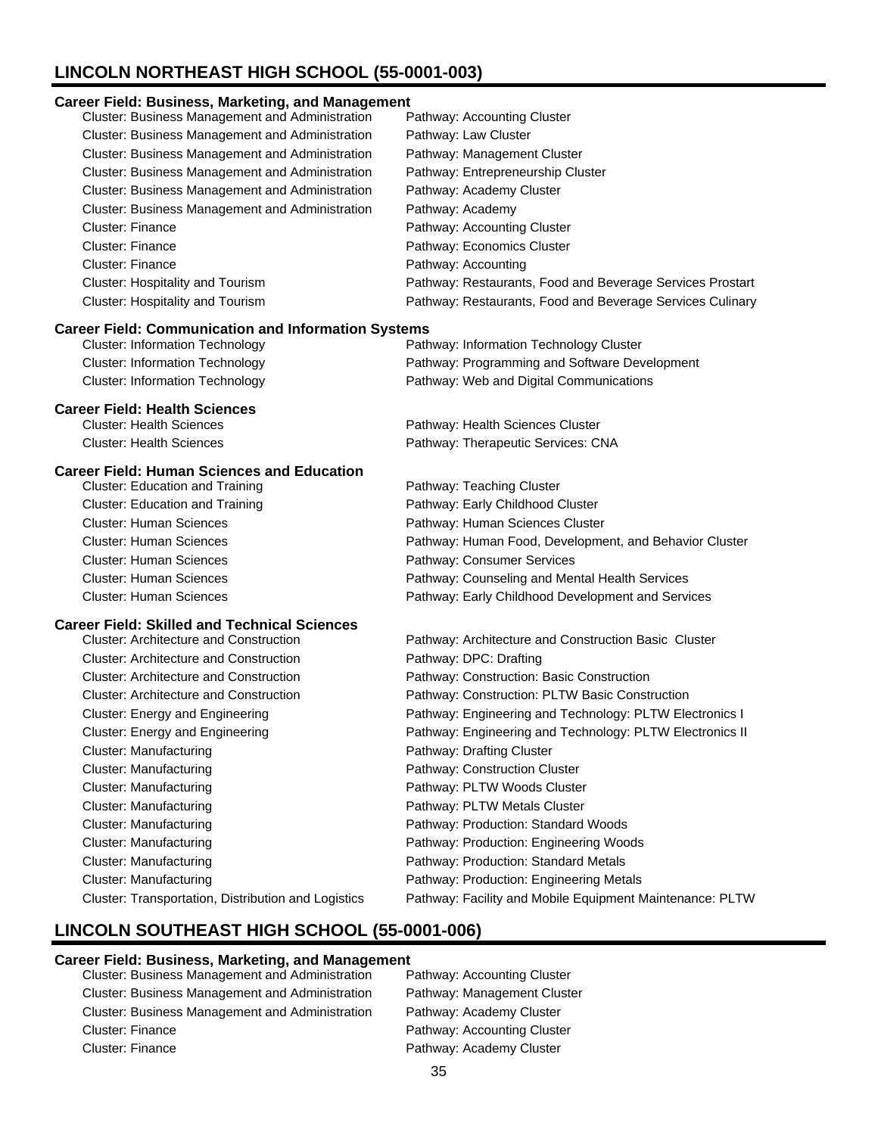# **LINCOLN NORTHEAST HIGH SCHOOL (55-0001-003)**

#### **Career Field: Business, Marketing, and Management**

| <b>Cluster: Business Management and Administration</b> | Pathway: Accounting Cluster                               |
|--------------------------------------------------------|-----------------------------------------------------------|
| <b>Cluster: Business Management and Administration</b> | Pathway: Law Cluster                                      |
| Cluster: Business Management and Administration        | Pathway: Management Cluster                               |
| <b>Cluster: Business Management and Administration</b> | Pathway: Entrepreneurship Cluster                         |
| Cluster: Business Management and Administration        | Pathway: Academy Cluster                                  |
| <b>Cluster: Business Management and Administration</b> | Pathway: Academy                                          |
| <b>Cluster: Finance</b>                                | Pathway: Accounting Cluster                               |
| Cluster: Finance                                       | Pathway: Economics Cluster                                |
| <b>Cluster: Finance</b>                                | Pathway: Accounting                                       |
| Cluster: Hospitality and Tourism                       | Pathway: Restaurants, Food and Beverage Services Prostart |
| Cluster: Hospitality and Tourism                       | Pathway: Restaurants, Food and Beverage Services Culinary |

#### **Career Field: Communication and Information Systems**

| Cluster: Information Technology | Pathway: Information Technology Cluster       |
|---------------------------------|-----------------------------------------------|
| Cluster: Information Technology | Pathway: Programming and Software Development |
| Cluster: Information Technology | Pathway: Web and Digital Communications       |
|                                 |                                               |

### **Career Field: Health Sciences**

| <b>Cluster: Health Sciences</b> | Pathway: Health Sciences Cluster   |
|---------------------------------|------------------------------------|
| <b>Cluster: Health Sciences</b> | Pathway: Therapeutic Services: CNA |

### **Career Field: Human Sciences and Education**

| <b>Cluster: Education and Training</b> | Pathway: Teaching Cluster                              |
|----------------------------------------|--------------------------------------------------------|
| <b>Cluster: Education and Training</b> | Pathway: Early Childhood Cluster                       |
| <b>Cluster: Human Sciences</b>         | Pathway: Human Sciences Cluster                        |
| <b>Cluster: Human Sciences</b>         | Pathway: Human Food, Development, and Behavior Cluster |
| <b>Cluster: Human Sciences</b>         | Pathway: Consumer Services                             |
| <b>Cluster: Human Sciences</b>         | Pathway: Counseling and Mental Health Services         |
| <b>Cluster: Human Sciences</b>         | Pathway: Early Childhood Development and Services      |

#### **Career Field: Skilled and Technical Sciences**

| <b>Cluster: Architecture and Construction</b>       | Pathway: Architecture and Construction Basic Cluster     |
|-----------------------------------------------------|----------------------------------------------------------|
| <b>Cluster: Architecture and Construction</b>       | Pathway: DPC: Drafting                                   |
| Cluster: Architecture and Construction              | Pathway: Construction: Basic Construction                |
| <b>Cluster: Architecture and Construction</b>       | Pathway: Construction: PLTW Basic Construction           |
| Cluster: Energy and Engineering                     | Pathway: Engineering and Technology: PLTW Electronics I  |
| Cluster: Energy and Engineering                     | Pathway: Engineering and Technology: PLTW Electronics II |
| Cluster: Manufacturing                              | Pathway: Drafting Cluster                                |
| Cluster: Manufacturing                              | Pathway: Construction Cluster                            |
| Cluster: Manufacturing                              | Pathway: PLTW Woods Cluster                              |
| Cluster: Manufacturing                              | Pathway: PLTW Metals Cluster                             |
| Cluster: Manufacturing                              | Pathway: Production: Standard Woods                      |
| Cluster: Manufacturing                              | Pathway: Production: Engineering Woods                   |
| Cluster: Manufacturing                              | Pathway: Production: Standard Metals                     |
| Cluster: Manufacturing                              | Pathway: Production: Engineering Metals                  |
| Cluster: Transportation, Distribution and Logistics | Pathway: Facility and Mobile Equipment Maintenance: PLTW |
|                                                     |                                                          |

# **LINCOLN SOUTHEAST HIGH SCHOOL (55-0001-006)**

- Cluster: Business Management and Administration Cluster: Business Management and Administration Pathway: Management Cluster Cluster: Business Management and Administration Pathway: Academy Cluster Cluster: Finance **Pathway: Accounting Cluster** Cluster: Finance **Pathway: Academy Cluster** 
	-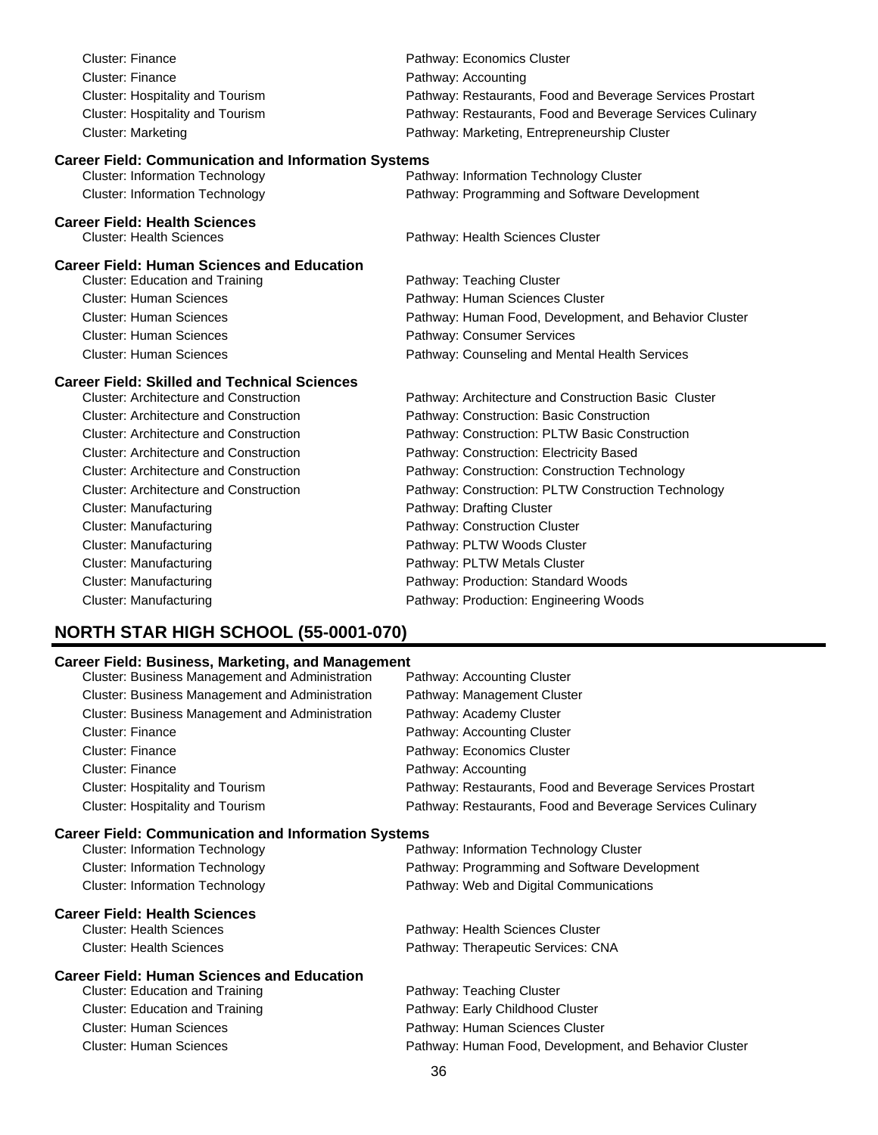| <b>Cluster: Finance</b>                                    | Pathway: Economics Cluster                                |
|------------------------------------------------------------|-----------------------------------------------------------|
| <b>Cluster: Finance</b>                                    | Pathway: Accounting                                       |
| Cluster: Hospitality and Tourism                           | Pathway: Restaurants, Food and Beverage Services Prostart |
| Cluster: Hospitality and Tourism                           | Pathway: Restaurants, Food and Beverage Services Culinary |
| <b>Cluster: Marketing</b>                                  | Pathway: Marketing, Entrepreneurship Cluster              |
| <b>Career Field: Communication and Information Systems</b> |                                                           |
| <b>Cluster: Information Technology</b>                     | Pathway: Information Technology Cluster                   |
| <b>Cluster: Information Technology</b>                     | Pathway: Programming and Software Development             |
| <b>Career Field: Health Sciences</b>                       |                                                           |
| <b>Cluster: Health Sciences</b>                            | Pathway: Health Sciences Cluster                          |
| <b>Career Field: Human Sciences and Education</b>          |                                                           |
| <b>Cluster: Education and Training</b>                     | Pathway: Teaching Cluster                                 |
| <b>Cluster: Human Sciences</b>                             | Pathway: Human Sciences Cluster                           |
| <b>Cluster: Human Sciences</b>                             | Pathway: Human Food, Development, and Behavior Cluster    |
| <b>Cluster: Human Sciences</b>                             | Pathway: Consumer Services                                |
| <b>Cluster: Human Sciences</b>                             | Pathway: Counseling and Mental Health Services            |
| <b>Career Field: Skilled and Technical Sciences</b>        |                                                           |
| <b>Cluster: Architecture and Construction</b>              | Pathway: Architecture and Construction Basic Cluster      |
| <b>Cluster: Architecture and Construction</b>              | Pathway: Construction: Basic Construction                 |
| <b>Cluster: Architecture and Construction</b>              | Pathway: Construction: PLTW Basic Construction            |
| <b>Cluster: Architecture and Construction</b>              | Pathway: Construction: Electricity Based                  |
| <b>Cluster: Architecture and Construction</b>              | Pathway: Construction: Construction Technology            |
| <b>Cluster: Architecture and Construction</b>              | Pathway: Construction: PLTW Construction Technology       |
| <b>Cluster: Manufacturing</b>                              | Pathway: Drafting Cluster                                 |
| <b>Cluster: Manufacturing</b>                              | Pathway: Construction Cluster                             |
| <b>Cluster: Manufacturing</b>                              | Pathway: PLTW Woods Cluster                               |
| <b>Cluster: Manufacturing</b>                              | Pathway: PLTW Metals Cluster                              |
| <b>Cluster: Manufacturing</b>                              | Pathway: Production: Standard Woods                       |
| <b>Cluster: Manufacturing</b>                              | Pathway: Production: Engineering Woods                    |

# **NORTH STAR HIGH SCHOOL (55-0001-070)**

| <b>Career Field: Business, Marketing, and Management</b>   |                                                           |
|------------------------------------------------------------|-----------------------------------------------------------|
| Cluster: Business Management and Administration            | Pathway: Accounting Cluster                               |
| <b>Cluster: Business Management and Administration</b>     | Pathway: Management Cluster                               |
| Cluster: Business Management and Administration            | Pathway: Academy Cluster                                  |
| <b>Cluster: Finance</b>                                    | Pathway: Accounting Cluster                               |
| Cluster: Finance                                           | Pathway: Economics Cluster                                |
| Cluster: Finance                                           | Pathway: Accounting                                       |
| Cluster: Hospitality and Tourism                           | Pathway: Restaurants, Food and Beverage Services Prostart |
| Cluster: Hospitality and Tourism                           | Pathway: Restaurants, Food and Beverage Services Culinary |
| <b>Career Field: Communication and Information Systems</b> |                                                           |
| <b>Cluster: Information Technology</b>                     | Pathway: Information Technology Cluster                   |
| <b>Cluster: Information Technology</b>                     | Pathway: Programming and Software Development             |
| <b>Cluster: Information Technology</b>                     | Pathway: Web and Digital Communications                   |
| <b>Career Field: Health Sciences</b>                       |                                                           |
| <b>Cluster: Health Sciences</b>                            | Pathway: Health Sciences Cluster                          |
| <b>Cluster: Health Sciences</b>                            | Pathway: Therapeutic Services: CNA                        |
| <b>Career Field: Human Sciences and Education</b>          |                                                           |
| <b>Cluster: Education and Training</b>                     | Pathway: Teaching Cluster                                 |
| <b>Cluster: Education and Training</b>                     | Pathway: Early Childhood Cluster                          |
| <b>Cluster: Human Sciences</b>                             | Pathway: Human Sciences Cluster                           |
| <b>Cluster: Human Sciences</b>                             | Pathway: Human Food, Development, and Behavior Cluster    |
|                                                            | $\sim$                                                    |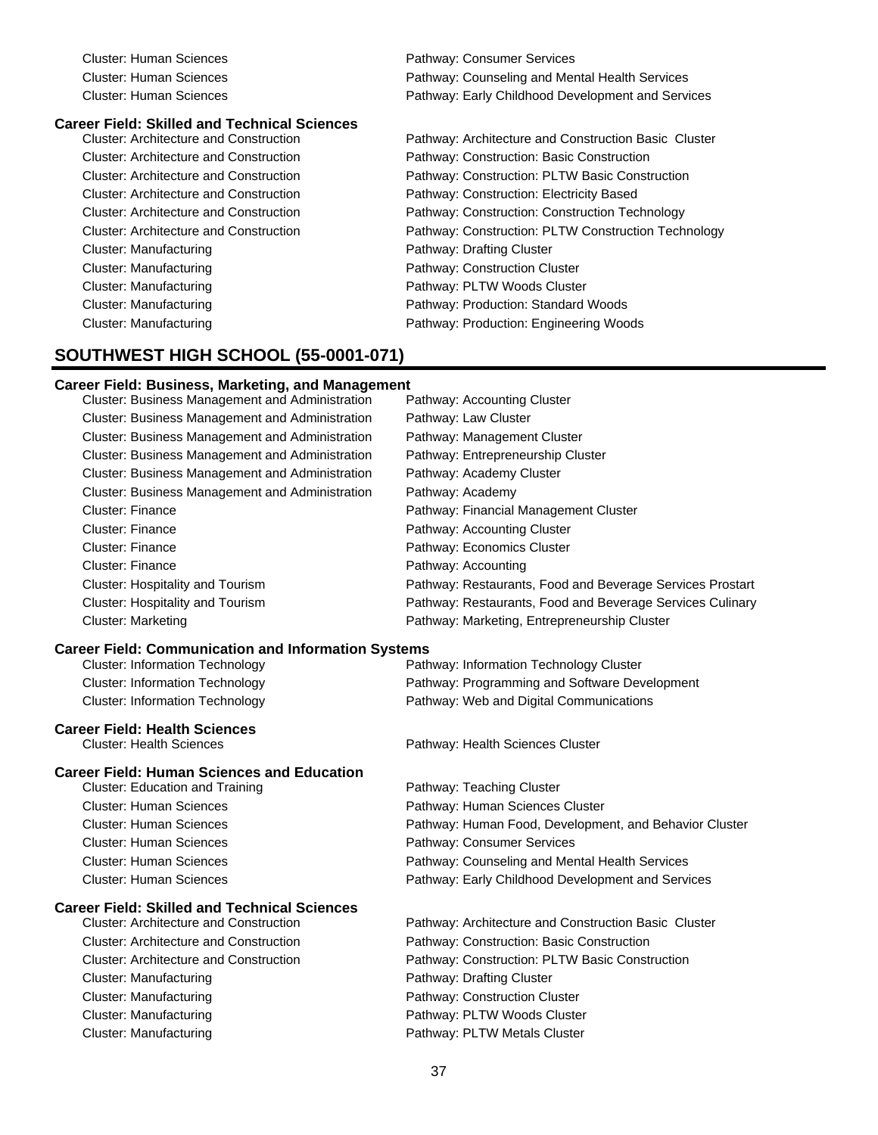| Cluster: Human Sciences | Pathway: Consumer Services                        |
|-------------------------|---------------------------------------------------|
| Cluster: Human Sciences | Pathway: Counseling and Mental Health Services    |
| Cluster: Human Sciences | Pathway: Early Childhood Development and Services |

# **Career Field: Skilled and Technical Sciences**

Cluster: Manufacturing Pathway: Drafting Cluster Cluster: Manufacturing example and pathway: Construction Cluster Cluster: Manufacturing **Pathway: PLTW Woods Cluster** Pathway: PLTW Woods Cluster Cluster: Manufacturing example and pathway: Production: Standard Woods Cluster: Manufacturing **Pathway: Production: Engineering Woods** Pathway: Production: Engineering Woods

Pathway: Architecture and Construction Basic Cluster Cluster: Architecture and Construction Pathway: Construction: Basic Construction Cluster: Architecture and Construction Pathway: Construction: PLTW Basic Construction Cluster: Architecture and Construction Pathway: Construction: Electricity Based Cluster: Architecture and Construction Pathway: Construction: Construction Technology Cluster: Architecture and Construction **Pathway: Construction: PLTW Construction Technology** 

### **SOUTHWEST HIGH SCHOOL (55-0001-071)**

#### **Career Field: Business, Marketing, and Management**

| Cluster: Business Management and Administration            | Pathway: Accounting Cluster                               |
|------------------------------------------------------------|-----------------------------------------------------------|
| Cluster: Business Management and Administration            | Pathway: Law Cluster                                      |
| Cluster: Business Management and Administration            | Pathway: Management Cluster                               |
| Cluster: Business Management and Administration            | Pathway: Entrepreneurship Cluster                         |
| Cluster: Business Management and Administration            | Pathway: Academy Cluster                                  |
| Cluster: Business Management and Administration            | Pathway: Academy                                          |
| <b>Cluster: Finance</b>                                    | Pathway: Financial Management Cluster                     |
| <b>Cluster: Finance</b>                                    | Pathway: Accounting Cluster                               |
| Cluster: Finance                                           | Pathway: Economics Cluster                                |
| <b>Cluster: Finance</b>                                    | Pathway: Accounting                                       |
| Cluster: Hospitality and Tourism                           | Pathway: Restaurants, Food and Beverage Services Prostart |
| Cluster: Hospitality and Tourism                           | Pathway: Restaurants, Food and Beverage Services Culinary |
| <b>Cluster: Marketing</b>                                  | Pathway: Marketing, Entrepreneurship Cluster              |
| <b>Career Field: Communication and Information Systems</b> |                                                           |
| <b>Cluster: Information Technology</b>                     | Pathway: Information Technology Cluster                   |
| <b>Cluster: Information Technology</b>                     | Pathway: Programming and Software Development             |
| <b>Cluster: Information Technology</b>                     | Pathway: Web and Digital Communications                   |
| <b>Career Field: Health Sciences</b>                       |                                                           |
| <b>Cluster: Health Sciences</b>                            | Pathway: Health Sciences Cluster                          |
| <b>Career Field: Human Sciences and Education</b>          |                                                           |
| <b>Cluster: Education and Training</b>                     | Pathway: Teaching Cluster                                 |
| <b>Cluster: Human Sciences</b>                             | Pathway: Human Sciences Cluster                           |
| <b>Cluster: Human Sciences</b>                             | Pathway: Human Food, Development, and Behavior Cluster    |
| <b>Cluster: Human Sciences</b>                             | Pathway: Consumer Services                                |
| <b>Cluster: Human Sciences</b>                             | Pathway: Counseling and Mental Health Services            |
| <b>Cluster: Human Sciences</b>                             | Pathway: Early Childhood Development and Services         |
| <b>Career Field: Skilled and Technical Sciences</b>        |                                                           |
| <b>Cluster: Architecture and Construction</b>              | Pathway: Architecture and Construction Basic Cluster      |
| <b>Cluster: Architecture and Construction</b>              | Pathway: Construction: Basic Construction                 |
| <b>Cluster: Architecture and Construction</b>              | Pathway: Construction: PLTW Basic Construction            |
|                                                            |                                                           |
| <b>Cluster: Manufacturing</b>                              | Pathway: Drafting Cluster                                 |
| <b>Cluster: Manufacturing</b>                              | Pathway: Construction Cluster                             |
| <b>Cluster: Manufacturing</b>                              | Pathway: PLTW Woods Cluster                               |
| <b>Cluster: Manufacturing</b>                              | Pathway: PLTW Metals Cluster                              |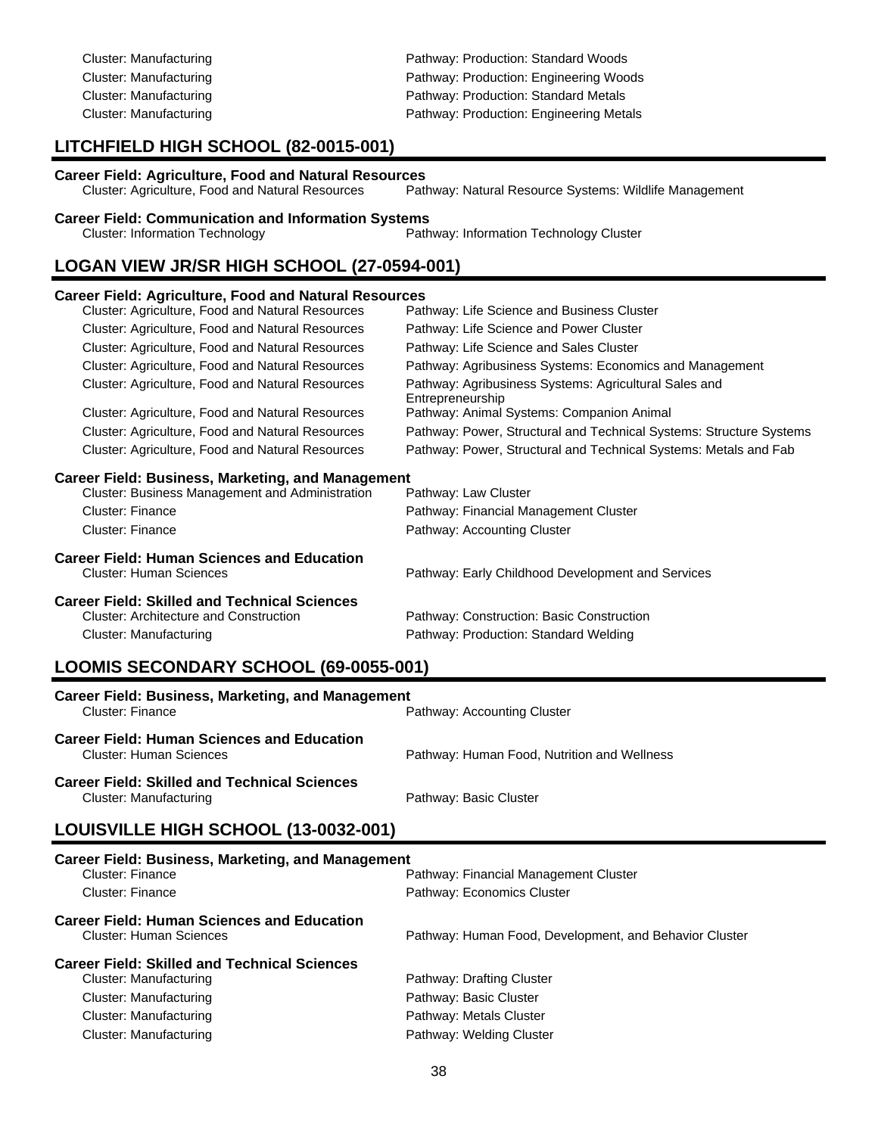| Cluster: Manufacturing                                                                                                                                                     | Pathway: Production: Standard Woods     |  |
|----------------------------------------------------------------------------------------------------------------------------------------------------------------------------|-----------------------------------------|--|
| Cluster: Manufacturing                                                                                                                                                     | Pathway: Production: Engineering Woods  |  |
| Cluster: Manufacturing                                                                                                                                                     | Pathway: Production: Standard Metals    |  |
| Cluster: Manufacturing                                                                                                                                                     | Pathway: Production: Engineering Metals |  |
| LITCHFIELD HIGH SCHOOL (82-0015-001)                                                                                                                                       |                                         |  |
| <b>Career Field: Agriculture, Food and Natural Resources</b><br>Cluster: Agriculture, Food and Natural Resources<br>Pathway: Natural Resource Systems: Wildlife Management |                                         |  |
| <b>Career Field: Communication and Information Systems</b><br>Pathway: Information Technology Cluster<br><b>Cluster: Information Technology</b>                            |                                         |  |
| LOGAN VIEW JR/SR HIGH SCHOOL (27-0594-001)                                                                                                                                 |                                         |  |
| <b>Career Field: Agriculture, Food and Natural Resources</b>                                                                                                               |                                         |  |

| Cluster: Agriculture, Food and Natural Resources         | Pathway: Life Science and Business Cluster                                |
|----------------------------------------------------------|---------------------------------------------------------------------------|
| Cluster: Agriculture, Food and Natural Resources         | Pathway: Life Science and Power Cluster                                   |
| Cluster: Agriculture, Food and Natural Resources         | Pathway: Life Science and Sales Cluster                                   |
| Cluster: Agriculture, Food and Natural Resources         | Pathway: Agribusiness Systems: Economics and Management                   |
| Cluster: Agriculture, Food and Natural Resources         | Pathway: Agribusiness Systems: Agricultural Sales and<br>Entrepreneurship |
| Cluster: Agriculture, Food and Natural Resources         | Pathway: Animal Systems: Companion Animal                                 |
| Cluster: Agriculture, Food and Natural Resources         | Pathway: Power, Structural and Technical Systems: Structure Systems       |
| Cluster: Agriculture, Food and Natural Resources         | Pathway: Power, Structural and Technical Systems: Metals and Fab          |
| <b>Career Field: Business, Marketing, and Management</b> |                                                                           |
| <b>Cluster: Business Management and Administration</b>   | Pathway: Law Cluster                                                      |
| <b>Cluster: Finance</b>                                  | Pathway: Financial Management Cluster                                     |
| Cluster: Finance                                         | Pathway: Accounting Cluster                                               |
| <b>Career Field: Human Sciences and Education</b>        |                                                                           |
| <b>Cluster: Human Sciences</b>                           | Pathway: Early Childhood Development and Services                         |
| <b>Career Field: Skilled and Technical Sciences</b>      |                                                                           |
| <b>Cluster: Architecture and Construction</b>            | Pathway: Construction: Basic Construction                                 |
| Cluster: Manufacturing                                   | Pathway: Production: Standard Welding                                     |
|                                                          |                                                                           |

# **LOOMIS SECONDARY SCHOOL (69-0055-001)**

| Career Field: Business, Marketing, and Management<br>Cluster: Finance<br>Pathway: Accounting Cluster |                                             |
|------------------------------------------------------------------------------------------------------|---------------------------------------------|
| <b>Career Field: Human Sciences and Education</b><br>Cluster: Human Sciences                         | Pathway: Human Food, Nutrition and Wellness |
| <b>Career Field: Skilled and Technical Sciences</b><br>Cluster: Manufacturing                        | Pathway: Basic Cluster                      |

# **LOUISVILLE HIGH SCHOOL (13-0032-001)**

| <b>Career Field: Business, Marketing, and Management</b>                                                   |                                                        |  |
|------------------------------------------------------------------------------------------------------------|--------------------------------------------------------|--|
| Cluster: Finance                                                                                           | Pathway: Financial Management Cluster                  |  |
| Cluster: Finance                                                                                           | Pathway: Economics Cluster                             |  |
| <b>Career Field: Human Sciences and Education</b><br>Cluster: Human Sciences                               | Pathway: Human Food, Development, and Behavior Cluster |  |
| <b>Career Field: Skilled and Technical Sciences</b><br>Cluster: Manufacturing<br>Pathway: Drafting Cluster |                                                        |  |
| Cluster: Manufacturing                                                                                     | Pathway: Basic Cluster                                 |  |
| Cluster: Manufacturing                                                                                     | Pathway: Metals Cluster                                |  |
| Cluster: Manufacturing                                                                                     | Pathway: Welding Cluster                               |  |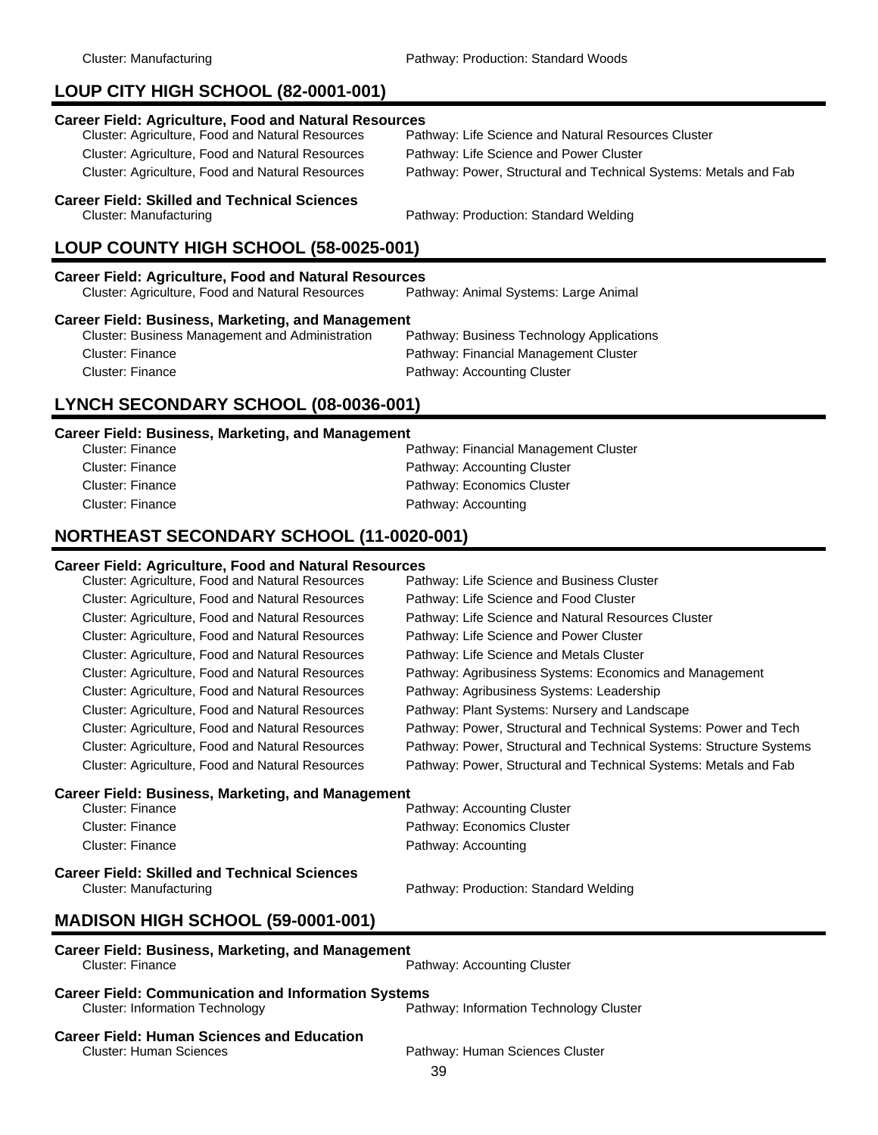# **LOUP CITY HIGH SCHOOL (82-0001-001)**

# **Career Field: Agriculture, Food and Natural Resources**

Cluster: Agriculture, Food and Natural Resources Pathway: Life Science and Power Cluster

Pathway: Life Science and Natural Resources Cluster Cluster: Agriculture, Food and Natural Resources Pathway: Power, Structural and Technical Systems: Metals and Fab

### **Career Field: Skilled and Technical Sciences**

Cluster: Manufacturing Pathway: Production: Standard Welding

# **LOUP COUNTY HIGH SCHOOL (58-0025-001)**

| Career Field: Agriculture, Food and Natural Resources |                                       |  |
|-------------------------------------------------------|---------------------------------------|--|
| Cluster: Agriculture, Food and Natural Resources      | Pathway: Animal Systems: Large Animal |  |

### **Career Field: Business, Marketing, and Management**

| Pathway: Business Technology Applications |
|-------------------------------------------|
| Pathway: Financial Management Cluster     |
| Pathway: Accounting Cluster               |
|                                           |

## **LYNCH SECONDARY SCHOOL (08-0036-001)**

### **Career Field: Business, Marketing, and Management**

| Cluster: Finance | Pathway: Financial Management Cluster |
|------------------|---------------------------------------|
| Cluster: Finance | Pathway: Accounting Cluster           |
| Cluster: Finance | Pathway: Economics Cluster            |
| Cluster: Finance | Pathway: Accounting                   |

### **NORTHEAST SECONDARY SCHOOL (11-0020-001)**

### **Career Field: Agriculture, Food and Natural Resources**

| Cluster: Agriculture, Food and Natural Resources         | Pathway: Life Science and Business Cluster                          |
|----------------------------------------------------------|---------------------------------------------------------------------|
| Cluster: Agriculture, Food and Natural Resources         | Pathway: Life Science and Food Cluster                              |
| <b>Cluster: Agriculture, Food and Natural Resources</b>  | Pathway: Life Science and Natural Resources Cluster                 |
| Cluster: Agriculture, Food and Natural Resources         | Pathway: Life Science and Power Cluster                             |
| Cluster: Agriculture, Food and Natural Resources         | Pathway: Life Science and Metals Cluster                            |
| Cluster: Agriculture, Food and Natural Resources         | Pathway: Agribusiness Systems: Economics and Management             |
| Cluster: Agriculture, Food and Natural Resources         | Pathway: Agribusiness Systems: Leadership                           |
| Cluster: Agriculture, Food and Natural Resources         | Pathway: Plant Systems: Nursery and Landscape                       |
| Cluster: Agriculture, Food and Natural Resources         | Pathway: Power, Structural and Technical Systems: Power and Tech    |
| <b>Cluster: Agriculture, Food and Natural Resources</b>  | Pathway: Power, Structural and Technical Systems: Structure Systems |
| <b>Cluster: Agriculture, Food and Natural Resources</b>  | Pathway: Power, Structural and Technical Systems: Metals and Fab    |
| <b>Career Field: Business, Marketing, and Management</b> |                                                                     |
| Cluster: Finance                                         | Pathway: Accounting Cluster                                         |
| Cluster: Finance                                         | Pathway: Economics Cluster                                          |

### **Career Field: Skilled and Technical Sciences** Cluster: Manufacturing Pathway: Production: Standard Welding

### **MADISON HIGH SCHOOL (59-0001-001)**

# **Career Field: Business, Marketing, and Management**

Pathway: Accounting Cluster

Cluster: Finance **Pathway: Accounting** 

#### **Career Field: Communication and Information Systems**<br>Path Cluster: Information Technology Pathway: Information Technology Cluster

# **Career Field: Human Sciences and Education**

Cluster: Human Sciences **Pathway: Human Sciences Cluster** Pathway: Human Sciences Cluster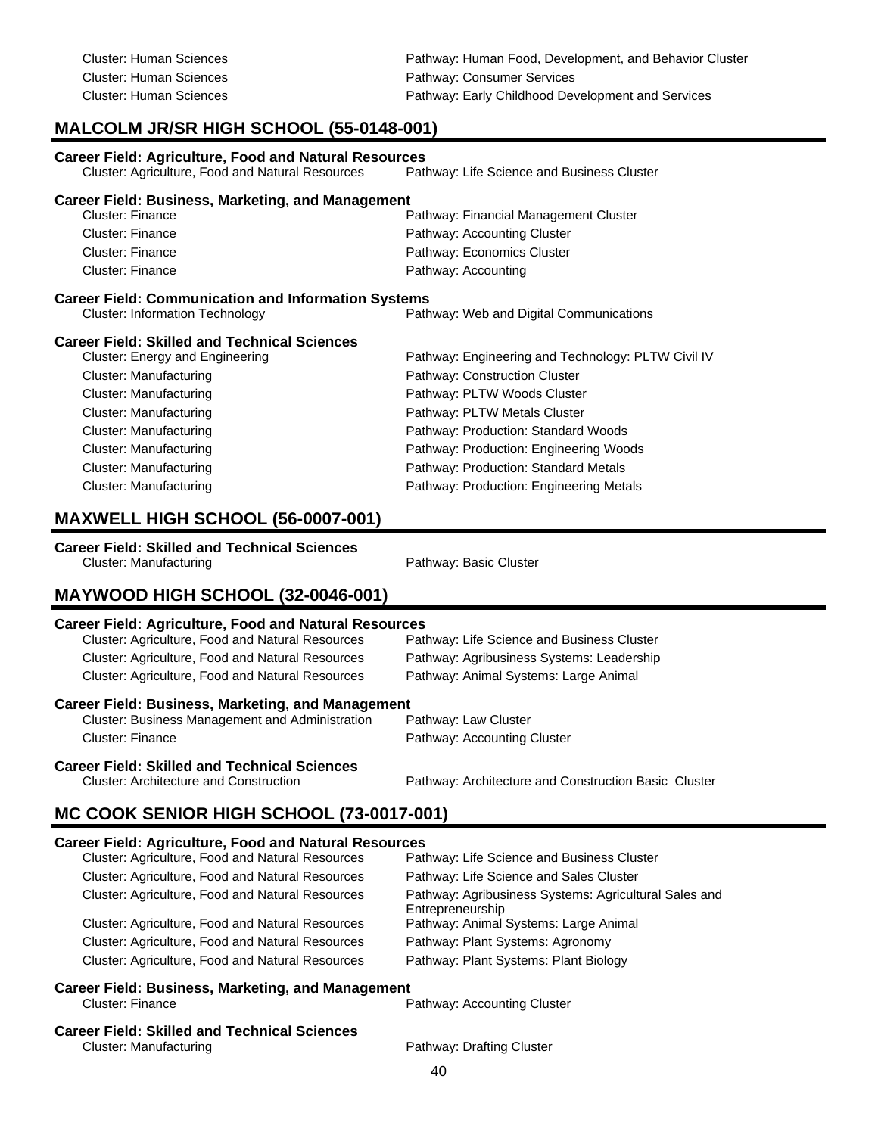Cluster: Human Sciences **Pathway: Human Food, Development, and Behavior Cluster** Pathway: Human Food, Development, and Behavior Cluster Cluster: Human Sciences **Pathway: Consumer Services** Cluster: Human Sciences Pathway: Early Childhood Development and Services

# **MALCOLM JR/SR HIGH SCHOOL (55-0148-001)**

| <b>Career Field: Agriculture, Food and Natural Resources</b><br>Cluster: Agriculture, Food and Natural Resources | Pathway: Life Science and Business Cluster         |  |  |
|------------------------------------------------------------------------------------------------------------------|----------------------------------------------------|--|--|
| <b>Career Field: Business, Marketing, and Management</b>                                                         |                                                    |  |  |
| Cluster: Finance                                                                                                 | Pathway: Financial Management Cluster              |  |  |
| Cluster: Finance                                                                                                 | Pathway: Accounting Cluster                        |  |  |
| Cluster: Finance                                                                                                 | Pathway: Economics Cluster                         |  |  |
| Cluster: Finance                                                                                                 | Pathway: Accounting                                |  |  |
| <b>Career Field: Communication and Information Systems</b>                                                       |                                                    |  |  |
| <b>Cluster: Information Technology</b>                                                                           | Pathway: Web and Digital Communications            |  |  |
| <b>Career Field: Skilled and Technical Sciences</b>                                                              |                                                    |  |  |
| Cluster: Energy and Engineering                                                                                  | Pathway: Engineering and Technology: PLTW Civil IV |  |  |
| Cluster: Manufacturing                                                                                           | Pathway: Construction Cluster                      |  |  |
| Cluster: Manufacturing                                                                                           | Pathway: PLTW Woods Cluster                        |  |  |
| Cluster: Manufacturing                                                                                           | Pathway: PLTW Metals Cluster                       |  |  |
| Cluster: Manufacturing                                                                                           | Pathway: Production: Standard Woods                |  |  |
| Cluster: Manufacturing                                                                                           | Pathway: Production: Engineering Woods             |  |  |
| Cluster: Manufacturing                                                                                           | Pathway: Production: Standard Metals               |  |  |
| Cluster: Manufacturing                                                                                           | Pathway: Production: Engineering Metals            |  |  |

### **MAXWELL HIGH SCHOOL (56-0007-001)**

**Career Field: Skilled and Technical Sciences**

Cluster: Manufacturing **Pathway: Basic Cluster** Pathway: Basic Cluster

## **MAYWOOD HIGH SCHOOL (32-0046-001)**

### **Career Field: Agriculture, Food and Natural Resources**

| <b>Cluster: Agriculture, Food and Natural Resources</b>  | Pathway: Life Science and Business Cluster |
|----------------------------------------------------------|--------------------------------------------|
| <b>Cluster: Agriculture, Food and Natural Resources</b>  | Pathway: Agribusiness Systems: Leadership  |
| <b>Cluster: Agriculture, Food and Natural Resources</b>  | Pathway: Animal Systems: Large Animal      |
| <b>Career Field: Business, Marketing, and Management</b> |                                            |
| <b>Cluster: Business Management and Administration</b>   | Pathway: Law Cluster                       |
| <b>Cluster: Finance</b>                                  | Pathway: Accounting Cluster                |

# **Career Field: Skilled and Technical Sciences**

Pathway: Architecture and Construction Basic Cluster

## **MC COOK SENIOR HIGH SCHOOL (73-0017-001)**

### **Career Field: Agriculture, Food and Natural Resources**

| Cluster: Agriculture, Food and Natural Resources         | Pathway: Life Science and Business Cluster                                |  |
|----------------------------------------------------------|---------------------------------------------------------------------------|--|
| Cluster: Agriculture, Food and Natural Resources         | Pathway: Life Science and Sales Cluster                                   |  |
| Cluster: Agriculture, Food and Natural Resources         | Pathway: Agribusiness Systems: Agricultural Sales and<br>Entrepreneurship |  |
| Cluster: Agriculture, Food and Natural Resources         | Pathway: Animal Systems: Large Animal                                     |  |
| Cluster: Agriculture, Food and Natural Resources         | Pathway: Plant Systems: Agronomy                                          |  |
| Cluster: Agriculture, Food and Natural Resources         | Pathway: Plant Systems: Plant Biology                                     |  |
| <b>Career Field: Business, Marketing, and Management</b> |                                                                           |  |
| Cluster: Finance                                         | Pathway: Accounting Cluster                                               |  |
| <b>Career Field: Skilled and Technical Sciences</b>      |                                                                           |  |
| Cluster: Manufacturing                                   | Pathway: Drafting Cluster                                                 |  |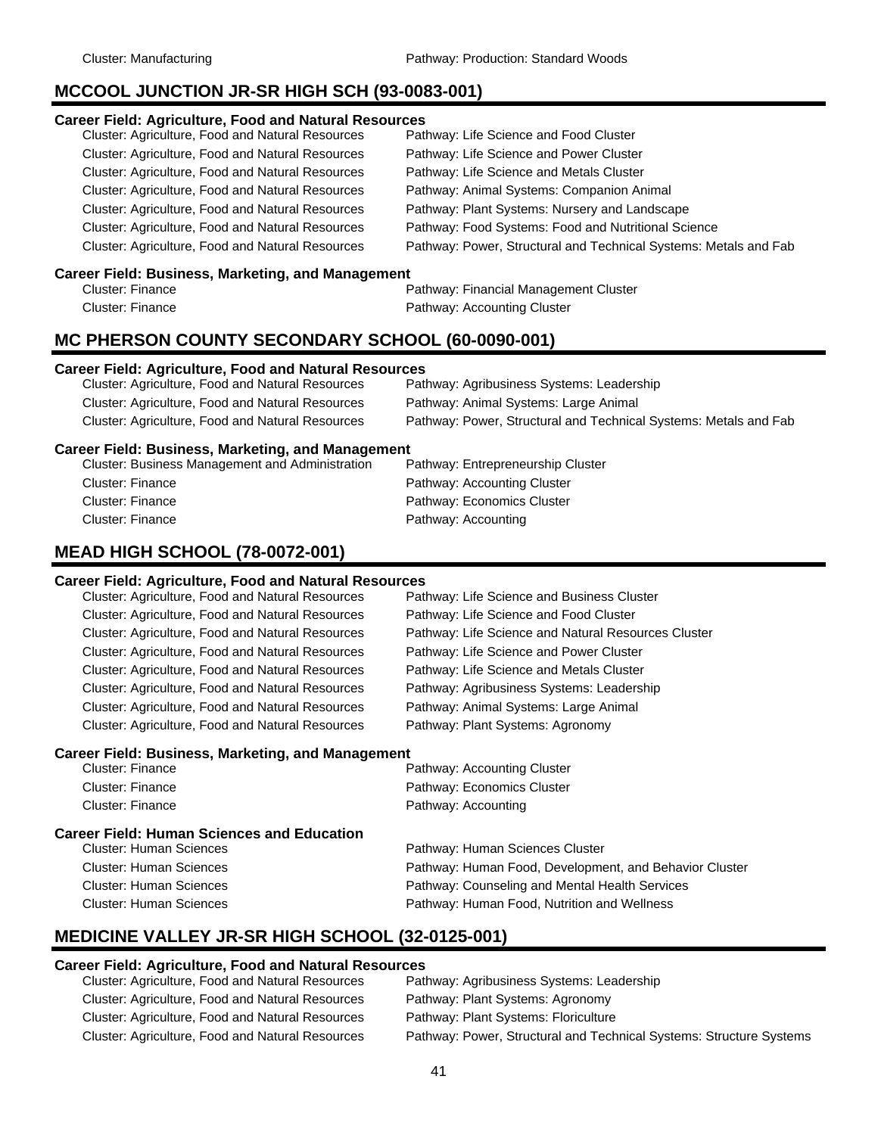### **MCCOOL JUNCTION JR-SR HIGH SCH (93-0083-001)**

#### **Career Field: Agriculture, Food and Natural Resources**

### **Career Field: Business, Marketing, and Management**

| Cluster: Finance | Pathway: Financial Management Cluster |
|------------------|---------------------------------------|
| Cluster: Finance | Pathway: Accounting Cluster           |

### **MC PHERSON COUNTY SECONDARY SCHOOL (60-0090-001)**

### **Career Field: Agriculture, Food and Natural Resources**

| Cluster: Agriculture, Food and Natural Resources | Pathway: Agribusiness Systems: Leadership                        |
|--------------------------------------------------|------------------------------------------------------------------|
| Cluster: Agriculture, Food and Natural Resources | Pathway: Animal Systems: Large Animal                            |
| Cluster: Agriculture, Food and Natural Resources | Pathway: Power, Structural and Technical Systems: Metals and Fab |

### **Career Field: Business, Marketing, and Management**

### **MEAD HIGH SCHOOL (78-0072-001)**

#### **Career Field: Agriculture, Food and Natural Resources**

Cluster: Agriculture, Food and Natural Resources Pathway: Life Science and Business Cluster Cluster: Agriculture, Food and Natural Resources Pathway: Life Science and Food Cluster Cluster: Agriculture, Food and Natural Resources Pathway: Life Science and Power Cluster Cluster: Agriculture, Food and Natural Resources Pathway: Life Science and Metals Cluster Cluster: Agriculture, Food and Natural Resources Pathway: Agribusiness Systems: Leadership Cluster: Agriculture, Food and Natural Resources Pathway: Animal Systems: Large Animal Cluster: Agriculture, Food and Natural Resources Pathway: Plant Systems: Agronomy

Cluster: Agriculture, Food and Natural Resources Pathway: Life Science and Natural Resources Cluster

### **Career Field: Business, Marketing, and Management**

| Cluster: Finance                                  | Pathway: Accounting Cluster                            |
|---------------------------------------------------|--------------------------------------------------------|
| Cluster: Finance                                  | Pathway: Economics Cluster                             |
| Cluster: Finance                                  | Pathway: Accounting                                    |
| <b>Career Field: Human Sciences and Education</b> |                                                        |
| <b>Cluster: Human Sciences</b>                    | Pathway: Human Sciences Cluster                        |
| <b>Cluster: Human Sciences</b>                    | Pathway: Human Food, Development, and Behavior Cluster |
| <b>Cluster: Human Sciences</b>                    | Pathway: Counseling and Mental Health Services         |
| <b>Cluster: Human Sciences</b>                    | Pathway: Human Food, Nutrition and Wellness            |
|                                                   |                                                        |

### **MEDICINE VALLEY JR-SR HIGH SCHOOL (32-0125-001)**

### **Career Field: Agriculture, Food and Natural Resources**

| Cluster: Agriculture, Food and Natural Resources | Pathway: Agribusiness Systems: Leadership                           |
|--------------------------------------------------|---------------------------------------------------------------------|
| Cluster: Agriculture, Food and Natural Resources | Pathway: Plant Systems: Agronomy                                    |
| Cluster: Agriculture, Food and Natural Resources | Pathway: Plant Systems: Floriculture                                |
| Cluster: Agriculture, Food and Natural Resources | Pathway: Power, Structural and Technical Systems: Structure Systems |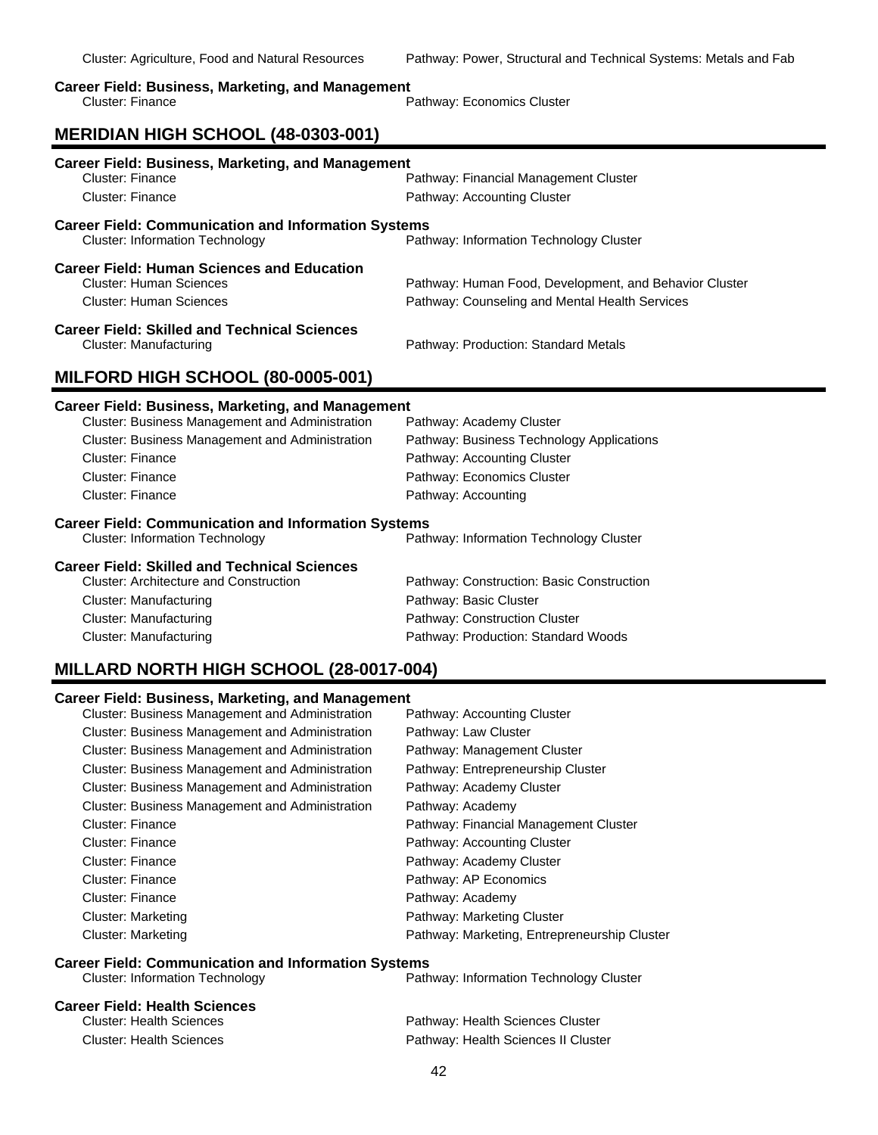### **Career Field: Business, Marketing, and Management**

| Cluster: Finance | Pathway: Economics Cluster |  |
|------------------|----------------------------|--|
|                  |                            |  |

# **MERIDIAN HIGH SCHOOL (48-0303-001)**

| <b>Career Field: Business, Marketing, and Management</b><br>Cluster: Finance                                          | Pathway: Financial Management Cluster                                                                    |
|-----------------------------------------------------------------------------------------------------------------------|----------------------------------------------------------------------------------------------------------|
| Cluster: Finance                                                                                                      | Pathway: Accounting Cluster                                                                              |
|                                                                                                                       |                                                                                                          |
| <b>Career Field: Communication and Information Systems</b><br><b>Cluster: Information Technology</b>                  | Pathway: Information Technology Cluster                                                                  |
| <b>Career Field: Human Sciences and Education</b><br><b>Cluster: Human Sciences</b><br><b>Cluster: Human Sciences</b> | Pathway: Human Food, Development, and Behavior Cluster<br>Pathway: Counseling and Mental Health Services |
| <b>Career Field: Skilled and Technical Sciences</b><br>Cluster: Manufacturing                                         | Pathway: Production: Standard Metals                                                                     |
| MILFORD HIGH SCHOOL (80-0005-001)                                                                                     |                                                                                                          |
|                                                                                                                       |                                                                                                          |
|                                                                                                                       |                                                                                                          |
| <b>Career Field: Business, Marketing, and Management</b><br>Cluster: Business Management and Administration           | Pathway: Academy Cluster                                                                                 |
| Cluster: Business Management and Administration                                                                       | Pathway: Business Technology Applications                                                                |
| Cluster: Finance                                                                                                      | Pathway: Accounting Cluster                                                                              |
| <b>Cluster: Finance</b>                                                                                               | Pathway: Economics Cluster                                                                               |
| Cluster: Finance                                                                                                      | Pathway: Accounting                                                                                      |
| <b>Career Field: Communication and Information Systems</b><br><b>Cluster: Information Technology</b>                  | Pathway: Information Technology Cluster                                                                  |

| Cluster. Architecture and Construction | Patriway. Construction. Basic Construct |
|----------------------------------------|-----------------------------------------|
| Cluster: Manufacturing                 | Pathway: Basic Cluster                  |
| Cluster: Manufacturing                 | Pathway: Construction Cluster           |
| Cluster: Manufacturing                 | Pathway: Production: Standard Woods     |

# **MILLARD NORTH HIGH SCHOOL (28-0017-004)**

### **Career Field: Business, Marketing, and Management**

| <b>Cluster: Business Management and Administration</b> | Pathway: Accounting Cluster                  |
|--------------------------------------------------------|----------------------------------------------|
| <b>Cluster: Business Management and Administration</b> | Pathway: Law Cluster                         |
| <b>Cluster: Business Management and Administration</b> | Pathway: Management Cluster                  |
| Cluster: Business Management and Administration        | Pathway: Entrepreneurship Cluster            |
| <b>Cluster: Business Management and Administration</b> | Pathway: Academy Cluster                     |
| <b>Cluster: Business Management and Administration</b> | Pathway: Academy                             |
| <b>Cluster: Finance</b>                                | Pathway: Financial Management Cluster        |
| Cluster: Finance                                       | Pathway: Accounting Cluster                  |
| Cluster: Finance                                       | Pathway: Academy Cluster                     |
| Cluster: Finance                                       | Pathway: AP Economics                        |
| Cluster: Finance                                       | Pathway: Academy                             |
| Cluster: Marketing                                     | Pathway: Marketing Cluster                   |
| Cluster: Marketing                                     | Pathway: Marketing, Entrepreneurship Cluster |

# **Career Field: Communication and Information Systems**<br>Path Cluster: Information Technology

### Pathway: Information Technology Cluster

### **Career Field: Health Sciences**

| Cluster: Health Sciences | Pathway: Health Sciences Cluster    |
|--------------------------|-------------------------------------|
| Cluster: Health Sciences | Pathway: Health Sciences II Cluster |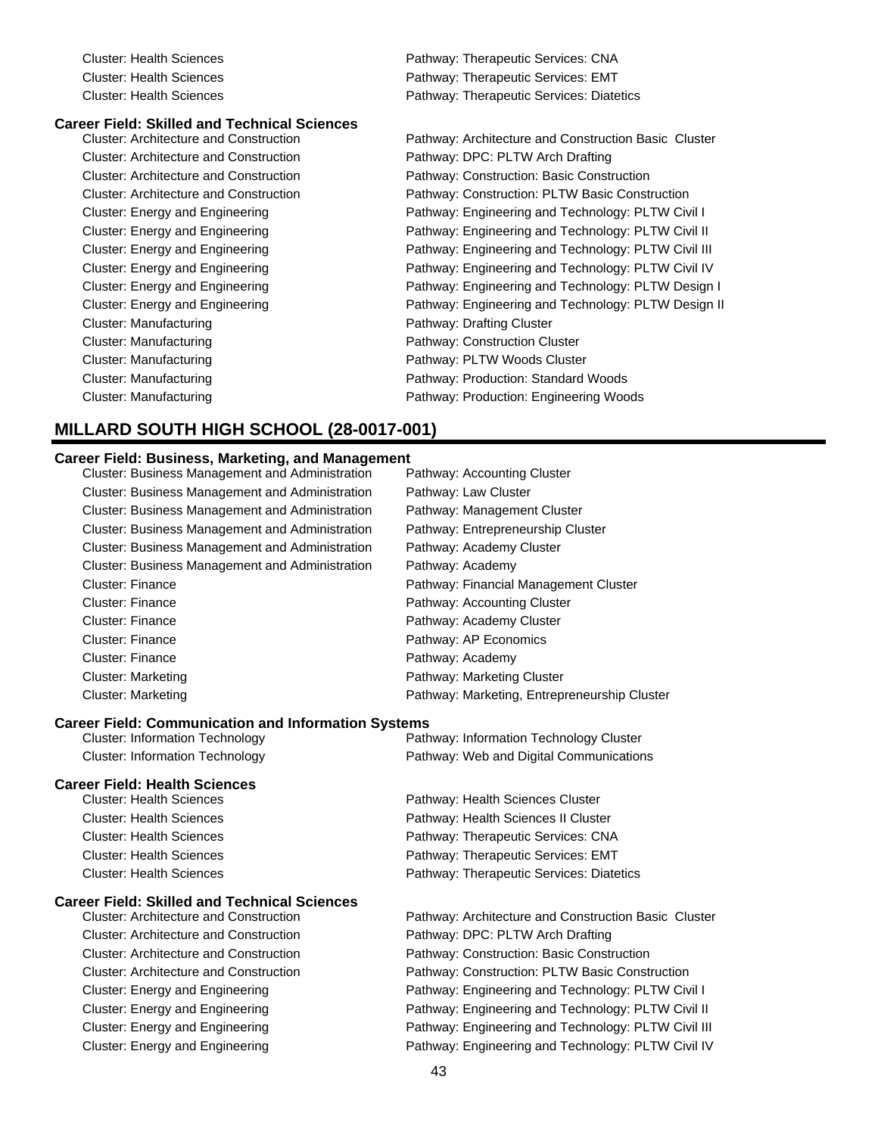# **Career Field: Skilled and Technical Sciences**

Cluster: Architecture and Construction Pathway: DPC: PLTW Arch Drafting Cluster: Manufacturing **Pathway: Drafting Cluster** Cluster: Manufacturing example and pathway: Construction Cluster Cluster: Manufacturing example and the Pathway: PLTW Woods Cluster

Cluster: Health Sciences Pathway: Therapeutic Services: CNA Cluster: Health Sciences Pathway: Therapeutic Services: EMT Cluster: Health Sciences Pathway: Therapeutic Services: Diatetics

Pathway: Architecture and Construction Basic Cluster Cluster: Architecture and Construction Pathway: Construction: Basic Construction Cluster: Architecture and Construction Pathway: Construction: PLTW Basic Construction Cluster: Energy and Engineering **Pathway: Engineering and Technology: PLTW Civil I** Cluster: Energy and Engineering **Pathway: Engineering and Technology: PLTW Civil II** Cluster: Energy and Engineering Pathway: Engineering and Technology: PLTW Civil III Cluster: Energy and Engineering **Pathway: Engineering and Technology: PLTW Civil IV** Pathway: Engineering and Technology: PLTW Civil IV Cluster: Energy and Engineering **Pathway: Engineering and Technology: PLTW Design I** Cluster: Energy and Engineering **Pathway: Engineering and Technology: PLTW Design II** Cluster: Manufacturing Pathway: Production: Standard Woods Cluster: Manufacturing **Pathway: Production: Engineering Woods** Pathway: Production: Engineering Woods

# **MILLARD SOUTH HIGH SCHOOL (28-0017-001)**

### **Career Field: Business, Marketing, and Management**

| <b>Cluster: Business Management and Administration</b> | Pathway: Accounting Cluster                  |
|--------------------------------------------------------|----------------------------------------------|
| <b>Cluster: Business Management and Administration</b> | Pathway: Law Cluster                         |
| Cluster: Business Management and Administration        | Pathway: Management Cluster                  |
| <b>Cluster: Business Management and Administration</b> | Pathway: Entrepreneurship Cluster            |
| Cluster: Business Management and Administration        | Pathway: Academy Cluster                     |
| Cluster: Business Management and Administration        | Pathway: Academy                             |
| Cluster: Finance                                       | Pathway: Financial Management Cluster        |
| Cluster: Finance                                       | Pathway: Accounting Cluster                  |
| Cluster: Finance                                       | Pathway: Academy Cluster                     |
| Cluster: Finance                                       | Pathway: AP Economics                        |
| <b>Cluster: Finance</b>                                | Pathway: Academy                             |
| Cluster: Marketing                                     | Pathway: Marketing Cluster                   |
| <b>Cluster: Marketing</b>                              | Pathway: Marketing, Entrepreneurship Cluster |

#### **Career Field: Communication and Information Systems**

| <b>Cluster: Information Technology</b> | Pathway: Information Technology Cluster |
|----------------------------------------|-----------------------------------------|
| Cluster: Information Technology        | Pathway: Web and Digital Communications |

#### **Career Field: Health Sciences**

| Cluster: Health Sciences | Pathway: Health Sciences Cluster         |
|--------------------------|------------------------------------------|
| Cluster: Health Sciences | Pathway: Health Sciences II Cluster      |
| Cluster: Health Sciences | Pathway: Therapeutic Services: CNA       |
| Cluster: Health Sciences | Pathway: Therapeutic Services: EMT       |
| Cluster: Health Sciences | Pathway: Therapeutic Services: Diatetics |
|                          |                                          |

### **Career Field: Skilled and Technical Sciences**

| Cluster: Architecture and Construction |
|----------------------------------------|
| Cluster: Architecture and Construction |
| Cluster: Architecture and Construction |
| Cluster: Architecture and Construction |
| Cluster: Energy and Engineering        |
| Cluster: Energy and Engineering        |
| Cluster: Energy and Engineering        |
| Cluster: Energy and Engineering        |

Pathway: Architecture and Construction Basic Cluster Pathway: DPC: PLTW Arch Drafting Pathway: Construction: Basic Construction Pathway: Construction: PLTW Basic Construction Pathway: Engineering and Technology: PLTW Civil I Pathway: Engineering and Technology: PLTW Civil II Pathway: Engineering and Technology: PLTW Civil III Cluster: Energy and Engineering **Pathway: Engineering and Technology: PLTW Civil IV**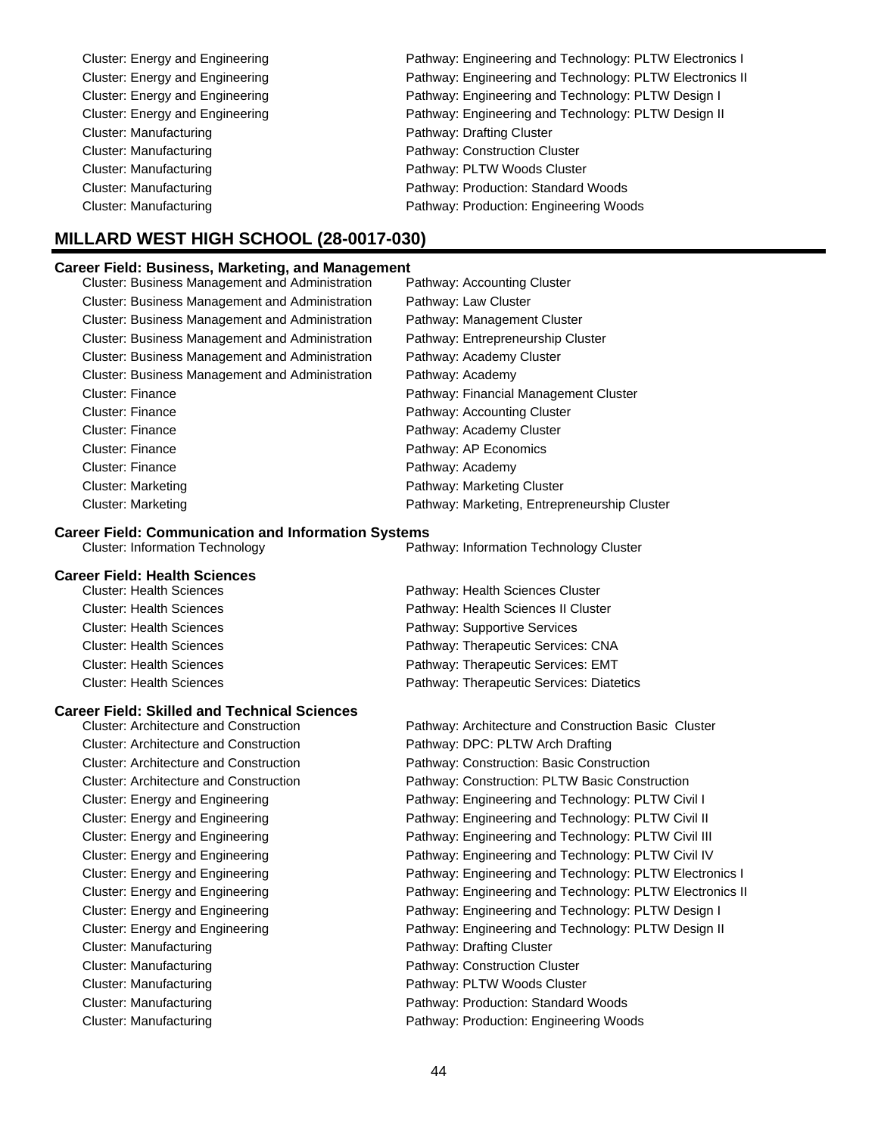| Cluster: Energy and Engineering | Pathway: Engineering and Technology: PLTW Electronics I  |
|---------------------------------|----------------------------------------------------------|
| Cluster: Energy and Engineering | Pathway: Engineering and Technology: PLTW Electronics II |
| Cluster: Energy and Engineering | Pathway: Engineering and Technology: PLTW Design I       |
| Cluster: Energy and Engineering | Pathway: Engineering and Technology: PLTW Design II      |
| Cluster: Manufacturing          | Pathway: Drafting Cluster                                |
| Cluster: Manufacturing          | Pathway: Construction Cluster                            |
| Cluster: Manufacturing          | Pathway: PLTW Woods Cluster                              |
| Cluster: Manufacturing          | Pathway: Production: Standard Woods                      |
| <b>Cluster: Manufacturing</b>   | Pathway: Production: Engineering Woods                   |
|                                 |                                                          |

# **MILLARD WEST HIGH SCHOOL (28-0017-030)**

### **Career Field: Business, Marketing, and Management**

| Cluster: Business Management and Administration        | Pathway: Accounting Cluster                  |
|--------------------------------------------------------|----------------------------------------------|
| <b>Cluster: Business Management and Administration</b> | Pathway: Law Cluster                         |
| <b>Cluster: Business Management and Administration</b> | Pathway: Management Cluster                  |
| <b>Cluster: Business Management and Administration</b> | Pathway: Entrepreneurship Cluster            |
| <b>Cluster: Business Management and Administration</b> | Pathway: Academy Cluster                     |
| <b>Cluster: Business Management and Administration</b> | Pathway: Academy                             |
| <b>Cluster: Finance</b>                                | Pathway: Financial Management Cluster        |
| <b>Cluster: Finance</b>                                | Pathway: Accounting Cluster                  |
| <b>Cluster: Finance</b>                                | Pathway: Academy Cluster                     |
| <b>Cluster: Finance</b>                                | Pathway: AP Economics                        |
| <b>Cluster: Finance</b>                                | Pathway: Academy                             |
| <b>Cluster: Marketing</b>                              | Pathway: Marketing Cluster                   |
| <b>Cluster: Marketing</b>                              | Pathway: Marketing, Entrepreneurship Cluster |

### **Career Field: Communication and Information Systems**

Cluster: Information Technology Pathway: Information Technology Cluster

| <b>Career Field: Health Sciences</b> |                                          |
|--------------------------------------|------------------------------------------|
| <b>Cluster: Health Sciences</b>      | Pathway: Health Sciences Cluster         |
| <b>Cluster: Health Sciences</b>      | Pathway: Health Sciences II Cluster      |
| <b>Cluster: Health Sciences</b>      | Pathway: Supportive Services             |
| <b>Cluster: Health Sciences</b>      | Pathway: Therapeutic Services: CNA       |
| <b>Cluster: Health Sciences</b>      | Pathway: Therapeutic Services: EMT       |
| <b>Cluster: Health Sciences</b>      | Pathway: Therapeutic Services: Diatetics |

# **Career Field: Skilled and Technical Sciences**

| <b>Cluster: Architecture and Construction</b> | Pathway: Architecture and Construction |
|-----------------------------------------------|----------------------------------------|
| <b>Cluster: Architecture and Construction</b> | Pathway: DPC: PLTW Arch Drafting       |
| <b>Cluster: Architecture and Construction</b> | Pathway: Construction: Basic Construc  |
| <b>Cluster: Architecture and Construction</b> | Pathway: Construction: PLTW Basic C    |
| Cluster: Energy and Engineering               | Pathway: Engineering and Technology    |
| <b>Cluster: Energy and Engineering</b>        | Pathway: Engineering and Technology    |
| Cluster: Energy and Engineering               | Pathway: Engineering and Technology    |
| Cluster: Energy and Engineering               | Pathway: Engineering and Technology    |
| Cluster: Energy and Engineering               | Pathway: Engineering and Technology    |
| <b>Cluster: Energy and Engineering</b>        | Pathway: Engineering and Technology    |
| <b>Cluster: Energy and Engineering</b>        | Pathway: Engineering and Technology    |
| Cluster: Energy and Engineering               | Pathway: Engineering and Technology    |
| Cluster: Manufacturing                        | Pathway: Drafting Cluster              |
| Cluster: Manufacturing                        | Pathway: Construction Cluster          |
| Cluster: Manufacturing                        | Pathway: PLTW Woods Cluster            |
| Cluster: Manufacturing                        | Pathway: Production: Standard Woods    |
| Cluster: Manufacturing                        | Pathway: Production: Engineering Woo   |
|                                               |                                        |

| <b>Cluster: Architecture and Construction</b> | Pathway: Architecture and Construction Basic Cluster     |
|-----------------------------------------------|----------------------------------------------------------|
| <b>Cluster: Architecture and Construction</b> | Pathway: DPC: PLTW Arch Drafting                         |
| <b>Cluster: Architecture and Construction</b> | Pathway: Construction: Basic Construction                |
| <b>Cluster: Architecture and Construction</b> | Pathway: Construction: PLTW Basic Construction           |
| Cluster: Energy and Engineering               | Pathway: Engineering and Technology: PLTW Civil I        |
| Cluster: Energy and Engineering               | Pathway: Engineering and Technology: PLTW Civil II       |
| Cluster: Energy and Engineering               | Pathway: Engineering and Technology: PLTW Civil III      |
| Cluster: Energy and Engineering               | Pathway: Engineering and Technology: PLTW Civil IV       |
| Cluster: Energy and Engineering               | Pathway: Engineering and Technology: PLTW Electronics I  |
| Cluster: Energy and Engineering               | Pathway: Engineering and Technology: PLTW Electronics II |
| Cluster: Energy and Engineering               | Pathway: Engineering and Technology: PLTW Design I       |
| Cluster: Energy and Engineering               | Pathway: Engineering and Technology: PLTW Design II      |
| Cluster: Manufacturing                        | Pathway: Drafting Cluster                                |
| Cluster: Manufacturing                        | Pathway: Construction Cluster                            |
| Cluster: Manufacturing                        | Pathway: PLTW Woods Cluster                              |
| Cluster: Manufacturing                        | Pathway: Production: Standard Woods                      |
| Cluster: Manufacturing                        | Pathway: Production: Engineering Woods                   |
|                                               |                                                          |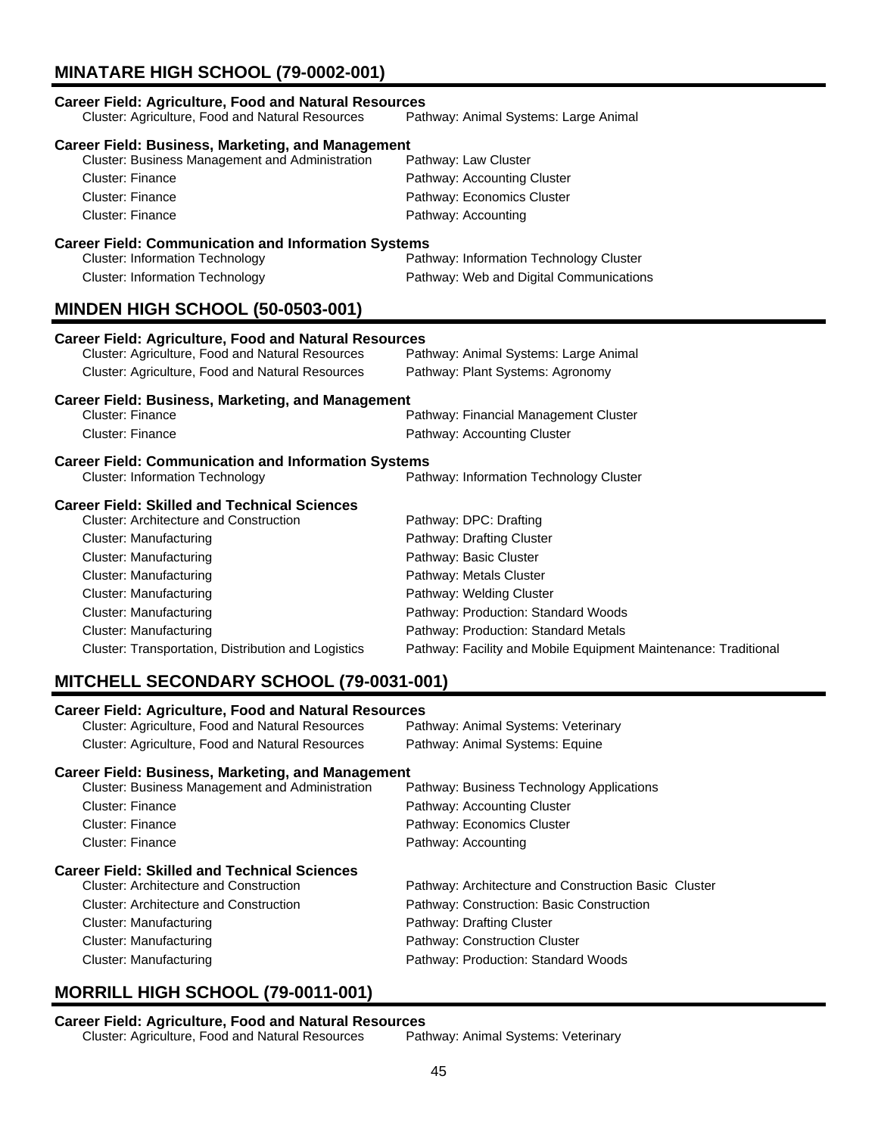# **MINATARE HIGH SCHOOL (79-0002-001)**

| <b>Career Field: Agriculture, Food and Natural Resources</b><br>Cluster: Agriculture, Food and Natural Resources                                                                                                                                                                                                                                                  | Pathway: Animal Systems: Large Animal                                                                                                                                                                                                                                                  |  |
|-------------------------------------------------------------------------------------------------------------------------------------------------------------------------------------------------------------------------------------------------------------------------------------------------------------------------------------------------------------------|----------------------------------------------------------------------------------------------------------------------------------------------------------------------------------------------------------------------------------------------------------------------------------------|--|
| <b>Career Field: Business, Marketing, and Management</b><br>Cluster: Business Management and Administration<br><b>Cluster: Finance</b><br><b>Cluster: Finance</b><br><b>Cluster: Finance</b>                                                                                                                                                                      | Pathway: Law Cluster<br>Pathway: Accounting Cluster<br>Pathway: Economics Cluster<br>Pathway: Accounting                                                                                                                                                                               |  |
| <b>Career Field: Communication and Information Systems</b><br><b>Cluster: Information Technology</b><br>Pathway: Information Technology Cluster<br><b>Cluster: Information Technology</b><br>Pathway: Web and Digital Communications<br><b>MINDEN HIGH SCHOOL (50-0503-001)</b>                                                                                   |                                                                                                                                                                                                                                                                                        |  |
| <b>Career Field: Agriculture, Food and Natural Resources</b><br>Cluster: Agriculture, Food and Natural Resources<br>Cluster: Agriculture, Food and Natural Resources                                                                                                                                                                                              | Pathway: Animal Systems: Large Animal<br>Pathway: Plant Systems: Agronomy                                                                                                                                                                                                              |  |
| <b>Career Field: Business, Marketing, and Management</b><br><b>Cluster: Finance</b><br><b>Cluster: Finance</b>                                                                                                                                                                                                                                                    | Pathway: Financial Management Cluster<br>Pathway: Accounting Cluster                                                                                                                                                                                                                   |  |
| <b>Career Field: Communication and Information Systems</b><br><b>Cluster: Information Technology</b><br>Pathway: Information Technology Cluster                                                                                                                                                                                                                   |                                                                                                                                                                                                                                                                                        |  |
| <b>Career Field: Skilled and Technical Sciences</b><br><b>Cluster: Architecture and Construction</b><br><b>Cluster: Manufacturing</b><br><b>Cluster: Manufacturing</b><br><b>Cluster: Manufacturing</b><br><b>Cluster: Manufacturing</b><br><b>Cluster: Manufacturing</b><br><b>Cluster: Manufacturing</b><br>Cluster: Transportation, Distribution and Logistics | Pathway: DPC: Drafting<br>Pathway: Drafting Cluster<br>Pathway: Basic Cluster<br>Pathway: Metals Cluster<br>Pathway: Welding Cluster<br>Pathway: Production: Standard Woods<br>Pathway: Production: Standard Metals<br>Pathway: Facility and Mobile Equipment Maintenance: Traditional |  |

# **MITCHELL SECONDARY SCHOOL (79-0031-001)**

| <b>Career Field: Agriculture, Food and Natural Resources</b><br><b>Cluster: Agriculture, Food and Natural Resources</b> | Pathway: Animal Systems: Veterinary                  |  |
|-------------------------------------------------------------------------------------------------------------------------|------------------------------------------------------|--|
| <b>Cluster: Agriculture, Food and Natural Resources</b>                                                                 | Pathway: Animal Systems: Equine                      |  |
| Career Field: Business, Marketing, and Management                                                                       |                                                      |  |
| <b>Cluster: Business Management and Administration</b>                                                                  | Pathway: Business Technology Applications            |  |
| Cluster: Finance                                                                                                        | Pathway: Accounting Cluster                          |  |
| Cluster: Finance                                                                                                        | Pathway: Economics Cluster                           |  |
| Cluster: Finance                                                                                                        | Pathway: Accounting                                  |  |
| <b>Career Field: Skilled and Technical Sciences</b>                                                                     |                                                      |  |
| Cluster: Architecture and Construction                                                                                  | Pathway: Architecture and Construction Basic Cluster |  |
| Cluster: Architecture and Construction                                                                                  | Pathway: Construction: Basic Construction            |  |
| Cluster: Manufacturing                                                                                                  | Pathway: Drafting Cluster                            |  |
| Cluster: Manufacturing                                                                                                  | Pathway: Construction Cluster                        |  |
| Cluster: Manufacturing                                                                                                  | Pathway: Production: Standard Woods                  |  |

## **MORRILL HIGH SCHOOL (79-0011-001)**

**Career Field: Agriculture, Food and Natural Resources** Cluster: Agriculture, Food and Natural Resources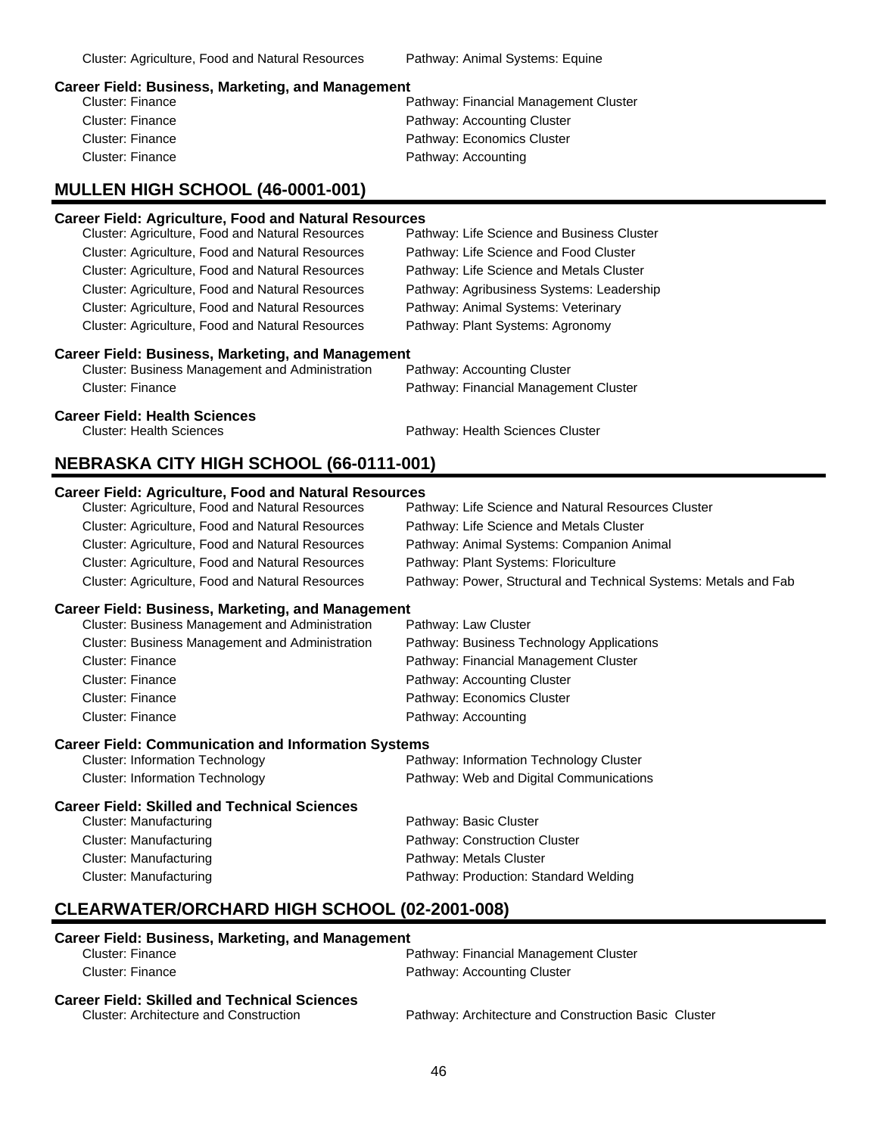### **Career Field: Business, Marketing, and Management**

| Cluster: Finance | Pathway: Financial Management Cluster |
|------------------|---------------------------------------|
| Cluster: Finance | Pathway: Accounting Cluster           |
| Cluster: Finance | Pathway: Economics Cluster            |
| Cluster: Finance | Pathway: Accounting                   |
|                  |                                       |

### **MULLEN HIGH SCHOOL (46-0001-001)**

### **Career Field: Agriculture, Food and Natural Resources**

| Cluster: Agriculture, Food and Natural Resources         | Pathway: Life Science and Business Cluster |
|----------------------------------------------------------|--------------------------------------------|
| Cluster: Agriculture, Food and Natural Resources         | Pathway: Life Science and Food Cluster     |
| Cluster: Agriculture, Food and Natural Resources         | Pathway: Life Science and Metals Cluster   |
| Cluster: Agriculture, Food and Natural Resources         | Pathway: Agribusiness Systems: Leadership  |
| Cluster: Agriculture, Food and Natural Resources         | Pathway: Animal Systems: Veterinary        |
| Cluster: Agriculture, Food and Natural Resources         | Pathway: Plant Systems: Agronomy           |
| <b>Career Field: Business, Marketing, and Management</b> |                                            |
| <b>Cluster: Business Management and Administration</b>   | Pathway: Accounting Cluster                |
| <b>Cluster: Finance</b>                                  | Pathway: Financial Management Cluster      |
| <b>Career Field: Health Sciences</b>                     |                                            |
|                                                          |                                            |

Cluster: Health Sciences Pathway: Health Sciences Cluster

### **NEBRASKA CITY HIGH SCHOOL (66-0111-001)**

### **Career Field: Agriculture, Food and Natural Resources**

| Cluster: Agriculture, Food and Natural Resources | Pathway: Life Science and Natural Resources Cluster              |
|--------------------------------------------------|------------------------------------------------------------------|
| Cluster: Agriculture, Food and Natural Resources | Pathway: Life Science and Metals Cluster                         |
| Cluster: Agriculture, Food and Natural Resources | Pathway: Animal Systems: Companion Animal                        |
| Cluster: Agriculture, Food and Natural Resources | Pathway: Plant Systems: Floriculture                             |
| Cluster: Agriculture, Food and Natural Resources | Pathway: Power, Structural and Technical Systems: Metals and Fab |

### **Career Field: Business, Marketing, and Management**

| <b>Cluster: Business Management and Administration</b> | Pathway: Law Cluster                      |
|--------------------------------------------------------|-------------------------------------------|
| <b>Cluster: Business Management and Administration</b> | Pathway: Business Technology Applications |
| Cluster: Finance                                       | Pathway: Financial Management Cluster     |
| Cluster: Finance                                       | Pathway: Accounting Cluster               |
| Cluster: Finance                                       | Pathway: Economics Cluster                |
| Cluster: Finance                                       | Pathway: Accounting                       |

### **Career Field: Communication and Information Systems**

| <b>Cluster: Information Technology</b> | Pathway: Information Technology Cluster |
|----------------------------------------|-----------------------------------------|
| <b>Cluster: Information Technology</b> | Pathway: Web and Digital Communications |

### **Career Field: Skilled and Technical Sciences**

| Cluster: Manufacturing | Pathway: Basic Cluster                |
|------------------------|---------------------------------------|
| Cluster: Manufacturing | <b>Pathway: Construction Cluster</b>  |
| Cluster: Manufacturing | Pathway: Metals Cluster               |
| Cluster: Manufacturing | Pathway: Production: Standard Welding |
|                        |                                       |

### **CLEARWATER/ORCHARD HIGH SCHOOL (02-2001-008)**

### **Career Field: Business, Marketing, and Management**

| Cluster: Finance                              | Pathway: Financial Management Cluster                |
|-----------------------------------------------|------------------------------------------------------|
| Cluster: Finance                              | Pathway: Accounting Cluster                          |
| Career Field: Skilled and Technical Sciences  |                                                      |
| <b>Cluster: Architecture and Construction</b> | Pathway: Architecture and Construction Basic Cluster |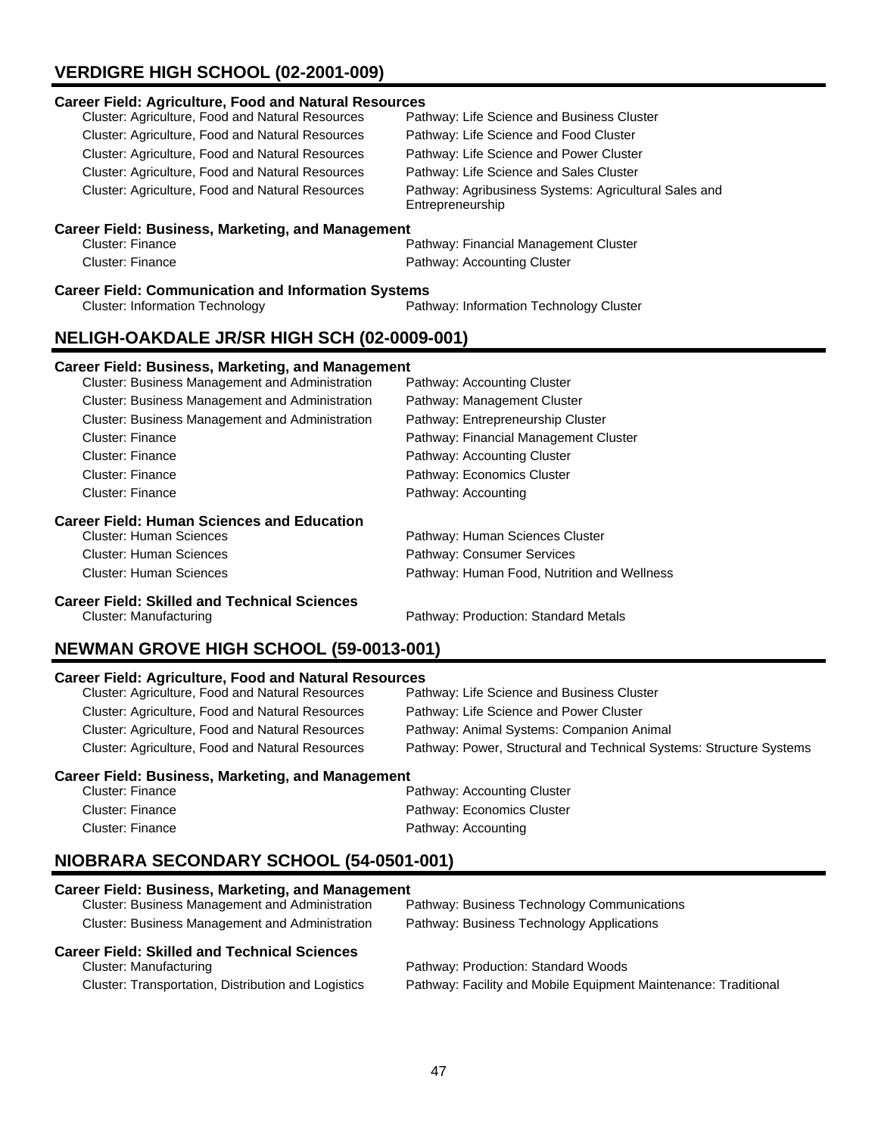# **VERDIGRE HIGH SCHOOL (02-2001-009)**

| <b>Career Field: Agriculture, Food and Natural Resources</b> |                                                                           |  |
|--------------------------------------------------------------|---------------------------------------------------------------------------|--|
| Cluster: Agriculture, Food and Natural Resources             | Pathway: Life Science and Business Cluster                                |  |
| Cluster: Agriculture, Food and Natural Resources             | Pathway: Life Science and Food Cluster                                    |  |
| <b>Cluster: Agriculture, Food and Natural Resources</b>      | Pathway: Life Science and Power Cluster                                   |  |
| Cluster: Agriculture, Food and Natural Resources             | Pathway: Life Science and Sales Cluster                                   |  |
| Cluster: Agriculture, Food and Natural Resources             | Pathway: Agribusiness Systems: Agricultural Sales and<br>Entrepreneurship |  |
| <b>Career Field: Business, Marketing, and Management</b>     |                                                                           |  |
| <b>Cluster: Finance</b>                                      | Pathway: Financial Management Cluster                                     |  |
| Cluster: Finance                                             | Pathway: Accounting Cluster                                               |  |
| <b>Career Field: Communication and Information Systems</b>   |                                                                           |  |
| <b>Cluster: Information Technology</b>                       | Pathway: Information Technology Cluster                                   |  |
| <b>NELIGH-OAKDALE JR/SR HIGH SCH (02-0009-001)</b>           |                                                                           |  |
| <b>Career Field: Business, Marketing, and Management</b>     |                                                                           |  |
| Cluster: Business Management and Administration              | Pathway: Accounting Cluster                                               |  |
| Cluster: Business Management and Administration              | Pathway: Management Cluster                                               |  |
| Cluster: Business Management and Administration              | Pathway: Entrepreneurship Cluster                                         |  |
| <b>Cluster: Finance</b>                                      | Pathway: Financial Management Cluster                                     |  |
| Cluster: Finance                                             | Pathway: Accounting Cluster                                               |  |
| <b>Cluster: Finance</b>                                      | Pathway: Economics Cluster                                                |  |
| <b>Cluster: Finance</b>                                      | Pathway: Accounting                                                       |  |
| <b>Career Field: Human Sciences and Education</b>            |                                                                           |  |
|                                                              |                                                                           |  |
| <b>Cluster: Human Sciences</b>                               | Pathway: Human Sciences Cluster                                           |  |

Cluster: Human Sciences **Pathway: Human Food, Nutrition and Wellness** 

**Career Field: Skilled and Technical Sciences**

Pathway: Production: Standard Metals

## **NEWMAN GROVE HIGH SCHOOL (59-0013-001)**

### **Career Field: Agriculture, Food and Natural Resources**

| Cluster: Agriculture, Food and Natural Resources        | Pathway: Life Science and Business Cluster                          |
|---------------------------------------------------------|---------------------------------------------------------------------|
| Cluster: Agriculture, Food and Natural Resources        | Pathway: Life Science and Power Cluster                             |
| <b>Cluster: Agriculture, Food and Natural Resources</b> | Pathway: Animal Systems: Companion Animal                           |
| Cluster: Agriculture, Food and Natural Resources        | Pathway: Power, Structural and Technical Systems: Structure Systems |

### **Career Field: Business, Marketing, and Management**

| Cluster: Finance | Pathway: Accounting Cluster |
|------------------|-----------------------------|
| Cluster: Finance | Pathway: Economics Cluster  |
| Cluster: Finance | Pathway: Accounting         |

# **NIOBRARA SECONDARY SCHOOL (54-0501-001)**

| <b>Career Field: Business, Marketing, and Management</b> |                                             |
|----------------------------------------------------------|---------------------------------------------|
| Cluster: Business Management and Administration          | Pathway: Business Technology Communications |
| Cluster: Business Management and Administration          | Pathway: Business Technology Applications   |
|                                                          |                                             |
| <b>Career Field: Skilled and Technical Sciences</b>      |                                             |
| Cluster: Manufacturing                                   | Pathway: Production: Standard Woods         |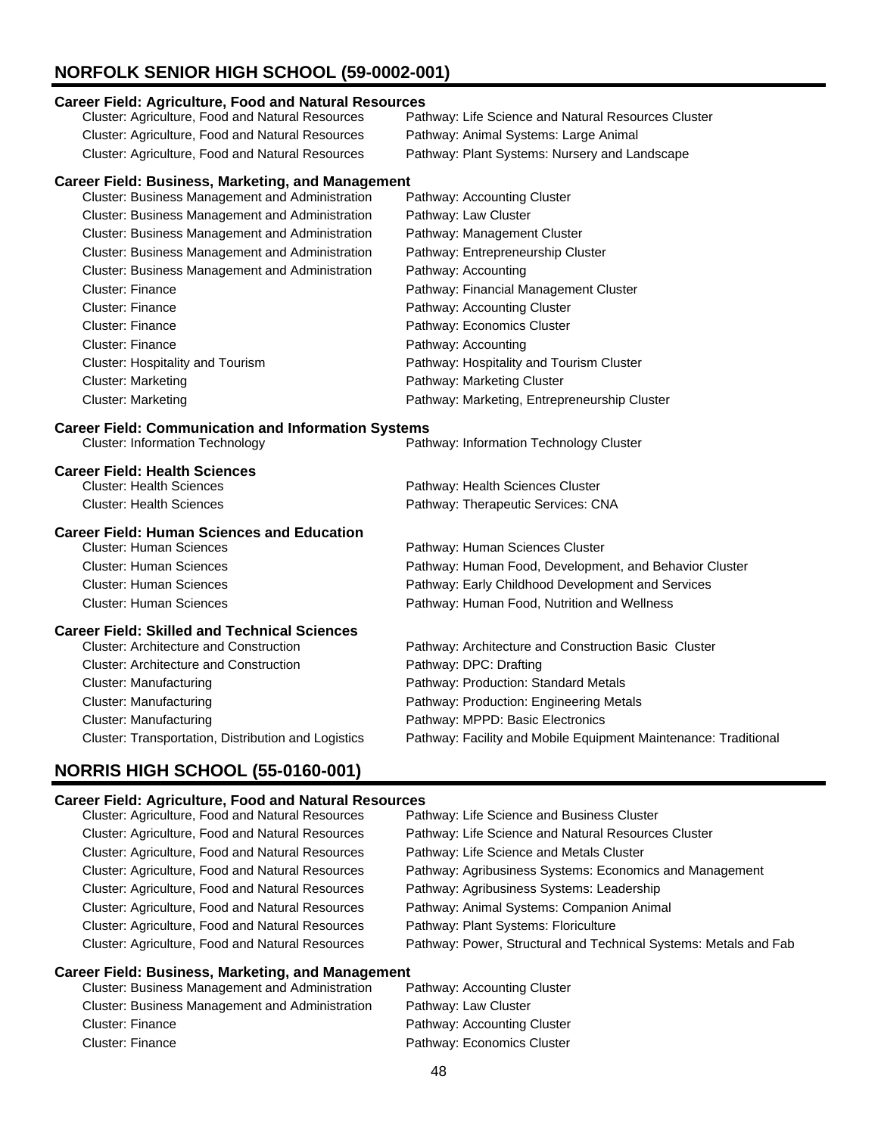# **NORFOLK SENIOR HIGH SCHOOL (59-0002-001)**

### **Career Field: Agriculture, Food and Natural Resources**

| <b>Cluster: Agriculture, Food and Natural Resources</b> | Pathway: Life Science and Natural Resources Cluster |
|---------------------------------------------------------|-----------------------------------------------------|
| <b>Cluster: Agriculture, Food and Natural Resources</b> | Pathway: Animal Systems: Large Animal               |
| Cluster: Agriculture, Food and Natural Resources        | Pathway: Plant Systems: Nursery and Landscape       |

### **Career Field: Business, Marketing, and Management**

| <b>Cluster: Business Management and Administration</b> | Pathway: Accounting Cluster                  |
|--------------------------------------------------------|----------------------------------------------|
| Cluster: Business Management and Administration        | Pathway: Law Cluster                         |
| <b>Cluster: Business Management and Administration</b> | Pathway: Management Cluster                  |
| Cluster: Business Management and Administration        | Pathway: Entrepreneurship Cluster            |
| <b>Cluster: Business Management and Administration</b> | Pathway: Accounting                          |
| <b>Cluster: Finance</b>                                | Pathway: Financial Management Cluster        |
| <b>Cluster: Finance</b>                                | Pathway: Accounting Cluster                  |
| <b>Cluster: Finance</b>                                | Pathway: Economics Cluster                   |
| Cluster: Finance                                       | Pathway: Accounting                          |
| Cluster: Hospitality and Tourism                       | Pathway: Hospitality and Tourism Cluster     |
| <b>Cluster: Marketing</b>                              | Pathway: Marketing Cluster                   |
| <b>Cluster: Marketing</b>                              | Pathway: Marketing, Entrepreneurship Cluster |

# **Career Field: Communication and Information Systems**<br>Path Cluster: Information Technology

Pathway: Information Technology Cluster

| <b>Career Field: Health Sciences</b> |                                    |
|--------------------------------------|------------------------------------|
| Cluster: Health Sciences             | Pathway: Health Sciences Cluster   |
| Cluster: Health Sciences             | Pathway: Therapeutic Services: CNA |

### **Career Field: Human Sciences and Education**

| Pathway: Human Food, Development, and Behavior Cluster |
|--------------------------------------------------------|
| Pathway: Early Childhood Development and Services      |
|                                                        |
|                                                        |

### **Career Field: Skilled and Technical Sciences**

| <b>Cluster: Architecture and Construction</b>       | Pathway: Architecture and Construction Basic Cluster            |
|-----------------------------------------------------|-----------------------------------------------------------------|
| <b>Cluster: Architecture and Construction</b>       | Pathway: DPC: Drafting                                          |
| Cluster: Manufacturing                              | Pathway: Production: Standard Metals                            |
| Cluster: Manufacturing                              | Pathway: Production: Engineering Metals                         |
| Cluster: Manufacturing                              | Pathway: MPPD: Basic Electronics                                |
| Cluster: Transportation, Distribution and Logistics | Pathway: Facility and Mobile Equipment Maintenance: Traditional |

# **NORRIS HIGH SCHOOL (55-0160-001)**

### **Career Field: Agriculture, Food and Natural Resources**

| Cluster: Agriculture, Food and Natural Resources                                                               | Pathway: Life Science and Business Cluster                       |
|----------------------------------------------------------------------------------------------------------------|------------------------------------------------------------------|
| Cluster: Agriculture, Food and Natural Resources                                                               | Pathway: Life Science and Natural Resources Cluster              |
| Cluster: Agriculture, Food and Natural Resources                                                               | Pathway: Life Science and Metals Cluster                         |
| Cluster: Agriculture, Food and Natural Resources                                                               | Pathway: Agribusiness Systems: Economics and Management          |
| Cluster: Agriculture, Food and Natural Resources                                                               | Pathway: Agribusiness Systems: Leadership                        |
| Cluster: Agriculture, Food and Natural Resources                                                               | Pathway: Animal Systems: Companion Animal                        |
| Cluster: Agriculture, Food and Natural Resources                                                               | Pathway: Plant Systems: Floriculture                             |
| Cluster: Agriculture, Food and Natural Resources                                                               | Pathway: Power, Structural and Technical Systems: Metals and Fab |
| a da a de Elfa III. Estas la característica de la característica en la constantin de la característica de la c |                                                                  |

### **Career Field: Business, Marketing, and Management**

| Cluster: Business Management and Administration | Pathway: Accounting Cluster |
|-------------------------------------------------|-----------------------------|
| Cluster: Business Management and Administration | Pathway: Law Cluster        |
| Cluster: Finance                                | Pathway: Accounting Cluster |
| Cluster: Finance                                | Pathway: Economics Cluster  |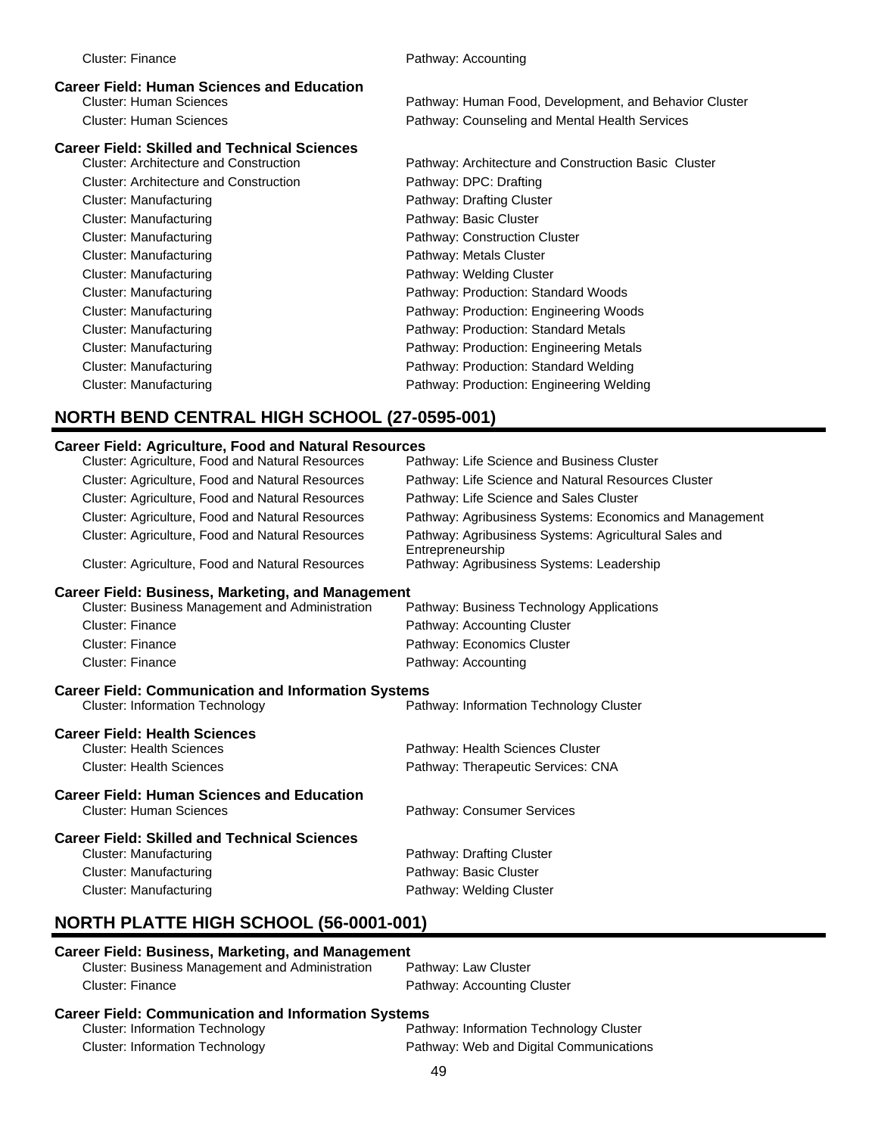# **Career Field: Skilled and Technical Sciences**

Cluster: Architecture and Construction Pathway: DPC: Drafting Cluster: Manufacturing **Pathway: Drafting Cluster** Pathway: Drafting Cluster Cluster: Manufacturing **Pathway: Basic Cluster** Pathway: Basic Cluster Cluster: Manufacturing **Pathway: Metals Cluster** Pathway: Metals Cluster Cluster: Manufacturing example and the Pathway: Welding Cluster

Cluster: Human Sciences **Pathway: Human Food, Development, and Behavior Cluster** Pathway: Human Food, Development, and Behavior Cluster Cluster: Human Sciences Pathway: Counseling and Mental Health Services

Pathway: Architecture and Construction Basic Cluster Cluster: Manufacturing **Pathway: Construction Cluster** Cluster: Manufacturing Pathway: Production: Standard Woods Cluster: Manufacturing Pathway: Production: Engineering Woods Cluster: Manufacturing extending Pathway: Production: Standard Metals Cluster: Manufacturing Pathway: Production: Engineering Metals Cluster: Manufacturing example and part of the Pathway: Production: Standard Welding Cluster: Manufacturing Pathway: Production: Engineering Welding

# **NORTH BEND CENTRAL HIGH SCHOOL (27-0595-001)**

### **Career Field: Agriculture, Food and Natural Resources**

| Cluster: Agriculture, Food and Natural Resources           | Pathway: Life Science and Business Cluster                                |  |
|------------------------------------------------------------|---------------------------------------------------------------------------|--|
| Cluster: Agriculture, Food and Natural Resources           | Pathway: Life Science and Natural Resources Cluster                       |  |
| <b>Cluster: Agriculture, Food and Natural Resources</b>    | Pathway: Life Science and Sales Cluster                                   |  |
| Cluster: Agriculture, Food and Natural Resources           | Pathway: Agribusiness Systems: Economics and Management                   |  |
| Cluster: Agriculture, Food and Natural Resources           | Pathway: Agribusiness Systems: Agricultural Sales and<br>Entrepreneurship |  |
| Cluster: Agriculture, Food and Natural Resources           | Pathway: Agribusiness Systems: Leadership                                 |  |
| <b>Career Field: Business, Marketing, and Management</b>   |                                                                           |  |
| <b>Cluster: Business Management and Administration</b>     | Pathway: Business Technology Applications                                 |  |
| <b>Cluster: Finance</b>                                    | Pathway: Accounting Cluster                                               |  |
| Cluster: Finance                                           | Pathway: Economics Cluster                                                |  |
| Cluster: Finance                                           | Pathway: Accounting                                                       |  |
| <b>Career Field: Communication and Information Systems</b> |                                                                           |  |
| <b>Cluster: Information Technology</b>                     | Pathway: Information Technology Cluster                                   |  |
| <b>Career Field: Health Sciences</b>                       |                                                                           |  |
| <b>Cluster: Health Sciences</b>                            | Pathway: Health Sciences Cluster                                          |  |
| <b>Cluster: Health Sciences</b>                            | Pathway: Therapeutic Services: CNA                                        |  |
| <b>Career Field: Human Sciences and Education</b>          |                                                                           |  |
| <b>Cluster: Human Sciences</b>                             | Pathway: Consumer Services                                                |  |
| <b>Career Field: Skilled and Technical Sciences</b>        |                                                                           |  |
| <b>Cluster: Manufacturing</b>                              | Pathway: Drafting Cluster                                                 |  |
| <b>Cluster: Manufacturing</b>                              | Pathway: Basic Cluster                                                    |  |
| <b>Cluster: Manufacturing</b>                              | Pathway: Welding Cluster                                                  |  |
| <b>NORTH PLATTE HIGH SCHOOL (56-0001-001)</b>              |                                                                           |  |
|                                                            |                                                                           |  |

### **Career Field: Business, Marketing, and Management**

| Cluster: Business Management and Administration | Pathway: Law Cluster        |  |
|-------------------------------------------------|-----------------------------|--|
| Cluster: Finance                                | Pathway: Accounting Cluster |  |
|                                                 |                             |  |

### **Career Field: Communication and Information Systems** Cluster: Information Technology Pathway: Information Technology Cluster Cluster: Information Technology Pathway: Web and Digital Communications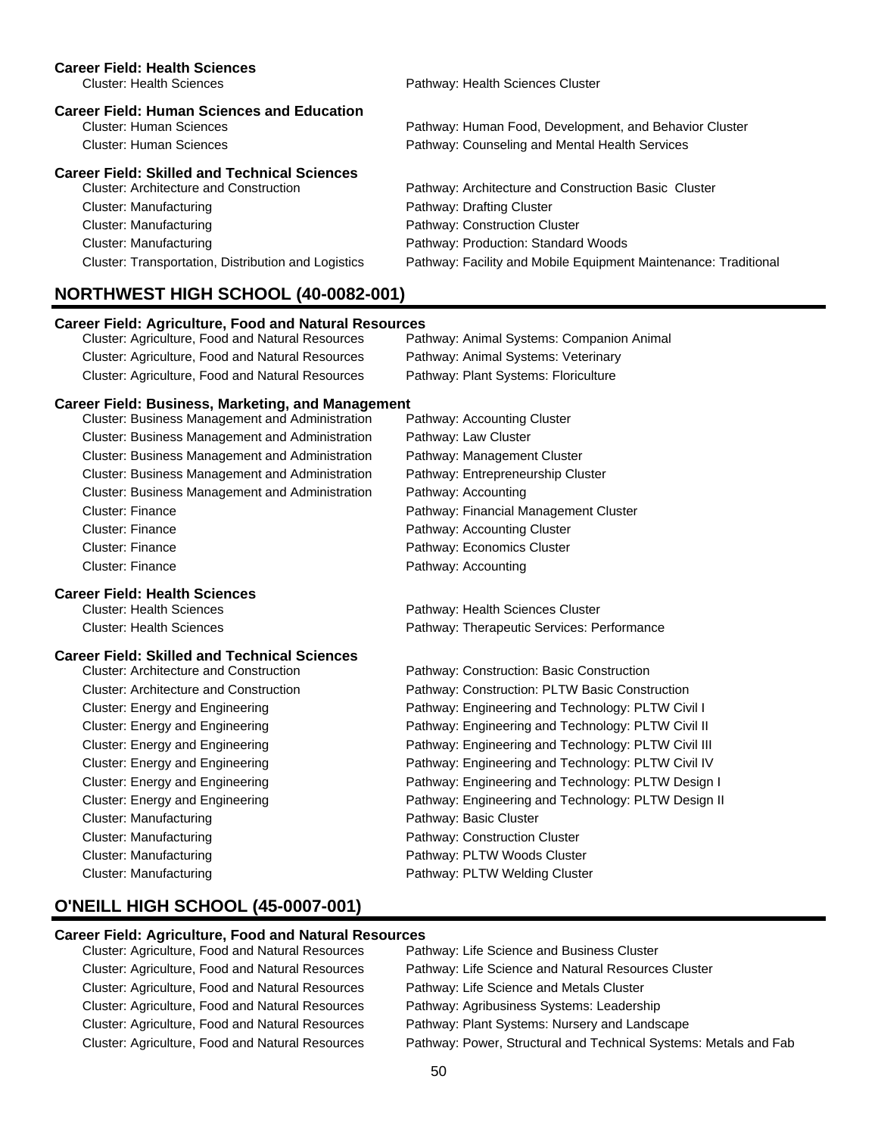| <b>Career Field: Health Sciences</b><br><b>Cluster: Health Sciences</b>                                               | Pathway: Health Sciences Cluster                                                                         |
|-----------------------------------------------------------------------------------------------------------------------|----------------------------------------------------------------------------------------------------------|
| <b>Career Field: Human Sciences and Education</b><br><b>Cluster: Human Sciences</b><br><b>Cluster: Human Sciences</b> | Pathway: Human Food, Development, and Behavior Cluster<br>Pathway: Counseling and Mental Health Services |
| <b>Career Field: Skilled and Technical Sciences</b>                                                                   |                                                                                                          |
| <b>Cluster: Architecture and Construction</b>                                                                         | Pathway: Architecture and Construction Basic Cluster                                                     |
| <b>Cluster: Manufacturing</b>                                                                                         | Pathway: Drafting Cluster                                                                                |
| <b>Cluster: Manufacturing</b>                                                                                         | Pathway: Construction Cluster                                                                            |
| <b>Cluster: Manufacturing</b>                                                                                         | Pathway: Production: Standard Woods                                                                      |
| Cluster: Transportation, Distribution and Logistics                                                                   | Pathway: Facility and Mobile Equipment Maintenance: Traditional                                          |
| <b>NORTHWEST HIGH SCHOOL (40-0082-001)</b>                                                                            |                                                                                                          |
| <b>Career Field: Agriculture, Food and Natural Resources</b>                                                          |                                                                                                          |
| Cluster: Agriculture, Food and Natural Resources                                                                      | Pathway: Animal Systems: Companion Animal                                                                |
| Cluster: Agriculture, Food and Natural Resources                                                                      | Pathway: Animal Systems: Veterinary                                                                      |
| Cluster: Agriculture, Food and Natural Resources                                                                      | Pathway: Plant Systems: Floriculture                                                                     |
| <b>Career Field: Business, Marketing, and Management</b>                                                              |                                                                                                          |
| Cluster: Business Management and Administration                                                                       | Pathway: Accounting Cluster                                                                              |
| Cluster: Business Management and Administration                                                                       | Pathway: Law Cluster                                                                                     |
| Cluster: Business Management and Administration                                                                       | Pathway: Management Cluster                                                                              |
| Cluster: Business Management and Administration                                                                       | Pathway: Entrepreneurship Cluster                                                                        |
| Cluster: Business Management and Administration                                                                       | Pathway: Accounting                                                                                      |
| <b>Cluster: Finance</b>                                                                                               | Pathway: Financial Management Cluster                                                                    |
| <b>Cluster: Finance</b>                                                                                               | Pathway: Accounting Cluster                                                                              |
| <b>Cluster: Finance</b>                                                                                               | Pathway: Economics Cluster                                                                               |
| <b>Cluster: Finance</b>                                                                                               | Pathway: Accounting                                                                                      |
| <b>Career Field: Health Sciences</b>                                                                                  |                                                                                                          |
| <b>Cluster: Health Sciences</b>                                                                                       | Pathway: Health Sciences Cluster                                                                         |
| <b>Cluster: Health Sciences</b>                                                                                       | Pathway: Therapeutic Services: Performance                                                               |
| <b>Career Field: Skilled and Technical Sciences</b>                                                                   |                                                                                                          |
| <b>Cluster: Architecture and Construction</b>                                                                         | Pathway: Construction: Basic Construction                                                                |
| Cluster: Architecture and Construction                                                                                | Pathway: Construction: PLTW Basic Construction                                                           |
| Cluster: Energy and Engineering                                                                                       | Pathway: Engineering and Technology: PLTW Civil I                                                        |
| Cluster: Energy and Engineering                                                                                       | Pathway: Engineering and Technology: PLTW Civil II                                                       |
| Cluster: Energy and Engineering                                                                                       | Pathway: Engineering and Technology: PLTW Civil III                                                      |
| Cluster: Energy and Engineering                                                                                       | Pathway: Engineering and Technology: PLTW Civil IV                                                       |
| Cluster: Energy and Engineering                                                                                       | Pathway: Engineering and Technology: PLTW Design I                                                       |
| Cluster: Energy and Engineering                                                                                       | Pathway: Engineering and Technology: PLTW Design II                                                      |
| <b>Cluster: Manufacturing</b>                                                                                         | Pathway: Basic Cluster                                                                                   |
| <b>Cluster: Manufacturing</b>                                                                                         | Pathway: Construction Cluster                                                                            |
| <b>Cluster: Manufacturing</b>                                                                                         | Pathway: PLTW Woods Cluster                                                                              |
| <b>Cluster: Manufacturing</b>                                                                                         | Pathway: PLTW Welding Cluster                                                                            |

## **O'NEILL HIGH SCHOOL (45-0007-001)**

### **Career Field: Agriculture, Food and Natural Resources**

Cluster: Agriculture, Food and Natural Resources Pathway: Life Science and Business Cluster Cluster: Agriculture, Food and Natural Resources Pathway: Life Science and Natural Resources Cluster Cluster: Agriculture, Food and Natural Resources Pathway: Life Science and Metals Cluster Cluster: Agriculture, Food and Natural Resources Pathway: Agribusiness Systems: Leadership Cluster: Agriculture, Food and Natural Resources Pathway: Plant Systems: Nursery and Landscape Cluster: Agriculture, Food and Natural Resources Pathway: Power, Structural and Technical Systems: Metals and Fab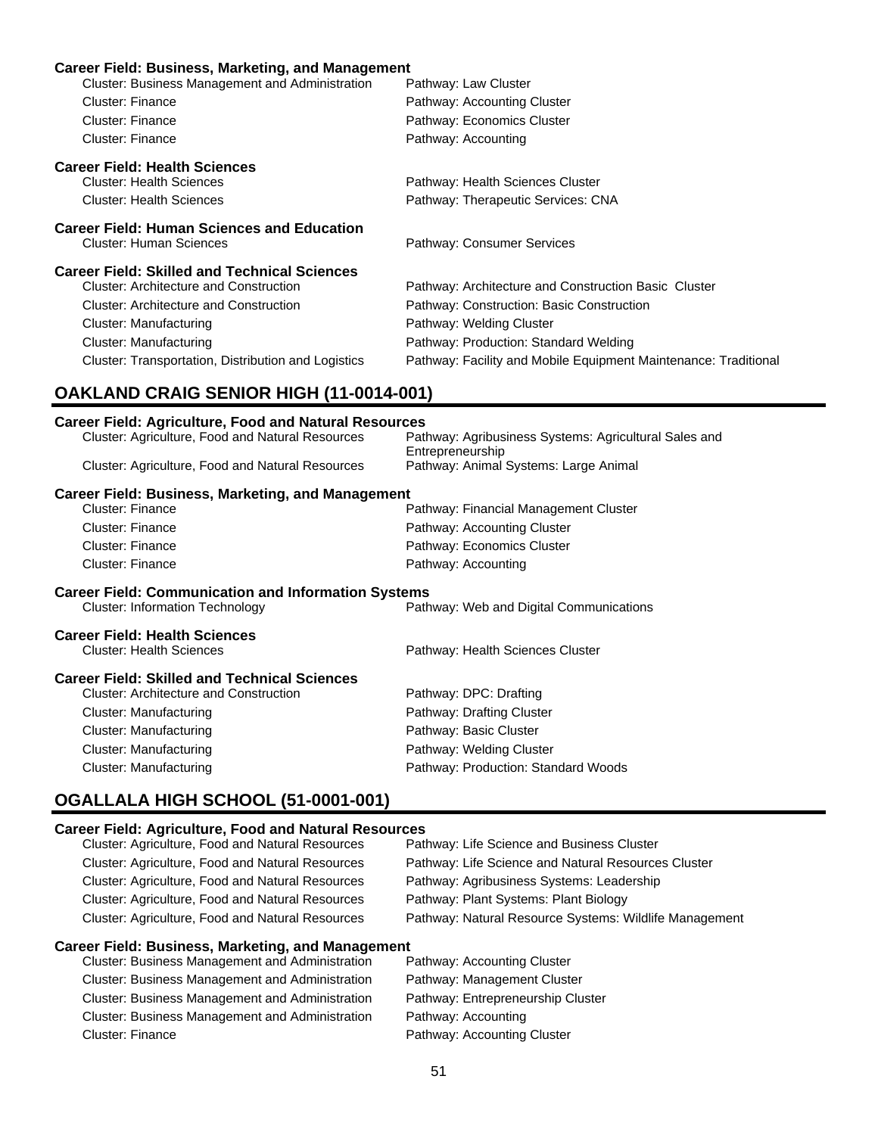### **Career Field: Business, Marketing, and Management**

| Cluster: Business Management and Administration              | Pathway: Law Cluster                                                      |
|--------------------------------------------------------------|---------------------------------------------------------------------------|
| Cluster: Finance                                             | Pathway: Accounting Cluster                                               |
| Cluster: Finance                                             | Pathway: Economics Cluster                                                |
| <b>Cluster: Finance</b>                                      | Pathway: Accounting                                                       |
| <b>Career Field: Health Sciences</b>                         |                                                                           |
| <b>Cluster: Health Sciences</b>                              | Pathway: Health Sciences Cluster                                          |
| <b>Cluster: Health Sciences</b>                              | Pathway: Therapeutic Services: CNA                                        |
| <b>Career Field: Human Sciences and Education</b>            |                                                                           |
| <b>Cluster: Human Sciences</b>                               | Pathway: Consumer Services                                                |
| <b>Career Field: Skilled and Technical Sciences</b>          |                                                                           |
| <b>Cluster: Architecture and Construction</b>                | Pathway: Architecture and Construction Basic Cluster                      |
| <b>Cluster: Architecture and Construction</b>                | Pathway: Construction: Basic Construction                                 |
| <b>Cluster: Manufacturing</b>                                | Pathway: Welding Cluster                                                  |
| <b>Cluster: Manufacturing</b>                                | Pathway: Production: Standard Welding                                     |
| Cluster: Transportation, Distribution and Logistics          | Pathway: Facility and Mobile Equipment Maintenance: Traditional           |
| <b>OAKLAND CRAIG SENIOR HIGH (11-0014-001)</b>               |                                                                           |
| <b>Career Field: Agriculture, Food and Natural Resources</b> |                                                                           |
| Cluster: Agriculture, Food and Natural Resources             | Pathway: Agribusiness Systems: Agricultural Sales and<br>Entrepreneurship |
| Cluster: Agriculture, Food and Natural Resources             | Pathway: Animal Systems: Large Animal                                     |
| <b>Career Field: Business, Marketing, and Management</b>     |                                                                           |
| <b>Cluster: Finance</b>                                      | Pathway: Financial Management Cluster                                     |

| <b>Cluster: Finance</b>                                    | Pathway: Accounting Cluster             |
|------------------------------------------------------------|-----------------------------------------|
| <b>Cluster: Finance</b>                                    | Pathway: Economics Cluster              |
| <b>Cluster: Finance</b>                                    | Pathway: Accounting                     |
| <b>Career Field: Communication and Information Systems</b> |                                         |
| <b>Cluster: Information Technology</b>                     | Pathway: Web and Digital Communications |

# **Career Field: Health Sciences**<br>Cluster: Health Sciences

| <b>Cluster: Health Sciences</b>               | Pathway: Health Sciences Cluster    |
|-----------------------------------------------|-------------------------------------|
| Career Field: Skilled and Technical Sciences  |                                     |
| <b>Cluster: Architecture and Construction</b> | Pathway: DPC: Drafting              |
| Cluster: Manufacturing                        | Pathway: Drafting Cluster           |
| Cluster: Manufacturing                        | Pathway: Basic Cluster              |
| Cluster: Manufacturing                        | Pathway: Welding Cluster            |
| Cluster: Manufacturing                        | Pathway: Production: Standard Woods |

# **OGALLALA HIGH SCHOOL (51-0001-001)**

### **Career Field: Agriculture, Food and Natural Resources**

| Cluster: Agriculture, Food and Natural Resources        | Pathway: Life Science and Business Cluster             |
|---------------------------------------------------------|--------------------------------------------------------|
| Cluster: Agriculture, Food and Natural Resources        | Pathway: Life Science and Natural Resources Cluster    |
| <b>Cluster: Agriculture, Food and Natural Resources</b> | Pathway: Agribusiness Systems: Leadership              |
| Cluster: Agriculture, Food and Natural Resources        | Pathway: Plant Systems: Plant Biology                  |
| Cluster: Agriculture, Food and Natural Resources        | Pathway: Natural Resource Systems: Wildlife Management |
|                                                         |                                                        |

### **Career Field: Business, Marketing, and Management**

| Cluster: Business Management and Administration | Pathway: Accounting Cluster |
|-------------------------------------------------|-----------------------------|
| Cluster: Business Management and Administration | Pathway: Management Clust   |
| Cluster: Business Management and Administration | Pathway: Entrepreneurship C |
| Cluster: Business Management and Administration | Pathway: Accounting         |
| Cluster: Finance                                | Pathway: Accounting Cluster |

Pathway: Management Cluster Pathway: Entrepreneurship Cluster Pathway: Accounting Pathway: Accounting Cluster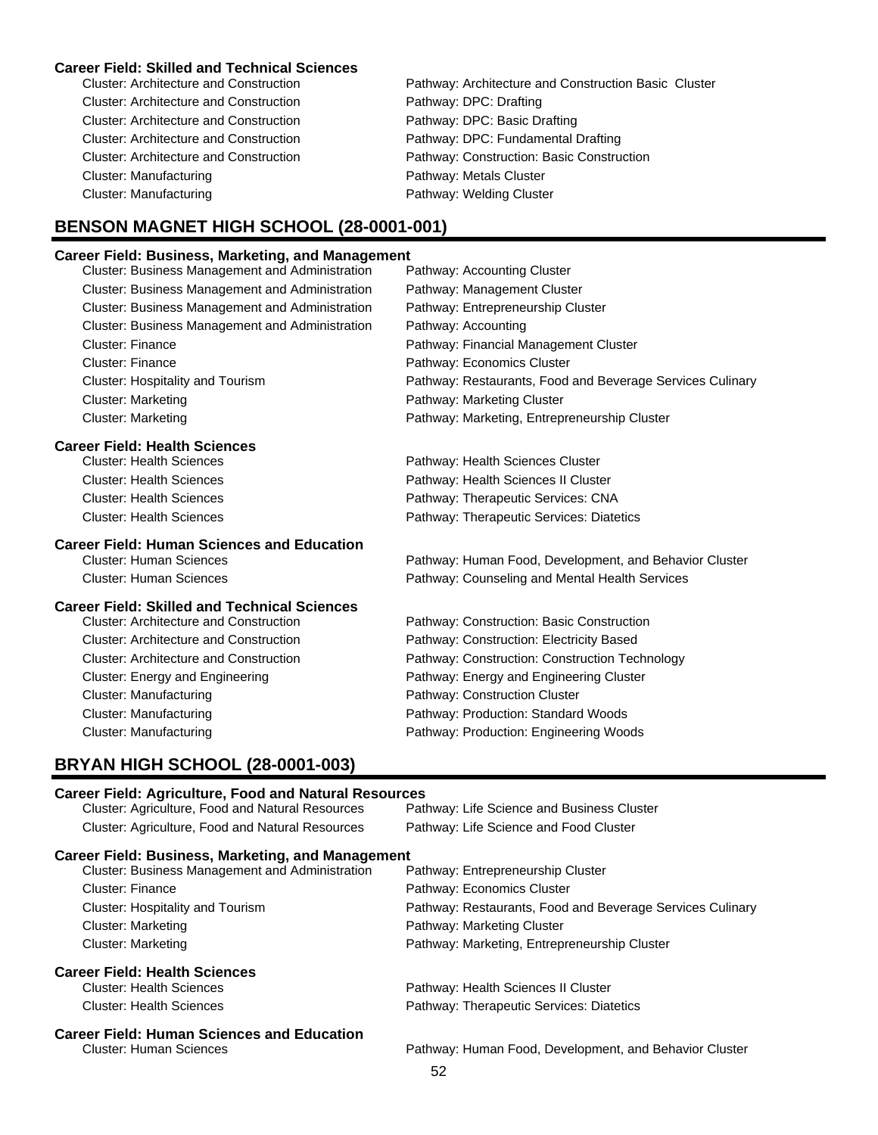### **Career Field: Skilled and Technical Sciences**

| <b>Cluster: Architecture and Construction</b> | Pathway: Architecture and Construction Basic Cluster |
|-----------------------------------------------|------------------------------------------------------|
| <b>Cluster: Architecture and Construction</b> | Pathway: DPC: Drafting                               |
| <b>Cluster: Architecture and Construction</b> | Pathway: DPC: Basic Drafting                         |
| <b>Cluster: Architecture and Construction</b> | Pathway: DPC: Fundamental Drafting                   |
| <b>Cluster: Architecture and Construction</b> | Pathway: Construction: Basic Construction            |
| Cluster: Manufacturing                        | Pathway: Metals Cluster                              |
| Cluster: Manufacturing                        | Pathway: Welding Cluster                             |
|                                               |                                                      |

### **BENSON MAGNET HIGH SCHOOL (28-0001-001)**

### **Career Field: Business, Marketing, and Management**

| <b>Cluster: Business Management and Administration</b> | Pathway: Accounting Cluster                               |
|--------------------------------------------------------|-----------------------------------------------------------|
| Cluster: Business Management and Administration        | Pathway: Management Cluster                               |
| <b>Cluster: Business Management and Administration</b> | Pathway: Entrepreneurship Cluster                         |
| Cluster: Business Management and Administration        | Pathway: Accounting                                       |
| <b>Cluster: Finance</b>                                | Pathway: Financial Management Cluster                     |
| <b>Cluster: Finance</b>                                | Pathway: Economics Cluster                                |
| Cluster: Hospitality and Tourism                       | Pathway: Restaurants, Food and Beverage Services Culinary |
| <b>Cluster: Marketing</b>                              | Pathway: Marketing Cluster                                |
| <b>Cluster: Marketing</b>                              | Pathway: Marketing, Entrepreneurship Cluster              |
| <b>Career Field: Health Sciences</b>                   |                                                           |
| <b>Cluster: Health Sciences</b>                        | Pathway: Health Sciences Cluster                          |
| Chieteri Health Calengea                               | Dethumu Health Caianana H Chiatan                         |

Pathway: Human Food, Development, and Behavior Cluster

Cluster: Health Sciences **Pathway: Health Sciences II Cluster** Pathway: Health Sciences II Cluster Cluster: Health Sciences Pathway: Therapeutic Services: CNA Cluster: Health Sciences Pathway: Therapeutic Services: Diatetics

# **Career Field: Human Sciences and Education**

Cluster: Human Sciences Pathway: Counseling and Mental Health Services

### **Career Field: Skilled and Technical Sciences**

| <b>Cluster: Architecture and Construction</b> | Pathway: Construction: Basic Construction      |
|-----------------------------------------------|------------------------------------------------|
| <b>Cluster: Architecture and Construction</b> | Pathway: Construction: Electricity Based       |
| <b>Cluster: Architecture and Construction</b> | Pathway: Construction: Construction Technology |
| Cluster: Energy and Engineering               | Pathway: Energy and Engineering Cluster        |
| Cluster: Manufacturing                        | Pathway: Construction Cluster                  |
| Cluster: Manufacturing                        | Pathway: Production: Standard Woods            |
| <b>Cluster: Manufacturing</b>                 | Pathway: Production: Engineering Woods         |

### **BRYAN HIGH SCHOOL (28-0001-003)**

# **Career Field: Agriculture, Food and Natural Resources** Cluster: Agriculture, Food and Natural Resources Pathway: Life Science and Business Cluster Cluster: Agriculture, Food and Natural Resources Pathway: Life Science and Food Cluster **Career Field: Business, Marketing, and Management** Cluster: Business Management and Administration Cluster: Finance Pathway: Economics Cluster Cluster: Hospitality and Tourism Pathway: Restaurants, Food and Beverage Services Culinary Cluster: Marketing **Pathway: Marketing Cluster** Pathway: Marketing Cluster Cluster: Marketing Pathway: Marketing, Entrepreneurship Cluster **Career Field: Health Sciences** Cluster: Health Sciences **Pathway: Health Sciences II Cluster** Pathway: Health Sciences II Cluster Cluster: Health Sciences Pathway: Therapeutic Services: Diatetics **Career Field: Human Sciences and Education** Pathway: Human Food, Development, and Behavior Cluster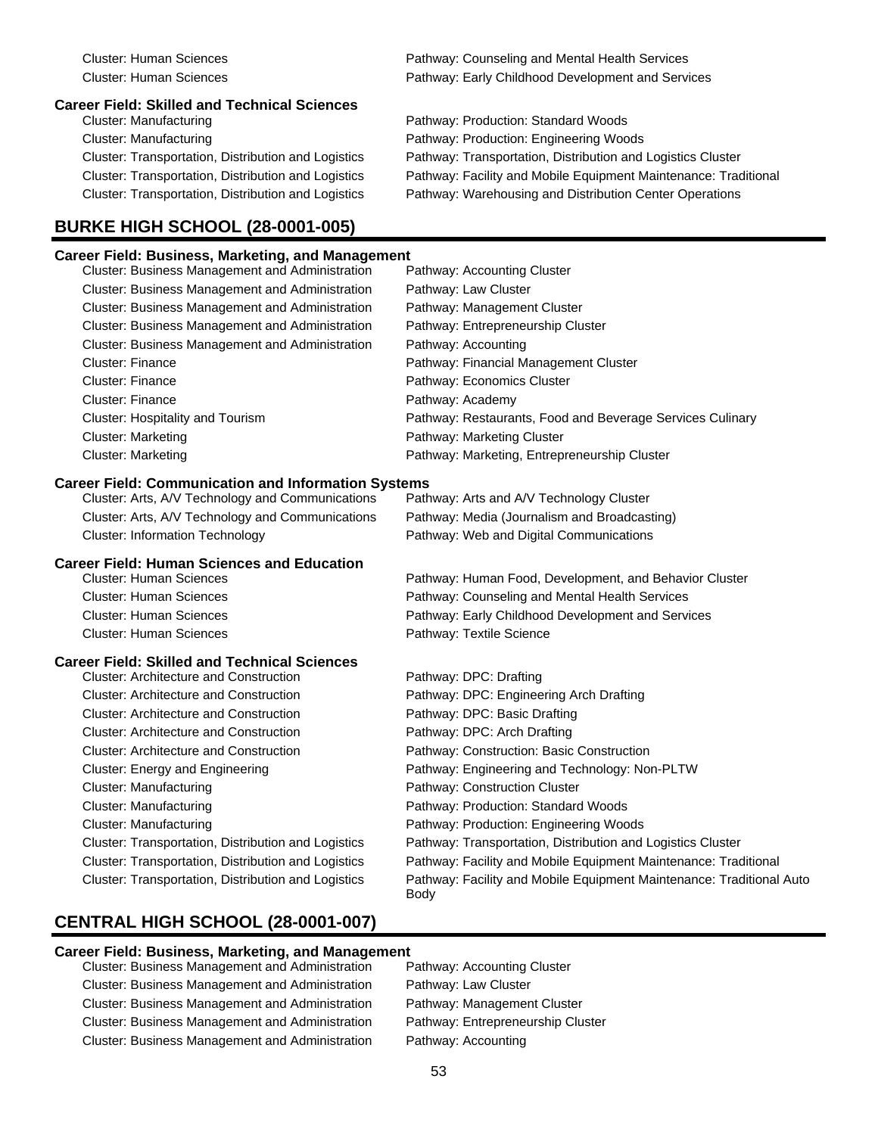# **Career Field: Skilled and Technical Sciences**

Cluster: Manufacturing Pathway: Production: Engineering Woods

## **BURKE HIGH SCHOOL (28-0001-005)**

# **Career Field: Business, Marketing, and Management**

Cluster: Human Sciences Pathway: Counseling and Mental Health Services Cluster: Human Sciences Pathway: Early Childhood Development and Services

Pathway: Production: Standard Woods Cluster: Transportation, Distribution and Logistics Pathway: Transportation, Distribution and Logistics Cluster Cluster: Transportation, Distribution and Logistics Pathway: Facility and Mobile Equipment Maintenance: Traditional Cluster: Transportation, Distribution and Logistics Pathway: Warehousing and Distribution Center Operations

| Career Field: Business, Marketing, and Management          |                                                                              |
|------------------------------------------------------------|------------------------------------------------------------------------------|
| Cluster: Business Management and Administration            | Pathway: Accounting Cluster                                                  |
| Cluster: Business Management and Administration            | Pathway: Law Cluster                                                         |
| Cluster: Business Management and Administration            | Pathway: Management Cluster                                                  |
| Cluster: Business Management and Administration            | Pathway: Entrepreneurship Cluster                                            |
| Cluster: Business Management and Administration            | Pathway: Accounting                                                          |
| <b>Cluster: Finance</b>                                    | Pathway: Financial Management Cluster                                        |
| Cluster: Finance                                           | Pathway: Economics Cluster                                                   |
| <b>Cluster: Finance</b>                                    | Pathway: Academy                                                             |
| <b>Cluster: Hospitality and Tourism</b>                    | Pathway: Restaurants, Food and Beverage Services Culinary                    |
| <b>Cluster: Marketing</b>                                  | Pathway: Marketing Cluster                                                   |
| <b>Cluster: Marketing</b>                                  | Pathway: Marketing, Entrepreneurship Cluster                                 |
| <b>Career Field: Communication and Information Systems</b> |                                                                              |
| Cluster: Arts, A/V Technology and Communications           | Pathway: Arts and A/V Technology Cluster                                     |
| Cluster: Arts, A/V Technology and Communications           | Pathway: Media (Journalism and Broadcasting)                                 |
| <b>Cluster: Information Technology</b>                     | Pathway: Web and Digital Communications                                      |
| <b>Career Field: Human Sciences and Education</b>          |                                                                              |
| <b>Cluster: Human Sciences</b>                             | Pathway: Human Food, Development, and Behavior Cluster                       |
| <b>Cluster: Human Sciences</b>                             | Pathway: Counseling and Mental Health Services                               |
| <b>Cluster: Human Sciences</b>                             | Pathway: Early Childhood Development and Services                            |
| <b>Cluster: Human Sciences</b>                             | Pathway: Textile Science                                                     |
| <b>Career Field: Skilled and Technical Sciences</b>        |                                                                              |
| <b>Cluster: Architecture and Construction</b>              | Pathway: DPC: Drafting                                                       |
| <b>Cluster: Architecture and Construction</b>              | Pathway: DPC: Engineering Arch Drafting                                      |
| <b>Cluster: Architecture and Construction</b>              | Pathway: DPC: Basic Drafting                                                 |
| <b>Cluster: Architecture and Construction</b>              | Pathway: DPC: Arch Drafting                                                  |
| <b>Cluster: Architecture and Construction</b>              | Pathway: Construction: Basic Construction                                    |
| Cluster: Energy and Engineering                            | Pathway: Engineering and Technology: Non-PLTW                                |
| <b>Cluster: Manufacturing</b>                              | Pathway: Construction Cluster                                                |
| <b>Cluster: Manufacturing</b>                              | Pathway: Production: Standard Woods                                          |
| <b>Cluster: Manufacturing</b>                              | Pathway: Production: Engineering Woods                                       |
| Cluster: Transportation, Distribution and Logistics        | Pathway: Transportation, Distribution and Logistics Cluster                  |
| Cluster: Transportation, Distribution and Logistics        | Pathway: Facility and Mobile Equipment Maintenance: Traditional              |
| Cluster: Transportation, Distribution and Logistics        | Pathway: Facility and Mobile Equipment Maintenance: Traditional Auto<br>Body |

# **CENTRAL HIGH SCHOOL (28-0001-007)**

### **Career Field: Business, Marketing, and Management**

Cluster: Business Management and Administration Pathway: Accounting Cluster Cluster: Business Management and Administration Pathway: Law Cluster Cluster: Business Management and Administration Pathway: Management Cluster Cluster: Business Management and Administration Pathway: Entrepreneurship Cluster Cluster: Business Management and Administration Pathway: Accounting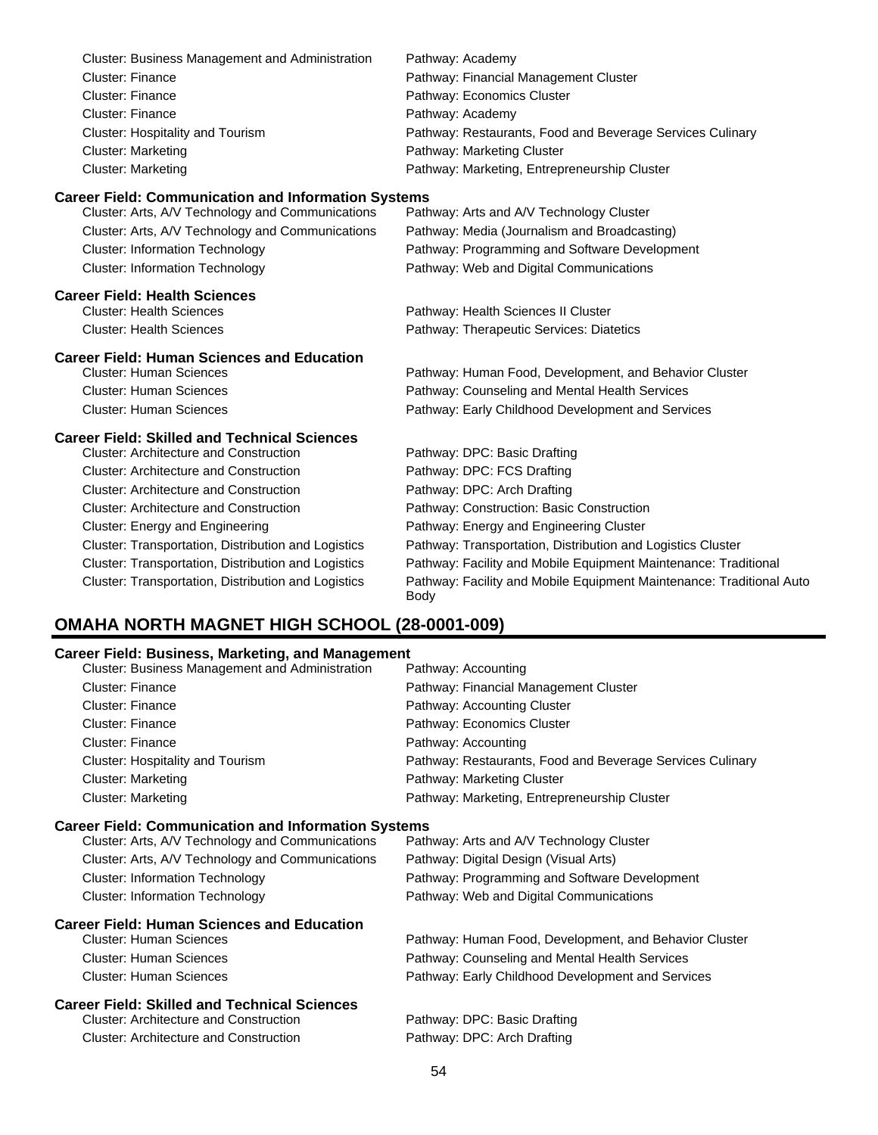| Cluster: Business Management and Administration            | Pathway: Academy                                                                    |
|------------------------------------------------------------|-------------------------------------------------------------------------------------|
| <b>Cluster: Finance</b>                                    | Pathway: Financial Management Cluster                                               |
| <b>Cluster: Finance</b>                                    | Pathway: Economics Cluster                                                          |
| <b>Cluster: Finance</b>                                    | Pathway: Academy                                                                    |
| <b>Cluster: Hospitality and Tourism</b>                    | Pathway: Restaurants, Food and Beverage Services Culinary                           |
| <b>Cluster: Marketing</b>                                  | Pathway: Marketing Cluster                                                          |
| <b>Cluster: Marketing</b>                                  | Pathway: Marketing, Entrepreneurship Cluster                                        |
| <b>Career Field: Communication and Information Systems</b> |                                                                                     |
| Cluster: Arts, A/V Technology and Communications           | Pathway: Arts and A/V Technology Cluster                                            |
| Cluster: Arts, A/V Technology and Communications           | Pathway: Media (Journalism and Broadcasting)                                        |
| <b>Cluster: Information Technology</b>                     | Pathway: Programming and Software Development                                       |
| <b>Cluster: Information Technology</b>                     | Pathway: Web and Digital Communications                                             |
| <b>Career Field: Health Sciences</b>                       |                                                                                     |
| <b>Cluster: Health Sciences</b>                            | Pathway: Health Sciences II Cluster                                                 |
| <b>Cluster: Health Sciences</b>                            | Pathway: Therapeutic Services: Diatetics                                            |
| <b>Career Field: Human Sciences and Education</b>          |                                                                                     |
| <b>Cluster: Human Sciences</b>                             | Pathway: Human Food, Development, and Behavior Cluster                              |
| <b>Cluster: Human Sciences</b>                             | Pathway: Counseling and Mental Health Services                                      |
| <b>Cluster: Human Sciences</b>                             | Pathway: Early Childhood Development and Services                                   |
| <b>Career Field: Skilled and Technical Sciences</b>        |                                                                                     |
| <b>Cluster: Architecture and Construction</b>              | Pathway: DPC: Basic Drafting                                                        |
| <b>Cluster: Architecture and Construction</b>              | Pathway: DPC: FCS Drafting                                                          |
| <b>Cluster: Architecture and Construction</b>              | Pathway: DPC: Arch Drafting                                                         |
| <b>Cluster: Architecture and Construction</b>              | Pathway: Construction: Basic Construction                                           |
| Cluster: Energy and Engineering                            | Pathway: Energy and Engineering Cluster                                             |
| Cluster: Transportation, Distribution and Logistics        | Pathway: Transportation, Distribution and Logistics Cluster                         |
| Cluster: Transportation, Distribution and Logistics        | Pathway: Facility and Mobile Equipment Maintenance: Traditional                     |
| Cluster: Transportation, Distribution and Logistics        | Pathway: Facility and Mobile Equipment Maintenance: Traditional Auto<br><b>Body</b> |

# **OMAHA NORTH MAGNET HIGH SCHOOL (28-0001-009)**

| <b>Career Field: Business, Marketing, and Management</b>   |                                                           |
|------------------------------------------------------------|-----------------------------------------------------------|
| Cluster: Business Management and Administration            | Pathway: Accounting                                       |
| Cluster: Finance                                           | Pathway: Financial Management Cluster                     |
| Cluster: Finance                                           | Pathway: Accounting Cluster                               |
| <b>Cluster: Finance</b>                                    | Pathway: Economics Cluster                                |
| Cluster: Finance                                           | Pathway: Accounting                                       |
| Cluster: Hospitality and Tourism                           | Pathway: Restaurants, Food and Beverage Services Culinary |
| <b>Cluster: Marketing</b>                                  | Pathway: Marketing Cluster                                |
| <b>Cluster: Marketing</b>                                  | Pathway: Marketing, Entrepreneurship Cluster              |
| <b>Career Field: Communication and Information Systems</b> |                                                           |
| Cluster: Arts, A/V Technology and Communications           | Pathway: Arts and A/V Technology Cluster                  |
| Cluster: Arts, A/V Technology and Communications           | Pathway: Digital Design (Visual Arts)                     |
| <b>Cluster: Information Technology</b>                     | Pathway: Programming and Software Development             |
| <b>Cluster: Information Technology</b>                     | Pathway: Web and Digital Communications                   |
| <b>Career Field: Human Sciences and Education</b>          |                                                           |
| Cluster: Human Sciences                                    | Pathway: Human Food, Development, and Behavior Cluster    |
| <b>Cluster: Human Sciences</b>                             | Pathway: Counseling and Mental Health Services            |
| Cluster: Human Sciences                                    | Pathway: Early Childhood Development and Services         |
| <b>Career Field: Skilled and Technical Sciences</b>        |                                                           |
| <b>Cluster: Architecture and Construction</b>              | Pathway: DPC: Basic Drafting                              |
| <b>Cluster: Architecture and Construction</b>              | Pathway: DPC: Arch Drafting                               |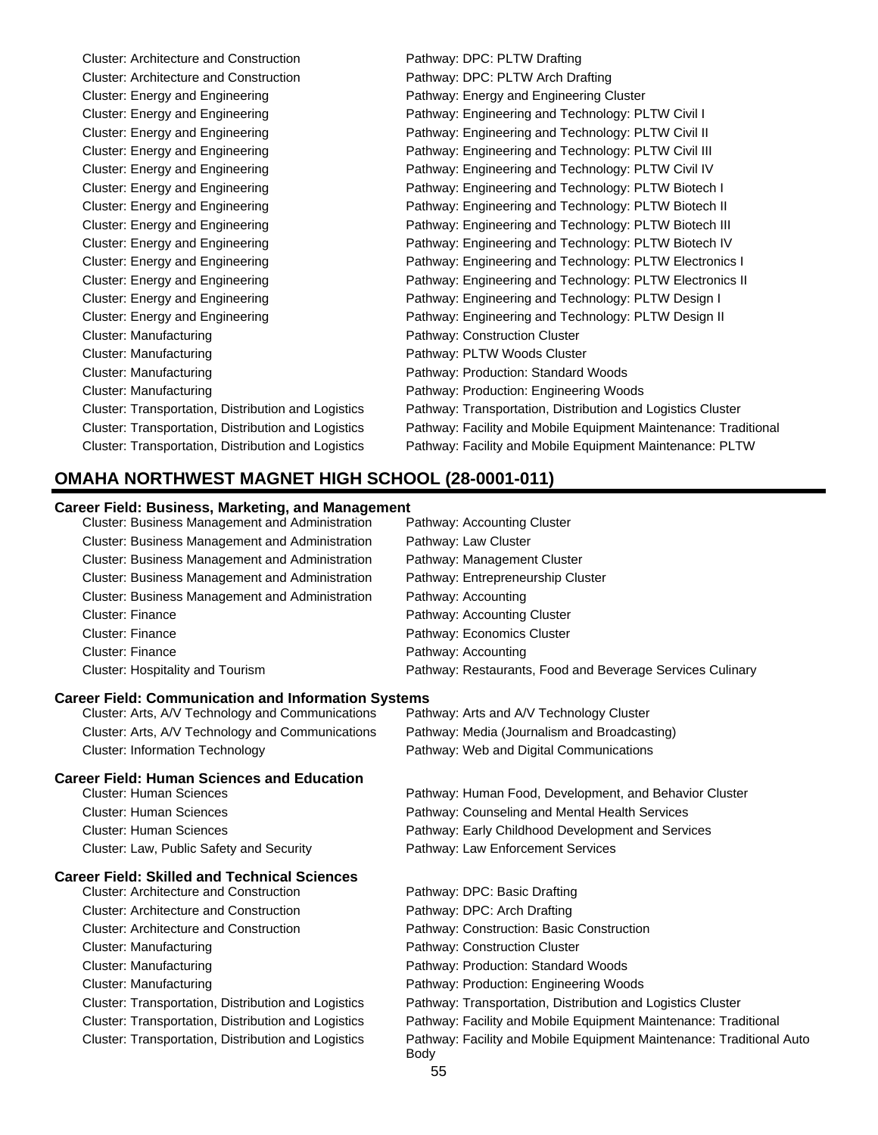| <b>Cluster: Architecture and Construction</b>       | Pathway: DPC: PLTW Drafting                                     |
|-----------------------------------------------------|-----------------------------------------------------------------|
| <b>Cluster: Architecture and Construction</b>       | Pathway: DPC: PLTW Arch Drafting                                |
| Cluster: Energy and Engineering                     | Pathway: Energy and Engineering Cluster                         |
| Cluster: Energy and Engineering                     | Pathway: Engineering and Technology: PLTW Civil I               |
| Cluster: Energy and Engineering                     | Pathway: Engineering and Technology: PLTW Civil II              |
| Cluster: Energy and Engineering                     | Pathway: Engineering and Technology: PLTW Civil III             |
| Cluster: Energy and Engineering                     | Pathway: Engineering and Technology: PLTW Civil IV              |
| Cluster: Energy and Engineering                     | Pathway: Engineering and Technology: PLTW Biotech I             |
| Cluster: Energy and Engineering                     | Pathway: Engineering and Technology: PLTW Biotech II            |
| Cluster: Energy and Engineering                     | Pathway: Engineering and Technology: PLTW Biotech III           |
| Cluster: Energy and Engineering                     | Pathway: Engineering and Technology: PLTW Biotech IV            |
| Cluster: Energy and Engineering                     | Pathway: Engineering and Technology: PLTW Electronics I         |
| Cluster: Energy and Engineering                     | Pathway: Engineering and Technology: PLTW Electronics II        |
| Cluster: Energy and Engineering                     | Pathway: Engineering and Technology: PLTW Design I              |
| Cluster: Energy and Engineering                     | Pathway: Engineering and Technology: PLTW Design II             |
| Cluster: Manufacturing                              | Pathway: Construction Cluster                                   |
| Cluster: Manufacturing                              | Pathway: PLTW Woods Cluster                                     |
| <b>Cluster: Manufacturing</b>                       | Pathway: Production: Standard Woods                             |
| <b>Cluster: Manufacturing</b>                       | Pathway: Production: Engineering Woods                          |
| Cluster: Transportation, Distribution and Logistics | Pathway: Transportation, Distribution and Logistics Cluster     |
| Cluster: Transportation, Distribution and Logistics | Pathway: Facility and Mobile Equipment Maintenance: Traditional |
| Cluster: Transportation, Distribution and Logistics | Pathway: Facility and Mobile Equipment Maintenance: PLTW        |

## **OMAHA NORTHWEST MAGNET HIGH SCHOOL (28-0001-011)**

### **Career Field: Business, Marketing, and Management**

| Cluster: Business Management and Administration        | Pathway: Accounting Cluster                               |
|--------------------------------------------------------|-----------------------------------------------------------|
| <b>Cluster: Business Management and Administration</b> | Pathway: Law Cluster                                      |
| <b>Cluster: Business Management and Administration</b> | Pathway: Management Cluster                               |
| <b>Cluster: Business Management and Administration</b> | Pathway: Entrepreneurship Cluster                         |
| <b>Cluster: Business Management and Administration</b> | Pathway: Accounting                                       |
| <b>Cluster: Finance</b>                                | Pathway: Accounting Cluster                               |
| <b>Cluster: Finance</b>                                | Pathway: Economics Cluster                                |
| <b>Cluster: Finance</b>                                | Pathway: Accounting                                       |
| Cluster: Hospitality and Tourism                       | Pathway: Restaurants, Food and Beverage Services Culinary |
|                                                        |                                                           |

### **Career Field: Communication and Information Systems**

Cluster: Arts, A/V Technology and Communications Pathway: Arts and A/V Technology Cluster Cluster: Arts, A/V Technology and Communications Pathway: Media (Journalism and Broadcasting) Cluster: Information Technology Pathway: Web and Digital Communications

### **Career Field: Human Sciences and Education**

Cluster: Law, Public Safety and Security Pathway: Law Enforcement Services

### **Career Field: Skilled and Technical Sciences**

Cluster: Architecture and Construction Pathway: DPC: Arch Drafting Cluster: Architecture and Construction Pathway: Construction: Basic Construction Cluster: Manufacturing extending Pathway: Construction Cluster Cluster: Manufacturing Pathway: Production: Standard Woods Cluster: Manufacturing **Pathway: Production: Engineering Woods** Pathway: Production: Engineering Woods

Cluster: Human Sciences Pathway: Human Food, Development, and Behavior Cluster Cluster: Human Sciences Pathway: Counseling and Mental Health Services Cluster: Human Sciences Pathway: Early Childhood Development and Services

Cluster: Architecture and Construction Pathway: DPC: Basic Drafting

- 
- 
- 
- 
- 
- Cluster: Transportation, Distribution and Logistics Pathway: Transportation, Distribution and Logistics Cluster
- Cluster: Transportation, Distribution and Logistics Pathway: Facility and Mobile Equipment Maintenance: Traditional

Cluster: Transportation, Distribution and Logistics Pathway: Facility and Mobile Equipment Maintenance: Traditional Auto Body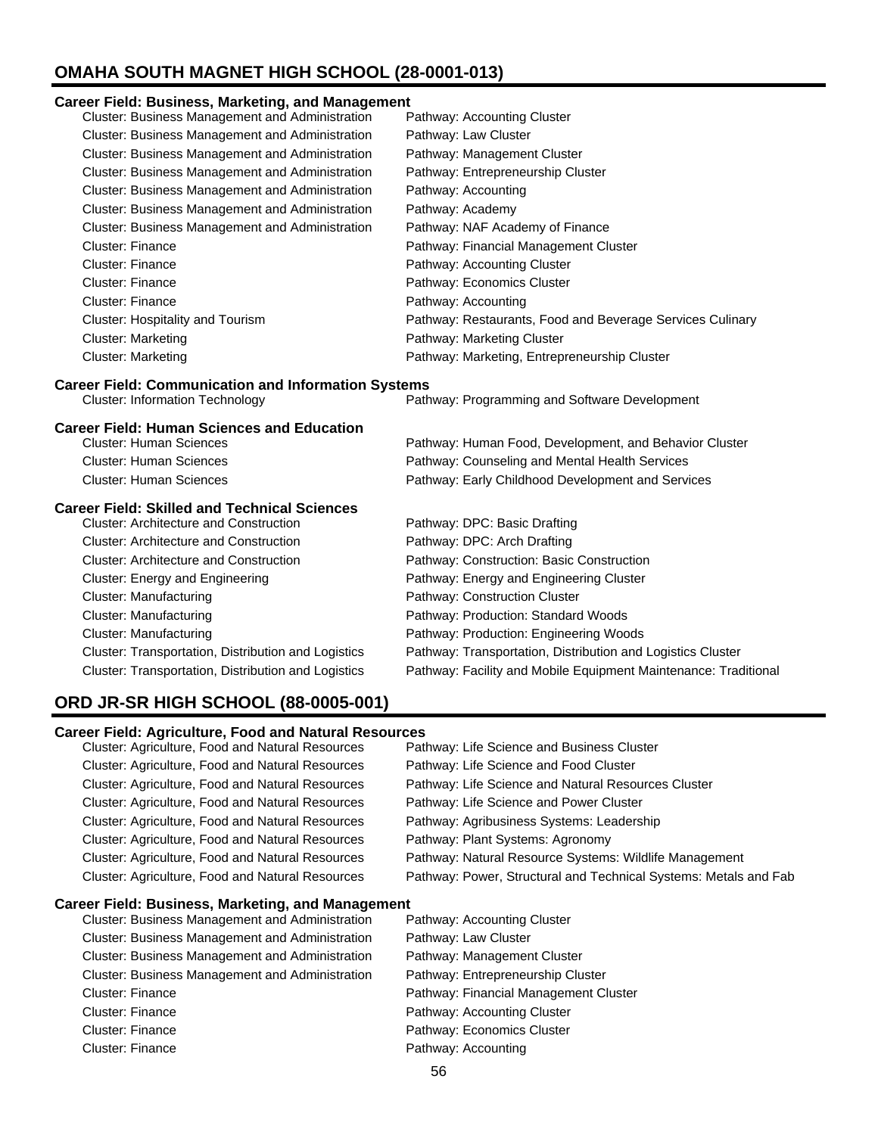# **OMAHA SOUTH MAGNET HIGH SCHOOL (28-0001-013)**

### **Career Field: Business, Marketing, and Management**

| Cluster: Business Management and Administration            | Pathway: Accounting Cluster                                                                                                    |
|------------------------------------------------------------|--------------------------------------------------------------------------------------------------------------------------------|
| Cluster: Business Management and Administration            | Pathway: Law Cluster                                                                                                           |
| Cluster: Business Management and Administration            | Pathway: Management Cluster                                                                                                    |
| Cluster: Business Management and Administration            | Pathway: Entrepreneurship Cluster                                                                                              |
| Cluster: Business Management and Administration            | Pathway: Accounting                                                                                                            |
| Cluster: Business Management and Administration            | Pathway: Academy                                                                                                               |
| Cluster: Business Management and Administration            | Pathway: NAF Academy of Finance                                                                                                |
| <b>Cluster: Finance</b>                                    | Pathway: Financial Management Cluster                                                                                          |
| <b>Cluster: Finance</b>                                    | Pathway: Accounting Cluster                                                                                                    |
| <b>Cluster: Finance</b>                                    | Pathway: Economics Cluster                                                                                                     |
| Cluster: Finance                                           | Pathway: Accounting                                                                                                            |
| Cluster: Hospitality and Tourism                           | Pathway: Restaurants, Food and Beverage Services Culinary                                                                      |
| <b>Cluster: Marketing</b>                                  | Pathway: Marketing Cluster                                                                                                     |
| <b>Cluster: Marketing</b>                                  | Pathway: Marketing, Entrepreneurship Cluster                                                                                   |
| <b>Career Field: Communication and Information Systems</b> |                                                                                                                                |
| <b>Cluster: Information Technology</b>                     | Pathway: Programming and Software Development                                                                                  |
|                                                            |                                                                                                                                |
| <b>Career Field: Human Sciences and Education</b>          |                                                                                                                                |
| <b>Cluster: Human Sciences</b>                             | Pathway: Human Food, Development, and Behavior Cluster                                                                         |
| <b>Cluster: Human Sciences</b>                             | Pathway: Counseling and Mental Health Services                                                                                 |
| <b>Cluster: Human Sciences</b>                             | Pathway: Early Childhood Development and Services                                                                              |
| <b>Career Field: Skilled and Technical Sciences</b>        |                                                                                                                                |
| <b>Cluster: Architecture and Construction</b>              | Pathway: DPC: Basic Drafting                                                                                                   |
| <b>Cluster: Architecture and Construction</b>              | Pathway: DPC: Arch Drafting                                                                                                    |
| <b>Cluster: Architecture and Construction</b>              | Pathway: Construction: Basic Construction                                                                                      |
| Cluster: Energy and Engineering                            | Pathway: Energy and Engineering Cluster                                                                                        |
| <b>Cluster: Manufacturing</b>                              | Pathway: Construction Cluster                                                                                                  |
| <b>Cluster: Manufacturing</b>                              | Pathway: Production: Standard Woods                                                                                            |
| <b>Cluster: Manufacturing</b>                              | Pathway: Production: Engineering Woods                                                                                         |
| Cluster: Transportation, Distribution and Logistics        | Pathway: Transportation, Distribution and Logistics Cluster<br>Pathway: Facility and Mobile Equipment Maintenance: Traditional |

# **ORD JR-SR HIGH SCHOOL (88-0005-001)**

### **Career Field: Agriculture, Food and Natural Resources**

| Cluster: Agriculture, Food and Natural Resources       | Pathway: Life Science and Business Cluster                       |
|--------------------------------------------------------|------------------------------------------------------------------|
| Cluster: Agriculture, Food and Natural Resources       | Pathway: Life Science and Food Cluster                           |
| Cluster: Agriculture, Food and Natural Resources       | Pathway: Life Science and Natural Resources Cluster              |
| Cluster: Agriculture, Food and Natural Resources       | Pathway: Life Science and Power Cluster                          |
| Cluster: Agriculture, Food and Natural Resources       | Pathway: Agribusiness Systems: Leadership                        |
| Cluster: Agriculture, Food and Natural Resources       | Pathway: Plant Systems: Agronomy                                 |
| Cluster: Agriculture, Food and Natural Resources       | Pathway: Natural Resource Systems: Wildlife Management           |
| Cluster: Agriculture, Food and Natural Resources       | Pathway: Power, Structural and Technical Systems: Metals and Fab |
| Career Field: Business, Marketing, and Management      |                                                                  |
| Cluster: Business Management and Administration        | Pathway: Accounting Cluster                                      |
| <b>Cluster: Business Management and Administration</b> | Pathway: Law Cluster                                             |
| Cluster: Business Management and Administration        | Pathway: Management Cluster                                      |
| Cluster: Business Management and Administration        | Pathway: Entrepreneurship Cluster                                |
| <b>Cluster: Finance</b>                                | Pathway: Financial Management Cluster                            |
| Cluster: Finance                                       | Pathway: Accounting Cluster                                      |
| Cluster: Finance                                       | Pathway: Economics Cluster                                       |
| Cluster: Finance                                       | Pathway: Accounting                                              |
|                                                        |                                                                  |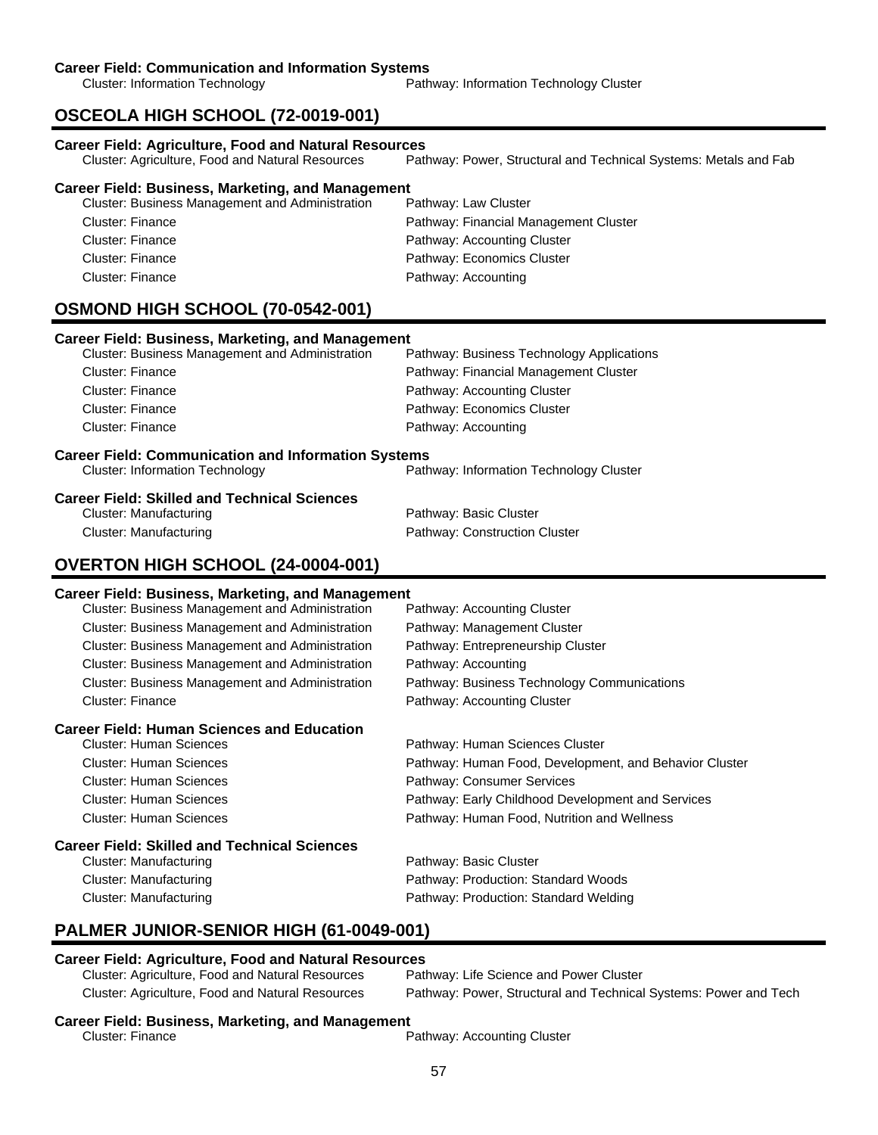Cluster: Information Technology **Pathway: Information Technology Cluster** Pathway: Information Technology Cluster

# **OSCEOLA HIGH SCHOOL (72-0019-001)**

| <b>Career Field: Agriculture, Food and Natural Resources</b><br>Cluster: Agriculture, Food and Natural Resources | Pathway: Power, Structural and Technical Systems: Metals and Fab |
|------------------------------------------------------------------------------------------------------------------|------------------------------------------------------------------|
| <b>Career Field: Business, Marketing, and Management</b>                                                         |                                                                  |
| Cluster: Business Management and Administration                                                                  | Pathway: Law Cluster                                             |
| <b>Cluster: Finance</b>                                                                                          | Pathway: Financial Management Cluster                            |
| <b>Cluster: Finance</b>                                                                                          | Pathway: Accounting Cluster                                      |
| <b>Cluster: Finance</b>                                                                                          | Pathway: Economics Cluster                                       |
| <b>Cluster: Finance</b>                                                                                          | Pathway: Accounting                                              |
| OSMOND HIGH SCHOOL (70-0542-001)                                                                                 |                                                                  |
| <b>Career Field: Business, Marketing, and Management</b>                                                         |                                                                  |
| Cluster: Business Management and Administration                                                                  | Pathway: Business Technology Applications                        |
| <b>Cluster: Finance</b>                                                                                          | Pathway: Financial Management Cluster                            |
| <b>Cluster: Finance</b>                                                                                          | Pathway: Accounting Cluster                                      |
| Cluster: Finance                                                                                                 | Pathway: Economics Cluster                                       |
| <b>Cluster: Finance</b>                                                                                          | Pathway: Accounting                                              |
| <b>Career Field: Communication and Information Systems</b><br><b>Cluster: Information Technology</b>             | Pathway: Information Technology Cluster                          |
| <b>Career Field: Skilled and Technical Sciences</b>                                                              |                                                                  |
| <b>Cluster: Manufacturing</b>                                                                                    | Pathway: Basic Cluster                                           |
| <b>Cluster: Manufacturing</b>                                                                                    | Pathway: Construction Cluster                                    |
| <b>OVERTON HIGH SCHOOL (24-0004-001)</b>                                                                         |                                                                  |
| <b>Career Field: Business, Marketing, and Management</b>                                                         |                                                                  |
| Cluster: Business Management and Administration                                                                  | Pathway: Accounting Cluster                                      |
| Cluster: Business Management and Administration                                                                  | Pathway: Management Cluster                                      |
| Cluster: Business Management and Administration                                                                  | Pathway: Entrepreneurship Cluster                                |
| Cluster: Business Management and Administration                                                                  | Pathway: Accounting                                              |
| Cluster: Business Management and Administration                                                                  | Pathway: Business Technology Communications                      |
| <b>Cluster: Finance</b>                                                                                          | Pathway: Accounting Cluster                                      |
| <b>Career Field: Human Sciences and Education</b>                                                                |                                                                  |
| <b>Cluster: Human Sciences</b>                                                                                   | Pathway: Human Sciences Cluster                                  |
| <b>Cluster: Human Sciences</b>                                                                                   | Pathway: Human Food, Development, and Behavior Cluster           |
| <b>Cluster: Human Sciences</b>                                                                                   | Pathway: Consumer Services                                       |
| <b>Cluster: Human Sciences</b>                                                                                   | Pathway: Early Childhood Development and Services                |
| <b>Cluster: Human Sciences</b>                                                                                   | Pathway: Human Food, Nutrition and Wellness                      |
| <b>Career Field: Skilled and Technical Sciences</b>                                                              |                                                                  |
| Cluster: Manufacturing                                                                                           | Pathway: Basic Cluster                                           |
| <b>Cluster: Manufacturing</b>                                                                                    | Pathway: Production: Standard Woods                              |
| <b>Cluster: Manufacturing</b>                                                                                    | Pathway: Production: Standard Welding                            |

# **PALMER JUNIOR-SENIOR HIGH (61-0049-001)**

# **Career Field: Agriculture, Food and Natural Resources**

Cluster: Agriculture, Food and Natural Resources

Cluster: Agriculture, Food and Natural Resources Pathway: Power, Structural and Technical Systems: Power and Tech

# **Career Field: Business, Marketing, and Management**

Pathway: Accounting Cluster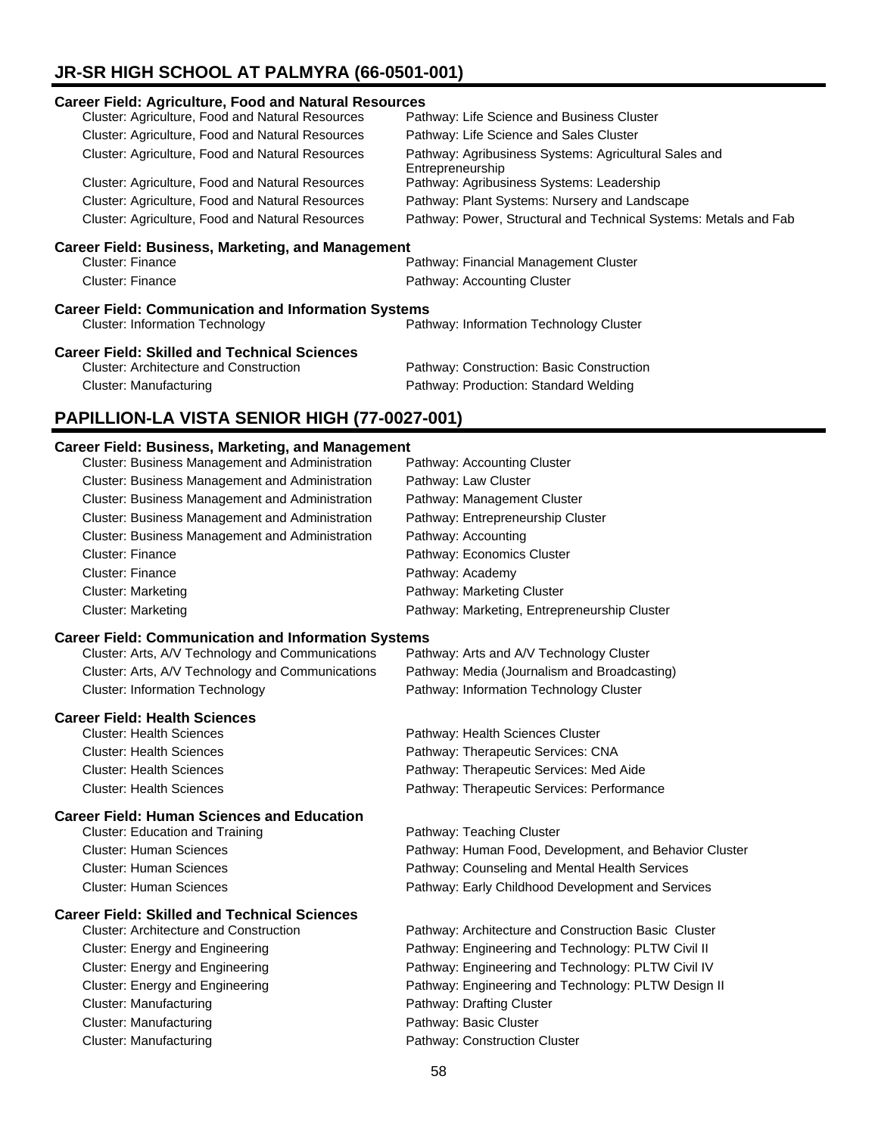# **JR-SR HIGH SCHOOL AT PALMYRA (66-0501-001)**

| <b>Career Field: Agriculture, Food and Natural Resources</b> |                                                                           |  |
|--------------------------------------------------------------|---------------------------------------------------------------------------|--|
| <b>Cluster: Agriculture, Food and Natural Resources</b>      | Pathway: Life Science and Business Cluster                                |  |
| Cluster: Agriculture, Food and Natural Resources             | Pathway: Life Science and Sales Cluster                                   |  |
| Cluster: Agriculture, Food and Natural Resources             | Pathway: Agribusiness Systems: Agricultural Sales and<br>Entrepreneurship |  |
| Cluster: Agriculture, Food and Natural Resources             | Pathway: Agribusiness Systems: Leadership                                 |  |
| <b>Cluster: Agriculture, Food and Natural Resources</b>      | Pathway: Plant Systems: Nursery and Landscape                             |  |
| Cluster: Agriculture, Food and Natural Resources             | Pathway: Power, Structural and Technical Systems: Metals and Fab          |  |
| <b>Career Field: Business, Marketing, and Management</b>     |                                                                           |  |
| Cluster: Finance                                             | Pathway: Financial Management Cluster                                     |  |
| Cluster: Finance                                             | Pathway: Accounting Cluster                                               |  |
| <b>Career Field: Communication and Information Systems</b>   |                                                                           |  |
| <b>Cluster: Information Technology</b>                       | Pathway: Information Technology Cluster                                   |  |
| <b>Career Field: Skilled and Technical Sciences</b>          |                                                                           |  |
| <b>Cluster: Architecture and Construction</b>                | Pathway: Construction: Basic Construction                                 |  |
| Cluster: Manufacturing                                       | Pathway: Production: Standard Welding                                     |  |
| PAPILLION-LA VISTA SENIOR HIGH (77-0027-001)                 |                                                                           |  |

### **Career Field: Business, Marketing, and Management**

| Cluster: Business Management and Administration        | Pathway: Accounting Cluster                  |
|--------------------------------------------------------|----------------------------------------------|
| <b>Cluster: Business Management and Administration</b> | Pathway: Law Cluster                         |
| <b>Cluster: Business Management and Administration</b> | Pathway: Management Cluster                  |
| <b>Cluster: Business Management and Administration</b> | Pathway: Entrepreneurship Cluster            |
| Cluster: Business Management and Administration        | Pathway: Accounting                          |
| <b>Cluster: Finance</b>                                | Pathway: Economics Cluster                   |
| <b>Cluster: Finance</b>                                | Pathway: Academy                             |
| <b>Cluster: Marketing</b>                              | Pathway: Marketing Cluster                   |
| <b>Cluster: Marketing</b>                              | Pathway: Marketing, Entrepreneurship Cluster |
|                                                        |                                              |

### **Career Field: Communication and Information Systems**

| Cluster: Arts, A/V Technology and Communications | Pathway: Arts and A/V Technology Cluster     |
|--------------------------------------------------|----------------------------------------------|
| Cluster: Arts, A/V Technology and Communications | Pathway: Media (Journalism and Broadcasting) |
| <b>Cluster: Information Technology</b>           | Pathway: Information Technology Cluster      |

### **Career Field: Health Sciences**

| Cluster: Health Sciences        | Pathway: Health Sciences Cluster           |
|---------------------------------|--------------------------------------------|
| <b>Cluster: Health Sciences</b> | Pathway: Therapeutic Services: CNA         |
| <b>Cluster: Health Sciences</b> | Pathway: Therapeutic Services: Med Aide    |
| <b>Cluster: Health Sciences</b> | Pathway: Therapeutic Services: Performance |
|                                 |                                            |

### **Career Field: Human Sciences and Education**

| Cluster: Education and Training | Pathway: Teaching Cluster                              |
|---------------------------------|--------------------------------------------------------|
| Cluster: Human Sciences         | Pathway: Human Food, Development, and Behavior Cluster |
| Cluster: Human Sciences         | Pathway: Counseling and Mental Health Services         |
| <b>Cluster: Human Sciences</b>  | Pathway: Early Childhood Development and Services      |
|                                 |                                                        |

### **Career Field: Skilled and Technical Sciences**

| <b>Cluster: Architecture and Construction</b> | Pathway: Architecture and Construction Basic Cluster |
|-----------------------------------------------|------------------------------------------------------|
| Cluster: Energy and Engineering               | Pathway: Engineering and Technology: PLTW Civil II   |
| Cluster: Energy and Engineering               | Pathway: Engineering and Technology: PLTW Civil IV   |
| Cluster: Energy and Engineering               | Pathway: Engineering and Technology: PLTW Design II  |
| <b>Cluster: Manufacturing</b>                 | Pathway: Drafting Cluster                            |
| Cluster: Manufacturing                        | Pathway: Basic Cluster                               |
| Cluster: Manufacturing                        | Pathway: Construction Cluster                        |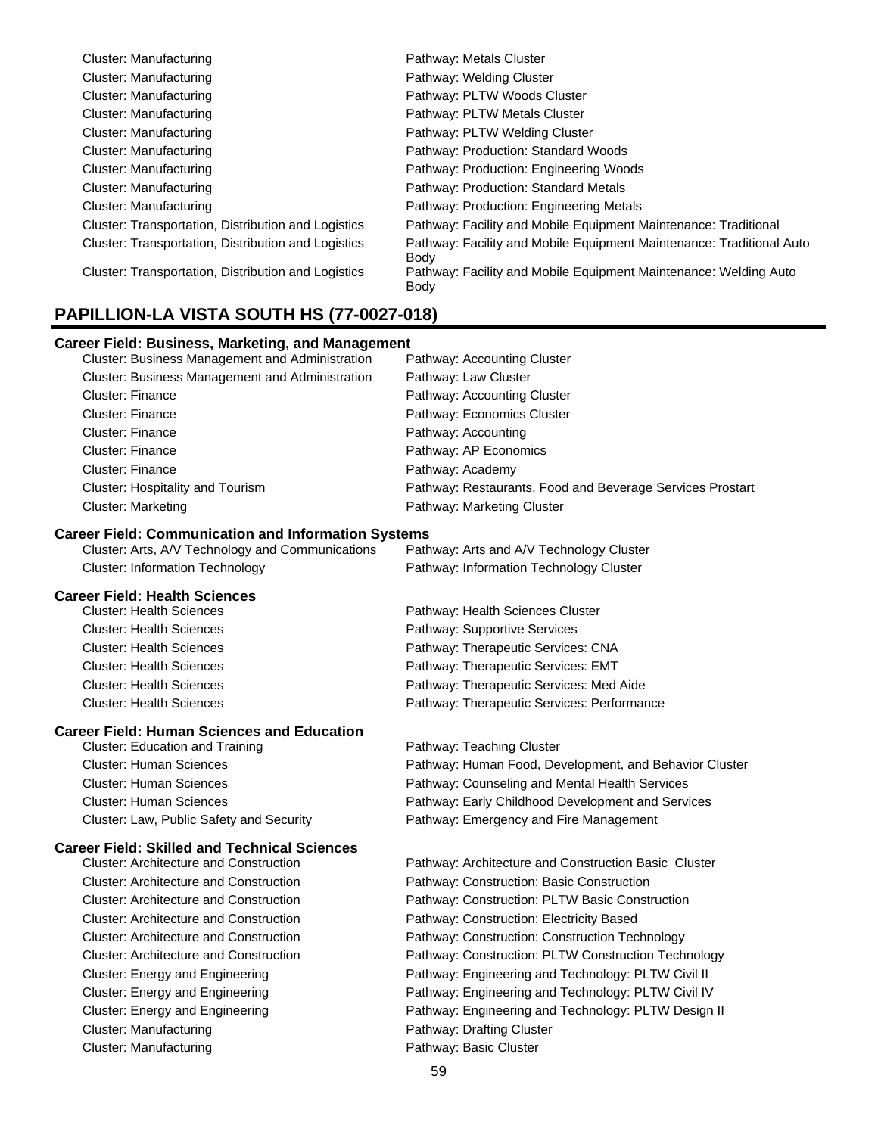| Cluster: Manufacturing                              | Pathway: Metals Cluster                                                      |
|-----------------------------------------------------|------------------------------------------------------------------------------|
| Cluster: Manufacturing                              | Pathway: Welding Cluster                                                     |
| Cluster: Manufacturing                              | Pathway: PLTW Woods Cluster                                                  |
| Cluster: Manufacturing                              | Pathway: PLTW Metals Cluster                                                 |
| Cluster: Manufacturing                              | Pathway: PLTW Welding Cluster                                                |
| Cluster: Manufacturing                              | Pathway: Production: Standard Woods                                          |
| Cluster: Manufacturing                              | Pathway: Production: Engineering Woods                                       |
| Cluster: Manufacturing                              | Pathway: Production: Standard Metals                                         |
| Cluster: Manufacturing                              | Pathway: Production: Engineering Metals                                      |
| Cluster: Transportation, Distribution and Logistics | Pathway: Facility and Mobile Equipment Maintenance: Traditional              |
| Cluster: Transportation, Distribution and Logistics | Pathway: Facility and Mobile Equipment Maintenance: Traditional Auto<br>Body |
| Cluster: Transportation, Distribution and Logistics | Pathway: Facility and Mobile Equipment Maintenance: Welding Auto<br>Body     |

### **PAPILLION-LA VISTA SOUTH HS (77-0027-018)**

### **Career Field: Business, Marketing, and Management**

| <b>Cluster: Business Management and Administration</b> | Pathway: Accounting Cluster                               |
|--------------------------------------------------------|-----------------------------------------------------------|
| <b>Cluster: Business Management and Administration</b> | Pathway: Law Cluster                                      |
| Cluster: Finance                                       | Pathway: Accounting Cluster                               |
| Cluster: Finance                                       | Pathway: Economics Cluster                                |
| <b>Cluster: Finance</b>                                | Pathway: Accounting                                       |
| Cluster: Finance                                       | Pathway: AP Economics                                     |
| <b>Cluster: Finance</b>                                | Pathway: Academy                                          |
| Cluster: Hospitality and Tourism                       | Pathway: Restaurants, Food and Beverage Services Prostart |
| <b>Cluster: Marketing</b>                              | Pathway: Marketing Cluster                                |

### **Career Field: Communication and Information Systems**

| Cluster: Arts, A/V Technology and Communications | Pathway: Arts and A/V Technology Cluster |
|--------------------------------------------------|------------------------------------------|
| <b>Cluster: Information Technology</b>           | Pathway: Information Technology Cluster  |

### **Career Field: Health Sciences**

| <b>Cluster: Health Sciences</b> | Pathway: Health Sciences Cluster           |
|---------------------------------|--------------------------------------------|
| <b>Cluster: Health Sciences</b> | Pathway: Supportive Services               |
| <b>Cluster: Health Sciences</b> | Pathway: Therapeutic Services: CNA         |
| <b>Cluster: Health Sciences</b> | Pathway: Therapeutic Services: EMT         |
| <b>Cluster: Health Sciences</b> | Pathway: Therapeutic Services: Med Aide    |
| <b>Cluster: Health Sciences</b> | Pathway: Therapeutic Services: Performance |
|                                 |                                            |

### **Career Field: Human Sciences and Education**

| Cluster: Education and Training          | Pathway: Teaching Cluster                              |
|------------------------------------------|--------------------------------------------------------|
| <b>Cluster: Human Sciences</b>           | Pathway: Human Food, Development, and Behavior Cluster |
| <b>Cluster: Human Sciences</b>           | Pathway: Counseling and Mental Health Services         |
| <b>Cluster: Human Sciences</b>           | Pathway: Early Childhood Development and Services      |
| Cluster: Law, Public Safety and Security | Pathway: Emergency and Fire Management                 |

# **Career Field: Skilled and Technical Sciences**

Cluster: Manufacturing **Pathway: Drafting Cluster** Pathway: Drafting Cluster Cluster: Manufacturing **Pathway: Basic Cluster** Pathway: Basic Cluster

Pathway: Architecture and Construction Basic Cluster Cluster: Architecture and Construction Pathway: Construction: Basic Construction Cluster: Architecture and Construction Pathway: Construction: PLTW Basic Construction Cluster: Architecture and Construction Pathway: Construction: Electricity Based Cluster: Architecture and Construction Pathway: Construction: Construction Technology Cluster: Architecture and Construction Pathway: Construction: PLTW Construction Technology Cluster: Energy and Engineering **Pathway: Engineering and Technology: PLTW Civil II** Cluster: Energy and Engineering **Pathway: Engineering and Technology: PLTW Civil IV** Pathway: Engineering and Technology: PLTW Civil IV Cluster: Energy and Engineering **Pathway: Engineering and Technology: PLTW Design II**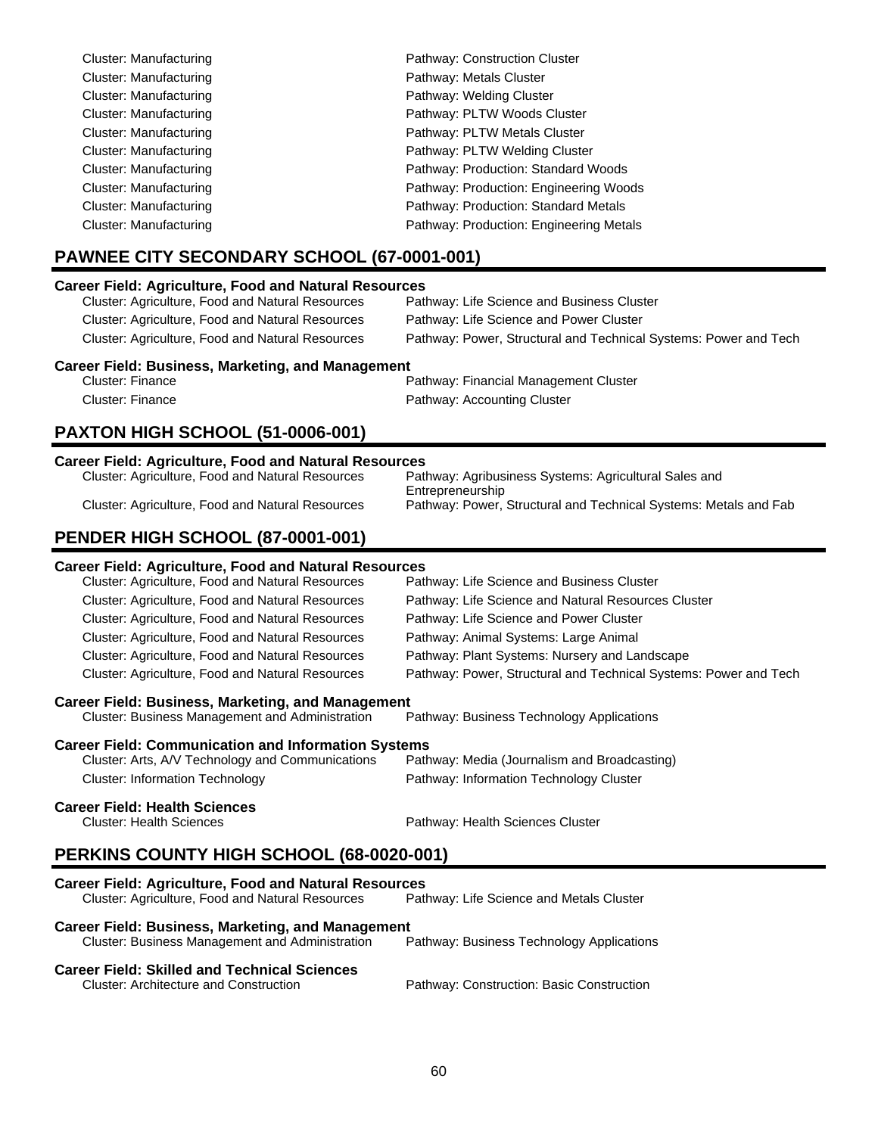| Cluster: Manufacturing | Pathway: Construction Cluster           |
|------------------------|-----------------------------------------|
| Cluster: Manufacturing | Pathway: Metals Cluster                 |
| Cluster: Manufacturing | Pathway: Welding Cluster                |
| Cluster: Manufacturing | Pathway: PLTW Woods Cluster             |
| Cluster: Manufacturing | Pathway: PLTW Metals Cluster            |
| Cluster: Manufacturing | Pathway: PLTW Welding Cluster           |
| Cluster: Manufacturing | Pathway: Production: Standard Woods     |
| Cluster: Manufacturing | Pathway: Production: Engineering Woods  |
| Cluster: Manufacturing | Pathway: Production: Standard Metals    |
| Cluster: Manufacturing | Pathway: Production: Engineering Metals |

# **PAWNEE CITY SECONDARY SCHOOL (67-0001-001)**

### **Career Field: Agriculture, Food and Natural Resources**

| Cluster: Agriculture, Food and Natural Resources | Pathway: Life Science and Business Cluster                       |
|--------------------------------------------------|------------------------------------------------------------------|
| Cluster: Agriculture, Food and Natural Resources | Pathway: Life Science and Power Cluster                          |
| Cluster: Agriculture, Food and Natural Resources | Pathway: Power, Structural and Technical Systems: Power and Tech |

### **Career Field: Business, Marketing, and Management**

| Cluster: Finance | Pathway: Financial Management Cluster |
|------------------|---------------------------------------|
| Cluster: Finance | Pathway: Accounting Cluster           |

# **PAXTON HIGH SCHOOL (51-0006-001)**

| <b>Career Field: Agriculture, Food and Natural Resources</b> |                                                                  |  |
|--------------------------------------------------------------|------------------------------------------------------------------|--|
| Cluster: Agriculture, Food and Natural Resources             | Pathway: Agribusiness Systems: Agricultural Sales and            |  |
|                                                              | Entrepreneurship                                                 |  |
| Cluster: Agriculture, Food and Natural Resources             | Pathway: Power, Structural and Technical Systems: Metals and Fab |  |
|                                                              |                                                                  |  |

# **PENDER HIGH SCHOOL (87-0001-001)**

| <b>Career Field: Agriculture, Food and Natural Resources</b>                                                                                      |                                                                  |  |
|---------------------------------------------------------------------------------------------------------------------------------------------------|------------------------------------------------------------------|--|
| Cluster: Agriculture, Food and Natural Resources                                                                                                  | Pathway: Life Science and Business Cluster                       |  |
| Cluster: Agriculture, Food and Natural Resources                                                                                                  | Pathway: Life Science and Natural Resources Cluster              |  |
| Cluster: Agriculture, Food and Natural Resources                                                                                                  | Pathway: Life Science and Power Cluster                          |  |
| Cluster: Agriculture, Food and Natural Resources                                                                                                  | Pathway: Animal Systems: Large Animal                            |  |
| Cluster: Agriculture, Food and Natural Resources                                                                                                  | Pathway: Plant Systems: Nursery and Landscape                    |  |
| <b>Cluster: Agriculture, Food and Natural Resources</b>                                                                                           | Pathway: Power, Structural and Technical Systems: Power and Tech |  |
| Career Field: Business, Marketing, and Management<br>Cluster: Business Management and Administration<br>Pathway: Business Technology Applications |                                                                  |  |
| <b>Career Field: Communication and Information Systems</b>                                                                                        |                                                                  |  |
| Cluster: Arts, A/V Technology and Communications                                                                                                  | Pathway: Media (Journalism and Broadcasting)                     |  |
| <b>Cluster: Information Technology</b>                                                                                                            | Pathway: Information Technology Cluster                          |  |
| <b>Career Field: Health Sciences</b>                                                                                                              |                                                                  |  |
| Cluster: Health Sciences                                                                                                                          | Pathway: Health Sciences Cluster                                 |  |

# **PERKINS COUNTY HIGH SCHOOL (68-0020-001)**

| <b>Career Field: Agriculture, Food and Natural Resources</b>                                         |                                           |  |
|------------------------------------------------------------------------------------------------------|-------------------------------------------|--|
| Cluster: Agriculture, Food and Natural Resources                                                     | Pathway: Life Science and Metals Cluster  |  |
| Career Field: Business, Marketing, and Management<br>Cluster: Business Management and Administration | Pathway: Business Technology Applications |  |
| <b>Career Field: Skilled and Technical Sciences</b><br><b>Cluster: Architecture and Construction</b> | Pathway: Construction: Basic Construction |  |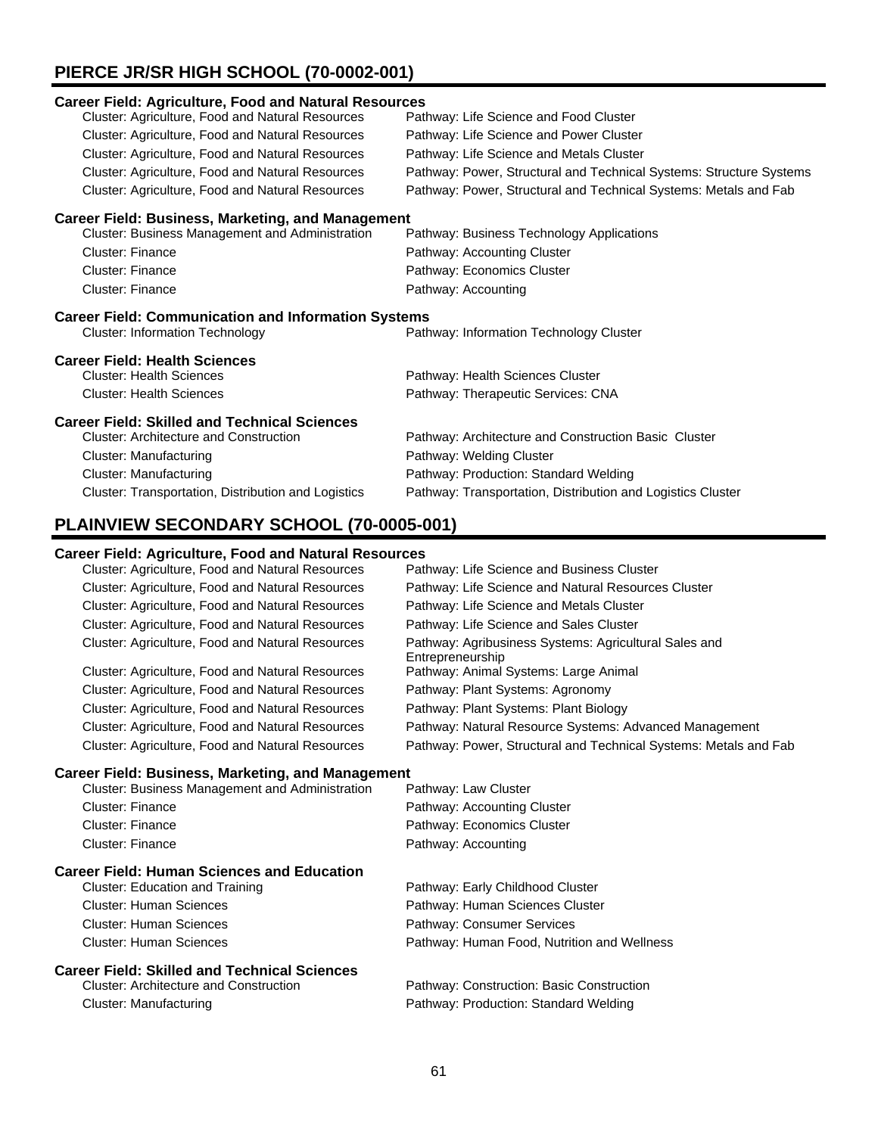# **PIERCE JR/SR HIGH SCHOOL (70-0002-001)**

| <b>Career Field: Agriculture, Food and Natural Resources</b> |                                                                     |  |
|--------------------------------------------------------------|---------------------------------------------------------------------|--|
| Cluster: Agriculture, Food and Natural Resources             | Pathway: Life Science and Food Cluster                              |  |
| Cluster: Agriculture, Food and Natural Resources             | Pathway: Life Science and Power Cluster                             |  |
| Cluster: Agriculture, Food and Natural Resources             | Pathway: Life Science and Metals Cluster                            |  |
| Cluster: Agriculture, Food and Natural Resources             | Pathway: Power, Structural and Technical Systems: Structure Systems |  |
| Cluster: Agriculture, Food and Natural Resources             | Pathway: Power, Structural and Technical Systems: Metals and Fab    |  |
| <b>Career Field: Business, Marketing, and Management</b>     |                                                                     |  |
| Cluster: Business Management and Administration              | Pathway: Business Technology Applications                           |  |
| <b>Cluster: Finance</b>                                      | Pathway: Accounting Cluster                                         |  |
| Cluster: Finance                                             | Pathway: Economics Cluster                                          |  |
| Cluster: Finance                                             | Pathway: Accounting                                                 |  |
| <b>Career Field: Communication and Information Systems</b>   |                                                                     |  |
| <b>Cluster: Information Technology</b>                       | Pathway: Information Technology Cluster                             |  |
| <b>Career Field: Health Sciences</b>                         |                                                                     |  |
| <b>Cluster: Health Sciences</b>                              | Pathway: Health Sciences Cluster                                    |  |
| <b>Cluster: Health Sciences</b>                              | Pathway: Therapeutic Services: CNA                                  |  |
| <b>Career Field: Skilled and Technical Sciences</b>          |                                                                     |  |
| <b>Cluster: Architecture and Construction</b>                | Pathway: Architecture and Construction Basic Cluster                |  |
| Cluster: Manufacturing                                       | Pathway: Welding Cluster                                            |  |
| <b>Cluster: Manufacturing</b>                                | Pathway: Production: Standard Welding                               |  |
| Cluster: Transportation, Distribution and Logistics          | Pathway: Transportation, Distribution and Logistics Cluster         |  |
|                                                              |                                                                     |  |

# **PLAINVIEW SECONDARY SCHOOL (70-0005-001)**

### **Career Field: Agriculture, Food and Natural Resources**

| $\alpha$ i eer Tield. Agriculture, Tood and Natural Resources |                                                                           |
|---------------------------------------------------------------|---------------------------------------------------------------------------|
| Cluster: Agriculture, Food and Natural Resources              | Pathway: Life Science and Business Cluster                                |
| Cluster: Agriculture, Food and Natural Resources              | Pathway: Life Science and Natural Resources Cluster                       |
| Cluster: Agriculture, Food and Natural Resources              | Pathway: Life Science and Metals Cluster                                  |
| Cluster: Agriculture, Food and Natural Resources              | Pathway: Life Science and Sales Cluster                                   |
| Cluster: Agriculture, Food and Natural Resources              | Pathway: Agribusiness Systems: Agricultural Sales and<br>Entrepreneurship |
| Cluster: Agriculture, Food and Natural Resources              | Pathway: Animal Systems: Large Animal                                     |
| Cluster: Agriculture, Food and Natural Resources              | Pathway: Plant Systems: Agronomy                                          |
| Cluster: Agriculture, Food and Natural Resources              | Pathway: Plant Systems: Plant Biology                                     |
| Cluster: Agriculture, Food and Natural Resources              | Pathway: Natural Resource Systems: Advanced Management                    |
| Cluster: Agriculture, Food and Natural Resources              | Pathway: Power, Structural and Technical Systems: Metals and Fab          |

### **Career Field: Business, Marketing, and Management**

| <b>Cluster: Business Management and Administration</b> | Pathway: Law Cluster                        |
|--------------------------------------------------------|---------------------------------------------|
| Cluster: Finance                                       | Pathway: Accounting Cluster                 |
| Cluster: Finance                                       | Pathway: Economics Cluster                  |
| Cluster: Finance                                       | Pathway: Accounting                         |
| Career Field: Human Sciences and Education             |                                             |
| Cluster: Education and Training                        | Pathway: Early Childhood Cluster            |
| <b>Cluster: Human Sciences</b>                         | Pathway: Human Sciences Cluster             |
| Cluster: Human Sciences                                | Pathway: Consumer Services                  |
| <b>Cluster: Human Sciences</b>                         | Pathway: Human Food, Nutrition and Wellness |
| <b>Career Field: Skilled and Technical Sciences</b>    |                                             |
| <b>Cluster: Architecture and Construction</b>          | Pathway: Construction: Basic Construction   |

Cluster: Manufacturing extending Pathway: Production: Standard Welding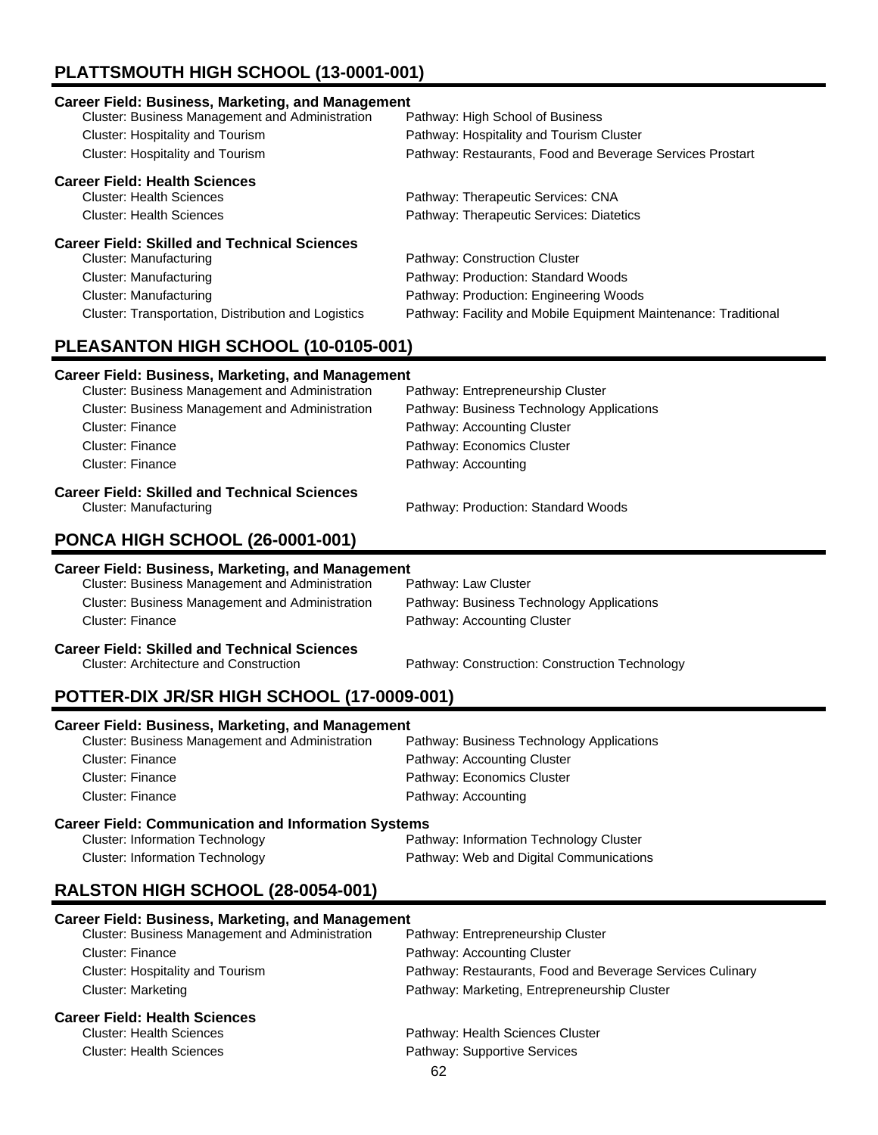# **PLATTSMOUTH HIGH SCHOOL (13-0001-001)**

| <b>Career Field: Business, Marketing, and Management</b> |                                                                 |
|----------------------------------------------------------|-----------------------------------------------------------------|
| Cluster: Business Management and Administration          | Pathway: High School of Business                                |
| Cluster: Hospitality and Tourism                         | Pathway: Hospitality and Tourism Cluster                        |
| Cluster: Hospitality and Tourism                         | Pathway: Restaurants, Food and Beverage Services Prostart       |
| <b>Career Field: Health Sciences</b>                     |                                                                 |
| <b>Cluster: Health Sciences</b>                          | Pathway: Therapeutic Services: CNA                              |
| <b>Cluster: Health Sciences</b>                          | Pathway: Therapeutic Services: Diatetics                        |
| <b>Career Field: Skilled and Technical Sciences</b>      |                                                                 |
| Cluster: Manufacturing                                   | Pathway: Construction Cluster                                   |
| Cluster: Manufacturing                                   | Pathway: Production: Standard Woods                             |
| Cluster: Manufacturing                                   | Pathway: Production: Engineering Woods                          |
| Cluster: Transportation, Distribution and Logistics      | Pathway: Facility and Mobile Equipment Maintenance: Traditional |

# **PLEASANTON HIGH SCHOOL (10-0105-001)**

### **Career Field: Business, Marketing, and Management**

| <b>Cluster: Business Management and Administration</b> | Pathway: Entrepreneurship Cluster         |
|--------------------------------------------------------|-------------------------------------------|
| <b>Cluster: Business Management and Administration</b> | Pathway: Business Technology Applications |
| Cluster: Finance                                       | Pathway: Accounting Cluster               |
| <b>Cluster: Finance</b>                                | Pathway: Economics Cluster                |
| <b>Cluster: Finance</b>                                | Pathway: Accounting                       |
| <b>Career Field: Skilled and Technical Sciences</b>    |                                           |
| Cluster: Manufacturing                                 | Pathway: Production: Standard Woods       |

# **PONCA HIGH SCHOOL (26-0001-001)**

### **Career Field: Business, Marketing, and Management**

| areer Field: Skilled and Technical Sciences            |                                           |
|--------------------------------------------------------|-------------------------------------------|
| Cluster: Finance                                       | Pathway: Accounting Cluster               |
| Cluster: Business Management and Administration        | Pathway: Business Technology Applications |
| <b>Cluster: Business Management and Administration</b> | Pathway: Law Cluster                      |

Pathway: Construction: Construction Technology

# **Career Field: Skilled and Technical Sciences**<br>Cluster: Architecture and Construction

# **POTTER-DIX JR/SR HIGH SCHOOL (17-0009-001) Career Field: Business, Marketing, and Management**

| Varcer Fleid. Dasmicss, marketing, and management          |                                           |  |
|------------------------------------------------------------|-------------------------------------------|--|
| <b>Cluster: Business Management and Administration</b>     | Pathway: Business Technology Applications |  |
| Cluster: Finance                                           | Pathway: Accounting Cluster               |  |
| Cluster: Finance                                           | Pathway: Economics Cluster                |  |
| Cluster: Finance                                           | Pathway: Accounting                       |  |
| <b>Career Field: Communication and Information Systems</b> |                                           |  |
| Cluster, Information Technology                            | Dethumu Information Technology Olyater    |  |

### Cluster: Information Technology Pathway: Information Technology Cluster Cluster: Information Technology Pathway: Web and Digital Communications

# **RALSTON HIGH SCHOOL (28-0054-001)**

# **Career Field: Business, Marketing, and Management**

| Cluster: Business Management and Administration | Pathway: Entrepreneurship Cluster                         |
|-------------------------------------------------|-----------------------------------------------------------|
| Cluster: Finance                                | Pathway: Accounting Cluster                               |
| Cluster: Hospitality and Tourism                | Pathway: Restaurants, Food and Beverage Services Culinary |
| Cluster: Marketing                              | Pathway: Marketing, Entrepreneurship Cluster              |
| <b>Career Field: Health Sciences</b>            |                                                           |
| <b>Cluster: Health Sciences</b>                 | Pathway: Health Sciences Cluster                          |
| <b>Cluster: Health Sciences</b>                 | Pathway: Supportive Services                              |
|                                                 | െ                                                         |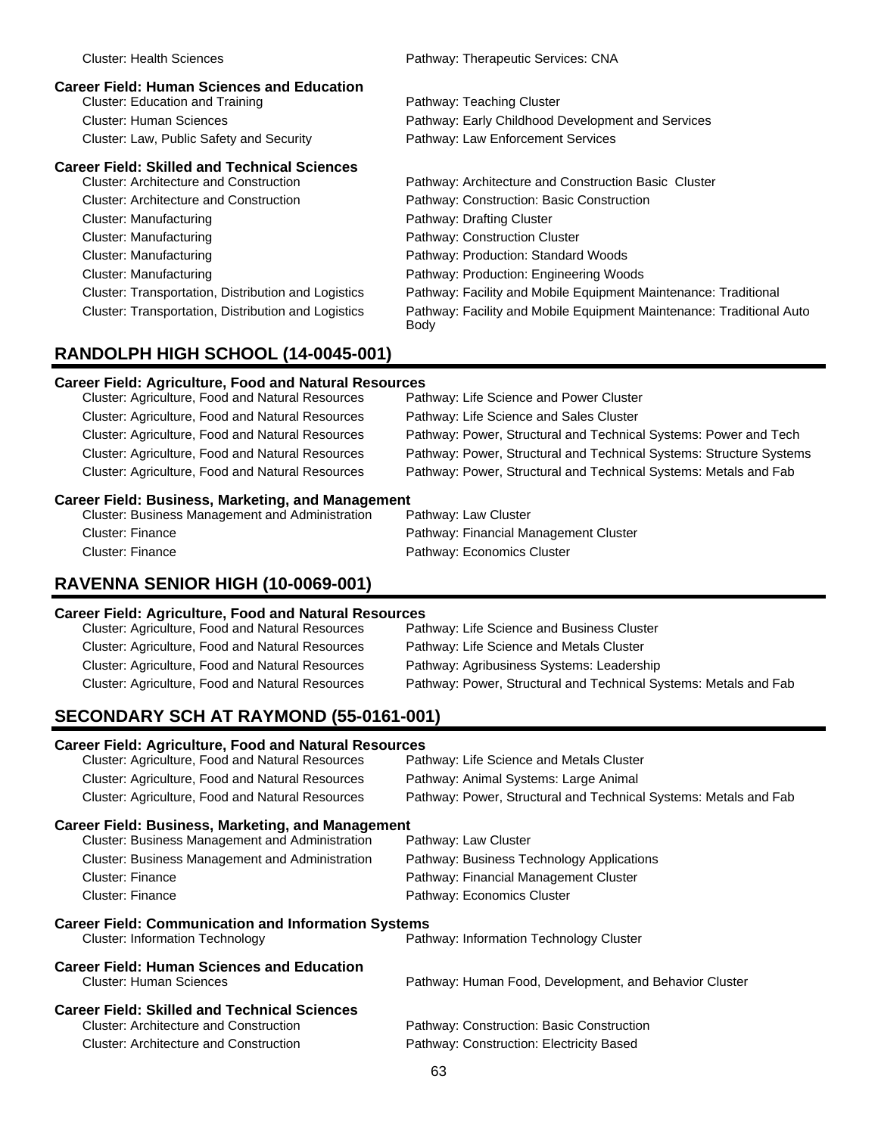| <b>Career Field: Human Sciences and Education</b><br><b>Cluster: Education and Training</b> | Pathway: Teaching Cluster                                                    |
|---------------------------------------------------------------------------------------------|------------------------------------------------------------------------------|
| <b>Cluster: Human Sciences</b>                                                              | Pathway: Early Childhood Development and Services                            |
| Cluster: Law, Public Safety and Security                                                    | Pathway: Law Enforcement Services                                            |
| <b>Career Field: Skilled and Technical Sciences</b>                                         |                                                                              |
| Cluster: Architecture and Construction                                                      | Pathway: Architecture and Construction Basic Cluster                         |
| <b>Cluster: Architecture and Construction</b>                                               | Pathway: Construction: Basic Construction                                    |
| Cluster: Manufacturing                                                                      | Pathway: Drafting Cluster                                                    |
| Cluster: Manufacturing                                                                      | Pathway: Construction Cluster                                                |
| Cluster: Manufacturing                                                                      | Pathway: Production: Standard Woods                                          |
| Cluster: Manufacturing                                                                      | Pathway: Production: Engineering Woods                                       |
| Cluster: Transportation, Distribution and Logistics                                         | Pathway: Facility and Mobile Equipment Maintenance: Traditional              |
| Cluster: Transportation, Distribution and Logistics                                         | Pathway: Facility and Mobile Equipment Maintenance: Traditional Auto<br>Body |
|                                                                                             |                                                                              |

Cluster: Health Sciences Pathway: Therapeutic Services: CNA

# **RANDOLPH HIGH SCHOOL (14-0045-001)**

### **Career Field: Agriculture, Food and Natural Resources**

| Cluster: Agriculture, Food and Natural Resources | Pathway: Life Science and Power Cluster                             |
|--------------------------------------------------|---------------------------------------------------------------------|
| Cluster: Agriculture, Food and Natural Resources | Pathway: Life Science and Sales Cluster                             |
| Cluster: Agriculture, Food and Natural Resources | Pathway: Power, Structural and Technical Systems: Power and Tech    |
| Cluster: Agriculture, Food and Natural Resources | Pathway: Power, Structural and Technical Systems: Structure Systems |
| Cluster: Agriculture, Food and Natural Resources | Pathway: Power, Structural and Technical Systems: Metals and Fab    |
|                                                  |                                                                     |

### **Career Field: Business, Marketing, and Management**

| Cluster: Business Management and Administration | Pathway: Law Cluster                  |
|-------------------------------------------------|---------------------------------------|
| Cluster: Finance                                | Pathway: Financial Management Cluster |
| Cluster: Finance                                | Pathway: Economics Cluster            |

## **RAVENNA SENIOR HIGH (10-0069-001)**

### **Career Field: Agriculture, Food and Natural Resources**

| Pathway: Life Science and Business Cluster                                                                                                                                                                   |
|--------------------------------------------------------------------------------------------------------------------------------------------------------------------------------------------------------------|
| Pathway: Life Science and Metals Cluster                                                                                                                                                                     |
| Pathway: Agribusiness Systems: Leadership                                                                                                                                                                    |
| Pathway: Power, Structural and Technical Systems: Metals and Fab                                                                                                                                             |
| Cluster: Agriculture, Food and Natural Resources<br>Cluster: Agriculture, Food and Natural Resources<br>Cluster: Agriculture, Food and Natural Resources<br>Cluster: Agriculture, Food and Natural Resources |

# **SECONDARY SCH AT RAYMOND (55-0161-001)**

### **Career Field: Agriculture, Food and Natural Resources**

| <b>Career Field: Business, Marketing, and Management</b> |                                                  |                                                                  |
|----------------------------------------------------------|--------------------------------------------------|------------------------------------------------------------------|
|                                                          | Cluster: Agriculture, Food and Natural Resources | Pathway: Power, Structural and Technical Systems: Metals and Fab |
|                                                          | Cluster: Agriculture, Food and Natural Resources | Pathway: Animal Systems: Large Animal                            |
|                                                          | Cluster: Agriculture, Food and Natural Resources | Pathway: Life Science and Metals Cluster                         |

| <b>Cluster: Business Management and Administration</b>                                               | Pathway: Law Cluster                                   |
|------------------------------------------------------------------------------------------------------|--------------------------------------------------------|
| <b>Cluster: Business Management and Administration</b>                                               | Pathway: Business Technology Applications              |
| Cluster: Finance                                                                                     | Pathway: Financial Management Cluster                  |
| Cluster: Finance                                                                                     | Pathway: Economics Cluster                             |
| <b>Career Field: Communication and Information Systems</b><br><b>Cluster: Information Technology</b> | Pathway: Information Technology Cluster                |
| <b>Career Field: Human Sciences and Education</b><br><b>Cluster: Human Sciences</b>                  | Pathway: Human Food, Development, and Behavior Cluster |

### **Career Field: Skilled and Technical Sciences**

| Cluster: Architecture and Construction | Pathway: Construction: Basic Construction |
|----------------------------------------|-------------------------------------------|
| Cluster: Architecture and Construction | Pathway: Construction: Electricity Based  |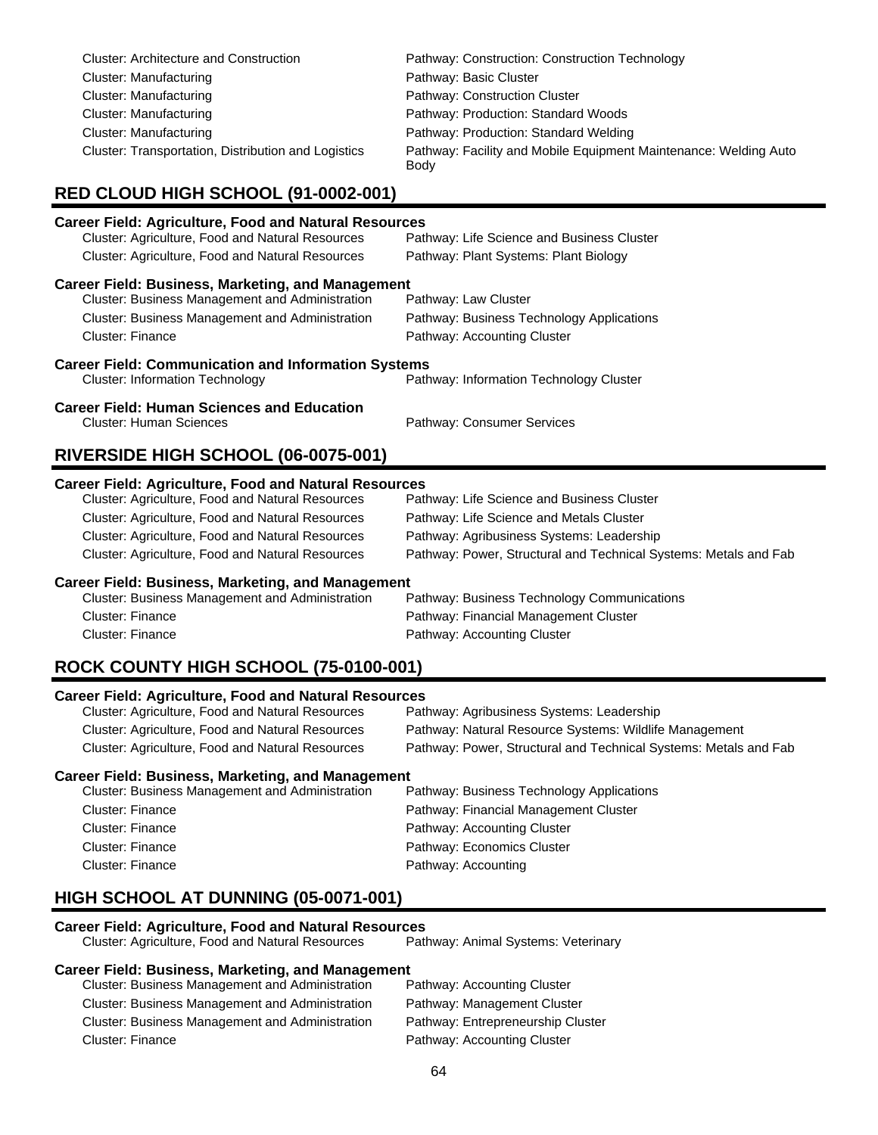| <b>Cluster: Architecture and Construction</b>       | Pathway: Construction: Construction Technology                           |
|-----------------------------------------------------|--------------------------------------------------------------------------|
| Cluster: Manufacturing                              | Pathway: Basic Cluster                                                   |
| Cluster: Manufacturing                              | Pathway: Construction Cluster                                            |
| Cluster: Manufacturing                              | Pathway: Production: Standard Woods                                      |
| Cluster: Manufacturing                              | Pathway: Production: Standard Welding                                    |
| Cluster: Transportation, Distribution and Logistics | Pathway: Facility and Mobile Equipment Maintenance: Welding Auto<br>Body |

# **RED CLOUD HIGH SCHOOL (91-0002-001)**

| <b>Career Field: Agriculture, Food and Natural Resources</b>                                                      |                                                                  |  |
|-------------------------------------------------------------------------------------------------------------------|------------------------------------------------------------------|--|
| Cluster: Agriculture, Food and Natural Resources                                                                  | Pathway: Life Science and Business Cluster                       |  |
| Cluster: Agriculture, Food and Natural Resources                                                                  | Pathway: Plant Systems: Plant Biology                            |  |
| <b>Career Field: Business, Marketing, and Management</b>                                                          |                                                                  |  |
| Cluster: Business Management and Administration                                                                   | Pathway: Law Cluster                                             |  |
| Cluster: Business Management and Administration                                                                   | Pathway: Business Technology Applications                        |  |
| <b>Cluster: Finance</b>                                                                                           | Pathway: Accounting Cluster                                      |  |
| <b>Career Field: Communication and Information Systems</b>                                                        |                                                                  |  |
| <b>Cluster: Information Technology</b>                                                                            | Pathway: Information Technology Cluster                          |  |
| <b>Career Field: Human Sciences and Education</b><br><b>Cluster: Human Sciences</b><br>Pathway: Consumer Services |                                                                  |  |
| RIVERSIDE HIGH SCHOOL (06-0075-001)                                                                               |                                                                  |  |
|                                                                                                                   |                                                                  |  |
| <b>Career Field: Agriculture, Food and Natural Resources</b>                                                      |                                                                  |  |
| Cluster: Agriculture, Food and Natural Resources                                                                  | Pathway: Life Science and Business Cluster                       |  |
| Cluster: Agriculture, Food and Natural Resources                                                                  | Pathway: Life Science and Metals Cluster                         |  |
| Cluster: Agriculture, Food and Natural Resources                                                                  | Pathway: Agribusiness Systems: Leadership                        |  |
| Cluster: Agriculture, Food and Natural Resources                                                                  | Pathway: Power, Structural and Technical Systems: Metals and Fab |  |
| <b>Career Field: Business, Marketing, and Management</b>                                                          |                                                                  |  |
| Cluster: Business Management and Administration                                                                   | Pathway: Business Technology Communications                      |  |
| Cluster: Finance                                                                                                  | Pathway: Financial Management Cluster                            |  |
| <b>Cluster: Finance</b>                                                                                           | Pathway: Accounting Cluster                                      |  |

## **ROCK COUNTY HIGH SCHOOL (75-0100-001)**

### **Career Field: Agriculture, Food and Natural Resources**

| Cluster: Agriculture, Food and Natural Resources | Pathway: Agribusiness Systems: Leadership                        |
|--------------------------------------------------|------------------------------------------------------------------|
| Cluster: Agriculture, Food and Natural Resources | Pathway: Natural Resource Systems: Wildlife Management           |
| Cluster: Agriculture, Food and Natural Resources | Pathway: Power, Structural and Technical Systems: Metals and Fab |

### **Career Field: Business, Marketing, and Management**

| <b>Cluster: Business Management and Administration</b> | Pathway: Business Technology Applications |
|--------------------------------------------------------|-------------------------------------------|
| Cluster: Finance                                       | Pathway: Financial Management Cluster     |
| Cluster: Finance                                       | Pathway: Accounting Cluster               |
| Cluster: Finance                                       | Pathway: Economics Cluster                |
| Cluster: Finance                                       | Pathway: Accounting                       |

# **HIGH SCHOOL AT DUNNING (05-0071-001)**

**Career Field: Agriculture, Food and Natural Resources** Cluster: Agriculture, Food and Natural Resources

### **Career Field: Business, Marketing, and Management**

| <b>Cluster: Business Management and Administration</b> | Pathway: Accounting Cluster       |
|--------------------------------------------------------|-----------------------------------|
| <b>Cluster: Business Management and Administration</b> | Pathway: Management Cluster       |
| <b>Cluster: Business Management and Administration</b> | Pathway: Entrepreneurship Cluster |
| Cluster: Finance                                       | Pathway: Accounting Cluster       |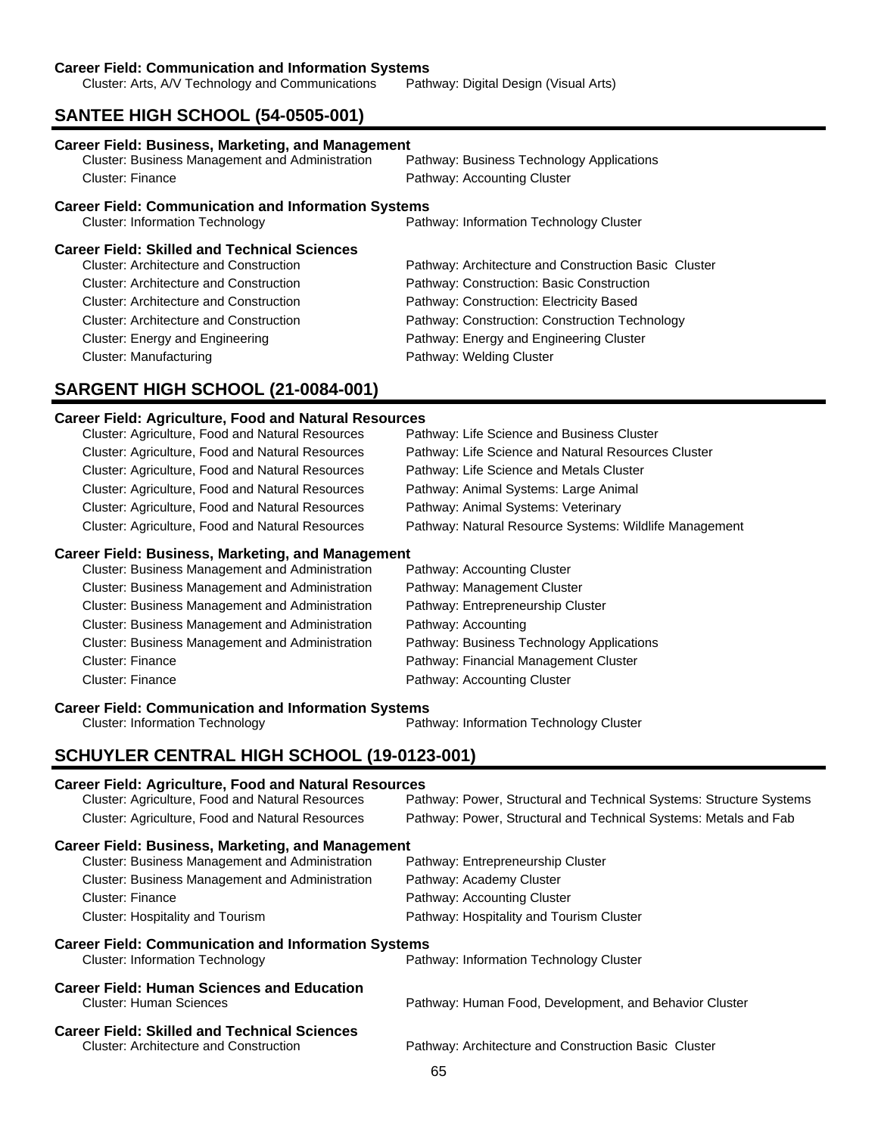**Career Field: Communication and Information Systems**<br>Cluster: Arts, A/V Technology and Communications Pathway: Digital Design (Visual Arts) Cluster: Arts, A/V Technology and Communications

# **SANTEE HIGH SCHOOL (54-0505-001)**

| <b>Career Field: Business, Marketing, and Management</b>     |                                                      |  |
|--------------------------------------------------------------|------------------------------------------------------|--|
| <b>Cluster: Business Management and Administration</b>       | Pathway: Business Technology Applications            |  |
| Cluster: Finance                                             | Pathway: Accounting Cluster                          |  |
| <b>Career Field: Communication and Information Systems</b>   |                                                      |  |
| <b>Cluster: Information Technology</b>                       | Pathway: Information Technology Cluster              |  |
| <b>Career Field: Skilled and Technical Sciences</b>          |                                                      |  |
| <b>Cluster: Architecture and Construction</b>                | Pathway: Architecture and Construction Basic Cluster |  |
| Cluster: Architecture and Construction                       | Pathway: Construction: Basic Construction            |  |
| Cluster: Architecture and Construction                       | Pathway: Construction: Electricity Based             |  |
| Cluster: Architecture and Construction                       | Pathway: Construction: Construction Technology       |  |
| Cluster: Energy and Engineering                              | Pathway: Energy and Engineering Cluster              |  |
| Cluster: Manufacturing                                       | Pathway: Welding Cluster                             |  |
| SARGENT HIGH SCHOOL (21-0084-001)                            |                                                      |  |
| <b>Career Field: Agriculture, Food and Natural Resources</b> |                                                      |  |
| Cluster: Agriculture, Food and Natural Resources             | Pathway: Life Science and Business Cluster           |  |
| Cluster: Agriculture, Food and Natural Resources             | Pathway: Life Science and Natural Resources Cluster  |  |
| Cluster: Agriculture, Food and Natural Resources             | Pathway: Life Science and Metals Cluster             |  |

| Cluster. Agriculture, i obu ariu natural Resources      | r alliway. Lile Science and Metals Cluster             |
|---------------------------------------------------------|--------------------------------------------------------|
| Cluster: Agriculture, Food and Natural Resources        | Pathway: Animal Systems: Large Animal                  |
| Cluster: Agriculture, Food and Natural Resources        | Pathway: Animal Systems: Veterinary                    |
| <b>Cluster: Agriculture, Food and Natural Resources</b> | Pathway: Natural Resource Systems: Wildlife Management |

### **Career Field: Business, Marketing, and Management**

| Cluster: Business Management and Administration        | Pathway: Accounting Cluster               |
|--------------------------------------------------------|-------------------------------------------|
| Cluster: Business Management and Administration        | Pathway: Management Cluster               |
| <b>Cluster: Business Management and Administration</b> | Pathway: Entrepreneurship Cluster         |
| <b>Cluster: Business Management and Administration</b> | Pathway: Accounting                       |
| Cluster: Business Management and Administration        | Pathway: Business Technology Applications |
| <b>Cluster: Finance</b>                                | Pathway: Financial Management Cluster     |
| <b>Cluster: Finance</b>                                | Pathway: Accounting Cluster               |
|                                                        |                                           |

**Career Field: Communication and Information Systems**

Cluster: Information Technology **Pathway: Information Technology Cluster** Pathway: Information Technology Cluster

# **SCHUYLER CENTRAL HIGH SCHOOL (19-0123-001)**

| <b>Career Field: Agriculture, Food and Natural Resources</b><br>Cluster: Agriculture, Food and Natural Resources | Pathway: Power, Structural and Technical Systems: Structure Systems |
|------------------------------------------------------------------------------------------------------------------|---------------------------------------------------------------------|
| Cluster: Agriculture, Food and Natural Resources                                                                 | Pathway: Power, Structural and Technical Systems: Metals and Fab    |
| <b>Career Field: Business, Marketing, and Management</b>                                                         |                                                                     |
| Cluster: Business Management and Administration                                                                  | Pathway: Entrepreneurship Cluster                                   |
| Cluster: Business Management and Administration                                                                  | Pathway: Academy Cluster                                            |
| Cluster: Finance                                                                                                 | Pathway: Accounting Cluster                                         |
| Cluster: Hospitality and Tourism                                                                                 | Pathway: Hospitality and Tourism Cluster                            |
| <b>Career Field: Communication and Information Systems</b>                                                       |                                                                     |
| <b>Cluster: Information Technology</b>                                                                           | Pathway: Information Technology Cluster                             |
| <b>Career Field: Human Sciences and Education</b>                                                                |                                                                     |
| Cluster: Human Sciences                                                                                          | Pathway: Human Food, Development, and Behavior Cluster              |
| <b>Career Field: Skilled and Technical Sciences</b>                                                              |                                                                     |
| Cluster: Architecture and Construction                                                                           | Pathway: Architecture and Construction Basic Cluster                |
|                                                                                                                  | $\sim$ $\sim$                                                       |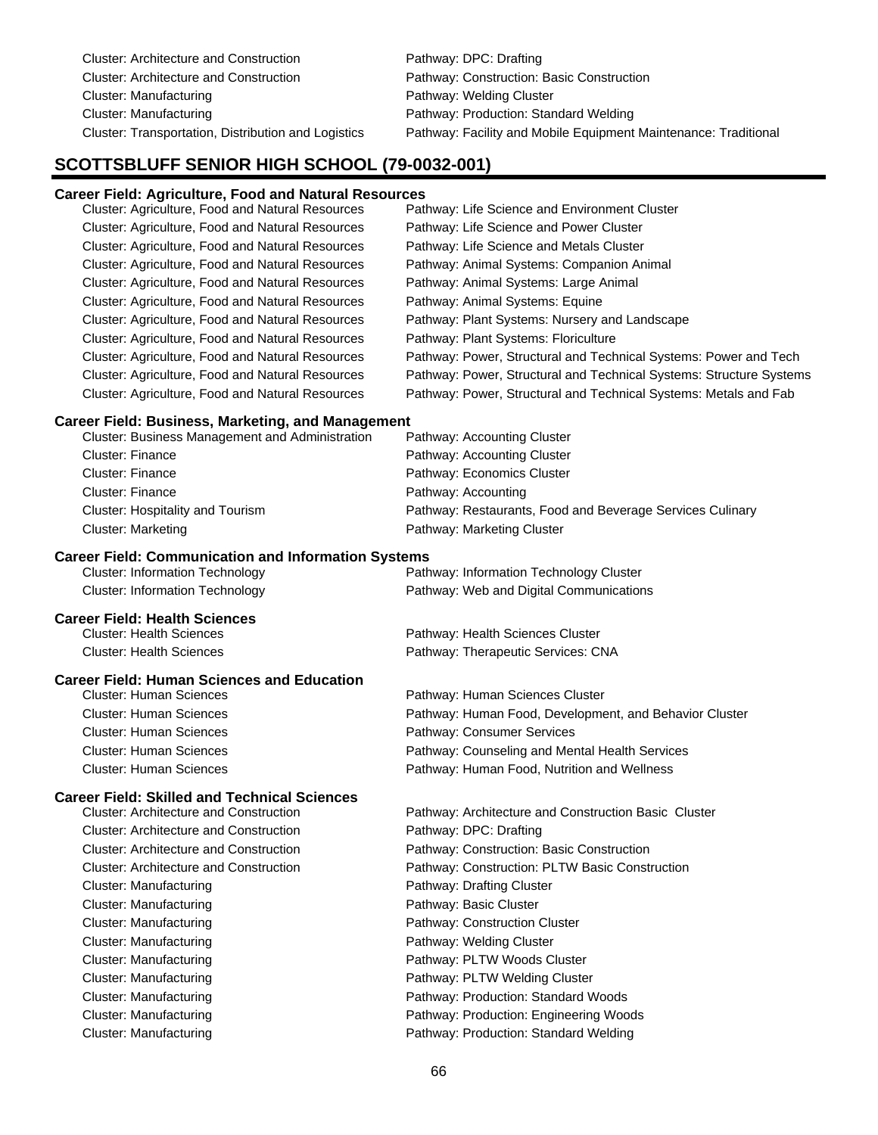Cluster: Architecture and Construction Pathway: DPC: Drafting Cluster: Architecture and Construction Pathway: Construction: Basic Construction Cluster: Manufacturing **Pathway: Welding Cluster** Cluster: Manufacturing Pathway: Production: Standard Welding Cluster: Transportation, Distribution and Logistics Pathway: Facility and Mobile Equipment Maintenance: Traditional

### **SCOTTSBLUFF SENIOR HIGH SCHOOL (79-0032-001)**

### **Career Field: Agriculture, Food and Natural Resources**

| Cluster: Agriculture, Food and Natural Resources | Pathway: Life Science and Environment Cluster                       |
|--------------------------------------------------|---------------------------------------------------------------------|
| Cluster: Agriculture, Food and Natural Resources | Pathway: Life Science and Power Cluster                             |
| Cluster: Agriculture, Food and Natural Resources | Pathway: Life Science and Metals Cluster                            |
| Cluster: Agriculture, Food and Natural Resources | Pathway: Animal Systems: Companion Animal                           |
| Cluster: Agriculture, Food and Natural Resources | Pathway: Animal Systems: Large Animal                               |
| Cluster: Agriculture, Food and Natural Resources | Pathway: Animal Systems: Equine                                     |
| Cluster: Agriculture, Food and Natural Resources | Pathway: Plant Systems: Nursery and Landscape                       |
| Cluster: Agriculture, Food and Natural Resources | Pathway: Plant Systems: Floriculture                                |
| Cluster: Agriculture, Food and Natural Resources | Pathway: Power, Structural and Technical Systems: Power and Tech    |
| Cluster: Agriculture, Food and Natural Resources | Pathway: Power, Structural and Technical Systems: Structure Systems |
| Cluster: Agriculture, Food and Natural Resources | Pathway: Power, Structural and Technical Systems: Metals and Fab    |

### **Career Field: Business, Marketing, and Management**

| Cluster: Business Management and Administration | Pathway: Accounting Cluster                               |
|-------------------------------------------------|-----------------------------------------------------------|
| Cluster: Finance                                | Pathway: Accounting Cluster                               |
| Cluster: Finance                                | Pathway: Economics Cluster                                |
| Cluster: Finance                                | Pathway: Accounting                                       |
| Cluster: Hospitality and Tourism                | Pathway: Restaurants, Food and Beverage Services Culinary |
| <b>Cluster: Marketing</b>                       | Pathway: Marketing Cluster                                |

### **Career Field: Communication and Information Systems**

| <b>Cluster: Information Technology</b> | Pathway: Information Technology Cluster |
|----------------------------------------|-----------------------------------------|
| Cluster: Information Technology        | Pathway: Web and Digital Communications |

### **Career Field: Health Sciences**

| <b>Cluster: Health Sciences</b> | Pathway: Health Sciences Cluster   |
|---------------------------------|------------------------------------|
| Cluster: Health Sciences        | Pathway: Therapeutic Services: CNA |

### **Career Field: Human Sciences and Education**

| <b>Cluster: Human Sciences</b> | Pathway: Human Sciences Cluster                        |
|--------------------------------|--------------------------------------------------------|
| <b>Cluster: Human Sciences</b> | Pathway: Human Food, Development, and Behavior Cluster |
| <b>Cluster: Human Sciences</b> | Pathway: Consumer Services                             |
| <b>Cluster: Human Sciences</b> | Pathway: Counseling and Mental Health Services         |
| <b>Cluster: Human Sciences</b> | Pathway: Human Food, Nutrition and Wellness            |
|                                |                                                        |

### **Career Field: Skilled and Technical Sciences**

| <b>Cluster: Architecture and Construction</b> | Pathway: Architecture and Construction Basic Cluster |
|-----------------------------------------------|------------------------------------------------------|
| <b>Cluster: Architecture and Construction</b> | Pathway: DPC: Drafting                               |
| <b>Cluster: Architecture and Construction</b> | Pathway: Construction: Basic Construction            |
| <b>Cluster: Architecture and Construction</b> | Pathway: Construction: PLTW Basic Construction       |
| Cluster: Manufacturing                        | Pathway: Drafting Cluster                            |
| Cluster: Manufacturing                        | Pathway: Basic Cluster                               |
| Cluster: Manufacturing                        | Pathway: Construction Cluster                        |
| Cluster: Manufacturing                        | Pathway: Welding Cluster                             |
| Cluster: Manufacturing                        | Pathway: PLTW Woods Cluster                          |
| <b>Cluster: Manufacturing</b>                 | Pathway: PLTW Welding Cluster                        |
| Cluster: Manufacturing                        | Pathway: Production: Standard Woods                  |
| Cluster: Manufacturing                        | Pathway: Production: Engineering Woods               |
| Cluster: Manufacturing                        | Pathway: Production: Standard Welding                |
|                                               |                                                      |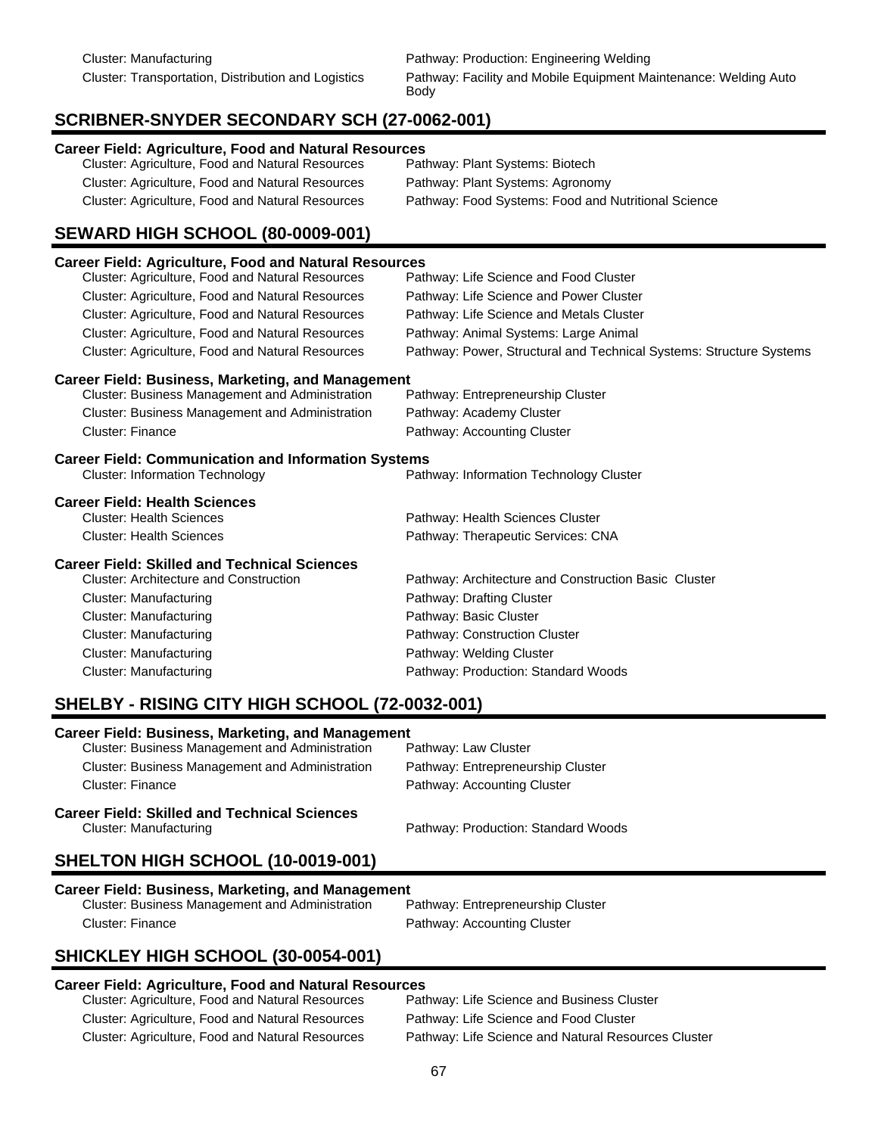# **SCRIBNER-SNYDER SECONDARY SCH (27-0062-001)**

### **Career Field: Agriculture, Food and Natural Resources**

| Cluster: Agriculture, Food and Natural Resources | Pathway: Plant Systems: Biotech                     |
|--------------------------------------------------|-----------------------------------------------------|
| Cluster: Agriculture, Food and Natural Resources | Pathway: Plant Systems: Agronomy                    |
| Cluster: Agriculture, Food and Natural Resources | Pathway: Food Systems: Food and Nutritional Science |

# **SEWARD HIGH SCHOOL (80-0009-001)**

| <b>Career Field: Agriculture, Food and Natural Resources</b>                                                                                    |                                                                     |  |  |
|-------------------------------------------------------------------------------------------------------------------------------------------------|---------------------------------------------------------------------|--|--|
| Cluster: Agriculture, Food and Natural Resources                                                                                                | Pathway: Life Science and Food Cluster                              |  |  |
| Cluster: Agriculture, Food and Natural Resources                                                                                                | Pathway: Life Science and Power Cluster                             |  |  |
| Cluster: Agriculture, Food and Natural Resources                                                                                                | Pathway: Life Science and Metals Cluster                            |  |  |
| Cluster: Agriculture, Food and Natural Resources                                                                                                | Pathway: Animal Systems: Large Animal                               |  |  |
| Cluster: Agriculture, Food and Natural Resources                                                                                                | Pathway: Power, Structural and Technical Systems: Structure Systems |  |  |
| <b>Career Field: Business, Marketing, and Management</b>                                                                                        |                                                                     |  |  |
| Cluster: Business Management and Administration                                                                                                 | Pathway: Entrepreneurship Cluster                                   |  |  |
| Cluster: Business Management and Administration                                                                                                 | Pathway: Academy Cluster                                            |  |  |
| Cluster: Finance                                                                                                                                | Pathway: Accounting Cluster                                         |  |  |
| <b>Career Field: Communication and Information Systems</b><br><b>Cluster: Information Technology</b><br>Pathway: Information Technology Cluster |                                                                     |  |  |
| <b>Career Field: Health Sciences</b>                                                                                                            |                                                                     |  |  |
| <b>Cluster: Health Sciences</b>                                                                                                                 | Pathway: Health Sciences Cluster                                    |  |  |
| <b>Cluster: Health Sciences</b>                                                                                                                 | Pathway: Therapeutic Services: CNA                                  |  |  |
| <b>Career Field: Skilled and Technical Sciences</b>                                                                                             |                                                                     |  |  |
| <b>Cluster: Architecture and Construction</b>                                                                                                   | Pathway: Architecture and Construction Basic Cluster                |  |  |
| Cluster: Manufacturing                                                                                                                          | Pathway: Drafting Cluster                                           |  |  |
| <b>Cluster: Manufacturing</b>                                                                                                                   | Pathway: Basic Cluster                                              |  |  |
| <b>Cluster: Manufacturing</b>                                                                                                                   | Pathway: Construction Cluster                                       |  |  |
| <b>Cluster: Manufacturing</b>                                                                                                                   | Pathway: Welding Cluster                                            |  |  |
| <b>Cluster: Manufacturing</b>                                                                                                                   | Pathway: Production: Standard Woods                                 |  |  |

# **SHELBY - RISING CITY HIGH SCHOOL (72-0032-001)**

### **Career Field: Business, Marketing, and Management**

| <b>Career Field: Skilled and Technical Sciences</b>    |                                   |  |
|--------------------------------------------------------|-----------------------------------|--|
| Cluster: Finance                                       | Pathway: Accounting Cluster       |  |
| <b>Cluster: Business Management and Administration</b> | Pathway: Entrepreneurship Cluster |  |
| <b>Cluster: Business Management and Administration</b> | Pathway: Law Cluster              |  |

# Cluster: Manufacturing Pathway: Production: Standard Woods

# **SHELTON HIGH SCHOOL (10-0019-001)**

# **Career Field: Business, Marketing, and Management**

Cluster: Business Management and Administration Cluster: Finance **Pathway: Accounting Cluster** 

# **SHICKLEY HIGH SCHOOL (30-0054-001)**

### **Career Field: Agriculture, Food and Natural Resources**

Cluster: Agriculture, Food and Natural Resources Pathway: Life Science and Business Cluster Cluster: Agriculture, Food and Natural Resources Pathway: Life Science and Food Cluster

Cluster: Agriculture, Food and Natural Resources Pathway: Life Science and Natural Resources Cluster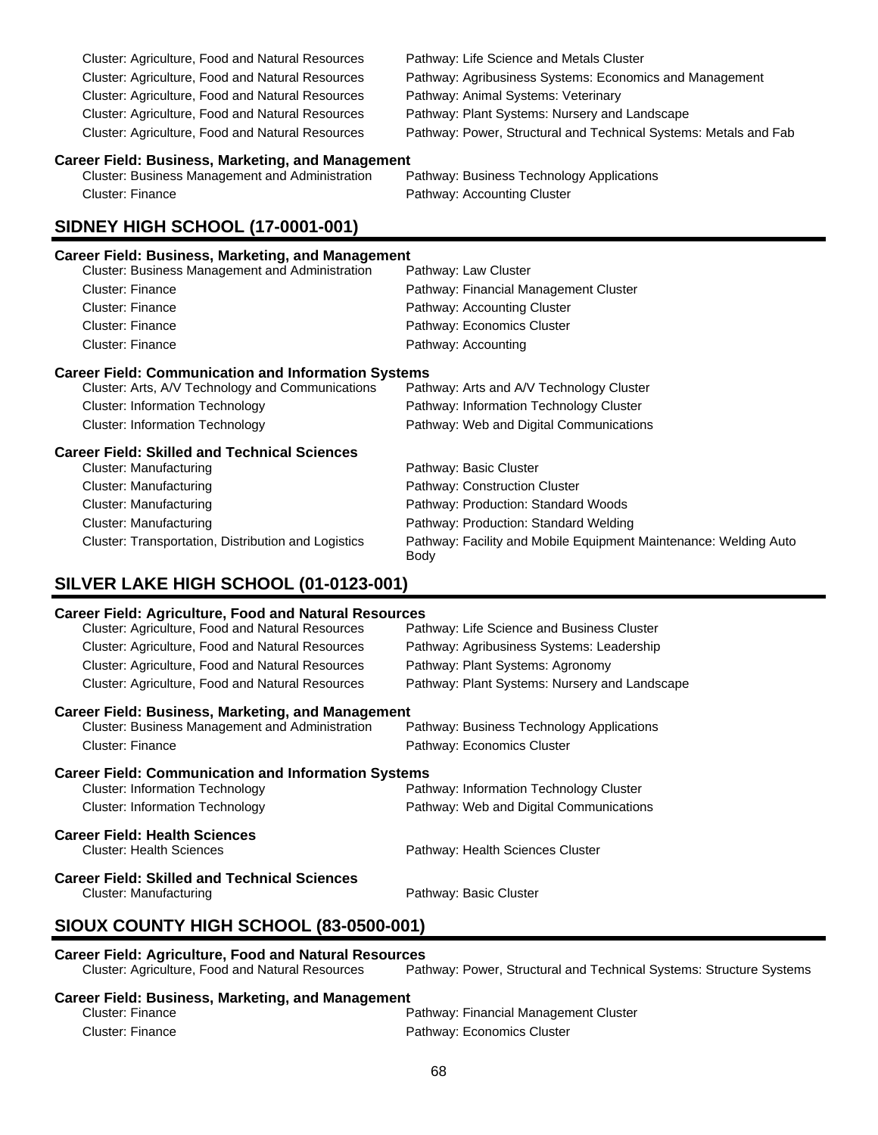Cluster: Agriculture, Food and Natural Resources Pathway: Life Science and Metals Cluster Cluster: Agriculture, Food and Natural Resources Pathway: Animal Systems: Veterinary Cluster: Agriculture, Food and Natural Resources Pathway: Plant Systems: Nursery and Landscape

Cluster: Agriculture, Food and Natural Resources Pathway: Agribusiness Systems: Economics and Management Cluster: Agriculture, Food and Natural Resources Pathway: Power, Structural and Technical Systems: Metals and Fab

# **Career Field: Business, Marketing, and Management**

Cluster: Business Management and Administration Cluster: Finance **Pathway: Accounting Cluster** 

# **SIDNEY HIGH SCHOOL (17-0001-001)**

### **Career Field: Business, Marketing, and Management**

| <b>Cluster: Business Management and Administration</b> | Pathway: Law Cluster                  |
|--------------------------------------------------------|---------------------------------------|
| <b>Cluster: Finance</b>                                | Pathway: Financial Management Cluster |
| <b>Cluster: Finance</b>                                | Pathway: Accounting Cluster           |
| <b>Cluster: Finance</b>                                | Pathway: Economics Cluster            |
| <b>Cluster: Finance</b>                                | Pathway: Accounting                   |
|                                                        |                                       |

### **Career Field: Communication and Information Systems**

| <b>Career Field: Skilled and Technical Sciences</b> |                                          |  |
|-----------------------------------------------------|------------------------------------------|--|
| Cluster: Information Technology                     | Pathway: Web and Digital Communications  |  |
| Cluster: Information Technology                     | Pathway: Information Technology Cluster  |  |
| Cluster: Arts, A/V Technology and Communications    | Pathway: Arts and A/V Technology Cluster |  |

| Cluster: Manufacturing                              | Pathway: Basic Cluster                                                   |
|-----------------------------------------------------|--------------------------------------------------------------------------|
| Cluster: Manufacturing                              | Pathway: Construction Cluster                                            |
| Cluster: Manufacturing                              | Pathway: Production: Standard Woods                                      |
| Cluster: Manufacturing                              | Pathway: Production: Standard Welding                                    |
| Cluster: Transportation, Distribution and Logistics | Pathway: Facility and Mobile Equipment Maintenance: Welding Auto<br>Body |

### **SILVER LAKE HIGH SCHOOL (01-0123-001)**

### **Career Field: Agriculture, Food and Natural Resources**

| <u>varoon noru. Aynvartaro, nood ahu matarar koovarvoo</u> |                                               |  |
|------------------------------------------------------------|-----------------------------------------------|--|
| Cluster: Agriculture, Food and Natural Resources           | Pathway: Life Science and Business Cluster    |  |
| Cluster: Agriculture, Food and Natural Resources           | Pathway: Agribusiness Systems: Leadership     |  |
| Cluster: Agriculture, Food and Natural Resources           | Pathway: Plant Systems: Agronomy              |  |
| Cluster: Agriculture, Food and Natural Resources           | Pathway: Plant Systems: Nursery and Landscape |  |
| <b>Career Field: Business, Marketing, and Management</b>   |                                               |  |
| <b>Cluster: Business Management and Administration</b>     | Pathway: Business Technology Applications     |  |
| <b>Cluster: Finance</b>                                    | Pathway: Economics Cluster                    |  |
| <b>Career Field: Communication and Information Systems</b> |                                               |  |
| <b>Cluster: Information Technology</b>                     | Pathway: Information Technology Cluster       |  |
| <b>Cluster: Information Technology</b>                     | Pathway: Web and Digital Communications       |  |
| <b>Career Field: Health Sciences</b>                       |                                               |  |
| <b>Cluster: Health Sciences</b>                            | Pathway: Health Sciences Cluster              |  |
| <b>Career Field: Skilled and Technical Sciences</b>        |                                               |  |
| Cluster: Manufacturing                                     | Pathway: Basic Cluster                        |  |
| <b>CIALIV CALINITY LUALLOCLICAL (00 CEAR AGA)</b>          |                                               |  |

## **SIOUX COUNTY HIGH SCHOOL (83-0500-001)**

### **Career Field: Agriculture, Food and Natural Resources**

| Cluster: Agriculture, Food and Natural Resources  | Pathway: Power, Structural and Technical Systems: Structure Systems |  |
|---------------------------------------------------|---------------------------------------------------------------------|--|
| Career Field: Business, Marketing, and Management |                                                                     |  |
| Cluster: Finance                                  | Pathway: Financial Management Cluster                               |  |
| Cluster: Finance                                  | Pathway: Economics Cluster                                          |  |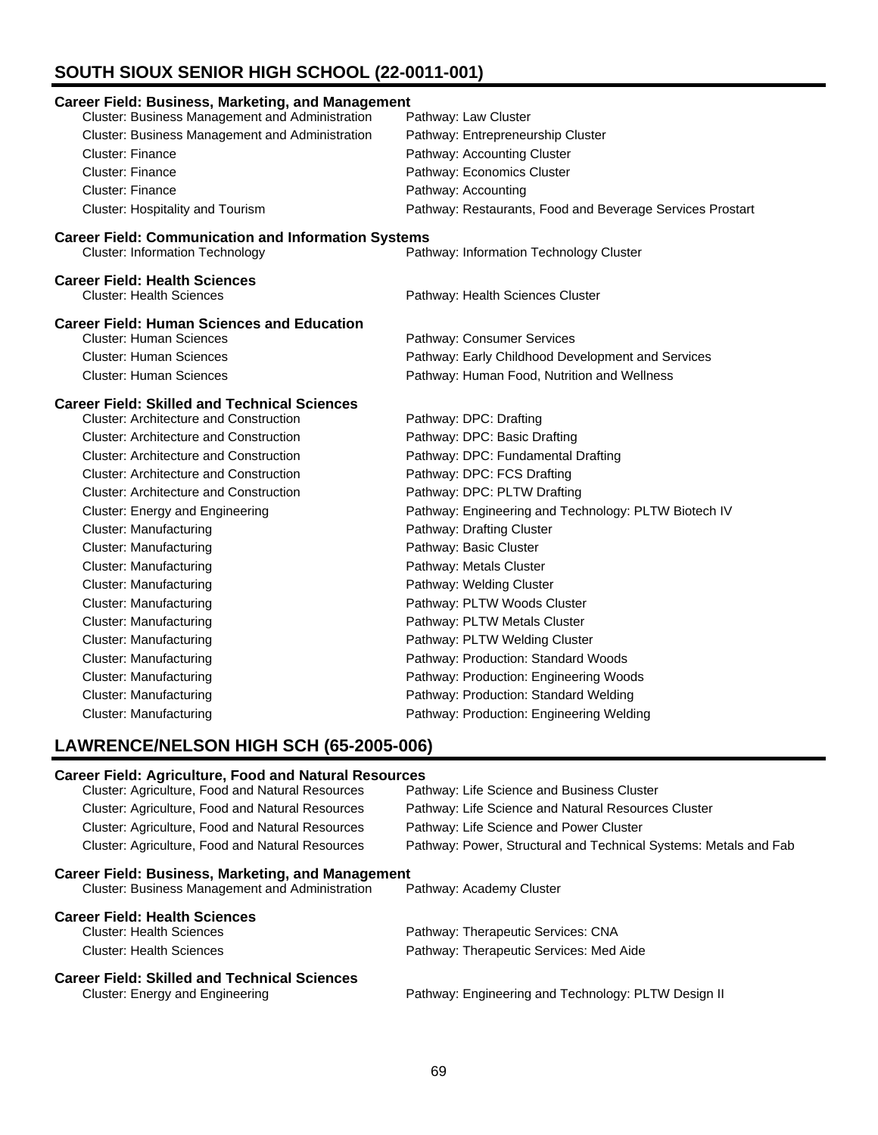# **SOUTH SIOUX SENIOR HIGH SCHOOL (22-0011-001)**

| Cluster: Business Management and Administration<br>Pathway: Law Cluster<br>Cluster: Business Management and Administration<br>Pathway: Entrepreneurship Cluster<br><b>Cluster: Finance</b><br>Pathway: Accounting Cluster<br><b>Cluster: Finance</b><br>Pathway: Economics Cluster<br><b>Cluster: Finance</b><br>Pathway: Accounting<br>Cluster: Hospitality and Tourism<br>Pathway: Restaurants, Food and Beverage Services Prostart<br><b>Career Field: Communication and Information Systems</b><br>Pathway: Information Technology Cluster<br><b>Cluster: Information Technology</b><br><b>Cluster: Health Sciences</b><br>Pathway: Health Sciences Cluster<br><b>Cluster: Human Sciences</b><br>Pathway: Consumer Services<br><b>Cluster: Human Sciences</b><br>Pathway: Early Childhood Development and Services<br><b>Cluster: Human Sciences</b><br>Pathway: Human Food, Nutrition and Wellness<br><b>Cluster: Architecture and Construction</b><br>Pathway: DPC: Drafting<br><b>Cluster: Architecture and Construction</b><br>Pathway: DPC: Basic Drafting<br>Pathway: DPC: Fundamental Drafting<br><b>Cluster: Architecture and Construction</b><br><b>Cluster: Architecture and Construction</b><br>Pathway: DPC: FCS Drafting<br><b>Cluster: Architecture and Construction</b><br>Pathway: DPC: PLTW Drafting<br>Cluster: Energy and Engineering<br>Pathway: Engineering and Technology: PLTW Biotech IV<br><b>Cluster: Manufacturing</b><br>Pathway: Drafting Cluster<br><b>Cluster: Manufacturing</b><br>Pathway: Basic Cluster<br><b>Cluster: Manufacturing</b><br>Pathway: Metals Cluster<br><b>Cluster: Manufacturing</b><br>Pathway: Welding Cluster<br><b>Cluster: Manufacturing</b><br>Pathway: PLTW Woods Cluster<br><b>Cluster: Manufacturing</b><br>Pathway: PLTW Metals Cluster<br><b>Cluster: Manufacturing</b><br>Pathway: PLTW Welding Cluster<br><b>Cluster: Manufacturing</b><br>Pathway: Production: Standard Woods |                                                          |                                        |
|---------------------------------------------------------------------------------------------------------------------------------------------------------------------------------------------------------------------------------------------------------------------------------------------------------------------------------------------------------------------------------------------------------------------------------------------------------------------------------------------------------------------------------------------------------------------------------------------------------------------------------------------------------------------------------------------------------------------------------------------------------------------------------------------------------------------------------------------------------------------------------------------------------------------------------------------------------------------------------------------------------------------------------------------------------------------------------------------------------------------------------------------------------------------------------------------------------------------------------------------------------------------------------------------------------------------------------------------------------------------------------------------------------------------------------------------------------------------------------------------------------------------------------------------------------------------------------------------------------------------------------------------------------------------------------------------------------------------------------------------------------------------------------------------------------------------------------------------------------------------------------------------------------------------------------------------------|----------------------------------------------------------|----------------------------------------|
|                                                                                                                                                                                                                                                                                                                                                                                                                                                                                                                                                                                                                                                                                                                                                                                                                                                                                                                                                                                                                                                                                                                                                                                                                                                                                                                                                                                                                                                                                                                                                                                                                                                                                                                                                                                                                                                                                                                                                   | <b>Career Field: Business, Marketing, and Management</b> |                                        |
|                                                                                                                                                                                                                                                                                                                                                                                                                                                                                                                                                                                                                                                                                                                                                                                                                                                                                                                                                                                                                                                                                                                                                                                                                                                                                                                                                                                                                                                                                                                                                                                                                                                                                                                                                                                                                                                                                                                                                   |                                                          |                                        |
|                                                                                                                                                                                                                                                                                                                                                                                                                                                                                                                                                                                                                                                                                                                                                                                                                                                                                                                                                                                                                                                                                                                                                                                                                                                                                                                                                                                                                                                                                                                                                                                                                                                                                                                                                                                                                                                                                                                                                   |                                                          |                                        |
|                                                                                                                                                                                                                                                                                                                                                                                                                                                                                                                                                                                                                                                                                                                                                                                                                                                                                                                                                                                                                                                                                                                                                                                                                                                                                                                                                                                                                                                                                                                                                                                                                                                                                                                                                                                                                                                                                                                                                   |                                                          |                                        |
|                                                                                                                                                                                                                                                                                                                                                                                                                                                                                                                                                                                                                                                                                                                                                                                                                                                                                                                                                                                                                                                                                                                                                                                                                                                                                                                                                                                                                                                                                                                                                                                                                                                                                                                                                                                                                                                                                                                                                   |                                                          |                                        |
|                                                                                                                                                                                                                                                                                                                                                                                                                                                                                                                                                                                                                                                                                                                                                                                                                                                                                                                                                                                                                                                                                                                                                                                                                                                                                                                                                                                                                                                                                                                                                                                                                                                                                                                                                                                                                                                                                                                                                   |                                                          |                                        |
|                                                                                                                                                                                                                                                                                                                                                                                                                                                                                                                                                                                                                                                                                                                                                                                                                                                                                                                                                                                                                                                                                                                                                                                                                                                                                                                                                                                                                                                                                                                                                                                                                                                                                                                                                                                                                                                                                                                                                   |                                                          |                                        |
|                                                                                                                                                                                                                                                                                                                                                                                                                                                                                                                                                                                                                                                                                                                                                                                                                                                                                                                                                                                                                                                                                                                                                                                                                                                                                                                                                                                                                                                                                                                                                                                                                                                                                                                                                                                                                                                                                                                                                   |                                                          |                                        |
|                                                                                                                                                                                                                                                                                                                                                                                                                                                                                                                                                                                                                                                                                                                                                                                                                                                                                                                                                                                                                                                                                                                                                                                                                                                                                                                                                                                                                                                                                                                                                                                                                                                                                                                                                                                                                                                                                                                                                   |                                                          |                                        |
|                                                                                                                                                                                                                                                                                                                                                                                                                                                                                                                                                                                                                                                                                                                                                                                                                                                                                                                                                                                                                                                                                                                                                                                                                                                                                                                                                                                                                                                                                                                                                                                                                                                                                                                                                                                                                                                                                                                                                   | <b>Career Field: Health Sciences</b>                     |                                        |
|                                                                                                                                                                                                                                                                                                                                                                                                                                                                                                                                                                                                                                                                                                                                                                                                                                                                                                                                                                                                                                                                                                                                                                                                                                                                                                                                                                                                                                                                                                                                                                                                                                                                                                                                                                                                                                                                                                                                                   |                                                          |                                        |
|                                                                                                                                                                                                                                                                                                                                                                                                                                                                                                                                                                                                                                                                                                                                                                                                                                                                                                                                                                                                                                                                                                                                                                                                                                                                                                                                                                                                                                                                                                                                                                                                                                                                                                                                                                                                                                                                                                                                                   | <b>Career Field: Human Sciences and Education</b>        |                                        |
|                                                                                                                                                                                                                                                                                                                                                                                                                                                                                                                                                                                                                                                                                                                                                                                                                                                                                                                                                                                                                                                                                                                                                                                                                                                                                                                                                                                                                                                                                                                                                                                                                                                                                                                                                                                                                                                                                                                                                   |                                                          |                                        |
|                                                                                                                                                                                                                                                                                                                                                                                                                                                                                                                                                                                                                                                                                                                                                                                                                                                                                                                                                                                                                                                                                                                                                                                                                                                                                                                                                                                                                                                                                                                                                                                                                                                                                                                                                                                                                                                                                                                                                   |                                                          |                                        |
|                                                                                                                                                                                                                                                                                                                                                                                                                                                                                                                                                                                                                                                                                                                                                                                                                                                                                                                                                                                                                                                                                                                                                                                                                                                                                                                                                                                                                                                                                                                                                                                                                                                                                                                                                                                                                                                                                                                                                   |                                                          |                                        |
|                                                                                                                                                                                                                                                                                                                                                                                                                                                                                                                                                                                                                                                                                                                                                                                                                                                                                                                                                                                                                                                                                                                                                                                                                                                                                                                                                                                                                                                                                                                                                                                                                                                                                                                                                                                                                                                                                                                                                   | <b>Career Field: Skilled and Technical Sciences</b>      |                                        |
|                                                                                                                                                                                                                                                                                                                                                                                                                                                                                                                                                                                                                                                                                                                                                                                                                                                                                                                                                                                                                                                                                                                                                                                                                                                                                                                                                                                                                                                                                                                                                                                                                                                                                                                                                                                                                                                                                                                                                   |                                                          |                                        |
|                                                                                                                                                                                                                                                                                                                                                                                                                                                                                                                                                                                                                                                                                                                                                                                                                                                                                                                                                                                                                                                                                                                                                                                                                                                                                                                                                                                                                                                                                                                                                                                                                                                                                                                                                                                                                                                                                                                                                   |                                                          |                                        |
|                                                                                                                                                                                                                                                                                                                                                                                                                                                                                                                                                                                                                                                                                                                                                                                                                                                                                                                                                                                                                                                                                                                                                                                                                                                                                                                                                                                                                                                                                                                                                                                                                                                                                                                                                                                                                                                                                                                                                   |                                                          |                                        |
|                                                                                                                                                                                                                                                                                                                                                                                                                                                                                                                                                                                                                                                                                                                                                                                                                                                                                                                                                                                                                                                                                                                                                                                                                                                                                                                                                                                                                                                                                                                                                                                                                                                                                                                                                                                                                                                                                                                                                   |                                                          |                                        |
|                                                                                                                                                                                                                                                                                                                                                                                                                                                                                                                                                                                                                                                                                                                                                                                                                                                                                                                                                                                                                                                                                                                                                                                                                                                                                                                                                                                                                                                                                                                                                                                                                                                                                                                                                                                                                                                                                                                                                   |                                                          |                                        |
|                                                                                                                                                                                                                                                                                                                                                                                                                                                                                                                                                                                                                                                                                                                                                                                                                                                                                                                                                                                                                                                                                                                                                                                                                                                                                                                                                                                                                                                                                                                                                                                                                                                                                                                                                                                                                                                                                                                                                   |                                                          |                                        |
|                                                                                                                                                                                                                                                                                                                                                                                                                                                                                                                                                                                                                                                                                                                                                                                                                                                                                                                                                                                                                                                                                                                                                                                                                                                                                                                                                                                                                                                                                                                                                                                                                                                                                                                                                                                                                                                                                                                                                   |                                                          |                                        |
|                                                                                                                                                                                                                                                                                                                                                                                                                                                                                                                                                                                                                                                                                                                                                                                                                                                                                                                                                                                                                                                                                                                                                                                                                                                                                                                                                                                                                                                                                                                                                                                                                                                                                                                                                                                                                                                                                                                                                   |                                                          |                                        |
|                                                                                                                                                                                                                                                                                                                                                                                                                                                                                                                                                                                                                                                                                                                                                                                                                                                                                                                                                                                                                                                                                                                                                                                                                                                                                                                                                                                                                                                                                                                                                                                                                                                                                                                                                                                                                                                                                                                                                   |                                                          |                                        |
|                                                                                                                                                                                                                                                                                                                                                                                                                                                                                                                                                                                                                                                                                                                                                                                                                                                                                                                                                                                                                                                                                                                                                                                                                                                                                                                                                                                                                                                                                                                                                                                                                                                                                                                                                                                                                                                                                                                                                   |                                                          |                                        |
|                                                                                                                                                                                                                                                                                                                                                                                                                                                                                                                                                                                                                                                                                                                                                                                                                                                                                                                                                                                                                                                                                                                                                                                                                                                                                                                                                                                                                                                                                                                                                                                                                                                                                                                                                                                                                                                                                                                                                   |                                                          |                                        |
|                                                                                                                                                                                                                                                                                                                                                                                                                                                                                                                                                                                                                                                                                                                                                                                                                                                                                                                                                                                                                                                                                                                                                                                                                                                                                                                                                                                                                                                                                                                                                                                                                                                                                                                                                                                                                                                                                                                                                   |                                                          |                                        |
|                                                                                                                                                                                                                                                                                                                                                                                                                                                                                                                                                                                                                                                                                                                                                                                                                                                                                                                                                                                                                                                                                                                                                                                                                                                                                                                                                                                                                                                                                                                                                                                                                                                                                                                                                                                                                                                                                                                                                   |                                                          |                                        |
|                                                                                                                                                                                                                                                                                                                                                                                                                                                                                                                                                                                                                                                                                                                                                                                                                                                                                                                                                                                                                                                                                                                                                                                                                                                                                                                                                                                                                                                                                                                                                                                                                                                                                                                                                                                                                                                                                                                                                   |                                                          |                                        |
|                                                                                                                                                                                                                                                                                                                                                                                                                                                                                                                                                                                                                                                                                                                                                                                                                                                                                                                                                                                                                                                                                                                                                                                                                                                                                                                                                                                                                                                                                                                                                                                                                                                                                                                                                                                                                                                                                                                                                   | <b>Cluster: Manufacturing</b>                            | Pathway: Production: Engineering Woods |
| <b>Cluster: Manufacturing</b><br>Pathway: Production: Standard Welding                                                                                                                                                                                                                                                                                                                                                                                                                                                                                                                                                                                                                                                                                                                                                                                                                                                                                                                                                                                                                                                                                                                                                                                                                                                                                                                                                                                                                                                                                                                                                                                                                                                                                                                                                                                                                                                                            |                                                          |                                        |
| Pathway: Production: Engineering Welding<br>Cluster: Manufacturing                                                                                                                                                                                                                                                                                                                                                                                                                                                                                                                                                                                                                                                                                                                                                                                                                                                                                                                                                                                                                                                                                                                                                                                                                                                                                                                                                                                                                                                                                                                                                                                                                                                                                                                                                                                                                                                                                |                                                          |                                        |

# **LAWRENCE/NELSON HIGH SCH (65-2005-006)**

| <b>Career Field: Agriculture, Food and Natural Resources</b>                           |                                                                  |  |  |
|----------------------------------------------------------------------------------------|------------------------------------------------------------------|--|--|
| Cluster: Agriculture, Food and Natural Resources                                       | Pathway: Life Science and Business Cluster                       |  |  |
| Cluster: Agriculture, Food and Natural Resources                                       | Pathway: Life Science and Natural Resources Cluster              |  |  |
| <b>Cluster: Agriculture, Food and Natural Resources</b>                                | Pathway: Life Science and Power Cluster                          |  |  |
| <b>Cluster: Agriculture, Food and Natural Resources</b>                                | Pathway: Power, Structural and Technical Systems: Metals and Fab |  |  |
| <b>Career Field: Business, Marketing, and Management</b>                               |                                                                  |  |  |
| <b>Cluster: Business Management and Administration</b>                                 | Pathway: Academy Cluster                                         |  |  |
| <b>Career Field: Health Sciences</b>                                                   |                                                                  |  |  |
| <b>Cluster: Health Sciences</b>                                                        | Pathway: Therapeutic Services: CNA                               |  |  |
| <b>Cluster: Health Sciences</b>                                                        | Pathway: Therapeutic Services: Med Aide                          |  |  |
| <b>Career Field: Skilled and Technical Sciences</b><br>Cluster: Energy and Engineering | Pathway: Engineering and Technology: PLTW Design II              |  |  |
|                                                                                        |                                                                  |  |  |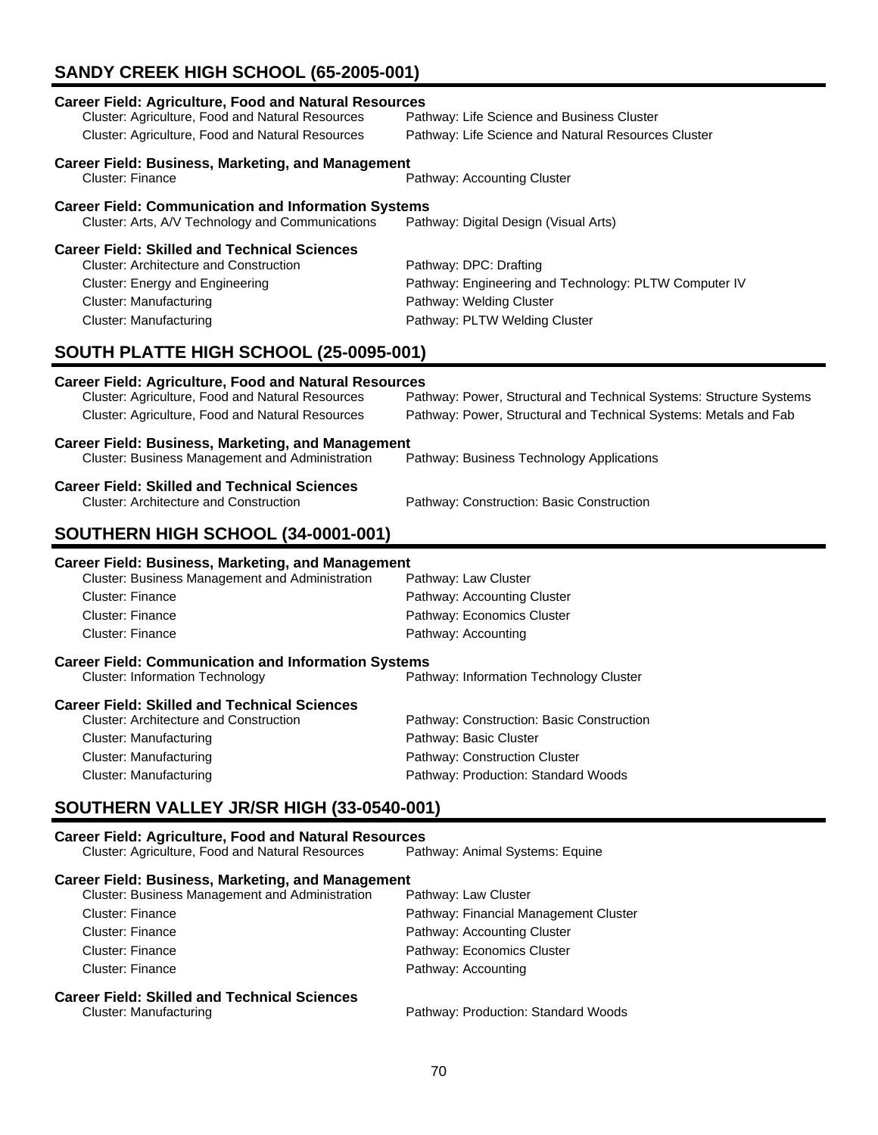# **SANDY CREEK HIGH SCHOOL (65-2005-001)**

| <b>Career Field: Agriculture, Food and Natural Resources</b><br>Cluster: Agriculture, Food and Natural Resources<br>Cluster: Agriculture, Food and Natural Resources                                      | Pathway: Life Science and Business Cluster<br>Pathway: Life Science and Natural Resources Cluster                                            |  |
|-----------------------------------------------------------------------------------------------------------------------------------------------------------------------------------------------------------|----------------------------------------------------------------------------------------------------------------------------------------------|--|
|                                                                                                                                                                                                           |                                                                                                                                              |  |
| <b>Career Field: Business, Marketing, and Management</b><br>Cluster: Finance                                                                                                                              | Pathway: Accounting Cluster                                                                                                                  |  |
| <b>Career Field: Communication and Information Systems</b><br>Cluster: Arts, A/V Technology and Communications                                                                                            | Pathway: Digital Design (Visual Arts)                                                                                                        |  |
| <b>Career Field: Skilled and Technical Sciences</b><br><b>Cluster: Architecture and Construction</b><br>Cluster: Energy and Engineering<br><b>Cluster: Manufacturing</b><br><b>Cluster: Manufacturing</b> | Pathway: DPC: Drafting<br>Pathway: Engineering and Technology: PLTW Computer IV<br>Pathway: Welding Cluster<br>Pathway: PLTW Welding Cluster |  |
| SOUTH PLATTE HIGH SCHOOL (25-0095-001)                                                                                                                                                                    |                                                                                                                                              |  |
| <b>Career Field: Agriculture, Food and Natural Resources</b><br>Cluster: Agriculture, Food and Natural Resources<br>Cluster: Agriculture, Food and Natural Resources                                      | Pathway: Power, Structural and Technical Systems: Structure Systems<br>Pathway: Power, Structural and Technical Systems: Metals and Fab      |  |
| <b>Career Field: Business, Marketing, and Management</b><br>Cluster: Business Management and Administration                                                                                               | Pathway: Business Technology Applications                                                                                                    |  |
| <b>Career Field: Skilled and Technical Sciences</b><br><b>Cluster: Architecture and Construction</b>                                                                                                      | Pathway: Construction: Basic Construction                                                                                                    |  |
| SOUTHERN HIGH SCHOOL (34-0001-001)                                                                                                                                                                        |                                                                                                                                              |  |
| <b>Career Field: Business, Marketing, and Management</b><br>Cluster: Business Management and Administration<br><b>Cluster: Finance</b><br><b>Cluster: Finance</b><br><b>Cluster: Finance</b>              | Pathway: Law Cluster<br>Pathway: Accounting Cluster<br>Pathway: Economics Cluster<br>Pathway: Accounting                                     |  |
| <b>Career Field: Communication and Information Systems</b><br><b>Cluster: Information Technology</b>                                                                                                      | Pathway: Information Technology Cluster                                                                                                      |  |
| <b>Career Field: Skilled and Technical Sciences</b><br><b>Cluster: Architecture and Construction</b><br><b>Cluster: Manufacturing</b><br><b>Cluster: Manufacturing</b><br><b>Cluster: Manufacturing</b>   | Pathway: Construction: Basic Construction<br>Pathway: Basic Cluster<br>Pathway: Construction Cluster<br>Pathway: Production: Standard Woods  |  |
| SOUTHERN VALLEY JR/SR HIGH (33-0540-001)                                                                                                                                                                  |                                                                                                                                              |  |
| <b>Career Field: Agriculture, Food and Natural Resources</b><br>Cluster: Agriculture, Food and Natural Resources                                                                                          | Pathway: Animal Systems: Equine                                                                                                              |  |

**Career Field: Business, Marketing, and Management**<br>Cluster: Business Management and Administration Pathway: Law Cluster Cluster: Business Management and Administration Cluster: Finance **Pathway: Financial Management Cluster** Pathway: Financial Management Cluster Cluster: Finance **Pathway: Accounting Cluster** Cluster: Finance **Pathway: Economics Cluster** Cluster: Finance **Pathway: Accounting Career Field: Skilled and Technical Sciences** Pathway: Production: Standard Woods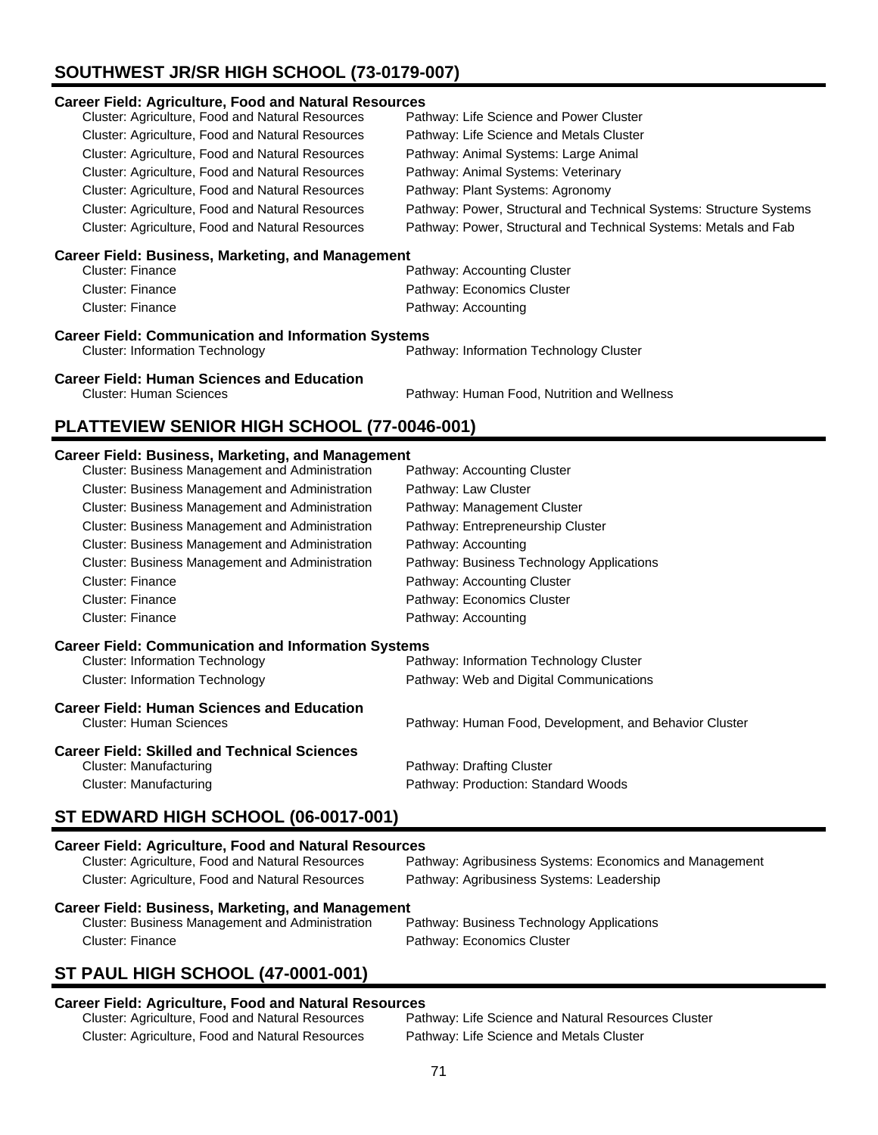# **SOUTHWEST JR/SR HIGH SCHOOL (73-0179-007)**

### **Career Field: Agriculture, Food and Natural Resources**

| Cluster: Agriculture, Food and Natural Resources        | Pathway: Life Science and Power Cluster                             |
|---------------------------------------------------------|---------------------------------------------------------------------|
| Cluster: Agriculture, Food and Natural Resources        | Pathway: Life Science and Metals Cluster                            |
| Cluster: Agriculture, Food and Natural Resources        | Pathway: Animal Systems: Large Animal                               |
| Cluster: Agriculture, Food and Natural Resources        | Pathway: Animal Systems: Veterinary                                 |
| Cluster: Agriculture, Food and Natural Resources        | Pathway: Plant Systems: Agronomy                                    |
| <b>Cluster: Agriculture, Food and Natural Resources</b> | Pathway: Power, Structural and Technical Systems: Structure Systems |
| Cluster: Agriculture, Food and Natural Resources        | Pathway: Power, Structural and Technical Systems: Metals and Fab    |
|                                                         |                                                                     |

### **Career Field: Business, Marketing, and Management**

| Cluster: Finance | Pathway: Accounting Cluster |
|------------------|-----------------------------|
| Cluster: Finance | Pathway: Economics Cluster  |
| Cluster: Finance | Pathway: Accounting         |

### **Career Field: Communication and Information Systems** Cluster: Information Technology Pathway: Information Technology Cluster

**Career Field: Human Sciences and Education**

Pathway: Human Food, Nutrition and Wellness

# **PLATTEVIEW SENIOR HIGH SCHOOL (77-0046-001)**

### **Career Field: Business, Marketing, and Management**

| Cluster: Business Management and Administration            | Pathway: Accounting Cluster                            |  |
|------------------------------------------------------------|--------------------------------------------------------|--|
| Cluster: Business Management and Administration            | Pathway: Law Cluster                                   |  |
| Cluster: Business Management and Administration            | Pathway: Management Cluster                            |  |
| <b>Cluster: Business Management and Administration</b>     | Pathway: Entrepreneurship Cluster                      |  |
| Cluster: Business Management and Administration            | Pathway: Accounting                                    |  |
| Cluster: Business Management and Administration            | Pathway: Business Technology Applications              |  |
| <b>Cluster: Finance</b>                                    | Pathway: Accounting Cluster                            |  |
| <b>Cluster: Finance</b>                                    | Pathway: Economics Cluster                             |  |
| <b>Cluster: Finance</b>                                    | Pathway: Accounting                                    |  |
| <b>Career Field: Communication and Information Systems</b> |                                                        |  |
| <b>Cluster: Information Technology</b>                     | Pathway: Information Technology Cluster                |  |
| <b>Cluster: Information Technology</b>                     | Pathway: Web and Digital Communications                |  |
| <b>Career Field: Human Sciences and Education</b>          |                                                        |  |
| <b>Cluster: Human Sciences</b>                             | Pathway: Human Food, Development, and Behavior Cluster |  |
| <b>Career Field: Skilled and Technical Sciences</b>        |                                                        |  |
| Cluster: Manufacturing                                     | Pathway: Drafting Cluster                              |  |
| Cluster: Manufacturing                                     | Pathway: Production: Standard Woods                    |  |

# **ST EDWARD HIGH SCHOOL (06-0017-001)**

| <b>Career Field: Agriculture, Food and Natural Resources</b> |                                                         |  |
|--------------------------------------------------------------|---------------------------------------------------------|--|
| Cluster: Agriculture, Food and Natural Resources             | Pathway: Agribusiness Systems: Economics and Management |  |
| Cluster: Agriculture, Food and Natural Resources             | Pathway: Agribusiness Systems: Leadership               |  |
| Career Field: Business, Marketing, and Management            |                                                         |  |
| Cluster: Business Management and Administration              | Pathway: Business Technology Applications               |  |

# **ST PAUL HIGH SCHOOL (47-0001-001)**

### **Career Field: Agriculture, Food and Natural Resources**

| Cluster: Agriculture, Food and Natural Resources | Pathway: Life Science and Natural Resources Cluster |
|--------------------------------------------------|-----------------------------------------------------|
| Cluster: Agriculture, Food and Natural Resources | Pathway: Life Science and Metals Cluster            |

Cluster: Finance **Pathway: Economics Cluster**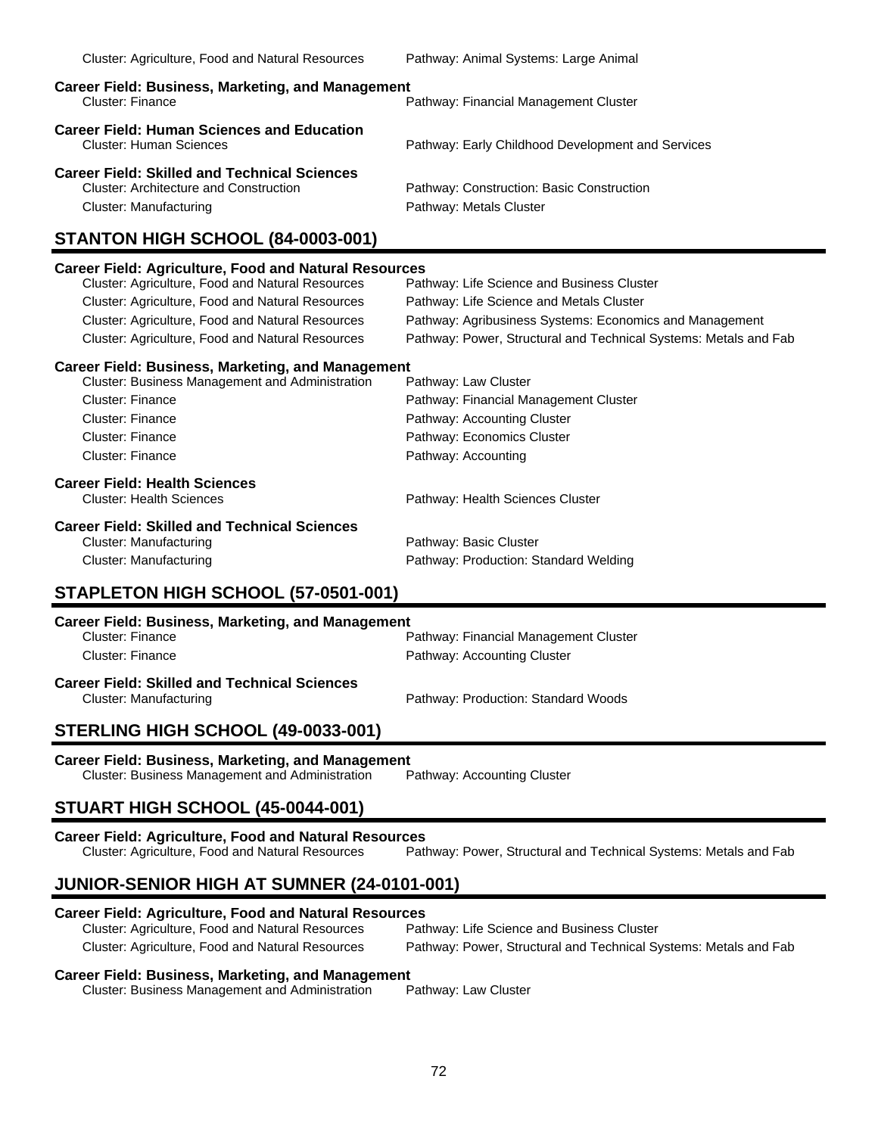| Cluster: Agriculture, Food and Natural Resources                                                                 | Pathway: Animal Systems: Large Animal                                |
|------------------------------------------------------------------------------------------------------------------|----------------------------------------------------------------------|
| <b>Career Field: Business, Marketing, and Management</b><br>Cluster: Finance                                     | Pathway: Financial Management Cluster                                |
| <b>Career Field: Human Sciences and Education</b><br>Cluster: Human Sciences                                     | Pathway: Early Childhood Development and Services                    |
| Career Field: Skilled and Technical Sciences<br>Cluster: Architecture and Construction<br>Cluster: Manufacturing | Pathway: Construction: Basic Construction<br>Pathway: Metals Cluster |

# **STANTON HIGH SCHOOL (84-0003-001)**

# **Career Field: Agriculture, Food and Natural Resources** Cluster: Agriculture, Food and Natural Resources Pathway: Life Science and Business Cluster Cluster: Agriculture, Food and Natural Resources Pathway: Life Science and Metals Cluster Cluster: Agriculture, Food and Natural Resources Pathway: Agribusiness Systems: Economics and Management Cluster: Agriculture, Food and Natural Resources Pathway: Power, Structural and Technical Systems: Metals and Fab **Career Field: Business, Marketing, and Management** Cluster: Business Management and Administration Pathway: Law Cluster Cluster: Finance Pathway: Financial Management Cluster Cluster: Finance **Pathway: Accounting Cluster** Cluster: Finance **Pathway: Economics Cluster** Cluster: Finance **Pathway: Accounting Career Field: Health Sciences** Pathway: Health Sciences Cluster **Career Field: Skilled and Technical Sciences** Pathway: Basic Cluster Cluster: Manufacturing Pathway: Production: Standard Welding **STAPLETON HIGH SCHOOL (57-0501-001)**

| <b>Career Field: Business, Marketing, and Management</b> |                                       |
|----------------------------------------------------------|---------------------------------------|
| Cluster: Finance                                         | Pathway: Financial Management Cluster |
| Cluster: Finance                                         | Pathway: Accounting Cluster           |
| <b>Career Field: Skilled and Technical Sciences</b>      |                                       |
| Cluster: Manufacturing                                   | Pathway: Production: Standard Woods   |

# **STERLING HIGH SCHOOL (49-0033-001)**

### **Career Field: Business, Marketing, and Management**

Cluster: Business Management and Administration Pathway: Accounting Cluster

# **STUART HIGH SCHOOL (45-0044-001)**

# **Career Field: Agriculture, Food and Natural Resources**

Cluster: Agriculture, Food and Natural Resources Pathway: Power, Structural and Technical Systems: Metals and Fab

# **JUNIOR-SENIOR HIGH AT SUMNER (24-0101-001)**

**Career Field: Agriculture, Food and Natural Resources** Cluster: Agriculture, Food and Natural Resources Cluster: Agriculture, Food and Natural Resources Pathway: Power, Structural and Technical Systems: Metals and Fab

# **Career Field: Business, Marketing, and Management**

Cluster: Business Management and Administration Pathway: Law Cluster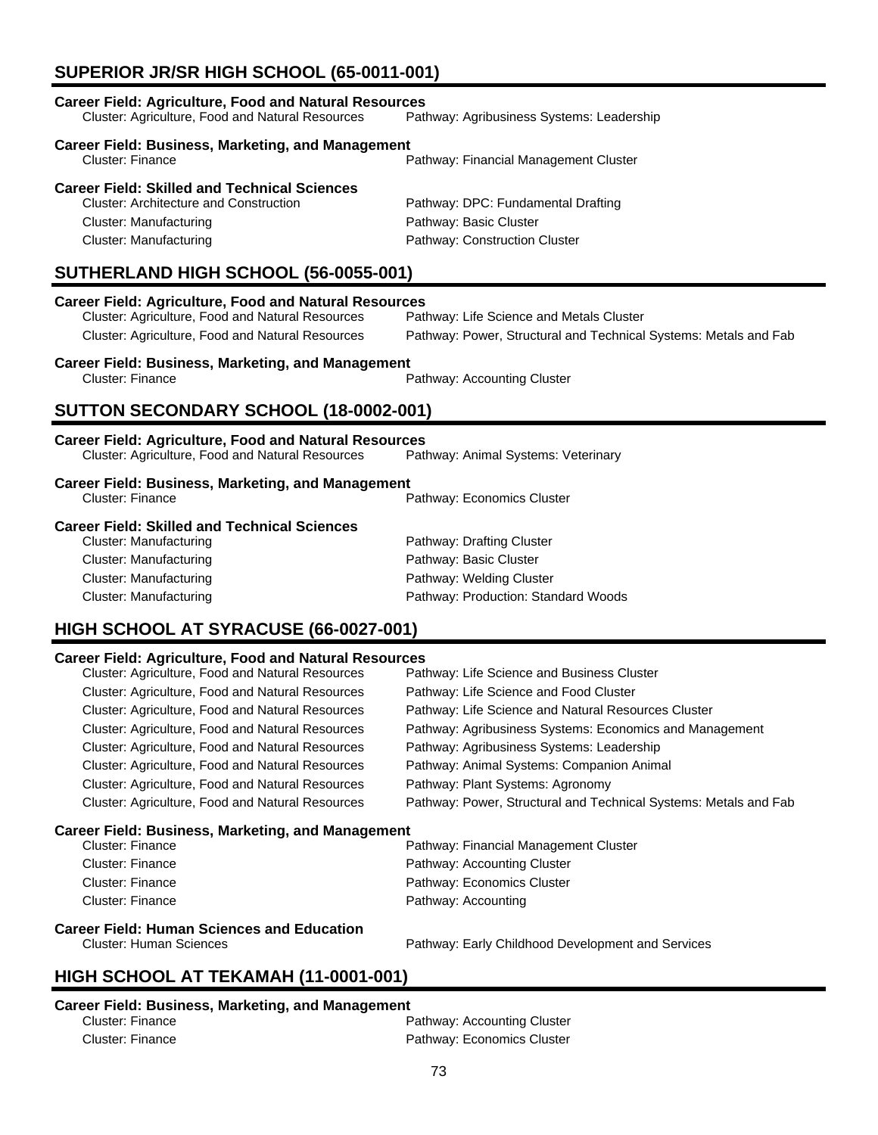# **SUPERIOR JR/SR HIGH SCHOOL (65-0011-001)**

| <b>Career Field: Agriculture, Food and Natural Resources</b><br>Cluster: Agriculture, Food and Natural Resources                                                                        | Pathway: Agribusiness Systems: Leadership                                                                              |
|-----------------------------------------------------------------------------------------------------------------------------------------------------------------------------------------|------------------------------------------------------------------------------------------------------------------------|
| <b>Career Field: Business, Marketing, and Management</b><br><b>Cluster: Finance</b>                                                                                                     | Pathway: Financial Management Cluster                                                                                  |
| <b>Career Field: Skilled and Technical Sciences</b><br><b>Cluster: Architecture and Construction</b><br>Cluster: Manufacturing<br><b>Cluster: Manufacturing</b>                         | Pathway: DPC: Fundamental Drafting<br>Pathway: Basic Cluster<br>Pathway: Construction Cluster                          |
| SUTHERLAND HIGH SCHOOL (56-0055-001)                                                                                                                                                    |                                                                                                                        |
| <b>Career Field: Agriculture, Food and Natural Resources</b><br>Cluster: Agriculture, Food and Natural Resources<br>Cluster: Agriculture, Food and Natural Resources                    | Pathway: Life Science and Metals Cluster<br>Pathway: Power, Structural and Technical Systems: Metals and Fab           |
| <b>Career Field: Business, Marketing, and Management</b><br><b>Cluster: Finance</b>                                                                                                     | Pathway: Accounting Cluster                                                                                            |
| SUTTON SECONDARY SCHOOL (18-0002-001)                                                                                                                                                   |                                                                                                                        |
| <b>Career Field: Agriculture, Food and Natural Resources</b><br>Cluster: Agriculture, Food and Natural Resources                                                                        | Pathway: Animal Systems: Veterinary                                                                                    |
| <b>Career Field: Business, Marketing, and Management</b><br><b>Cluster: Finance</b>                                                                                                     | Pathway: Economics Cluster                                                                                             |
| <b>Career Field: Skilled and Technical Sciences</b><br><b>Cluster: Manufacturing</b><br><b>Cluster: Manufacturing</b><br><b>Cluster: Manufacturing</b><br><b>Cluster: Manufacturing</b> | Pathway: Drafting Cluster<br>Pathway: Basic Cluster<br>Pathway: Welding Cluster<br>Pathway: Production: Standard Woods |
| HIGH SCHOOL AT SYRACUSE (66-0027-001)                                                                                                                                                   |                                                                                                                        |
| <b>Career Field: Agriculture, Food and Natural Resources</b><br>Cluster: Agriculture, Food and Natural Resources                                                                        | Pathway: Life Science and Business Cluster                                                                             |

| Cluster: Agriculture, Food and Natural Resources         | Pathway: Life Science and Business Cluster                       |
|----------------------------------------------------------|------------------------------------------------------------------|
| Cluster: Agriculture, Food and Natural Resources         | Pathway: Life Science and Food Cluster                           |
| <b>Cluster: Agriculture, Food and Natural Resources</b>  | Pathway: Life Science and Natural Resources Cluster              |
| Cluster: Agriculture, Food and Natural Resources         | Pathway: Agribusiness Systems: Economics and Management          |
| <b>Cluster: Agriculture, Food and Natural Resources</b>  | Pathway: Agribusiness Systems: Leadership                        |
| Cluster: Agriculture, Food and Natural Resources         | Pathway: Animal Systems: Companion Animal                        |
| Cluster: Agriculture, Food and Natural Resources         | Pathway: Plant Systems: Agronomy                                 |
| Cluster: Agriculture, Food and Natural Resources         | Pathway: Power, Structural and Technical Systems: Metals and Fab |
| <b>Career Field: Business, Marketing, and Management</b> |                                                                  |
| Cluster: Finance                                         | Pathway: Financial Management Cluster                            |
| <b>Cluster: Finance</b>                                  | Pathway: Accounting Cluster                                      |
| <b>Cluster: Finance</b>                                  | Pathway: Economics Cluster                                       |
| Cluster: Finance                                         | Pathway: Accounting                                              |
| <b>Career Field: Human Sciences and Education</b>        |                                                                  |
| <b>Cluster: Human Sciences</b>                           | Pathway: Early Childhood Development and Services                |
| HIGH SCHOOL AT TEKAMAH (11-0001-001)                     |                                                                  |
|                                                          |                                                                  |

## **Career Field: Business, Marketing, and Management**

| aroor 1 Iola: Daoinoooj markoungi ana managomont |                             |
|--------------------------------------------------|-----------------------------|
| Cluster: Finance                                 | Pathway: Accounting Cluster |
| Cluster: Finance                                 | Pathway: Economics Cluster  |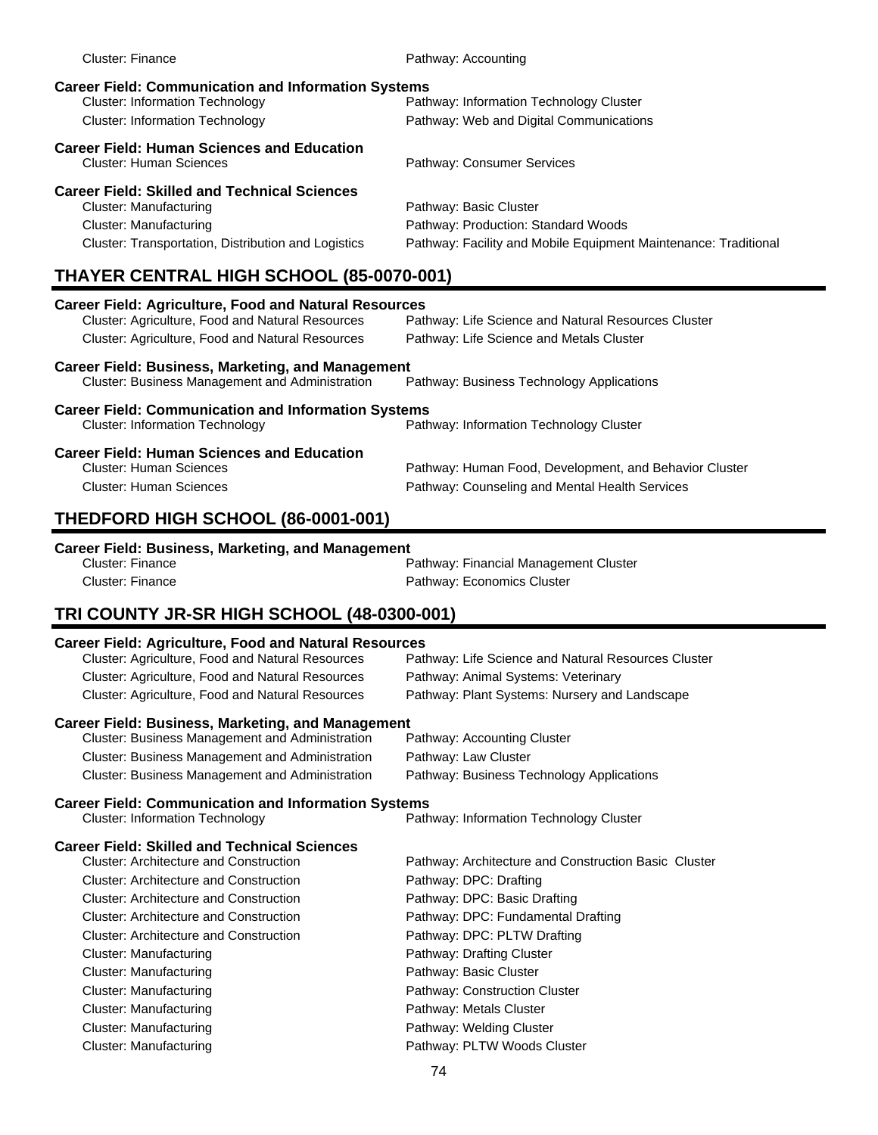| <b>Cluster: Finance</b>                                                             | Pathway: Accounting                                             |
|-------------------------------------------------------------------------------------|-----------------------------------------------------------------|
| <b>Career Field: Communication and Information Systems</b>                          |                                                                 |
| <b>Cluster: Information Technology</b>                                              | Pathway: Information Technology Cluster                         |
| <b>Cluster: Information Technology</b>                                              | Pathway: Web and Digital Communications                         |
| <b>Career Field: Human Sciences and Education</b><br><b>Cluster: Human Sciences</b> | Pathway: Consumer Services                                      |
| <b>Career Field: Skilled and Technical Sciences</b>                                 |                                                                 |
| Cluster: Manufacturing                                                              | Pathway: Basic Cluster                                          |
| Cluster: Manufacturing                                                              | Pathway: Production: Standard Woods                             |
| Cluster: Transportation, Distribution and Logistics                                 | Pathway: Facility and Mobile Equipment Maintenance: Traditional |
| <b>THAYER CENTRAL HIGH SCHOOL (85-0070-001)</b>                                     |                                                                 |
| Career Field: Agriculture, Food and Natural Resources                               |                                                                 |

| Cluster: Agriculture, Food and Natural Resources                                                                   | Pathway: Life Science and Natural Resources Cluster    |
|--------------------------------------------------------------------------------------------------------------------|--------------------------------------------------------|
| Cluster: Agriculture, Food and Natural Resources                                                                   | Pathway: Life Science and Metals Cluster               |
| <b>Career Field: Business, Marketing, and Management</b><br><b>Cluster: Business Management and Administration</b> | Pathway: Business Technology Applications              |
| <b>Career Field: Communication and Information Systems</b><br><b>Cluster: Information Technology</b>               | Pathway: Information Technology Cluster                |
| <b>Career Field: Human Sciences and Education</b><br><b>Cluster: Human Sciences</b>                                | Pathway: Human Food, Development, and Behavior Cluster |

Cluster: Human Sciences Pathway: Counseling and Mental Health Services

### **THEDFORD HIGH SCHOOL (86-0001-001)**

#### **Career Field: Business, Marketing, and Management**

| Cluster: Finance | Pathway: Financial Management Cluster |
|------------------|---------------------------------------|
| Cluster: Finance | Pathway: Economics Cluster            |

# **TRI COUNTY JR-SR HIGH SCHOOL (48-0300-001)**

#### **Career Field: Agriculture, Food and Natural Resources**

| Cluster: Agriculture, Food and Natural Resources         | Pathway: Life Science and Natural Resources Cluster |  |
|----------------------------------------------------------|-----------------------------------------------------|--|
| Cluster: Agriculture, Food and Natural Resources         | Pathway: Animal Systems: Veterinary                 |  |
| <b>Cluster: Agriculture, Food and Natural Resources</b>  | Pathway: Plant Systems: Nursery and Landscape       |  |
|                                                          |                                                     |  |
| <b>Career Field: Business, Marketing, and Management</b> |                                                     |  |
| Cluster: Business Management and Administration          | Pathway: Accounting Cluster                         |  |

# Cluster: Business Management and Administration Pathway: Business Technology Applications

**Career Field: Communication and Information Systems**<br>Path Cluster: Information Technology Pathway: Information Technology Cluster

| <b>Career Field: Skilled and Technical Sciences</b><br><b>Cluster: Architecture and Construction</b> |                                                      |
|------------------------------------------------------------------------------------------------------|------------------------------------------------------|
|                                                                                                      | Pathway: Architecture and Construction Basic Cluster |
| <b>Cluster: Architecture and Construction</b>                                                        | Pathway: DPC: Drafting                               |
| Cluster: Architecture and Construction                                                               | Pathway: DPC: Basic Drafting                         |
| <b>Cluster: Architecture and Construction</b>                                                        | Pathway: DPC: Fundamental Drafting                   |
| Cluster: Architecture and Construction                                                               | Pathway: DPC: PLTW Drafting                          |
| Cluster: Manufacturing                                                                               | Pathway: Drafting Cluster                            |
| Cluster: Manufacturing                                                                               | Pathway: Basic Cluster                               |
| Cluster: Manufacturing                                                                               | Pathway: Construction Cluster                        |
| Cluster: Manufacturing                                                                               | Pathway: Metals Cluster                              |
| Cluster: Manufacturing                                                                               | Pathway: Welding Cluster                             |
| Cluster: Manufacturing                                                                               | Pathway: PLTW Woods Cluster                          |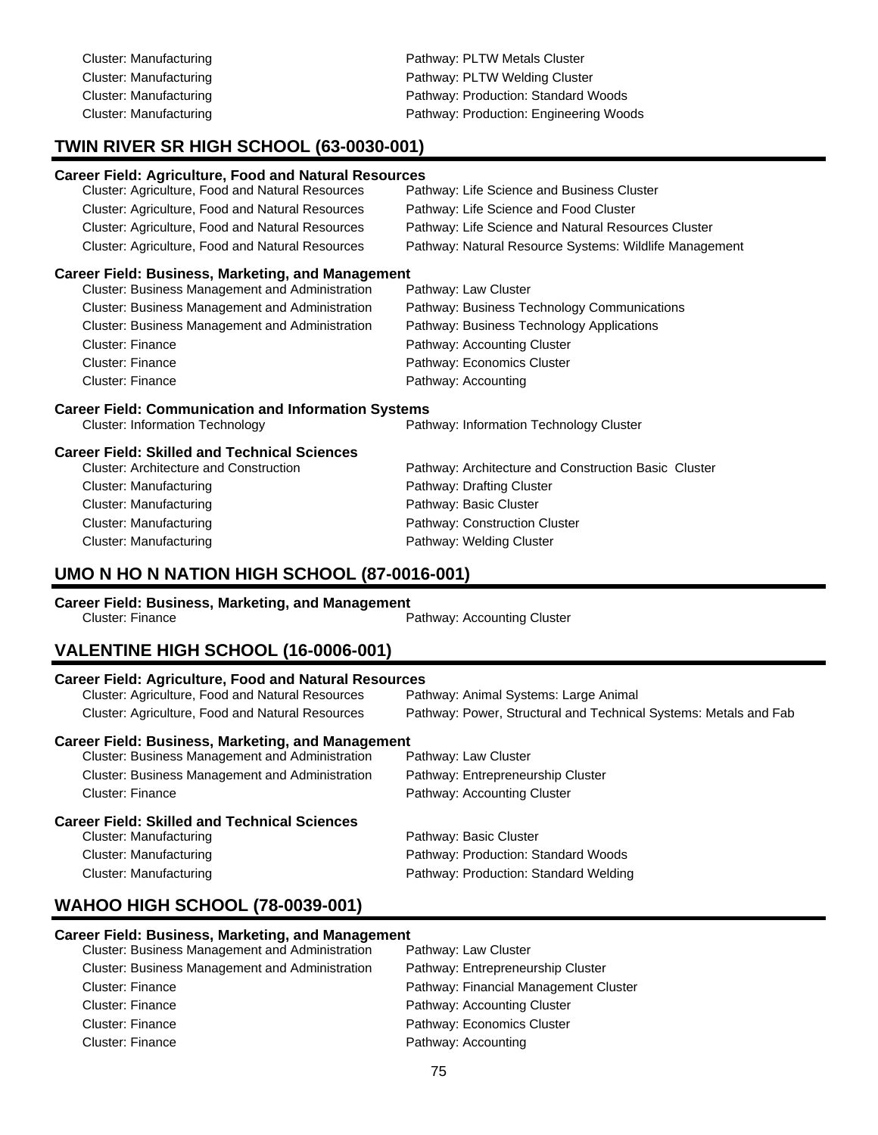Cluster: Manufacturing example and the Pathway: PLTW Metals Cluster Cluster: Manufacturing example and pathway: PLTW Welding Cluster Cluster: Manufacturing extending Pathway: Production: Standard Woods Cluster: Manufacturing **Pathway: Production: Engineering Woods** Pathway: Production: Engineering Woods

# **TWIN RIVER SR HIGH SCHOOL (63-0030-001)**

#### **Career Field: Agriculture, Food and Natural Resources**

| Cluster: Agriculture, Food and Natural Resources | Pathway: Life Science and Business Cluster             |
|--------------------------------------------------|--------------------------------------------------------|
| Cluster: Agriculture, Food and Natural Resources | Pathway: Life Science and Food Cluster                 |
| Cluster: Agriculture, Food and Natural Resources | Pathway: Life Science and Natural Resources Cluster    |
| Cluster: Agriculture, Food and Natural Resources | Pathway: Natural Resource Systems: Wildlife Management |

#### **Career Field: Business, Marketing, and Management**

| Cluster: Business Management and Administration        | Pathway: Law Cluster                        |
|--------------------------------------------------------|---------------------------------------------|
| <b>Cluster: Business Management and Administration</b> | Pathway: Business Technology Communications |
| Cluster: Business Management and Administration        | Pathway: Business Technology Applications   |
| Cluster: Finance                                       | Pathway: Accounting Cluster                 |
| Cluster: Finance                                       | Pathway: Economics Cluster                  |
| <b>Cluster: Finance</b>                                | Pathway: Accounting                         |
|                                                        |                                             |

### **Career Field: Communication and Information Systems**

|  | <b>Cluster: Information Technolo</b> |  |  |
|--|--------------------------------------|--|--|
|--|--------------------------------------|--|--|

gy **Cluster:** Pathway: Information Technology Cluster

# **Career Field: Skilled and Technical Sciences**

| <b>Cluster: Manufacturing</b> |
|-------------------------------|
| <b>Cluster: Manufacturing</b> |
| Cluster: Manufacturing        |
| <b>Cluster: Manufacturing</b> |

Pathway: Architecture and Construction Basic Cluster Pathway: Drafting Cluster Pathway: Basic Cluster Pathway: Construction Cluster Pathway: Welding Cluster

# **UMO N HO N NATION HIGH SCHOOL (87-0016-001)**

### **Career Field: Business, Marketing, and Management**

|                  | -- |                             |
|------------------|----|-----------------------------|
| Cluster: Finance |    | Pathway: Accounting Cluster |
|                  |    |                             |

# **VALENTINE HIGH SCHOOL (16-0006-001)**

| <b>Career Field: Agriculture, Food and Natural Resources</b> |                                                                  |
|--------------------------------------------------------------|------------------------------------------------------------------|
| Cluster: Agriculture, Food and Natural Resources             | Pathway: Animal Systems: Large Animal                            |
| Cluster: Agriculture, Food and Natural Resources             | Pathway: Power, Structural and Technical Systems: Metals and Fab |
| <b>Career Field: Business, Marketing, and Management</b>     |                                                                  |
| Cluster: Business Management and Administration              | Pathway: Law Cluster                                             |
| <b>Cluster: Business Management and Administration</b>       | Pathway: Entrepreneurship Cluster                                |
| Cluster: Finance                                             | Pathway: Accounting Cluster                                      |
| <b>Career Field: Skilled and Technical Sciences</b>          |                                                                  |
| Cluster: Manufacturing                                       | Pathway: Basic Cluster                                           |
| Cluster: Manufacturing                                       | Pathway: Production: Standard Woods                              |
| Cluster: Manufacturing                                       | Pathway: Production: Standard Welding                            |

## **WAHOO HIGH SCHOOL (78-0039-001)**

#### **Career Field: Business, Marketing, and Management**

| Cluster: Business Management and Administration        | Pathway: Law Cluster                  |
|--------------------------------------------------------|---------------------------------------|
| <b>Cluster: Business Management and Administration</b> | Pathway: Entrepreneurship Cluster     |
| Cluster: Finance                                       | Pathway: Financial Management Cluster |
| Cluster: Finance                                       | Pathway: Accounting Cluster           |
| Cluster: Finance                                       | Pathway: Economics Cluster            |
| Cluster: Finance                                       | Pathway: Accounting                   |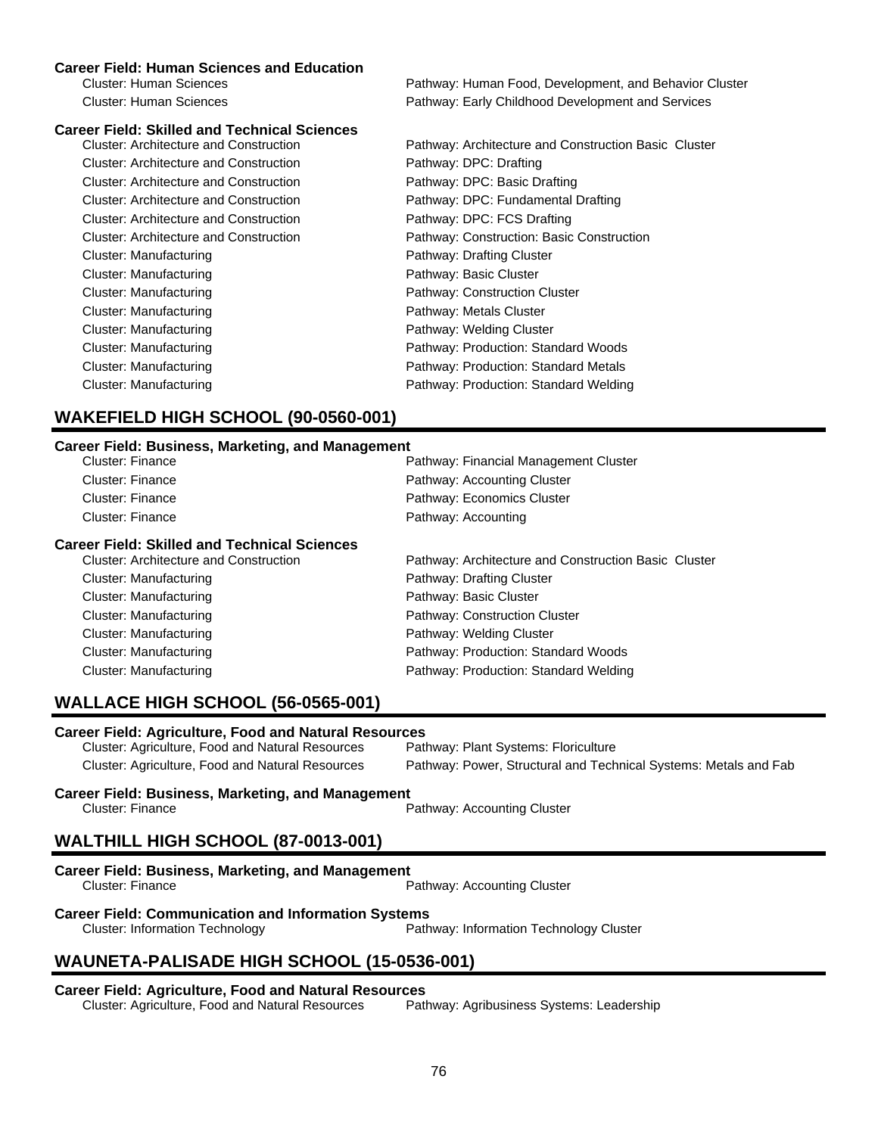#### **Career Field: Human Sciences and Education**

Cluster: Human Sciences Pathway: Human Food, Development, and Behavior Cluster Cluster: Human Sciences Pathway: Early Childhood Development and Services

| <b>Career Field: Skilled and Technical Sciences</b> |                                                      |
|-----------------------------------------------------|------------------------------------------------------|
| Cluster: Architecture and Construction              | Pathway: Architecture and Construction Basic Cluster |
| Cluster: Architecture and Construction              | Pathway: DPC: Drafting                               |
| Cluster: Architecture and Construction              | Pathway: DPC: Basic Drafting                         |
| <b>Cluster: Architecture and Construction</b>       | Pathway: DPC: Fundamental Drafting                   |
| Cluster: Architecture and Construction              | Pathway: DPC: FCS Drafting                           |
| <b>Cluster: Architecture and Construction</b>       | Pathway: Construction: Basic Construction            |
| Cluster: Manufacturing                              | Pathway: Drafting Cluster                            |
| Cluster: Manufacturing                              | Pathway: Basic Cluster                               |
| Cluster: Manufacturing                              | Pathway: Construction Cluster                        |
| Cluster: Manufacturing                              | Pathway: Metals Cluster                              |
| Cluster: Manufacturing                              | Pathway: Welding Cluster                             |
| Cluster: Manufacturing                              | Pathway: Production: Standard Woods                  |
| Cluster: Manufacturing                              | Pathway: Production: Standard Metals                 |
| Cluster: Manufacturing                              | Pathway: Production: Standard Welding                |
|                                                     |                                                      |

# **WAKEFIELD HIGH SCHOOL (90-0560-001)**

#### **Career Field: Business, Marketing, and Management**

| Pathway: Financial Management Cluster                |
|------------------------------------------------------|
| Pathway: Accounting Cluster                          |
| Pathway: Economics Cluster                           |
| Pathway: Accounting                                  |
|                                                      |
| Pathway: Architecture and Construction Basic Cluster |
| Pathway: Drafting Cluster                            |
| Pathway: Basic Cluster                               |
| Pathway: Construction Cluster                        |
| Pathway: Welding Cluster                             |
| Pathway: Production: Standard Woods                  |
| Pathway: Production: Standard Welding                |
|                                                      |

# **WALLACE HIGH SCHOOL (56-0565-001)**

**Career Field: Agriculture, Food and Natural Resources** Cluster: Agriculture, Food and Natural Resources Cluster: Agriculture, Food and Natural Resources Pathway: Power, Structural and Technical Systems: Metals and Fab

#### **Career Field: Business, Marketing, and Management** Cluster: Finance **Pathway: Accounting Cluster** Pathway: Accounting Cluster

# **WALTHILL HIGH SCHOOL (87-0013-001)**

| <b>Career Field: Business, Marketing, and Management</b> |                             |
|----------------------------------------------------------|-----------------------------|
| Cluster: Finance                                         | Pathway: Accounting Cluster |

# **Career Field: Communication and Information Systems**<br>Path Cluster: Information Technology

Pathway: Information Technology Cluster

# **WAUNETA-PALISADE HIGH SCHOOL (15-0536-001)**

#### **Career Field: Agriculture, Food and Natural Resources**

Cluster: Agriculture, Food and Natural Resources Pathway: Agribusiness Systems: Leadership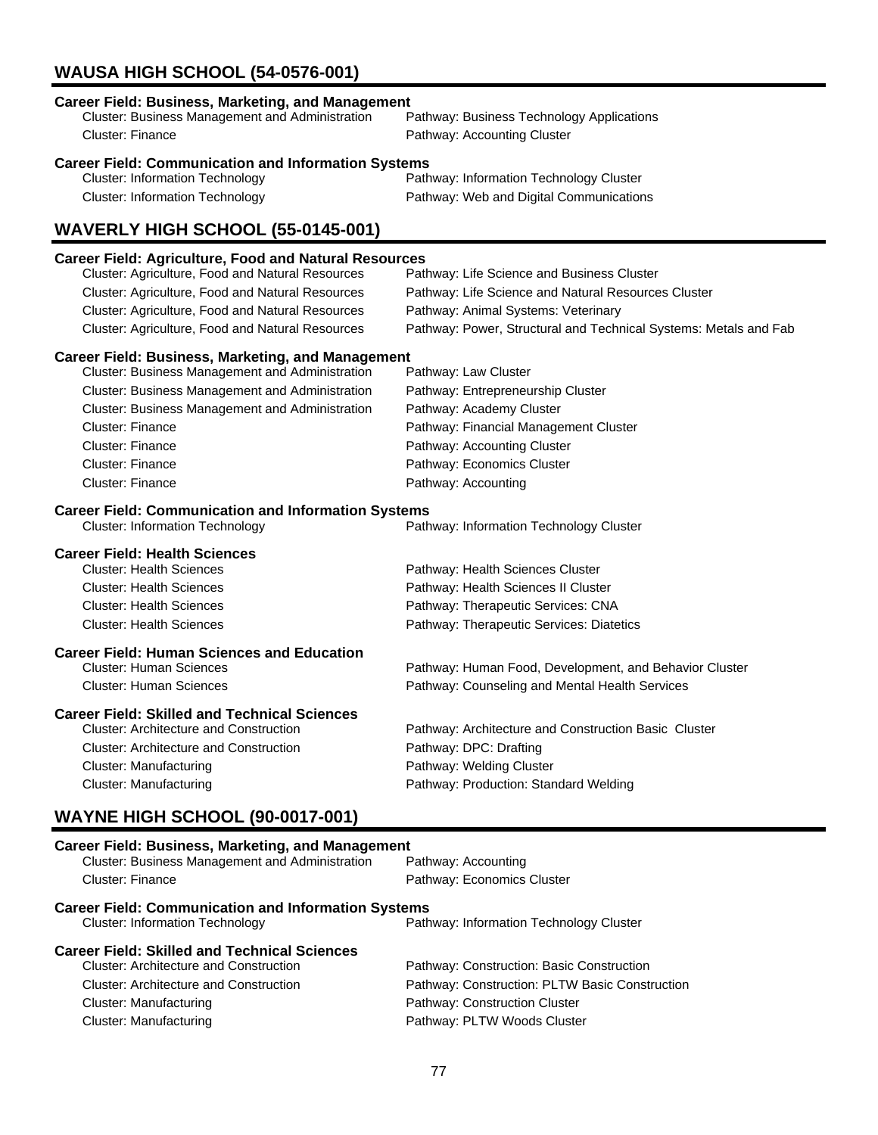# **WAUSA HIGH SCHOOL (54-0576-001)**

| <b>Career Field: Business, Marketing, and Management</b>     |                                                                  |
|--------------------------------------------------------------|------------------------------------------------------------------|
| Cluster: Business Management and Administration              | Pathway: Business Technology Applications                        |
| Cluster: Finance                                             | Pathway: Accounting Cluster                                      |
| <b>Career Field: Communication and Information Systems</b>   |                                                                  |
| <b>Cluster: Information Technology</b>                       | Pathway: Information Technology Cluster                          |
| <b>Cluster: Information Technology</b>                       | Pathway: Web and Digital Communications                          |
| WAVERLY HIGH SCHOOL (55-0145-001)                            |                                                                  |
| <b>Career Field: Agriculture, Food and Natural Resources</b> |                                                                  |
| Cluster: Agriculture, Food and Natural Resources             | Pathway: Life Science and Business Cluster                       |
| Cluster: Agriculture, Food and Natural Resources             | Pathway: Life Science and Natural Resources Cluster              |
| Cluster: Agriculture, Food and Natural Resources             | Pathway: Animal Systems: Veterinary                              |
| Cluster: Agriculture, Food and Natural Resources             | Pathway: Power, Structural and Technical Systems: Metals and Fab |
| <b>Career Field: Business, Marketing, and Management</b>     |                                                                  |
| Cluster: Business Management and Administration              | Pathway: Law Cluster                                             |
| Cluster: Business Management and Administration              | Pathway: Entrepreneurship Cluster                                |
| Cluster: Business Management and Administration              | Pathway: Academy Cluster                                         |
| <b>Cluster: Finance</b>                                      | Pathway: Financial Management Cluster                            |
| <b>Cluster: Finance</b>                                      | Pathway: Accounting Cluster                                      |
| <b>Cluster: Finance</b>                                      | Pathway: Economics Cluster                                       |
| <b>Cluster: Finance</b>                                      | Pathway: Accounting                                              |
| <b>Career Field: Communication and Information Systems</b>   |                                                                  |
| <b>Cluster: Information Technology</b>                       | Pathway: Information Technology Cluster                          |
| <b>Career Field: Health Sciences</b>                         |                                                                  |
| <b>Cluster: Health Sciences</b>                              | Pathway: Health Sciences Cluster                                 |
| <b>Cluster: Health Sciences</b>                              | Pathway: Health Sciences II Cluster                              |
| <b>Cluster: Health Sciences</b>                              | Pathway: Therapeutic Services: CNA                               |
| <b>Cluster: Health Sciences</b>                              | Pathway: Therapeutic Services: Diatetics                         |
| <b>Career Field: Human Sciences and Education</b>            |                                                                  |
| <b>Cluster: Human Sciences</b>                               | Pathway: Human Food, Development, and Behavior Cluster           |
| <b>Cluster: Human Sciences</b>                               | Pathway: Counseling and Mental Health Services                   |
| <b>Career Field: Skilled and Technical Sciences</b>          |                                                                  |
| <b>Cluster: Architecture and Construction</b>                | Pathway: Architecture and Construction Basic Cluster             |
| <b>Cluster: Architecture and Construction</b>                | Pathway: DPC: Drafting                                           |
| Cluster: Manufacturing                                       | Pathway: Welding Cluster                                         |
| <b>Cluster: Manufacturing</b>                                | Pathway: Production: Standard Welding                            |
|                                                              |                                                                  |
| <b>WAYNE HIGH SCHOOL (90-0017-001)</b>                       |                                                                  |

# **Career Field: Business, Marketing, and Management**<br>Cluster: Business Management and Administration Pathway: Accounting Cluster: Business Management and Administration Cluster: Finance **Pathway: Economics Cluster Career Field: Communication and Information Systems**<br>Path Cluster: Information Technology Pathway: Information Technology Cluster **Career Field: Skilled and Technical Sciences** Pathway: Construction: Basic Construction Cluster: Architecture and Construction Pathway: Construction: PLTW Basic Construction Cluster: Manufacturing example and pathway: Construction Cluster Cluster: Manufacturing **Pathway: PLTW Woods Cluster** Pathway: PLTW Woods Cluster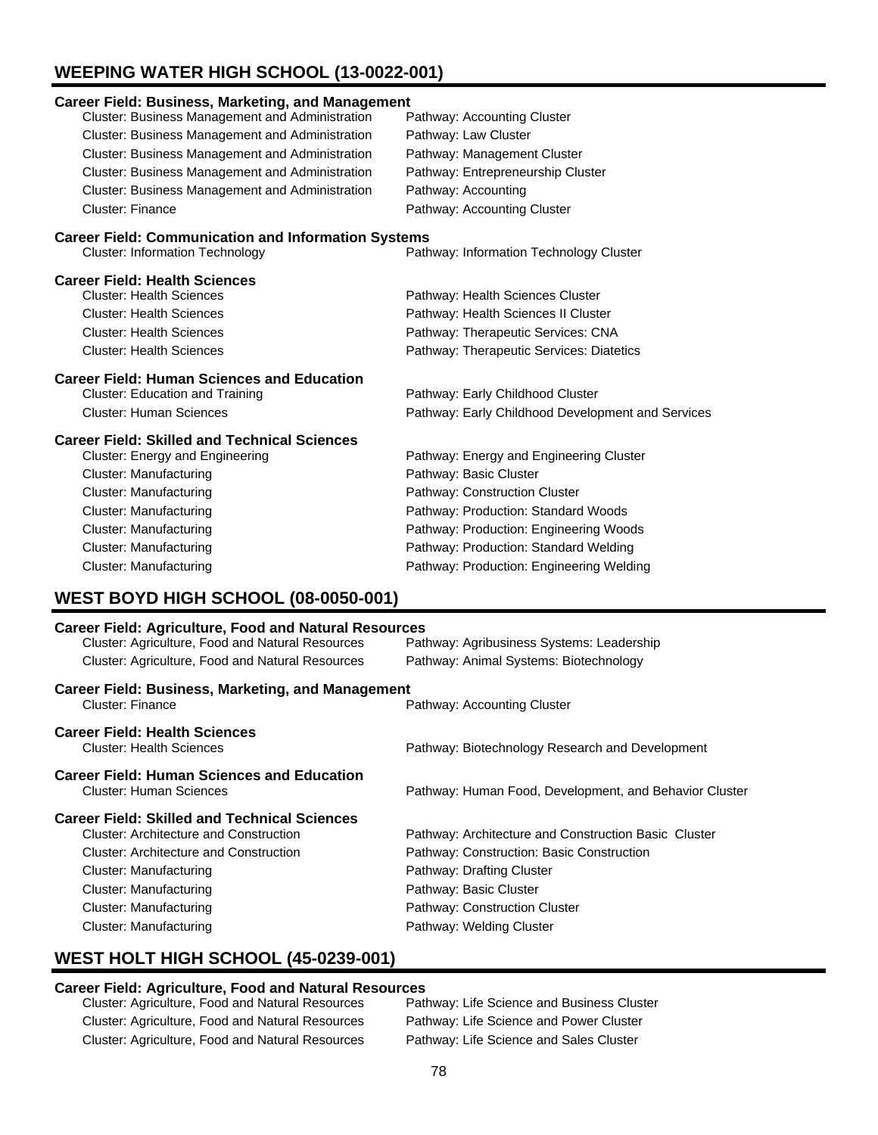# **WEEPING WATER HIGH SCHOOL (13-0022-001)**

| <b>Career Field: Business, Marketing, and Management</b>                                                         |                                                        |  |
|------------------------------------------------------------------------------------------------------------------|--------------------------------------------------------|--|
| Cluster: Business Management and Administration                                                                  | Pathway: Accounting Cluster                            |  |
| Cluster: Business Management and Administration                                                                  | Pathway: Law Cluster                                   |  |
| Cluster: Business Management and Administration                                                                  | Pathway: Management Cluster                            |  |
| Cluster: Business Management and Administration                                                                  | Pathway: Entrepreneurship Cluster                      |  |
| Cluster: Business Management and Administration                                                                  | Pathway: Accounting                                    |  |
| <b>Cluster: Finance</b>                                                                                          | Pathway: Accounting Cluster                            |  |
| <b>Career Field: Communication and Information Systems</b>                                                       |                                                        |  |
| <b>Cluster: Information Technology</b>                                                                           | Pathway: Information Technology Cluster                |  |
| <b>Career Field: Health Sciences</b>                                                                             |                                                        |  |
| <b>Cluster: Health Sciences</b>                                                                                  | Pathway: Health Sciences Cluster                       |  |
| <b>Cluster: Health Sciences</b>                                                                                  | Pathway: Health Sciences II Cluster                    |  |
| <b>Cluster: Health Sciences</b>                                                                                  | Pathway: Therapeutic Services: CNA                     |  |
| <b>Cluster: Health Sciences</b>                                                                                  | Pathway: Therapeutic Services: Diatetics               |  |
| <b>Career Field: Human Sciences and Education</b>                                                                |                                                        |  |
| <b>Cluster: Education and Training</b>                                                                           | Pathway: Early Childhood Cluster                       |  |
| <b>Cluster: Human Sciences</b>                                                                                   | Pathway: Early Childhood Development and Services      |  |
| <b>Career Field: Skilled and Technical Sciences</b>                                                              |                                                        |  |
| Cluster: Energy and Engineering                                                                                  | Pathway: Energy and Engineering Cluster                |  |
| <b>Cluster: Manufacturing</b>                                                                                    | Pathway: Basic Cluster                                 |  |
| Cluster: Manufacturing                                                                                           | Pathway: Construction Cluster                          |  |
| <b>Cluster: Manufacturing</b>                                                                                    | Pathway: Production: Standard Woods                    |  |
| Cluster: Manufacturing                                                                                           | Pathway: Production: Engineering Woods                 |  |
| <b>Cluster: Manufacturing</b>                                                                                    | Pathway: Production: Standard Welding                  |  |
| <b>Cluster: Manufacturing</b>                                                                                    | Pathway: Production: Engineering Welding               |  |
| <b>WEST BOYD HIGH SCHOOL (08-0050-001)</b>                                                                       |                                                        |  |
|                                                                                                                  |                                                        |  |
| <b>Career Field: Agriculture, Food and Natural Resources</b><br>Cluster: Agriculture, Food and Natural Resources | Pathway: Agribusiness Systems: Leadership              |  |
| Cluster: Agriculture, Food and Natural Resources                                                                 | Pathway: Animal Systems: Biotechnology                 |  |
|                                                                                                                  |                                                        |  |
| <b>Career Field: Business, Marketing, and Management</b><br><b>Cluster: Finance</b>                              | Pathway: Accounting Cluster                            |  |
| <b>Career Field: Health Sciences</b><br><b>Cluster: Health Sciences</b>                                          | Pathway: Biotechnology Research and Development        |  |
| <b>Career Field: Human Sciences and Education</b><br><b>Cluster: Human Sciences</b>                              | Pathway: Human Food, Development, and Behavior Cluster |  |

# **Career Field: Skilled and Technical Sciences**

| arcci i iciu. Onilicu anu Tcumiluai Ouichuco  |                                                      |
|-----------------------------------------------|------------------------------------------------------|
| <b>Cluster: Architecture and Construction</b> | Pathway: Architecture and Construction Basic Cluster |
| <b>Cluster: Architecture and Construction</b> | Pathway: Construction: Basic Construction            |
| Cluster: Manufacturing                        | Pathway: Drafting Cluster                            |
| Cluster: Manufacturing                        | Pathway: Basic Cluster                               |
| Cluster: Manufacturing                        | Pathway: Construction Cluster                        |
| Cluster: Manufacturing                        | Pathway: Welding Cluster                             |
|                                               |                                                      |

# **WEST HOLT HIGH SCHOOL (45-0239-001)**

## **Career Field: Agriculture, Food and Natural Resources**

| Cluster: Agriculture, Food and Natural Resources | Pathway: Life Science and Business Cluster |
|--------------------------------------------------|--------------------------------------------|
| Cluster: Agriculture, Food and Natural Resources | Pathway: Life Science and Power Cluster    |
| Cluster: Agriculture, Food and Natural Resources | Pathway: Life Science and Sales Cluster    |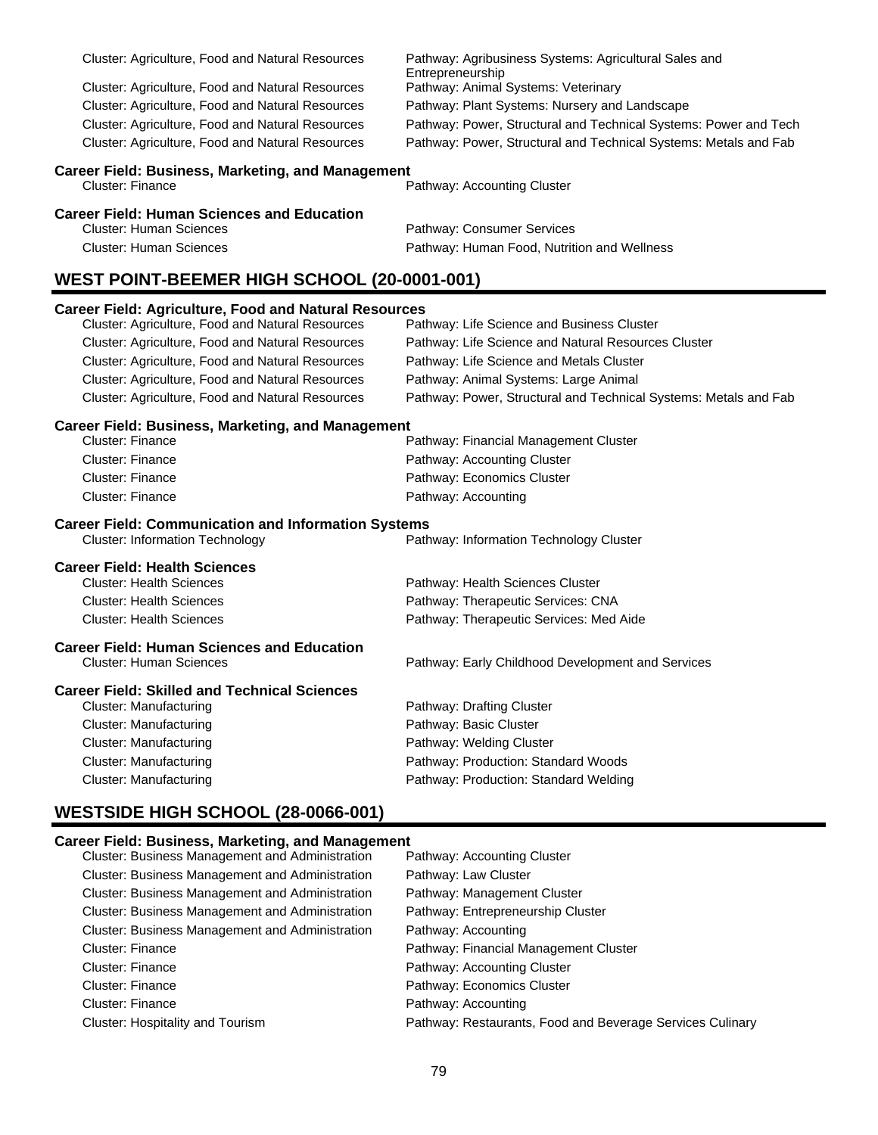| Cluster: Agriculture, Food and Natural Resources                                    | Pathway: Agribusiness Systems: Agricultural Sales and<br>Entrepreneurship |
|-------------------------------------------------------------------------------------|---------------------------------------------------------------------------|
| Cluster: Agriculture, Food and Natural Resources                                    | Pathway: Animal Systems: Veterinary                                       |
| Cluster: Agriculture, Food and Natural Resources                                    | Pathway: Plant Systems: Nursery and Landscape                             |
| Cluster: Agriculture, Food and Natural Resources                                    | Pathway: Power, Structural and Technical Systems: Power and Tech          |
| Cluster: Agriculture, Food and Natural Resources                                    | Pathway: Power, Structural and Technical Systems: Metals and Fab          |
|                                                                                     |                                                                           |
| <b>Career Field: Business, Marketing, and Management</b><br><b>Cluster: Finance</b> | Pathway: Accounting Cluster                                               |
| <b>Career Field: Human Sciences and Education</b>                                   |                                                                           |
| <b>Cluster: Human Sciences</b>                                                      | Pathway: Consumer Services                                                |
| <b>Cluster: Human Sciences</b>                                                      | Pathway: Human Food, Nutrition and Wellness                               |
| <b>WEST POINT-BEEMER HIGH SCHOOL (20-0001-001)</b>                                  |                                                                           |
| <b>Career Field: Agriculture, Food and Natural Resources</b>                        |                                                                           |
| Cluster: Agriculture, Food and Natural Resources                                    | Pathway: Life Science and Business Cluster                                |
| Cluster: Agriculture, Food and Natural Resources                                    | Pathway: Life Science and Natural Resources Cluster                       |
| Cluster: Agriculture, Food and Natural Resources                                    | Pathway: Life Science and Metals Cluster                                  |
| Cluster: Agriculture, Food and Natural Resources                                    | Pathway: Animal Systems: Large Animal                                     |
| Cluster: Agriculture, Food and Natural Resources                                    | Pathway: Power, Structural and Technical Systems: Metals and Fab          |
| <b>Career Field: Business, Marketing, and Management</b>                            |                                                                           |
| <b>Cluster: Finance</b>                                                             | Pathway: Financial Management Cluster                                     |
| Cluster: Finance                                                                    | Pathway: Accounting Cluster                                               |
| <b>Cluster: Finance</b>                                                             | Pathway: Economics Cluster                                                |
| <b>Cluster: Finance</b>                                                             | Pathway: Accounting                                                       |
| <b>Career Field: Communication and Information Systems</b>                          |                                                                           |
| <b>Cluster: Information Technology</b>                                              | Pathway: Information Technology Cluster                                   |
| <b>Career Field: Health Sciences</b>                                                |                                                                           |
| <b>Cluster: Health Sciences</b>                                                     | Pathway: Health Sciences Cluster                                          |
| <b>Cluster: Health Sciences</b>                                                     | Pathway: Therapeutic Services: CNA                                        |
| <b>Cluster: Health Sciences</b>                                                     | Pathway: Therapeutic Services: Med Aide                                   |
| <b>Career Field: Human Sciences and Education</b>                                   |                                                                           |
| <b>Cluster: Human Sciences</b>                                                      | Pathway: Early Childhood Development and Services                         |
| <b>Career Field: Skilled and Technical Sciences</b>                                 |                                                                           |
| <b>Cluster: Manufacturing</b>                                                       | Pathway: Drafting Cluster                                                 |
| <b>Cluster: Manufacturing</b>                                                       | Pathway: Basic Cluster                                                    |
| <b>Cluster: Manufacturing</b>                                                       | Pathway: Welding Cluster                                                  |
| <b>Cluster: Manufacturing</b>                                                       | Pathway: Production: Standard Woods                                       |
| <b>Cluster: Manufacturing</b>                                                       | Pathway: Production: Standard Welding                                     |
| <b>WESTSIDE HIGH SCHOOL (28-0066-001)</b>                                           |                                                                           |
|                                                                                     |                                                                           |

# **Career Field: Business, Marketing, and Management**

| Cluster: Business Management and Administration | Pathway: Accounting Cluster                               |
|-------------------------------------------------|-----------------------------------------------------------|
| Cluster: Business Management and Administration | Pathway: Law Cluster                                      |
| Cluster: Business Management and Administration | Pathway: Management Cluster                               |
| Cluster: Business Management and Administration | Pathway: Entrepreneurship Cluster                         |
| Cluster: Business Management and Administration | Pathway: Accounting                                       |
| <b>Cluster: Finance</b>                         | Pathway: Financial Management Cluster                     |
| <b>Cluster: Finance</b>                         | Pathway: Accounting Cluster                               |
| Cluster: Finance                                | Pathway: Economics Cluster                                |
| <b>Cluster: Finance</b>                         | Pathway: Accounting                                       |
| Cluster: Hospitality and Tourism                | Pathway: Restaurants, Food and Beverage Services Culinary |
|                                                 |                                                           |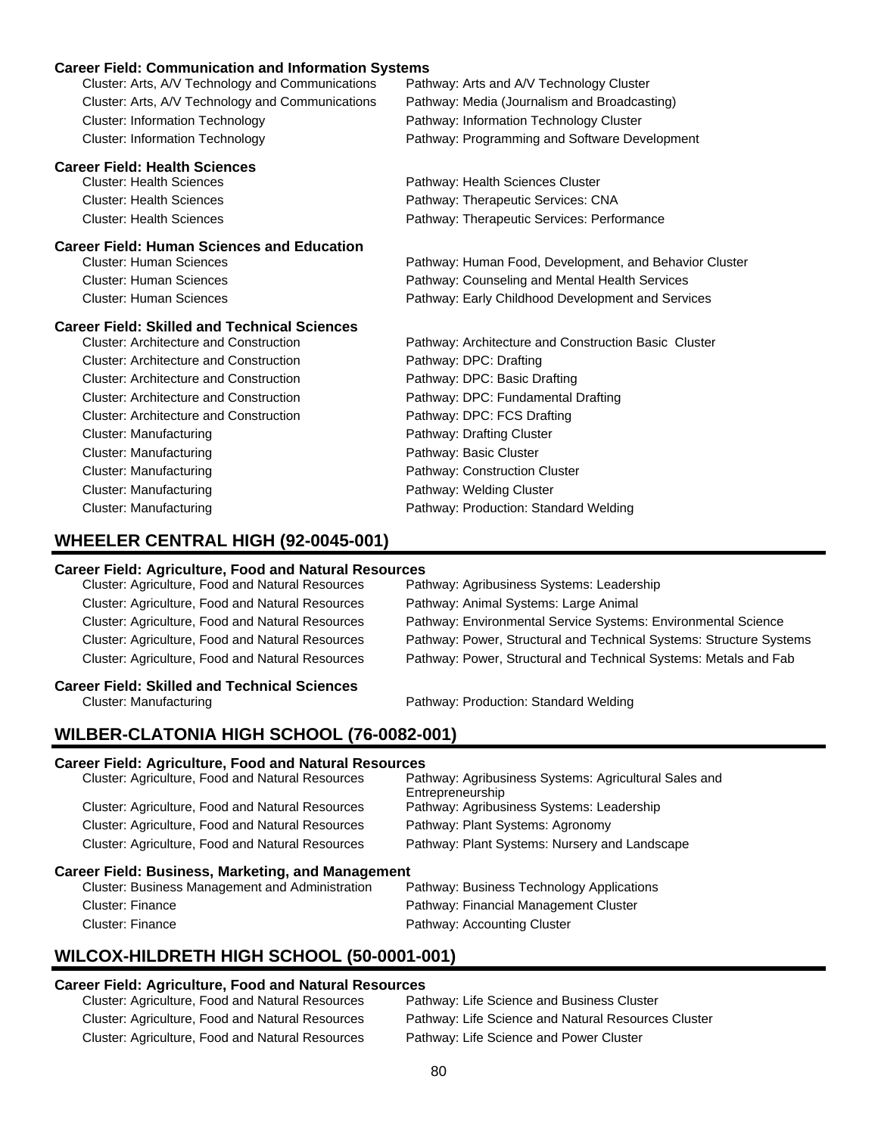#### **Career Field: Communication and Information Systems**

| Career Field: Communication and Information Systems |                                                        |
|-----------------------------------------------------|--------------------------------------------------------|
| Cluster: Arts, A/V Technology and Communications    | Pathway: Arts and A/V Technology Cluster               |
| Cluster: Arts, A/V Technology and Communications    | Pathway: Media (Journalism and Broadcasting)           |
| <b>Cluster: Information Technology</b>              | Pathway: Information Technology Cluster                |
| <b>Cluster: Information Technology</b>              | Pathway: Programming and Software Development          |
| <b>Career Field: Health Sciences</b>                |                                                        |
| <b>Cluster: Health Sciences</b>                     | Pathway: Health Sciences Cluster                       |
| <b>Cluster: Health Sciences</b>                     | Pathway: Therapeutic Services: CNA                     |
| <b>Cluster: Health Sciences</b>                     | Pathway: Therapeutic Services: Performance             |
| <b>Career Field: Human Sciences and Education</b>   |                                                        |
| <b>Cluster: Human Sciences</b>                      | Pathway: Human Food, Development, and Behavior Cluster |
| <b>Cluster: Human Sciences</b>                      | Pathway: Counseling and Mental Health Services         |
| <b>Cluster: Human Sciences</b>                      | Pathway: Early Childhood Development and Services      |
| <b>Career Field: Skilled and Technical Sciences</b> |                                                        |
| <b>Cluster: Architecture and Construction</b>       | Pathway: Architecture and Construction Basic Cluster   |
| <b>Cluster: Architecture and Construction</b>       | Pathway: DPC: Drafting                                 |
| <b>Cluster: Architecture and Construction</b>       | Pathway: DPC: Basic Drafting                           |
| <b>Cluster: Architecture and Construction</b>       | Pathway: DPC: Fundamental Drafting                     |
| <b>Cluster: Architecture and Construction</b>       | Pathway: DPC: FCS Drafting                             |
| <b>Cluster: Manufacturing</b>                       | Pathway: Drafting Cluster                              |
| <b>Cluster: Manufacturing</b>                       | Pathway: Basic Cluster                                 |
| <b>Cluster: Manufacturing</b>                       | Pathway: Construction Cluster                          |
| <b>Cluster: Manufacturing</b>                       | Pathway: Welding Cluster                               |

Cluster: Manufacturing Pathway: Production: Standard Welding

### **WHEELER CENTRAL HIGH (92-0045-001)**

# **Career Field: Agriculture, Food and Natural Resources**

Cluster: Agriculture, Food and Natural Resources Cluster: Agriculture, Food and Natural Resources Pathway: Animal Systems: Large Animal

Cluster: Agriculture, Food and Natural Resources Pathway: Environmental Service Systems: Environmental Science Cluster: Agriculture, Food and Natural Resources Pathway: Power, Structural and Technical Systems: Structure Systems Cluster: Agriculture, Food and Natural Resources Pathway: Power, Structural and Technical Systems: Metals and Fab

# **Career Field: Skilled and Technical Sciences**

Cluster: Manufacturing Pathway: Production: Standard Welding

### **WILBER-CLATONIA HIGH SCHOOL (76-0082-001)**

#### **Career Field: Agriculture, Food and Natural Resources**

| Pathway: Agribusiness Systems: Agricultural Sales and<br>Entrepreneurship |
|---------------------------------------------------------------------------|
| Pathway: Agribusiness Systems: Leadership                                 |
| Pathway: Plant Systems: Agronomy                                          |
| Pathway: Plant Systems: Nursery and Landscape                             |
|                                                                           |

#### **Career Field: Business, Marketing, and Management**

| Cluster: Business Management and Administration | Pathway: Business Technology Applications |
|-------------------------------------------------|-------------------------------------------|
| Cluster: Finance                                | Pathway: Financial Management Cluster     |
| Cluster: Finance                                | Pathway: Accounting Cluster               |

### **WILCOX-HILDRETH HIGH SCHOOL (50-0001-001)**

# **Career Field: Agriculture, Food and Natural Resources**

Cluster: Agriculture, Food and Natural Resources Cluster: Agriculture, Food and Natural Resources Pathway: Life Science and Natural Resources Cluster Cluster: Agriculture, Food and Natural Resources Pathway: Life Science and Power Cluster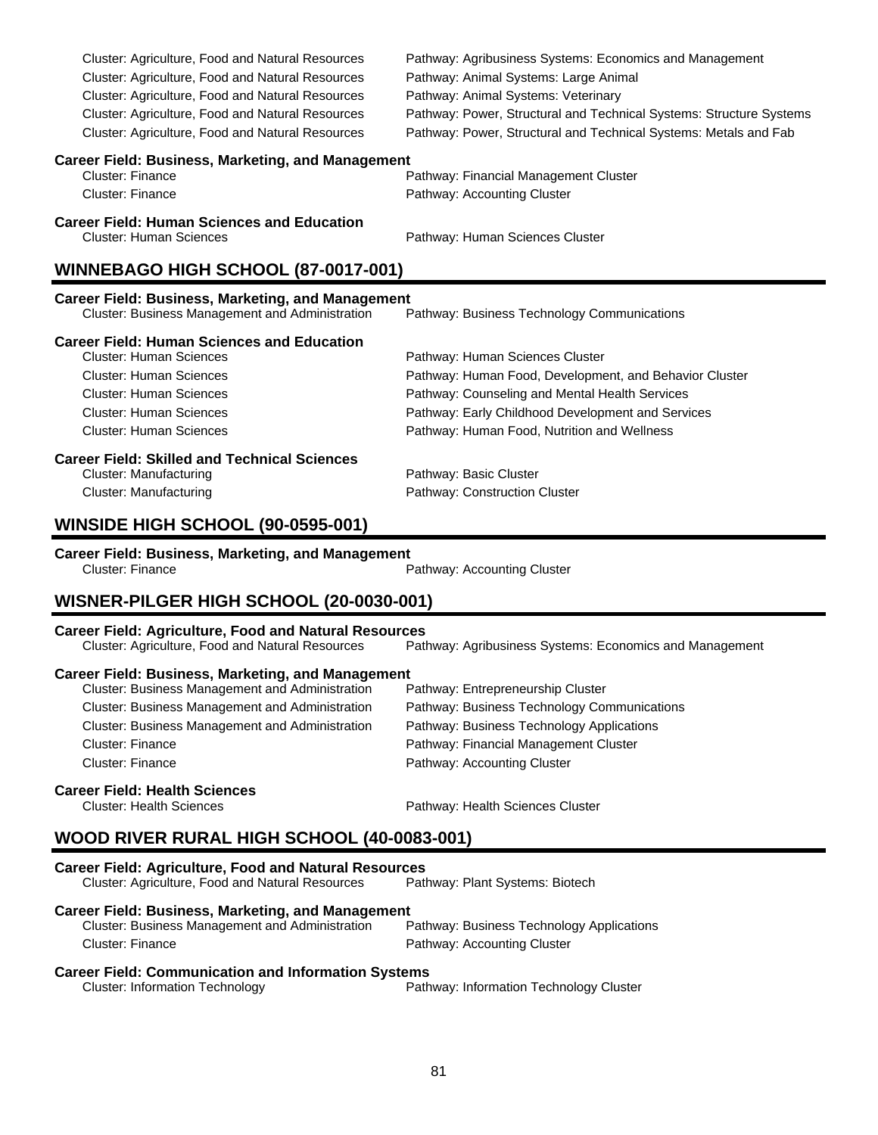| Cluster: Agriculture, Food and Natural Resources                                    | Pathway: Agribusiness Systems: Economics and Management             |
|-------------------------------------------------------------------------------------|---------------------------------------------------------------------|
| Cluster: Agriculture, Food and Natural Resources                                    | Pathway: Animal Systems: Large Animal                               |
| Cluster: Agriculture, Food and Natural Resources                                    | Pathway: Animal Systems: Veterinary                                 |
| Cluster: Agriculture, Food and Natural Resources                                    | Pathway: Power, Structural and Technical Systems: Structure Systems |
| Cluster: Agriculture, Food and Natural Resources                                    | Pathway: Power, Structural and Technical Systems: Metals and Fab    |
| <b>Career Field: Business, Marketing, and Management</b>                            |                                                                     |
| Cluster: Finance                                                                    | Pathway: Financial Management Cluster                               |
| <b>Cluster: Finance</b>                                                             | Pathway: Accounting Cluster                                         |
| <b>Career Field: Human Sciences and Education</b><br><b>Cluster: Human Sciences</b> | Pathway: Human Sciences Cluster                                     |
| WINNEBAGO HIGH SCHOOL (87-0017-001)                                                 |                                                                     |
| <b>Career Field: Business, Marketing, and Management</b>                            |                                                                     |
| Cluster: Business Management and Administration                                     | Pathway: Business Technology Communications                         |
| <b>Career Field: Human Sciences and Education</b>                                   |                                                                     |
| <b>Cluster: Human Sciences</b>                                                      | Pathway: Human Sciences Cluster                                     |
| <b>Cluster: Human Sciences</b>                                                      | Pathway: Human Food, Development, and Behavior Cluster              |
| Cluster: Human Sciences                                                             | Pathway: Counseling and Mental Health Services                      |
| <b>Cluster: Human Sciences</b>                                                      | Pathway: Early Childhood Development and Services                   |

| <b>Career Field: Skilled and Technical Sciences</b> |                               |  |
|-----------------------------------------------------|-------------------------------|--|
| Cluster: Manufacturing                              | Pathway: Basic Cluster        |  |
| Cluster: Manufacturing                              | Pathway: Construction Cluster |  |

Cluster: Human Sciences Pathway: Human Food, Nutrition and Wellness

### **WINSIDE HIGH SCHOOL (90-0595-001)**

#### **Career Field: Business, Marketing, and Management**

| Cluster: Finance |  | Pathway: Accounting Cluster |
|------------------|--|-----------------------------|

### **WISNER-PILGER HIGH SCHOOL (20-0030-001)**

**Career Field: Agriculture, Food and Natural Resources** Pathway: Agribusiness Systems: Economics and Management **Career Field: Business, Marketing, and Management** Cluster: Business Management and Administration Cluster: Business Management and Administration Pathway: Business Technology Communications Cluster: Business Management and Administration Pathway: Business Technology Applications Cluster: Finance Pathway: Financial Management Cluster Cluster: Finance **Pathway: Accounting Cluster** 

#### **Career Field: Health Sciences**

Cluster: Health Sciences Pathway: Health Sciences Cluster

# **WOOD RIVER RURAL HIGH SCHOOL (40-0083-001)**

| <b>Career Field: Agriculture, Food and Natural Resources</b> |                                           |
|--------------------------------------------------------------|-------------------------------------------|
| <b>Cluster: Agriculture, Food and Natural Resources</b>      | Pathway: Plant Systems: Biotech           |
| <b>Career Field: Business, Marketing, and Management</b>     |                                           |
| <b>Cluster: Business Management and Administration</b>       | Pathway: Business Technology Applications |
| Cluster: Finance                                             | Pathway: Accounting Cluster               |
| <b>Career Field: Communication and Information Systems</b>   |                                           |

| Cluster: Information Technology | Pathway: Information Technology Cluster |
|---------------------------------|-----------------------------------------|